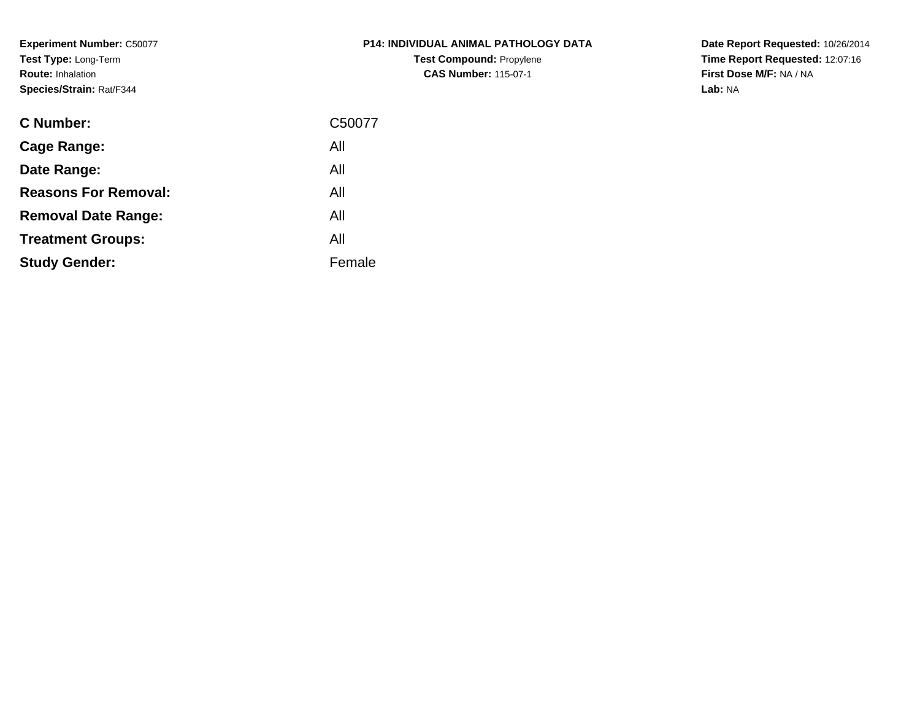**Experiment Number:** C50077**Test Type:** Long-Term**Route:** Inhalation**Species/Strain:** Rat/F344

| P14: INDIVIDUAL ANIMAL PATHOLOGY DATA |  |
|---------------------------------------|--|
| <b>Test Compound: Propylene</b>       |  |
| <b>CAS Number: 115-07-1</b>           |  |

| <b>C</b> Number:            | C50077 |
|-----------------------------|--------|
| Cage Range:                 | All    |
| Date Range:                 | All    |
| <b>Reasons For Removal:</b> | All    |
| <b>Removal Date Range:</b>  | All    |
| <b>Treatment Groups:</b>    | All    |
| <b>Study Gender:</b>        | Female |
|                             |        |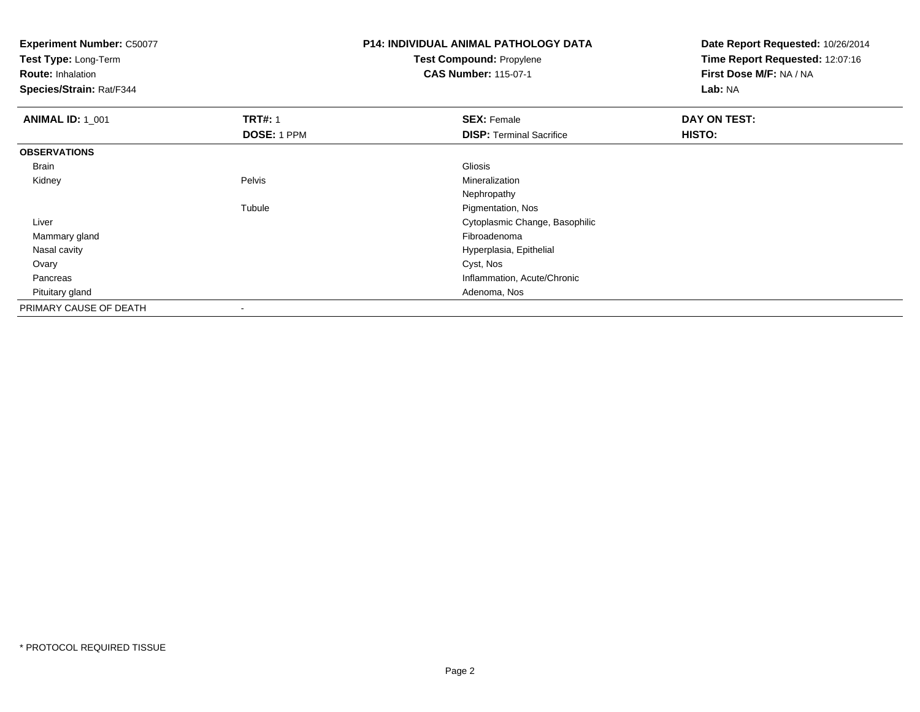**Test Type:** Long-Term

**Route:** Inhalation

**Species/Strain:** Rat/F344

### **P14: INDIVIDUAL ANIMAL PATHOLOGY DATATest Compound:** Propylene**CAS Number:** 115-07-1

| <b>ANIMAL ID: 1 001</b> | <b>TRT#: 1</b>           | <b>SEX: Female</b>              | DAY ON TEST: |  |
|-------------------------|--------------------------|---------------------------------|--------------|--|
|                         | DOSE: 1 PPM              | <b>DISP: Terminal Sacrifice</b> | HISTO:       |  |
| <b>OBSERVATIONS</b>     |                          |                                 |              |  |
| Brain                   |                          | Gliosis                         |              |  |
| Kidney                  | Pelvis                   | Mineralization                  |              |  |
|                         |                          | Nephropathy                     |              |  |
|                         | Tubule                   | Pigmentation, Nos               |              |  |
| Liver                   |                          | Cytoplasmic Change, Basophilic  |              |  |
| Mammary gland           |                          | Fibroadenoma                    |              |  |
| Nasal cavity            |                          | Hyperplasia, Epithelial         |              |  |
| Ovary                   |                          | Cyst, Nos                       |              |  |
| Pancreas                |                          | Inflammation, Acute/Chronic     |              |  |
| Pituitary gland         |                          | Adenoma, Nos                    |              |  |
| PRIMARY CAUSE OF DEATH  | $\overline{\phantom{a}}$ |                                 |              |  |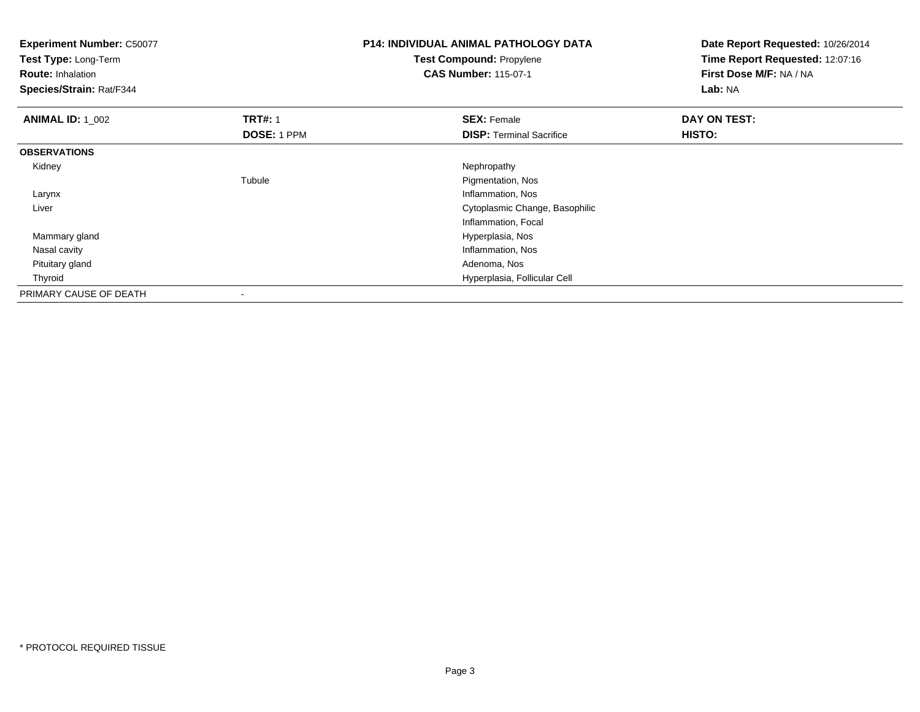| <b>Experiment Number: C50077</b><br>Test Type: Long-Term<br><b>Route: Inhalation</b><br>Species/Strain: Rat/F344 |                    | <b>P14: INDIVIDUAL ANIMAL PATHOLOGY DATA</b><br><b>Test Compound: Propylene</b><br><b>CAS Number: 115-07-1</b> | Date Report Requested: 10/26/2014<br>Time Report Requested: 12:07:16<br>First Dose M/F: NA / NA<br>Lab: NA |
|------------------------------------------------------------------------------------------------------------------|--------------------|----------------------------------------------------------------------------------------------------------------|------------------------------------------------------------------------------------------------------------|
| <b>ANIMAL ID: 1_002</b>                                                                                          | <b>TRT#: 1</b>     | <b>SEX: Female</b>                                                                                             | DAY ON TEST:                                                                                               |
|                                                                                                                  | <b>DOSE: 1 PPM</b> | <b>DISP: Terminal Sacrifice</b>                                                                                | HISTO:                                                                                                     |
| <b>OBSERVATIONS</b>                                                                                              |                    |                                                                                                                |                                                                                                            |
| Kidney                                                                                                           |                    | Nephropathy                                                                                                    |                                                                                                            |
|                                                                                                                  | Tubule             | Pigmentation, Nos                                                                                              |                                                                                                            |
| Larynx                                                                                                           |                    | Inflammation, Nos                                                                                              |                                                                                                            |
| Liver                                                                                                            |                    | Cytoplasmic Change, Basophilic                                                                                 |                                                                                                            |
|                                                                                                                  |                    | Inflammation, Focal                                                                                            |                                                                                                            |
| Mammary gland                                                                                                    |                    | Hyperplasia, Nos                                                                                               |                                                                                                            |
| Nasal cavity                                                                                                     |                    | Inflammation, Nos                                                                                              |                                                                                                            |
| Pituitary gland                                                                                                  |                    | Adenoma, Nos                                                                                                   |                                                                                                            |
| Thyroid                                                                                                          |                    | Hyperplasia, Follicular Cell                                                                                   |                                                                                                            |
| PRIMARY CAUSE OF DEATH                                                                                           |                    |                                                                                                                |                                                                                                            |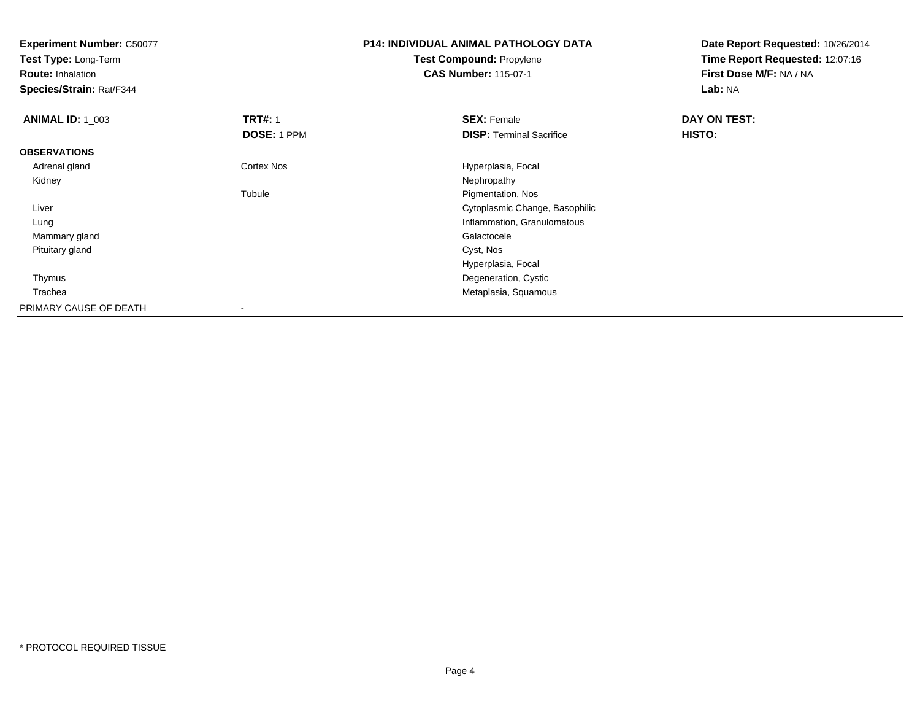**Experiment Number:** C50077**Test Type:** Long-Term**Route:** Inhalation **Species/Strain:** Rat/F344**P14: INDIVIDUAL ANIMAL PATHOLOGY DATATest Compound:** Propylene**CAS Number:** 115-07-1**Date Report Requested:** 10/26/2014**Time Report Requested:** 12:07:16**First Dose M/F:** NA / NA**Lab:** NA**ANIMAL ID: 1\_003 TRT#:** 1 **SEX:** Female **DAY ON TEST: DOSE:** 1 PPM**DISP:** Terminal Sacrifice **HISTO: OBSERVATIONS** Adrenal glandCortex Nos **Hyperplasia, Focal**<br>
Nephropathy Kidneyy the control of the control of the control of the control of the control of the control of the control of the control of the control of the control of the control of the control of the control of the control of the contro Tubule Pigmentation, Nos Liver Cytoplasmic Change, Basophilic Lung Inflammation, Granulomatous Mammary glandd Galactocele and the control of the control of the control of the Galactocele and the Galactocele Pituitary gland Cyst, Nos Hyperplasia, Focal Thymus Degeneration, Cystic Trachea Metaplasia, Squamous PRIMARY CAUSE OF DEATH-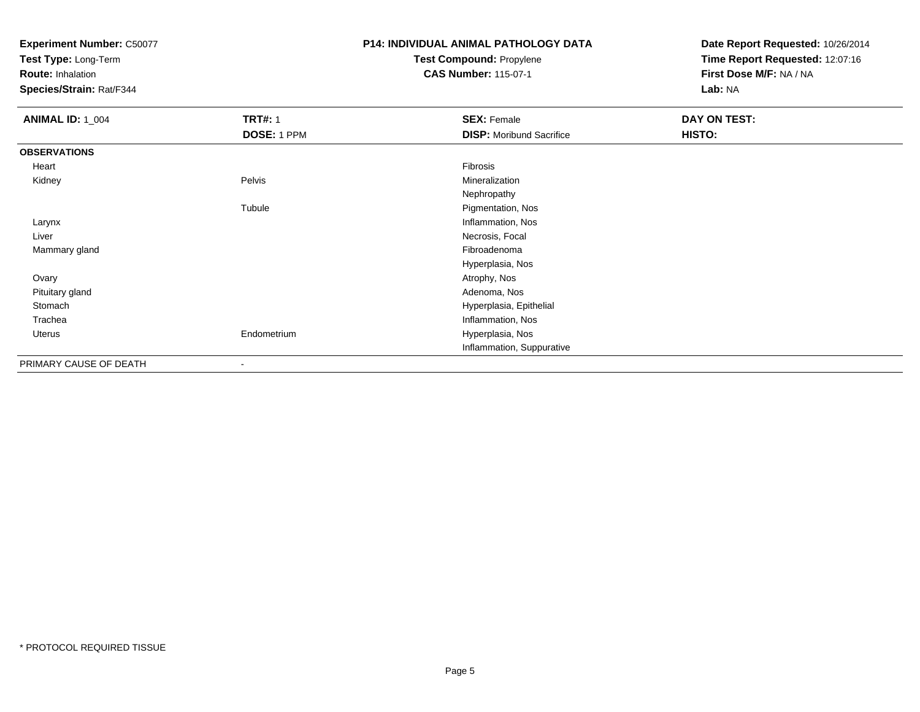**Test Type:** Long-Term

**Route:** Inhalation

**Species/Strain:** Rat/F344

### **P14: INDIVIDUAL ANIMAL PATHOLOGY DATATest Compound:** Propylene

**CAS Number:** 115-07-1

| <b>ANIMAL ID: 1_004</b> | <b>TRT#: 1</b>           | <b>SEX: Female</b>              | DAY ON TEST: |
|-------------------------|--------------------------|---------------------------------|--------------|
|                         | DOSE: 1 PPM              | <b>DISP:</b> Moribund Sacrifice | HISTO:       |
| <b>OBSERVATIONS</b>     |                          |                                 |              |
| Heart                   |                          | Fibrosis                        |              |
| Kidney                  | Pelvis                   | Mineralization                  |              |
|                         |                          | Nephropathy                     |              |
|                         | Tubule                   | Pigmentation, Nos               |              |
| Larynx                  |                          | Inflammation, Nos               |              |
| Liver                   |                          | Necrosis, Focal                 |              |
| Mammary gland           |                          | Fibroadenoma                    |              |
|                         |                          | Hyperplasia, Nos                |              |
| Ovary                   |                          | Atrophy, Nos                    |              |
| Pituitary gland         |                          | Adenoma, Nos                    |              |
| Stomach                 |                          | Hyperplasia, Epithelial         |              |
| Trachea                 |                          | Inflammation, Nos               |              |
| Uterus                  | Endometrium              | Hyperplasia, Nos                |              |
|                         |                          | Inflammation, Suppurative       |              |
| PRIMARY CAUSE OF DEATH  | $\overline{\phantom{a}}$ |                                 |              |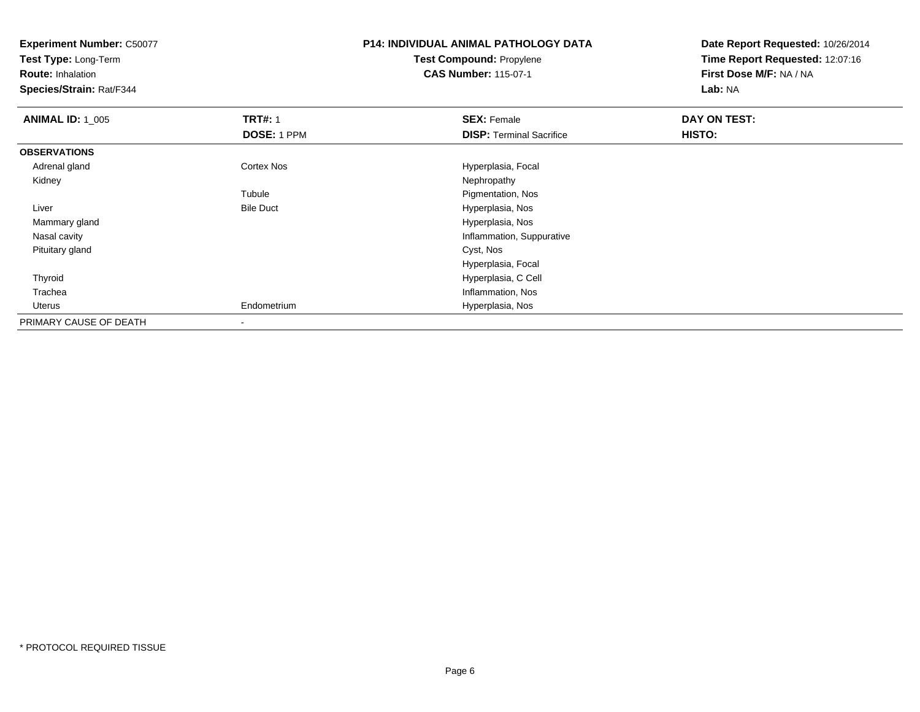**Test Type:** Long-Term

**Route:** Inhalation

**Species/Strain:** Rat/F344

### **P14: INDIVIDUAL ANIMAL PATHOLOGY DATATest Compound:** Propylene**CAS Number:** 115-07-1

| <b>ANIMAL ID: 1_005</b> | <b>TRT#: 1</b>   | <b>SEX: Female</b>              | DAY ON TEST: |  |
|-------------------------|------------------|---------------------------------|--------------|--|
|                         | DOSE: 1 PPM      | <b>DISP: Terminal Sacrifice</b> | HISTO:       |  |
| <b>OBSERVATIONS</b>     |                  |                                 |              |  |
| Adrenal gland           | Cortex Nos       | Hyperplasia, Focal              |              |  |
| Kidney                  |                  | Nephropathy                     |              |  |
|                         | Tubule           | Pigmentation, Nos               |              |  |
| Liver                   | <b>Bile Duct</b> | Hyperplasia, Nos                |              |  |
| Mammary gland           |                  | Hyperplasia, Nos                |              |  |
| Nasal cavity            |                  | Inflammation, Suppurative       |              |  |
| Pituitary gland         |                  | Cyst, Nos                       |              |  |
|                         |                  | Hyperplasia, Focal              |              |  |
| Thyroid                 |                  | Hyperplasia, C Cell             |              |  |
| Trachea                 |                  | Inflammation, Nos               |              |  |
| Uterus                  | Endometrium      | Hyperplasia, Nos                |              |  |
| PRIMARY CAUSE OF DEATH  |                  |                                 |              |  |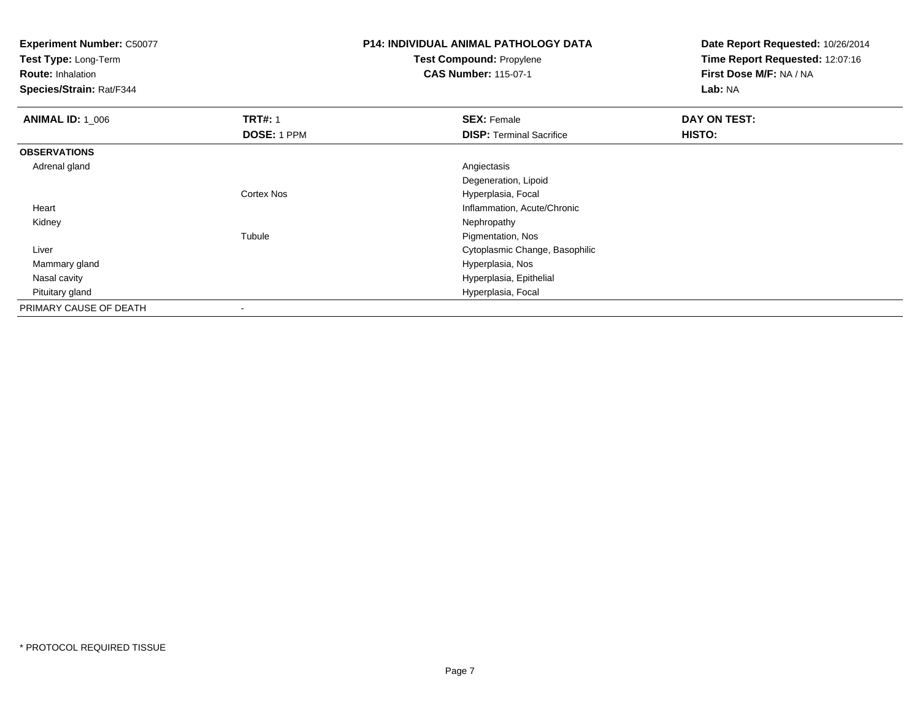**Test Type:** Long-Term

**Route:** Inhalation

**Species/Strain:** Rat/F344

### **P14: INDIVIDUAL ANIMAL PATHOLOGY DATATest Compound:** Propylene

**CAS Number:** 115-07-1

| <b>ANIMAL ID: 1_006</b> | <b>TRT#: 1</b> | <b>SEX: Female</b>              | DAY ON TEST: |  |
|-------------------------|----------------|---------------------------------|--------------|--|
|                         | DOSE: 1 PPM    | <b>DISP:</b> Terminal Sacrifice | HISTO:       |  |
| <b>OBSERVATIONS</b>     |                |                                 |              |  |
| Adrenal gland           |                | Angiectasis                     |              |  |
|                         |                | Degeneration, Lipoid            |              |  |
|                         | Cortex Nos     | Hyperplasia, Focal              |              |  |
| Heart                   |                | Inflammation, Acute/Chronic     |              |  |
| Kidney                  |                | Nephropathy                     |              |  |
|                         | Tubule         | Pigmentation, Nos               |              |  |
| Liver                   |                | Cytoplasmic Change, Basophilic  |              |  |
| Mammary gland           |                | Hyperplasia, Nos                |              |  |
| Nasal cavity            |                | Hyperplasia, Epithelial         |              |  |
| Pituitary gland         |                | Hyperplasia, Focal              |              |  |
| PRIMARY CAUSE OF DEATH  | -              |                                 |              |  |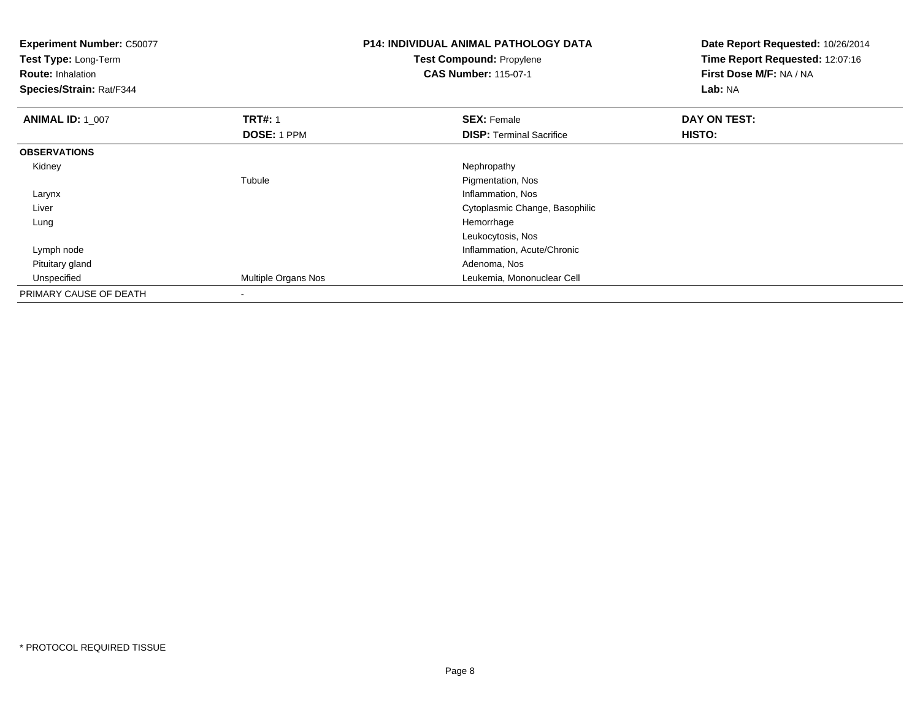| <b>Experiment Number: C50077</b><br>Test Type: Long-Term<br><b>Route: Inhalation</b><br>Species/Strain: Rat/F344 |                     | <b>P14: INDIVIDUAL ANIMAL PATHOLOGY DATA</b><br>Test Compound: Propylene<br><b>CAS Number: 115-07-1</b> | Date Report Requested: 10/26/2014<br>Time Report Requested: 12:07:16<br>First Dose M/F: NA / NA<br>Lab: NA |
|------------------------------------------------------------------------------------------------------------------|---------------------|---------------------------------------------------------------------------------------------------------|------------------------------------------------------------------------------------------------------------|
| <b>ANIMAL ID: 1_007</b>                                                                                          | <b>TRT#: 1</b>      | <b>SEX: Female</b>                                                                                      | DAY ON TEST:                                                                                               |
|                                                                                                                  | DOSE: 1 PPM         | <b>DISP: Terminal Sacrifice</b>                                                                         | HISTO:                                                                                                     |
| <b>OBSERVATIONS</b>                                                                                              |                     |                                                                                                         |                                                                                                            |
| Kidney                                                                                                           |                     | Nephropathy                                                                                             |                                                                                                            |
|                                                                                                                  | Tubule              | Pigmentation, Nos                                                                                       |                                                                                                            |
| Larynx                                                                                                           |                     | Inflammation, Nos                                                                                       |                                                                                                            |
| Liver                                                                                                            |                     | Cytoplasmic Change, Basophilic                                                                          |                                                                                                            |
| Lung                                                                                                             |                     | Hemorrhage                                                                                              |                                                                                                            |
|                                                                                                                  |                     | Leukocytosis, Nos                                                                                       |                                                                                                            |
| Lymph node                                                                                                       |                     | Inflammation, Acute/Chronic                                                                             |                                                                                                            |
| Pituitary gland                                                                                                  |                     | Adenoma, Nos                                                                                            |                                                                                                            |
| Unspecified                                                                                                      | Multiple Organs Nos | Leukemia, Mononuclear Cell                                                                              |                                                                                                            |
| PRIMARY CAUSE OF DEATH                                                                                           |                     |                                                                                                         |                                                                                                            |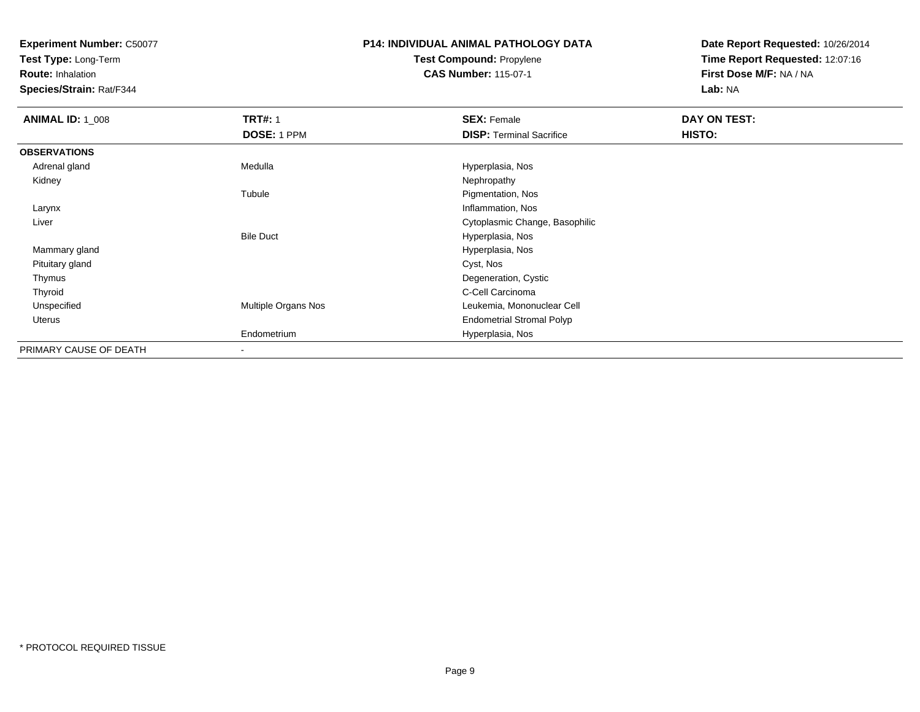**Test Type:** Long-Term

**Route:** Inhalation

**Species/Strain:** Rat/F344

### **P14: INDIVIDUAL ANIMAL PATHOLOGY DATATest Compound:** Propylene**CAS Number:** 115-07-1

| <b>ANIMAL ID: 1_008</b> | <b>TRT#: 1</b>      | <b>SEX: Female</b>               | <b>DAY ON TEST:</b> |  |
|-------------------------|---------------------|----------------------------------|---------------------|--|
|                         | DOSE: 1 PPM         | <b>DISP: Terminal Sacrifice</b>  | <b>HISTO:</b>       |  |
| <b>OBSERVATIONS</b>     |                     |                                  |                     |  |
| Adrenal gland           | Medulla             | Hyperplasia, Nos                 |                     |  |
| Kidney                  |                     | Nephropathy                      |                     |  |
|                         | Tubule              | Pigmentation, Nos                |                     |  |
| Larynx                  |                     | Inflammation, Nos                |                     |  |
| Liver                   |                     | Cytoplasmic Change, Basophilic   |                     |  |
|                         | <b>Bile Duct</b>    | Hyperplasia, Nos                 |                     |  |
| Mammary gland           |                     | Hyperplasia, Nos                 |                     |  |
| Pituitary gland         |                     | Cyst, Nos                        |                     |  |
| Thymus                  |                     | Degeneration, Cystic             |                     |  |
| Thyroid                 |                     | C-Cell Carcinoma                 |                     |  |
| Unspecified             | Multiple Organs Nos | Leukemia, Mononuclear Cell       |                     |  |
| Uterus                  |                     | <b>Endometrial Stromal Polyp</b> |                     |  |
|                         | Endometrium         | Hyperplasia, Nos                 |                     |  |
| PRIMARY CAUSE OF DEATH  |                     |                                  |                     |  |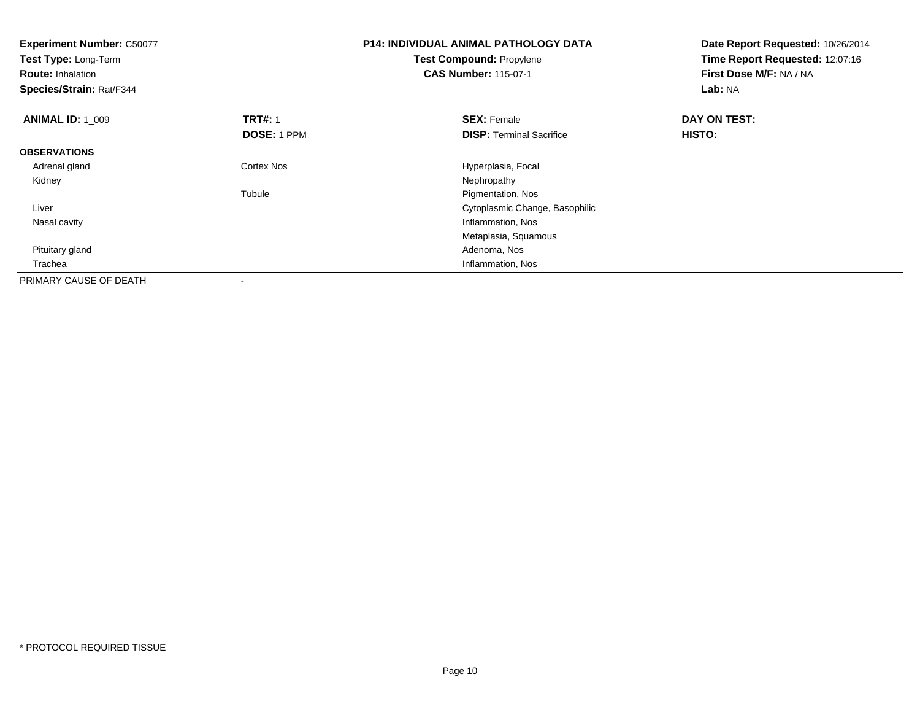| <b>Experiment Number: C50077</b><br>Test Type: Long-Term<br><b>Route: Inhalation</b><br>Species/Strain: Rat/F344 |                    | <b>P14: INDIVIDUAL ANIMAL PATHOLOGY DATA</b><br><b>Test Compound: Propylene</b><br><b>CAS Number: 115-07-1</b> | Date Report Requested: 10/26/2014<br>Time Report Requested: 12:07:16<br>First Dose M/F: NA / NA<br>Lab: NA |
|------------------------------------------------------------------------------------------------------------------|--------------------|----------------------------------------------------------------------------------------------------------------|------------------------------------------------------------------------------------------------------------|
| <b>ANIMAL ID: 1_009</b>                                                                                          | <b>TRT#: 1</b>     | <b>SEX: Female</b>                                                                                             | DAY ON TEST:                                                                                               |
|                                                                                                                  | <b>DOSE: 1 PPM</b> | <b>DISP: Terminal Sacrifice</b>                                                                                | HISTO:                                                                                                     |
| <b>OBSERVATIONS</b>                                                                                              |                    |                                                                                                                |                                                                                                            |
| Adrenal gland                                                                                                    | <b>Cortex Nos</b>  | Hyperplasia, Focal                                                                                             |                                                                                                            |
| Kidney                                                                                                           |                    | Nephropathy                                                                                                    |                                                                                                            |
|                                                                                                                  | Tubule             | Pigmentation, Nos                                                                                              |                                                                                                            |
| Liver                                                                                                            |                    | Cytoplasmic Change, Basophilic                                                                                 |                                                                                                            |
| Nasal cavity                                                                                                     |                    | Inflammation, Nos                                                                                              |                                                                                                            |
|                                                                                                                  |                    | Metaplasia, Squamous                                                                                           |                                                                                                            |
| Pituitary gland                                                                                                  |                    | Adenoma, Nos                                                                                                   |                                                                                                            |
| Trachea                                                                                                          |                    | Inflammation, Nos                                                                                              |                                                                                                            |
| PRIMARY CAUSE OF DEATH                                                                                           |                    |                                                                                                                |                                                                                                            |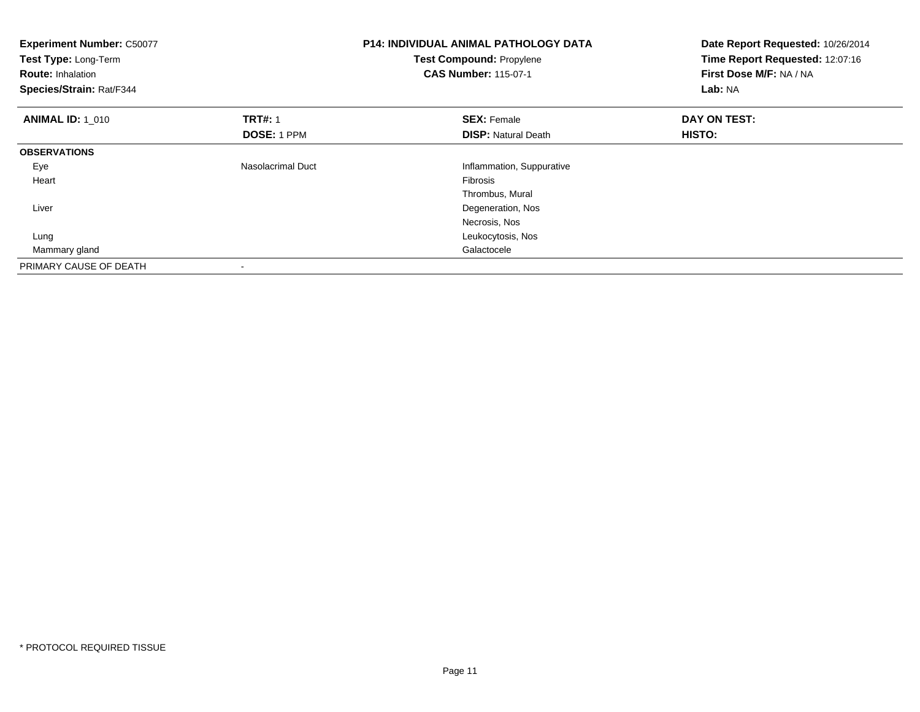| <b>Experiment Number: C50077</b><br>Test Type: Long-Term<br><b>Route: Inhalation</b><br>Species/Strain: Rat/F344 |                    | <b>P14: INDIVIDUAL ANIMAL PATHOLOGY DATA</b><br>Test Compound: Propylene<br><b>CAS Number: 115-07-1</b> | Date Report Requested: 10/26/2014<br>Time Report Requested: 12:07:16<br>First Dose M/F: NA / NA<br>Lab: NA |
|------------------------------------------------------------------------------------------------------------------|--------------------|---------------------------------------------------------------------------------------------------------|------------------------------------------------------------------------------------------------------------|
| <b>ANIMAL ID: 1 010</b>                                                                                          | <b>TRT#: 1</b>     | <b>SEX: Female</b>                                                                                      | DAY ON TEST:                                                                                               |
|                                                                                                                  | <b>DOSE: 1 PPM</b> | <b>DISP: Natural Death</b>                                                                              | <b>HISTO:</b>                                                                                              |
| <b>OBSERVATIONS</b>                                                                                              |                    |                                                                                                         |                                                                                                            |
| Eye                                                                                                              | Nasolacrimal Duct  | Inflammation, Suppurative                                                                               |                                                                                                            |
| Heart                                                                                                            |                    | Fibrosis                                                                                                |                                                                                                            |
|                                                                                                                  |                    | Thrombus, Mural                                                                                         |                                                                                                            |
| Liver                                                                                                            |                    | Degeneration, Nos                                                                                       |                                                                                                            |
|                                                                                                                  |                    | Necrosis, Nos                                                                                           |                                                                                                            |
| Lung                                                                                                             |                    | Leukocytosis, Nos                                                                                       |                                                                                                            |
| Mammary gland                                                                                                    |                    | Galactocele                                                                                             |                                                                                                            |
| PRIMARY CAUSE OF DEATH                                                                                           |                    |                                                                                                         |                                                                                                            |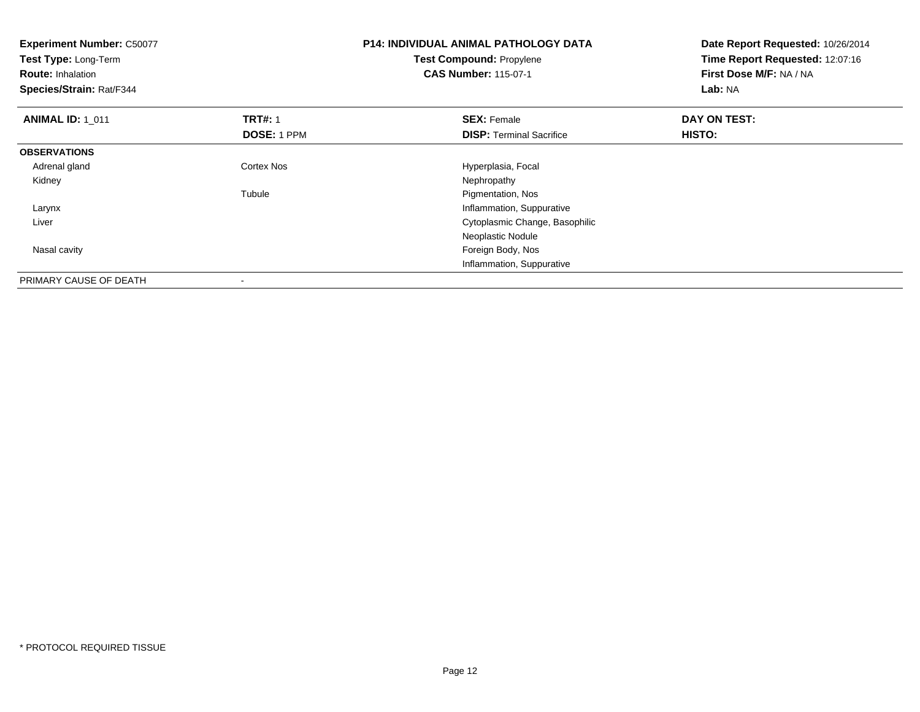| <b>Experiment Number: C50077</b><br>Test Type: Long-Term<br><b>Route: Inhalation</b><br>Species/Strain: Rat/F344 |                    | <b>P14: INDIVIDUAL ANIMAL PATHOLOGY DATA</b><br>Test Compound: Propylene<br><b>CAS Number: 115-07-1</b> | Date Report Requested: 10/26/2014<br>Time Report Requested: 12:07:16<br>First Dose M/F: NA / NA<br>Lab: NA |
|------------------------------------------------------------------------------------------------------------------|--------------------|---------------------------------------------------------------------------------------------------------|------------------------------------------------------------------------------------------------------------|
| <b>ANIMAL ID: 1_011</b>                                                                                          | <b>TRT#: 1</b>     | <b>SEX: Female</b>                                                                                      | DAY ON TEST:                                                                                               |
|                                                                                                                  | <b>DOSE: 1 PPM</b> | <b>DISP:</b> Terminal Sacrifice                                                                         | <b>HISTO:</b>                                                                                              |
| <b>OBSERVATIONS</b>                                                                                              |                    |                                                                                                         |                                                                                                            |
| Adrenal gland                                                                                                    | <b>Cortex Nos</b>  | Hyperplasia, Focal                                                                                      |                                                                                                            |
| Kidney                                                                                                           |                    | Nephropathy                                                                                             |                                                                                                            |
|                                                                                                                  | Tubule             | Pigmentation, Nos                                                                                       |                                                                                                            |
| Larynx                                                                                                           |                    | Inflammation, Suppurative                                                                               |                                                                                                            |
| Liver                                                                                                            |                    | Cytoplasmic Change, Basophilic                                                                          |                                                                                                            |
|                                                                                                                  |                    | Neoplastic Nodule                                                                                       |                                                                                                            |
| Nasal cavity                                                                                                     |                    | Foreign Body, Nos                                                                                       |                                                                                                            |
|                                                                                                                  |                    | Inflammation, Suppurative                                                                               |                                                                                                            |
| PRIMARY CAUSE OF DEATH                                                                                           |                    |                                                                                                         |                                                                                                            |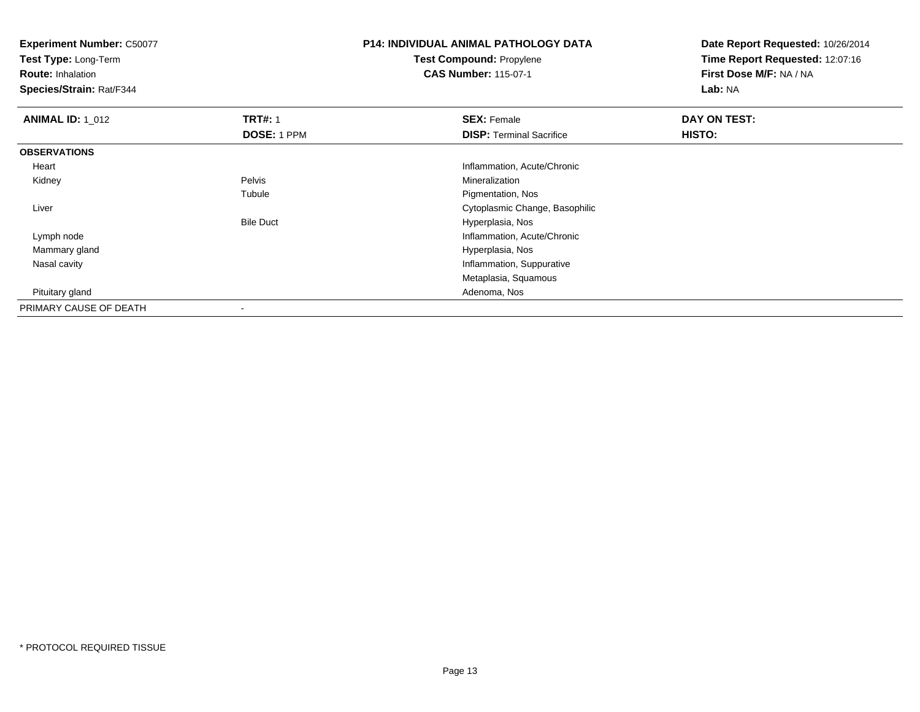**Test Type:** Long-Term

**Route:** Inhalation

**Species/Strain:** Rat/F344

### **P14: INDIVIDUAL ANIMAL PATHOLOGY DATATest Compound:** Propylene**CAS Number:** 115-07-1

| <b>ANIMAL ID: 1 012</b> | <b>TRT#: 1</b>   | <b>SEX: Female</b>              | DAY ON TEST: |  |
|-------------------------|------------------|---------------------------------|--------------|--|
|                         | DOSE: 1 PPM      | <b>DISP: Terminal Sacrifice</b> | HISTO:       |  |
| <b>OBSERVATIONS</b>     |                  |                                 |              |  |
| Heart                   |                  | Inflammation, Acute/Chronic     |              |  |
| Kidney                  | Pelvis           | Mineralization                  |              |  |
|                         | Tubule           | Pigmentation, Nos               |              |  |
| Liver                   |                  | Cytoplasmic Change, Basophilic  |              |  |
|                         | <b>Bile Duct</b> | Hyperplasia, Nos                |              |  |
| Lymph node              |                  | Inflammation, Acute/Chronic     |              |  |
| Mammary gland           |                  | Hyperplasia, Nos                |              |  |
| Nasal cavity            |                  | Inflammation, Suppurative       |              |  |
|                         |                  | Metaplasia, Squamous            |              |  |
| Pituitary gland         |                  | Adenoma, Nos                    |              |  |
| PRIMARY CAUSE OF DEATH  |                  |                                 |              |  |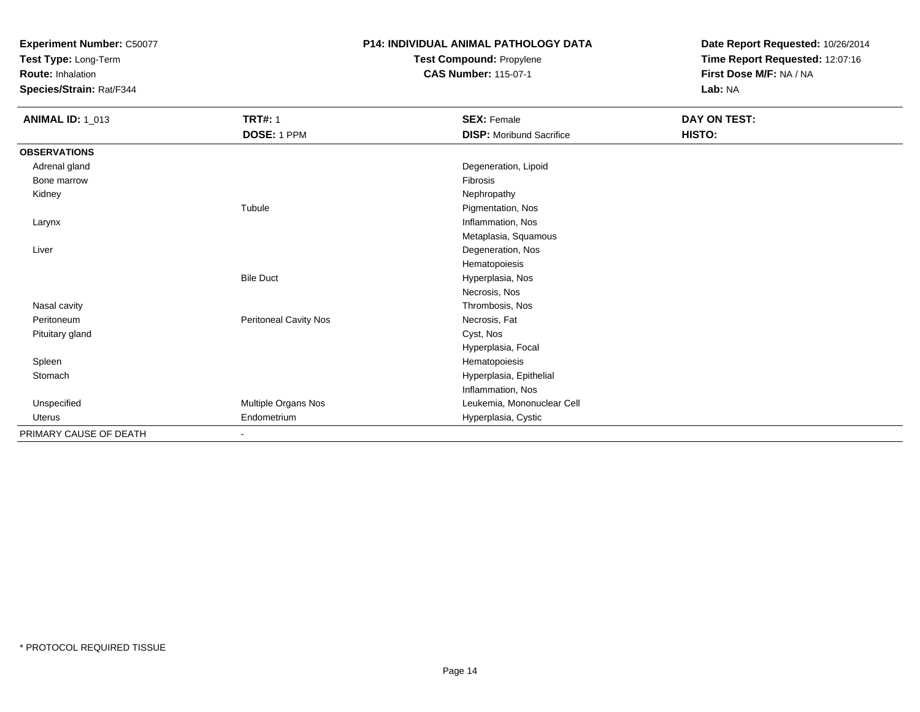**Test Type:** Long-Term

**Route:** Inhalation

**Species/Strain:** Rat/F344

# **P14: INDIVIDUAL ANIMAL PATHOLOGY DATATest Compound:** Propylene

**CAS Number:** 115-07-1

| <b>ANIMAL ID: 1_013</b> | <b>TRT#: 1</b>        | <b>SEX: Female</b>              | DAY ON TEST: |  |
|-------------------------|-----------------------|---------------------------------|--------------|--|
|                         | DOSE: 1 PPM           | <b>DISP:</b> Moribund Sacrifice | HISTO:       |  |
| <b>OBSERVATIONS</b>     |                       |                                 |              |  |
| Adrenal gland           |                       | Degeneration, Lipoid            |              |  |
| Bone marrow             |                       | Fibrosis                        |              |  |
| Kidney                  |                       | Nephropathy                     |              |  |
|                         | Tubule                | Pigmentation, Nos               |              |  |
| Larynx                  |                       | Inflammation, Nos               |              |  |
|                         |                       | Metaplasia, Squamous            |              |  |
| Liver                   |                       | Degeneration, Nos               |              |  |
|                         |                       | Hematopoiesis                   |              |  |
|                         | <b>Bile Duct</b>      | Hyperplasia, Nos                |              |  |
|                         |                       | Necrosis, Nos                   |              |  |
| Nasal cavity            |                       | Thrombosis, Nos                 |              |  |
| Peritoneum              | Peritoneal Cavity Nos | Necrosis, Fat                   |              |  |
| Pituitary gland         |                       | Cyst, Nos                       |              |  |
|                         |                       | Hyperplasia, Focal              |              |  |
| Spleen                  |                       | Hematopoiesis                   |              |  |
| Stomach                 |                       | Hyperplasia, Epithelial         |              |  |
|                         |                       | Inflammation, Nos               |              |  |
| Unspecified             | Multiple Organs Nos   | Leukemia, Mononuclear Cell      |              |  |
| Uterus                  | Endometrium           | Hyperplasia, Cystic             |              |  |
| PRIMARY CAUSE OF DEATH  | $\sim$                |                                 |              |  |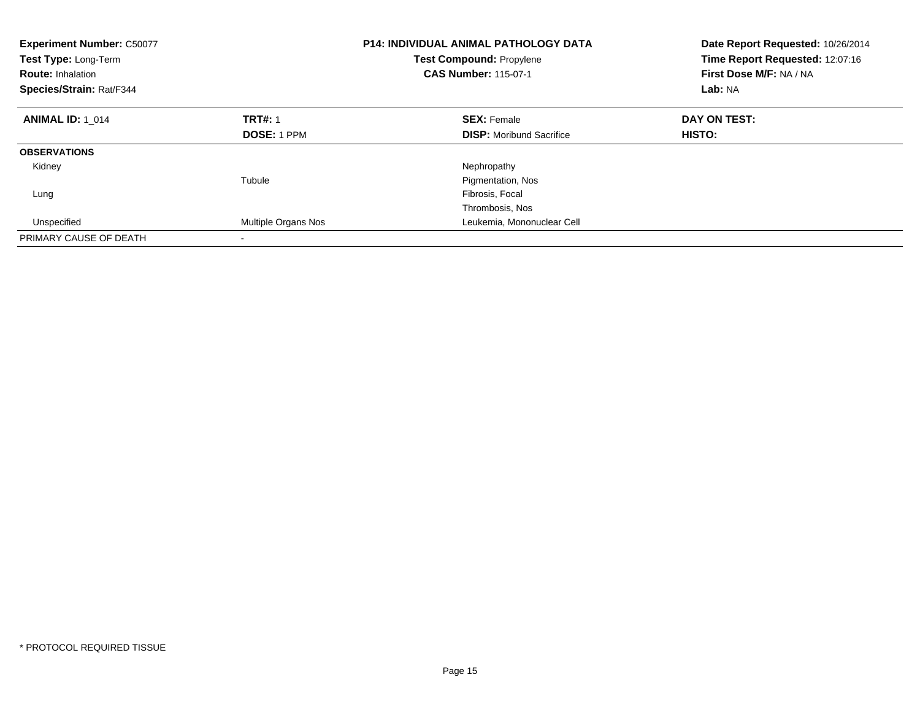| <b>Experiment Number: C50077</b><br>Test Type: Long-Term<br><b>CAS Number: 115-07-1</b><br><b>Route: Inhalation</b><br>Species/Strain: Rat/F344 |                     | <b>P14: INDIVIDUAL ANIMAL PATHOLOGY DATA</b><br><b>Test Compound: Propylene</b> | Date Report Requested: 10/26/2014<br>Time Report Requested: 12:07:16<br>First Dose M/F: NA / NA<br>Lab: NA |
|-------------------------------------------------------------------------------------------------------------------------------------------------|---------------------|---------------------------------------------------------------------------------|------------------------------------------------------------------------------------------------------------|
| <b>ANIMAL ID: 1 014</b>                                                                                                                         | <b>TRT#: 1</b>      | <b>SEX: Female</b>                                                              | DAY ON TEST:                                                                                               |
|                                                                                                                                                 | <b>DOSE: 1 PPM</b>  | <b>DISP:</b> Moribund Sacrifice                                                 | <b>HISTO:</b>                                                                                              |
| <b>OBSERVATIONS</b>                                                                                                                             |                     |                                                                                 |                                                                                                            |
| Kidney                                                                                                                                          |                     | Nephropathy                                                                     |                                                                                                            |
|                                                                                                                                                 | Tubule              | Pigmentation, Nos                                                               |                                                                                                            |
| Lung                                                                                                                                            |                     | Fibrosis, Focal                                                                 |                                                                                                            |
|                                                                                                                                                 |                     | Thrombosis, Nos                                                                 |                                                                                                            |
| Unspecified                                                                                                                                     | Multiple Organs Nos | Leukemia, Mononuclear Cell                                                      |                                                                                                            |
| PRIMARY CAUSE OF DEATH                                                                                                                          |                     |                                                                                 |                                                                                                            |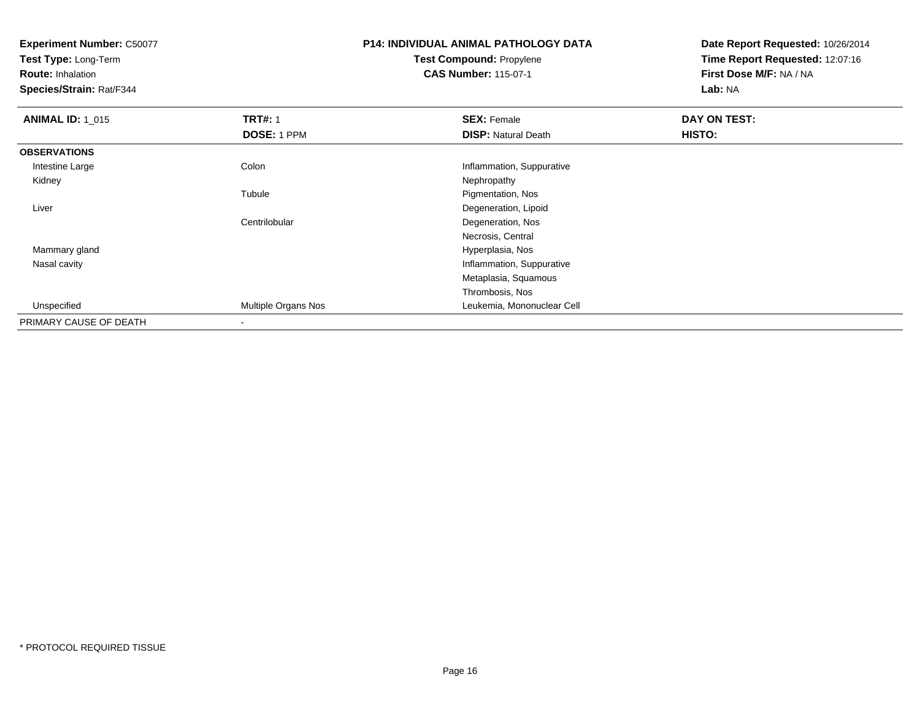**Test Type:** Long-Term

**Route:** Inhalation

**Species/Strain:** Rat/F344

### **P14: INDIVIDUAL ANIMAL PATHOLOGY DATATest Compound:** Propylene**CAS Number:** 115-07-1

| <b>ANIMAL ID: 1_015</b> | <b>TRT#: 1</b>      | <b>SEX: Female</b>         | DAY ON TEST: |  |
|-------------------------|---------------------|----------------------------|--------------|--|
|                         | DOSE: 1 PPM         | <b>DISP: Natural Death</b> | HISTO:       |  |
| <b>OBSERVATIONS</b>     |                     |                            |              |  |
| Intestine Large         | Colon               | Inflammation, Suppurative  |              |  |
| Kidney                  |                     | Nephropathy                |              |  |
|                         | Tubule              | Pigmentation, Nos          |              |  |
| Liver                   |                     | Degeneration, Lipoid       |              |  |
|                         | Centrilobular       | Degeneration, Nos          |              |  |
|                         |                     | Necrosis, Central          |              |  |
| Mammary gland           |                     | Hyperplasia, Nos           |              |  |
| Nasal cavity            |                     | Inflammation, Suppurative  |              |  |
|                         |                     | Metaplasia, Squamous       |              |  |
|                         |                     | Thrombosis, Nos            |              |  |
| Unspecified             | Multiple Organs Nos | Leukemia, Mononuclear Cell |              |  |
| PRIMARY CAUSE OF DEATH  |                     |                            |              |  |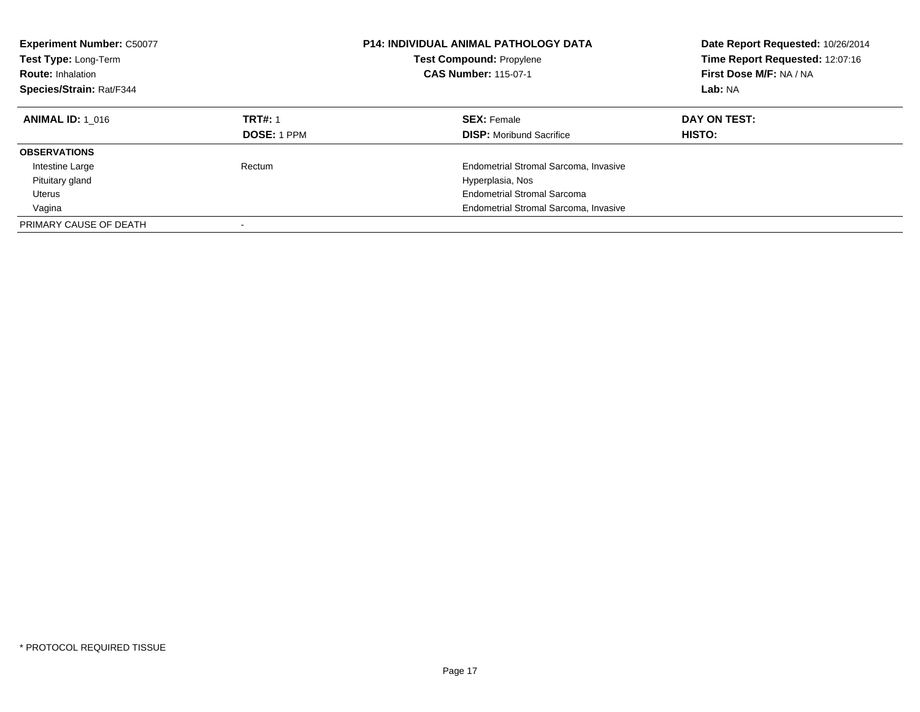| <b>Experiment Number: C50077</b><br>Test Type: Long-Term<br><b>Route: Inhalation</b><br>Species/Strain: Rat/F344 |                    | <b>P14: INDIVIDUAL ANIMAL PATHOLOGY DATA</b><br><b>Test Compound: Propylene</b><br><b>CAS Number: 115-07-1</b> | Date Report Requested: 10/26/2014<br>Time Report Requested: 12:07:16<br>First Dose M/F: NA / NA<br>Lab: NA |
|------------------------------------------------------------------------------------------------------------------|--------------------|----------------------------------------------------------------------------------------------------------------|------------------------------------------------------------------------------------------------------------|
| <b>ANIMAL ID: 1 016</b>                                                                                          | <b>TRT#: 1</b>     | <b>SEX: Female</b>                                                                                             | DAY ON TEST:                                                                                               |
|                                                                                                                  | <b>DOSE: 1 PPM</b> | <b>DISP:</b> Moribund Sacrifice                                                                                | <b>HISTO:</b>                                                                                              |
| <b>OBSERVATIONS</b>                                                                                              |                    |                                                                                                                |                                                                                                            |
| Intestine Large                                                                                                  | Rectum             | Endometrial Stromal Sarcoma, Invasive                                                                          |                                                                                                            |
| Pituitary gland                                                                                                  |                    | Hyperplasia, Nos                                                                                               |                                                                                                            |
| Uterus                                                                                                           |                    | <b>Endometrial Stromal Sarcoma</b>                                                                             |                                                                                                            |
| Vagina                                                                                                           |                    | Endometrial Stromal Sarcoma, Invasive                                                                          |                                                                                                            |
| PRIMARY CAUSE OF DEATH                                                                                           |                    |                                                                                                                |                                                                                                            |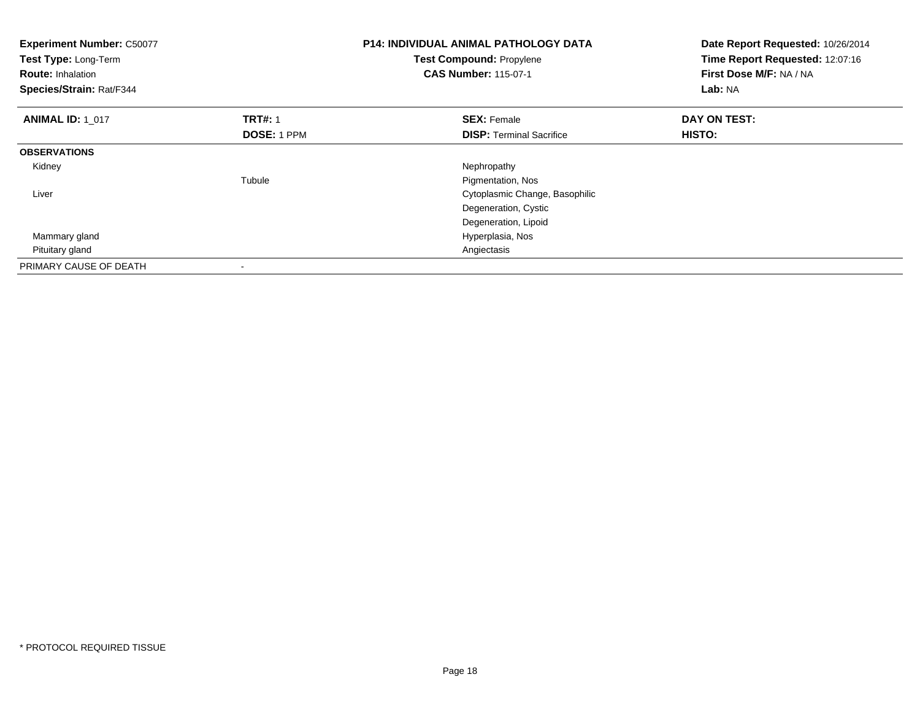| <b>Experiment Number: C50077</b><br>Test Type: Long-Term<br><b>Route: Inhalation</b><br>Species/Strain: Rat/F344 |                | <b>P14: INDIVIDUAL ANIMAL PATHOLOGY DATA</b><br>Test Compound: Propylene<br><b>CAS Number: 115-07-1</b> | Date Report Requested: 10/26/2014<br>Time Report Requested: 12:07:16<br>First Dose M/F: NA / NA<br>Lab: NA |
|------------------------------------------------------------------------------------------------------------------|----------------|---------------------------------------------------------------------------------------------------------|------------------------------------------------------------------------------------------------------------|
| <b>ANIMAL ID: 1 017</b>                                                                                          | <b>TRT#: 1</b> | <b>SEX: Female</b>                                                                                      | DAY ON TEST:                                                                                               |
|                                                                                                                  | DOSE: 1 PPM    | <b>DISP:</b> Terminal Sacrifice                                                                         | <b>HISTO:</b>                                                                                              |
| <b>OBSERVATIONS</b>                                                                                              |                |                                                                                                         |                                                                                                            |
| Kidney                                                                                                           |                | Nephropathy                                                                                             |                                                                                                            |
|                                                                                                                  | Tubule         | Pigmentation, Nos                                                                                       |                                                                                                            |
| Liver                                                                                                            |                | Cytoplasmic Change, Basophilic                                                                          |                                                                                                            |
|                                                                                                                  |                | Degeneration, Cystic                                                                                    |                                                                                                            |
|                                                                                                                  |                | Degeneration, Lipoid                                                                                    |                                                                                                            |
| Mammary gland                                                                                                    |                | Hyperplasia, Nos                                                                                        |                                                                                                            |
| Pituitary gland                                                                                                  |                | Angiectasis                                                                                             |                                                                                                            |
| PRIMARY CAUSE OF DEATH                                                                                           |                |                                                                                                         |                                                                                                            |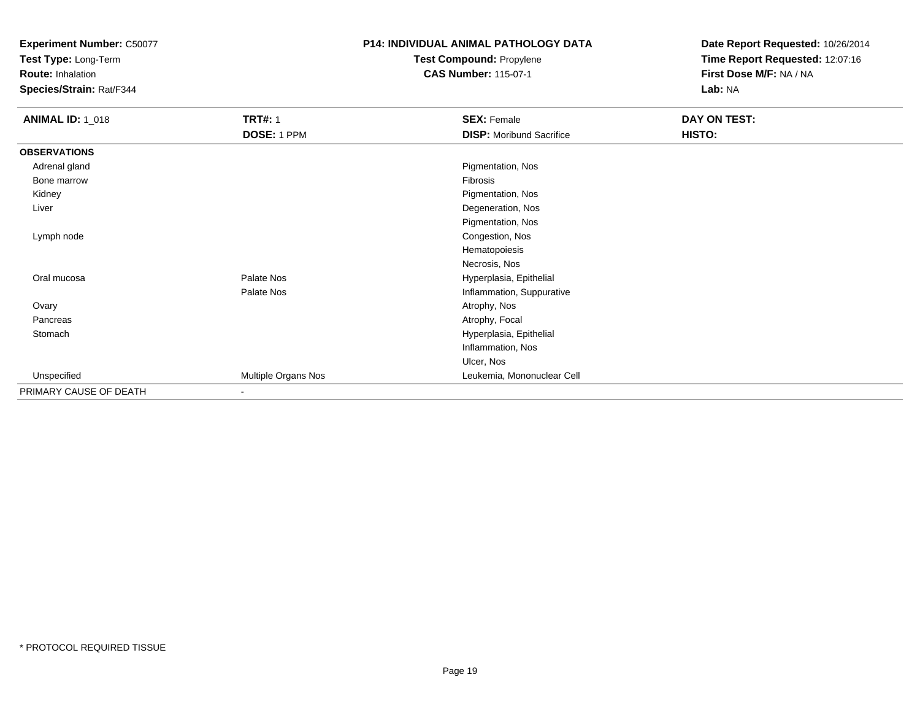**Test Type:** Long-Term

**Route:** Inhalation

**Species/Strain:** Rat/F344

# **P14: INDIVIDUAL ANIMAL PATHOLOGY DATATest Compound:** Propylene

**CAS Number:** 115-07-1

| <b>ANIMAL ID: 1_018</b> | <b>TRT#: 1</b>      | <b>SEX: Female</b>              | DAY ON TEST: |  |
|-------------------------|---------------------|---------------------------------|--------------|--|
|                         | DOSE: 1 PPM         | <b>DISP:</b> Moribund Sacrifice | HISTO:       |  |
| <b>OBSERVATIONS</b>     |                     |                                 |              |  |
| Adrenal gland           |                     | Pigmentation, Nos               |              |  |
| Bone marrow             |                     | Fibrosis                        |              |  |
| Kidney                  |                     | Pigmentation, Nos               |              |  |
| Liver                   |                     | Degeneration, Nos               |              |  |
|                         |                     | Pigmentation, Nos               |              |  |
| Lymph node              |                     | Congestion, Nos                 |              |  |
|                         |                     | Hematopoiesis                   |              |  |
|                         |                     | Necrosis, Nos                   |              |  |
| Oral mucosa             | Palate Nos          | Hyperplasia, Epithelial         |              |  |
|                         | Palate Nos          | Inflammation, Suppurative       |              |  |
| Ovary                   |                     | Atrophy, Nos                    |              |  |
| Pancreas                |                     | Atrophy, Focal                  |              |  |
| Stomach                 |                     | Hyperplasia, Epithelial         |              |  |
|                         |                     | Inflammation, Nos               |              |  |
|                         |                     | Ulcer, Nos                      |              |  |
| Unspecified             | Multiple Organs Nos | Leukemia, Mononuclear Cell      |              |  |
| PRIMARY CAUSE OF DEATH  | $\blacksquare$      |                                 |              |  |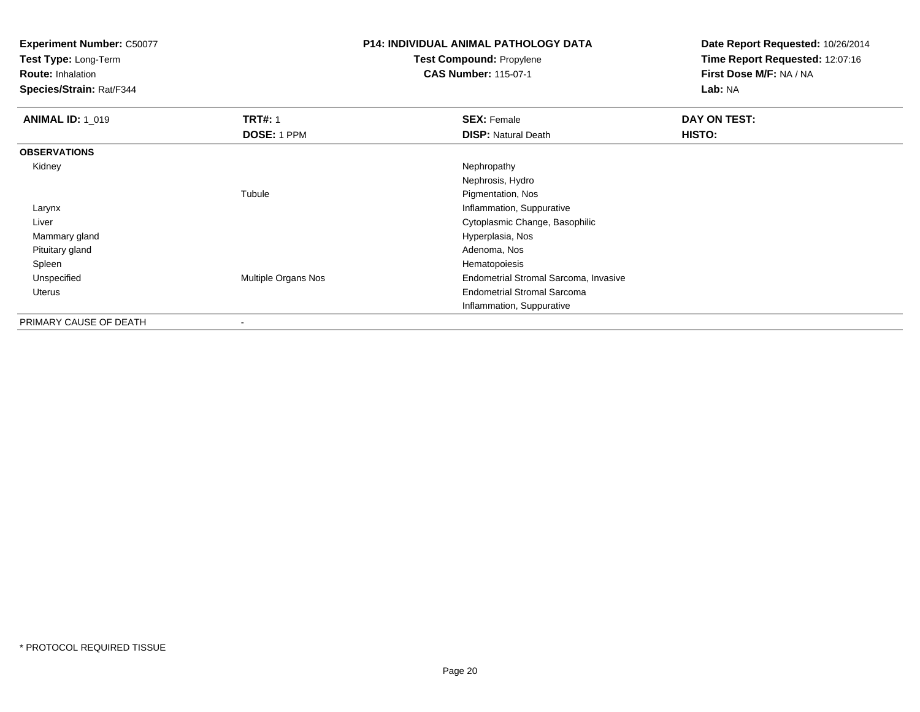**Test Type:** Long-Term

**Route:** Inhalation

**Species/Strain:** Rat/F344

# **P14: INDIVIDUAL ANIMAL PATHOLOGY DATATest Compound:** Propylene

**CAS Number:** 115-07-1

| <b>ANIMAL ID: 1_019</b> | <b>TRT#: 1</b><br>DOSE: 1 PPM | <b>SEX: Female</b><br><b>DISP:</b> Natural Death | DAY ON TEST:<br>HISTO: |
|-------------------------|-------------------------------|--------------------------------------------------|------------------------|
| <b>OBSERVATIONS</b>     |                               |                                                  |                        |
| Kidney                  |                               | Nephropathy                                      |                        |
|                         |                               | Nephrosis, Hydro                                 |                        |
|                         | Tubule                        | Pigmentation, Nos                                |                        |
| Larynx                  |                               | Inflammation, Suppurative                        |                        |
| Liver                   |                               | Cytoplasmic Change, Basophilic                   |                        |
| Mammary gland           |                               | Hyperplasia, Nos                                 |                        |
| Pituitary gland         |                               | Adenoma, Nos                                     |                        |
| Spleen                  |                               | Hematopoiesis                                    |                        |
| Unspecified             | <b>Multiple Organs Nos</b>    | Endometrial Stromal Sarcoma, Invasive            |                        |
| Uterus                  |                               | <b>Endometrial Stromal Sarcoma</b>               |                        |
|                         |                               | Inflammation, Suppurative                        |                        |
| PRIMARY CAUSE OF DEATH  | ۰                             |                                                  |                        |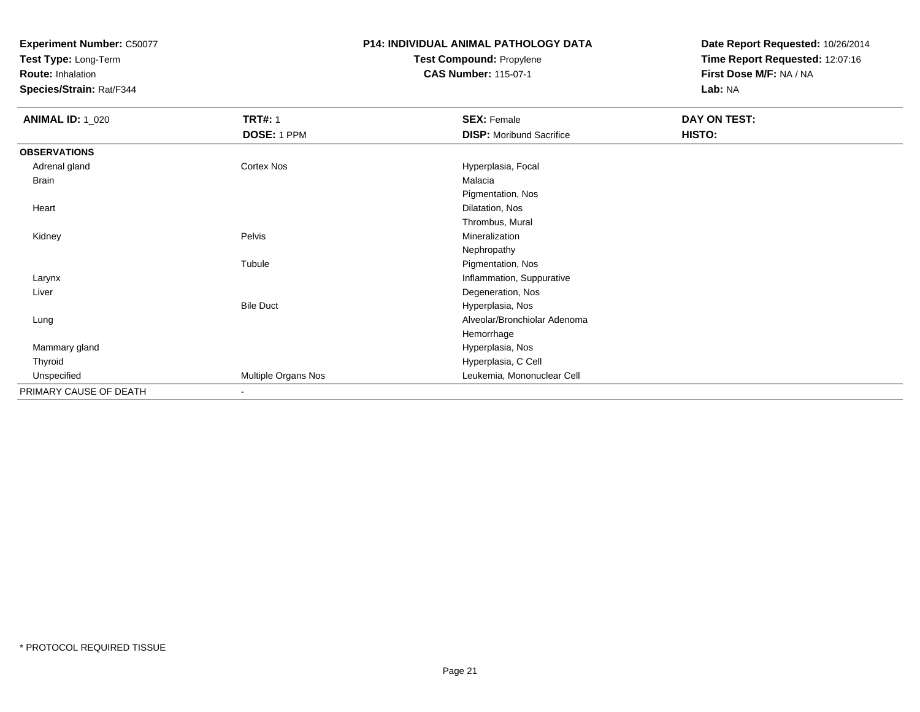**Test Type:** Long-Term

**Route:** Inhalation

**Species/Strain:** Rat/F344

### **P14: INDIVIDUAL ANIMAL PATHOLOGY DATATest Compound:** Propylene**CAS Number:** 115-07-1

| <b>ANIMAL ID: 1_020</b> | <b>TRT#: 1</b>      | <b>SEX: Female</b>              | DAY ON TEST: |  |
|-------------------------|---------------------|---------------------------------|--------------|--|
|                         | DOSE: 1 PPM         | <b>DISP:</b> Moribund Sacrifice | HISTO:       |  |
| <b>OBSERVATIONS</b>     |                     |                                 |              |  |
| Adrenal gland           | <b>Cortex Nos</b>   | Hyperplasia, Focal              |              |  |
| <b>Brain</b>            |                     | Malacia                         |              |  |
|                         |                     | Pigmentation, Nos               |              |  |
| Heart                   |                     | Dilatation, Nos                 |              |  |
|                         |                     | Thrombus, Mural                 |              |  |
| Kidney                  | Pelvis              | Mineralization                  |              |  |
|                         |                     | Nephropathy                     |              |  |
|                         | Tubule              | Pigmentation, Nos               |              |  |
| Larynx                  |                     | Inflammation, Suppurative       |              |  |
| Liver                   |                     | Degeneration, Nos               |              |  |
|                         | <b>Bile Duct</b>    | Hyperplasia, Nos                |              |  |
| Lung                    |                     | Alveolar/Bronchiolar Adenoma    |              |  |
|                         |                     | Hemorrhage                      |              |  |
| Mammary gland           |                     | Hyperplasia, Nos                |              |  |
| Thyroid                 |                     | Hyperplasia, C Cell             |              |  |
| Unspecified             | Multiple Organs Nos | Leukemia, Mononuclear Cell      |              |  |
| PRIMARY CAUSE OF DEATH  |                     |                                 |              |  |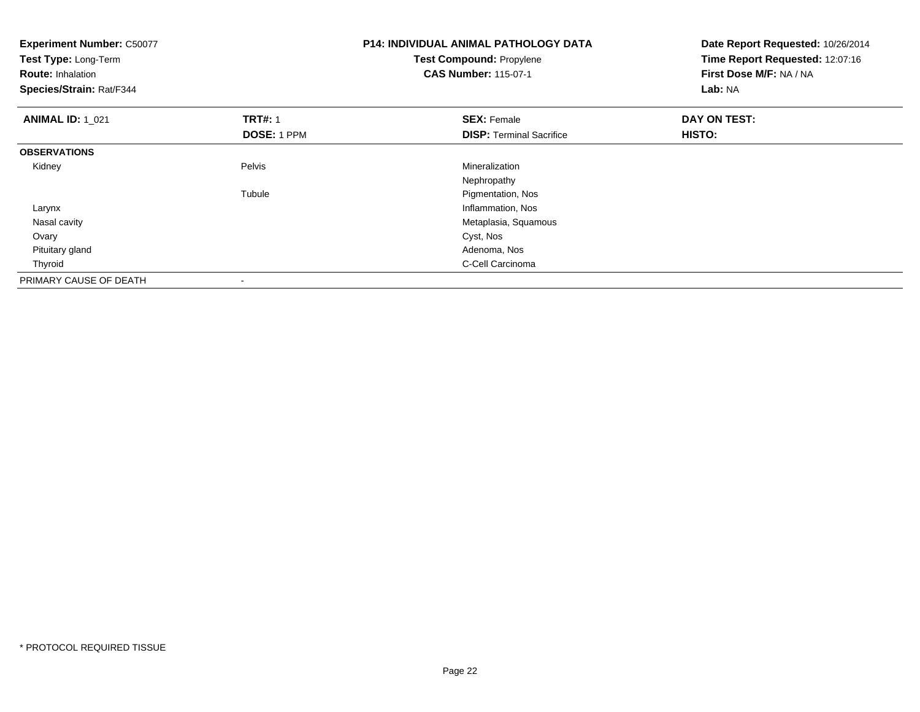| <b>Experiment Number: C50077</b><br>Test Type: Long-Term<br><b>Route: Inhalation</b><br>Species/Strain: Rat/F344 |                          | <b>P14: INDIVIDUAL ANIMAL PATHOLOGY DATA</b><br><b>Test Compound: Propylene</b><br><b>CAS Number: 115-07-1</b> | Date Report Requested: 10/26/2014<br>Time Report Requested: 12:07:16<br>First Dose M/F: NA / NA<br>Lab: NA |  |
|------------------------------------------------------------------------------------------------------------------|--------------------------|----------------------------------------------------------------------------------------------------------------|------------------------------------------------------------------------------------------------------------|--|
| <b>ANIMAL ID: 1_021</b>                                                                                          | <b>TRT#: 1</b>           | <b>SEX: Female</b>                                                                                             | DAY ON TEST:                                                                                               |  |
|                                                                                                                  | <b>DOSE: 1 PPM</b>       | <b>DISP:</b> Terminal Sacrifice                                                                                | <b>HISTO:</b>                                                                                              |  |
| <b>OBSERVATIONS</b>                                                                                              |                          |                                                                                                                |                                                                                                            |  |
| Kidney                                                                                                           | Pelvis                   | Mineralization                                                                                                 |                                                                                                            |  |
|                                                                                                                  |                          | Nephropathy                                                                                                    |                                                                                                            |  |
|                                                                                                                  | Tubule                   | Pigmentation, Nos                                                                                              |                                                                                                            |  |
| Larynx                                                                                                           |                          | Inflammation, Nos                                                                                              |                                                                                                            |  |
| Nasal cavity                                                                                                     |                          | Metaplasia, Squamous                                                                                           |                                                                                                            |  |
| Ovary                                                                                                            |                          | Cyst, Nos                                                                                                      |                                                                                                            |  |
| Pituitary gland                                                                                                  |                          | Adenoma, Nos                                                                                                   |                                                                                                            |  |
| Thyroid                                                                                                          |                          | C-Cell Carcinoma                                                                                               |                                                                                                            |  |
| PRIMARY CAUSE OF DEATH                                                                                           | $\overline{\phantom{a}}$ |                                                                                                                |                                                                                                            |  |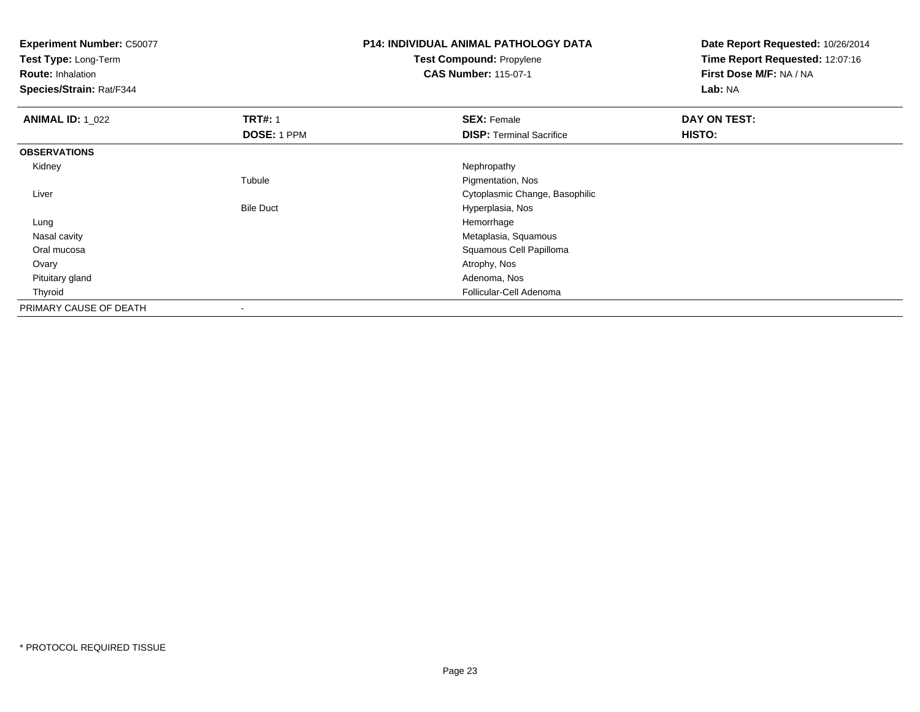**Test Type:** Long-Term

**Route:** Inhalation

**Species/Strain:** Rat/F344

# **P14: INDIVIDUAL ANIMAL PATHOLOGY DATATest Compound:** Propylene

**CAS Number:** 115-07-1

| <b>ANIMAL ID: 1 022</b> | <b>TRT#: 1</b>   | <b>SEX: Female</b>              | DAY ON TEST: |  |
|-------------------------|------------------|---------------------------------|--------------|--|
|                         | DOSE: 1 PPM      | <b>DISP: Terminal Sacrifice</b> | HISTO:       |  |
| <b>OBSERVATIONS</b>     |                  |                                 |              |  |
| Kidney                  |                  | Nephropathy                     |              |  |
|                         | Tubule           | Pigmentation, Nos               |              |  |
| Liver                   |                  | Cytoplasmic Change, Basophilic  |              |  |
|                         | <b>Bile Duct</b> | Hyperplasia, Nos                |              |  |
| Lung                    |                  | Hemorrhage                      |              |  |
| Nasal cavity            |                  | Metaplasia, Squamous            |              |  |
| Oral mucosa             |                  | Squamous Cell Papilloma         |              |  |
| Ovary                   |                  | Atrophy, Nos                    |              |  |
| Pituitary gland         |                  | Adenoma, Nos                    |              |  |
| Thyroid                 |                  | Follicular-Cell Adenoma         |              |  |
| PRIMARY CAUSE OF DEATH  |                  |                                 |              |  |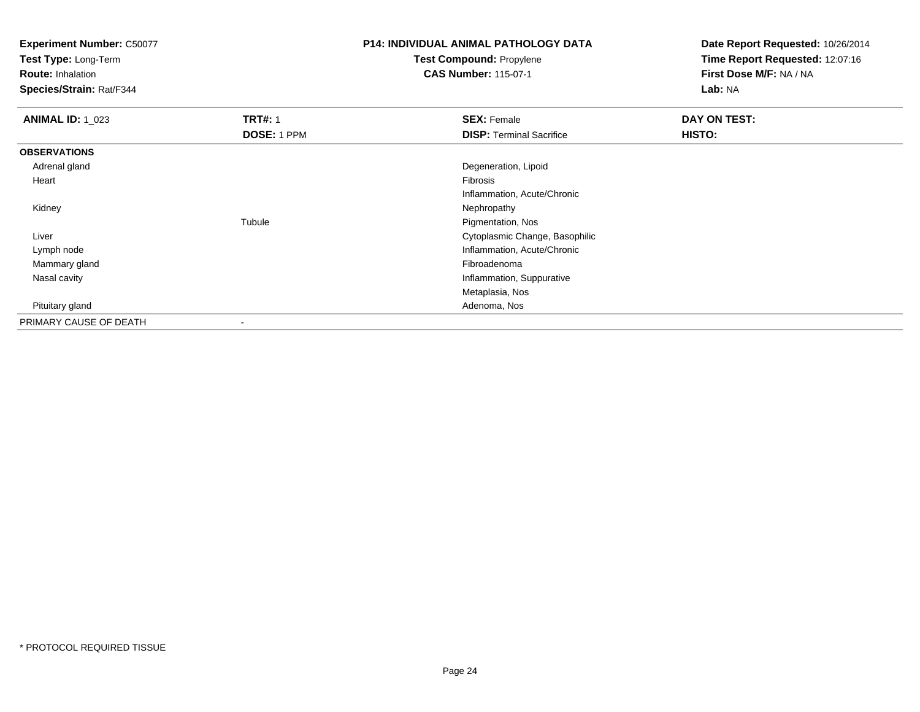**Test Type:** Long-Term

**Route:** Inhalation

**Species/Strain:** Rat/F344

# **P14: INDIVIDUAL ANIMAL PATHOLOGY DATATest Compound:** Propylene

**CAS Number:** 115-07-1

| <b>ANIMAL ID: 1_023</b> | <b>TRT#: 1</b> | <b>SEX: Female</b>              | DAY ON TEST: |
|-------------------------|----------------|---------------------------------|--------------|
|                         | DOSE: 1 PPM    | <b>DISP: Terminal Sacrifice</b> | HISTO:       |
| <b>OBSERVATIONS</b>     |                |                                 |              |
| Adrenal gland           |                | Degeneration, Lipoid            |              |
| Heart                   |                | Fibrosis                        |              |
|                         |                | Inflammation, Acute/Chronic     |              |
| Kidney                  |                | Nephropathy                     |              |
|                         | Tubule         | Pigmentation, Nos               |              |
| Liver                   |                | Cytoplasmic Change, Basophilic  |              |
| Lymph node              |                | Inflammation, Acute/Chronic     |              |
| Mammary gland           |                | Fibroadenoma                    |              |
| Nasal cavity            |                | Inflammation, Suppurative       |              |
|                         |                | Metaplasia, Nos                 |              |
| Pituitary gland         |                | Adenoma, Nos                    |              |
| PRIMARY CAUSE OF DEATH  |                |                                 |              |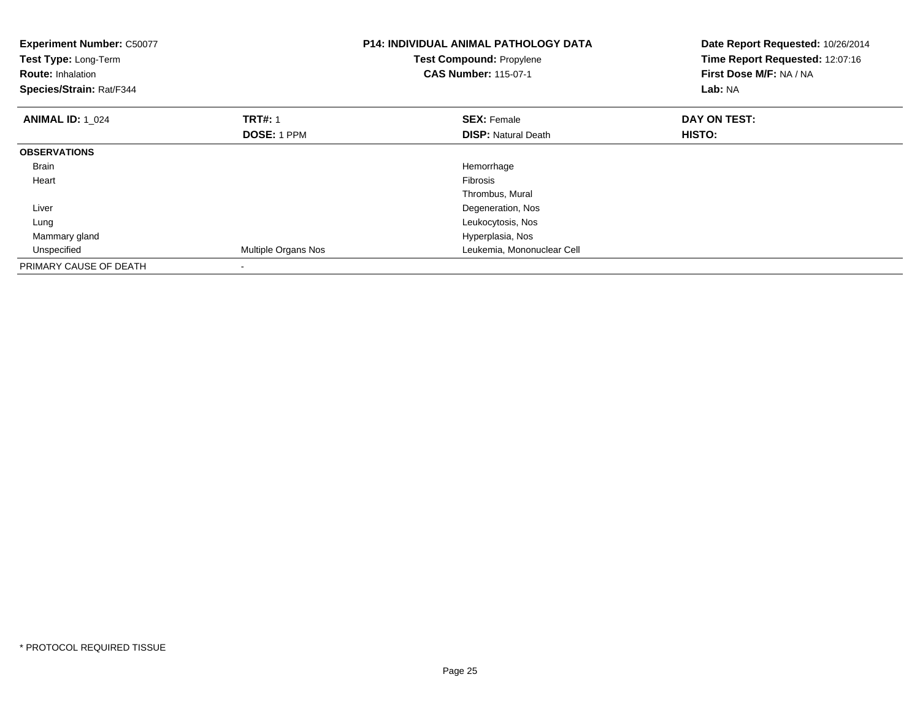| <b>Experiment Number: C50077</b><br>Test Type: Long-Term<br><b>Route: Inhalation</b><br>Species/Strain: Rat/F344 |                     | <b>P14: INDIVIDUAL ANIMAL PATHOLOGY DATA</b><br>Test Compound: Propylene<br><b>CAS Number: 115-07-1</b> | Date Report Requested: 10/26/2014<br>Time Report Requested: 12:07:16<br>First Dose M/F: NA / NA<br>Lab: NA |
|------------------------------------------------------------------------------------------------------------------|---------------------|---------------------------------------------------------------------------------------------------------|------------------------------------------------------------------------------------------------------------|
| <b>ANIMAL ID: 1 024</b>                                                                                          | <b>TRT#: 1</b>      | <b>SEX: Female</b>                                                                                      | DAY ON TEST:                                                                                               |
|                                                                                                                  | <b>DOSE: 1 PPM</b>  | <b>DISP:</b> Natural Death                                                                              | HISTO:                                                                                                     |
| <b>OBSERVATIONS</b>                                                                                              |                     |                                                                                                         |                                                                                                            |
| <b>Brain</b>                                                                                                     |                     | Hemorrhage                                                                                              |                                                                                                            |
| Heart                                                                                                            |                     | Fibrosis                                                                                                |                                                                                                            |
|                                                                                                                  |                     | Thrombus, Mural                                                                                         |                                                                                                            |
| Liver                                                                                                            |                     | Degeneration, Nos                                                                                       |                                                                                                            |
| Lung                                                                                                             |                     | Leukocytosis, Nos                                                                                       |                                                                                                            |
| Mammary gland                                                                                                    |                     | Hyperplasia, Nos                                                                                        |                                                                                                            |
| Unspecified                                                                                                      | Multiple Organs Nos | Leukemia, Mononuclear Cell                                                                              |                                                                                                            |
| PRIMARY CAUSE OF DEATH                                                                                           |                     |                                                                                                         |                                                                                                            |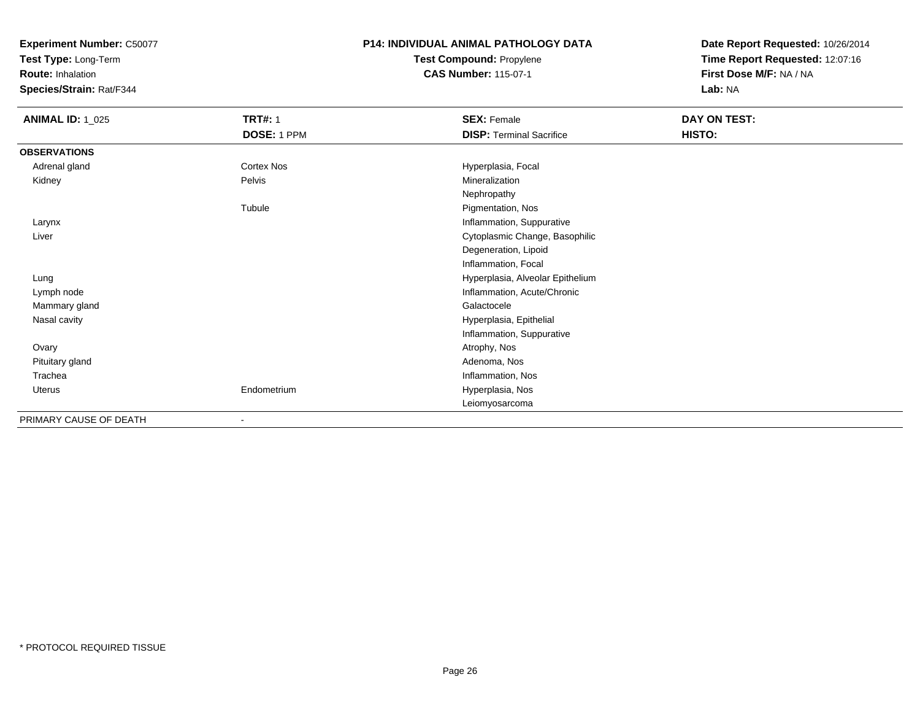**Test Type:** Long-Term

**Route:** Inhalation

**Species/Strain:** Rat/F344

# **P14: INDIVIDUAL ANIMAL PATHOLOGY DATATest Compound:** Propylene

**CAS Number:** 115-07-1

| <b>ANIMAL ID: 1_025</b> | <b>TRT#: 1</b> | <b>SEX: Female</b>               | DAY ON TEST: |
|-------------------------|----------------|----------------------------------|--------------|
|                         | DOSE: 1 PPM    | <b>DISP: Terminal Sacrifice</b>  | HISTO:       |
| <b>OBSERVATIONS</b>     |                |                                  |              |
| Adrenal gland           | Cortex Nos     | Hyperplasia, Focal               |              |
| Kidney                  | Pelvis         | Mineralization                   |              |
|                         |                | Nephropathy                      |              |
|                         | Tubule         | Pigmentation, Nos                |              |
| Larynx                  |                | Inflammation, Suppurative        |              |
| Liver                   |                | Cytoplasmic Change, Basophilic   |              |
|                         |                | Degeneration, Lipoid             |              |
|                         |                | Inflammation, Focal              |              |
| Lung                    |                | Hyperplasia, Alveolar Epithelium |              |
| Lymph node              |                | Inflammation, Acute/Chronic      |              |
| Mammary gland           |                | Galactocele                      |              |
| Nasal cavity            |                | Hyperplasia, Epithelial          |              |
|                         |                | Inflammation, Suppurative        |              |
| Ovary                   |                | Atrophy, Nos                     |              |
| Pituitary gland         |                | Adenoma, Nos                     |              |
| Trachea                 |                | Inflammation, Nos                |              |
| Uterus                  | Endometrium    | Hyperplasia, Nos                 |              |
|                         |                | Leiomyosarcoma                   |              |
| PRIMARY CAUSE OF DEATH  | ٠              |                                  |              |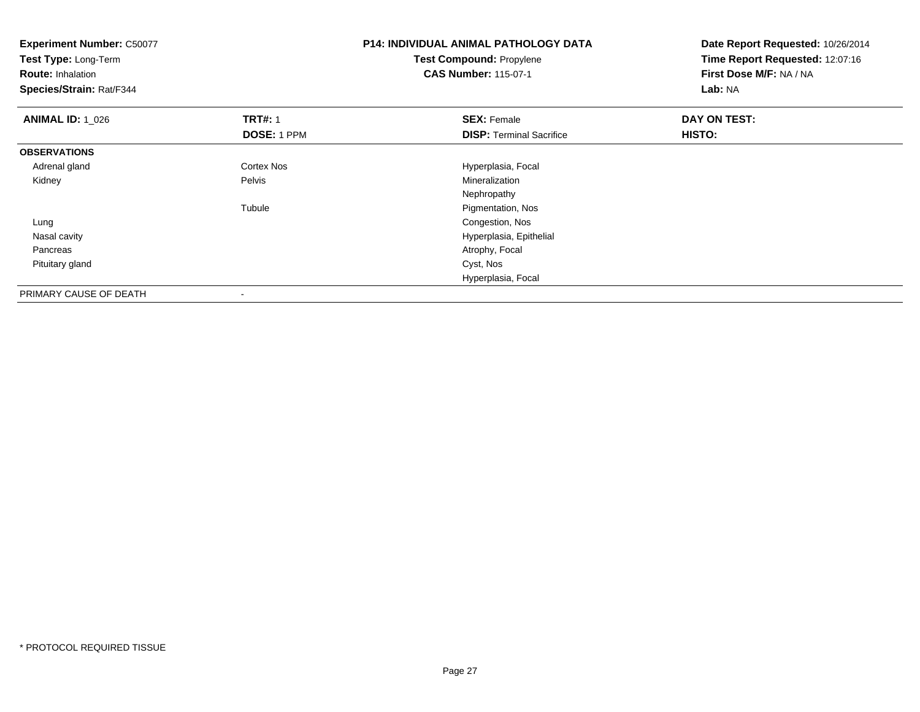| <b>Experiment Number: C50077</b><br>Test Type: Long-Term<br><b>Route: Inhalation</b><br>Species/Strain: Rat/F344 |                | <b>P14: INDIVIDUAL ANIMAL PATHOLOGY DATA</b><br><b>Test Compound: Propylene</b><br><b>CAS Number: 115-07-1</b> | Date Report Requested: 10/26/2014<br>Time Report Requested: 12:07:16<br>First Dose M/F: NA / NA<br>Lab: NA |
|------------------------------------------------------------------------------------------------------------------|----------------|----------------------------------------------------------------------------------------------------------------|------------------------------------------------------------------------------------------------------------|
| <b>ANIMAL ID: 1_026</b>                                                                                          | <b>TRT#: 1</b> | <b>SEX: Female</b>                                                                                             | DAY ON TEST:                                                                                               |
|                                                                                                                  | DOSE: 1 PPM    | <b>DISP: Terminal Sacrifice</b>                                                                                | HISTO:                                                                                                     |
| <b>OBSERVATIONS</b>                                                                                              |                |                                                                                                                |                                                                                                            |
| Adrenal gland                                                                                                    | Cortex Nos     | Hyperplasia, Focal                                                                                             |                                                                                                            |
| Kidney                                                                                                           | Pelvis         | Mineralization                                                                                                 |                                                                                                            |
|                                                                                                                  |                | Nephropathy                                                                                                    |                                                                                                            |
|                                                                                                                  | Tubule         | Pigmentation, Nos                                                                                              |                                                                                                            |
| Lung                                                                                                             |                | Congestion, Nos                                                                                                |                                                                                                            |
| Nasal cavity                                                                                                     |                | Hyperplasia, Epithelial                                                                                        |                                                                                                            |
| Pancreas                                                                                                         |                | Atrophy, Focal                                                                                                 |                                                                                                            |
| Pituitary gland                                                                                                  |                | Cyst, Nos                                                                                                      |                                                                                                            |
|                                                                                                                  |                | Hyperplasia, Focal                                                                                             |                                                                                                            |
| PRIMARY CAUSE OF DEATH                                                                                           | $\,$           |                                                                                                                |                                                                                                            |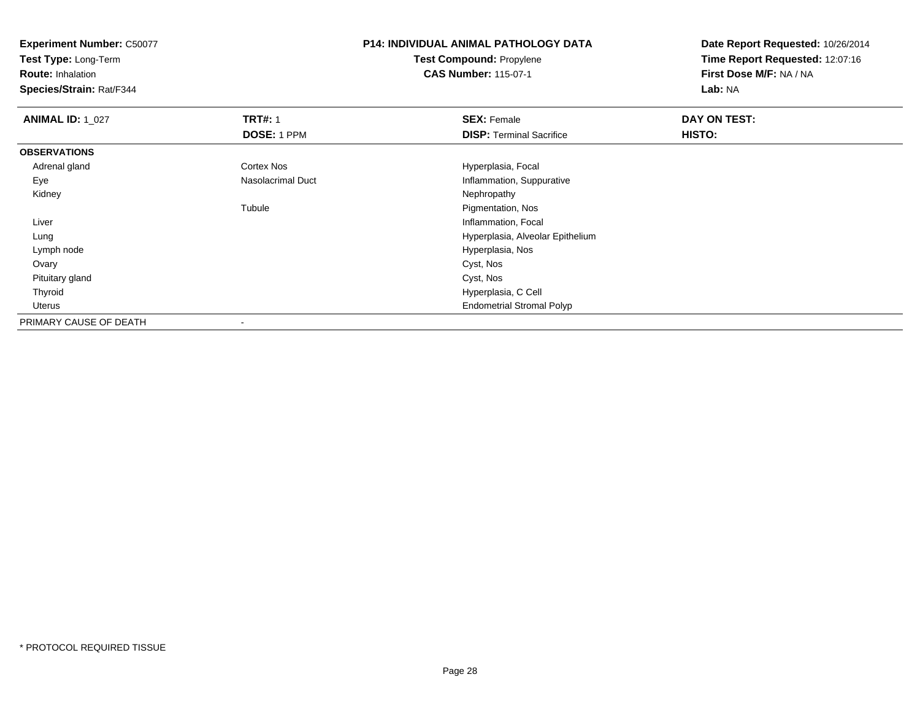**Test Type:** Long-Term

**Route:** Inhalation

**Species/Strain:** Rat/F344

### **P14: INDIVIDUAL ANIMAL PATHOLOGY DATATest Compound:** Propylene**CAS Number:** 115-07-1

| <b>ANIMAL ID: 1_027</b> | <b>TRT#: 1</b>           | <b>SEX: Female</b>               | DAY ON TEST: |  |
|-------------------------|--------------------------|----------------------------------|--------------|--|
|                         | DOSE: 1 PPM              | <b>DISP: Terminal Sacrifice</b>  | HISTO:       |  |
| <b>OBSERVATIONS</b>     |                          |                                  |              |  |
| Adrenal gland           | Cortex Nos               | Hyperplasia, Focal               |              |  |
| Eye                     | <b>Nasolacrimal Duct</b> | Inflammation, Suppurative        |              |  |
| Kidney                  |                          | Nephropathy                      |              |  |
|                         | Tubule                   | Pigmentation, Nos                |              |  |
| Liver                   |                          | Inflammation, Focal              |              |  |
| Lung                    |                          | Hyperplasia, Alveolar Epithelium |              |  |
| Lymph node              |                          | Hyperplasia, Nos                 |              |  |
| Ovary                   |                          | Cyst, Nos                        |              |  |
| Pituitary gland         |                          | Cyst, Nos                        |              |  |
| Thyroid                 |                          | Hyperplasia, C Cell              |              |  |
| Uterus                  |                          | <b>Endometrial Stromal Polyp</b> |              |  |
| PRIMARY CAUSE OF DEATH  |                          |                                  |              |  |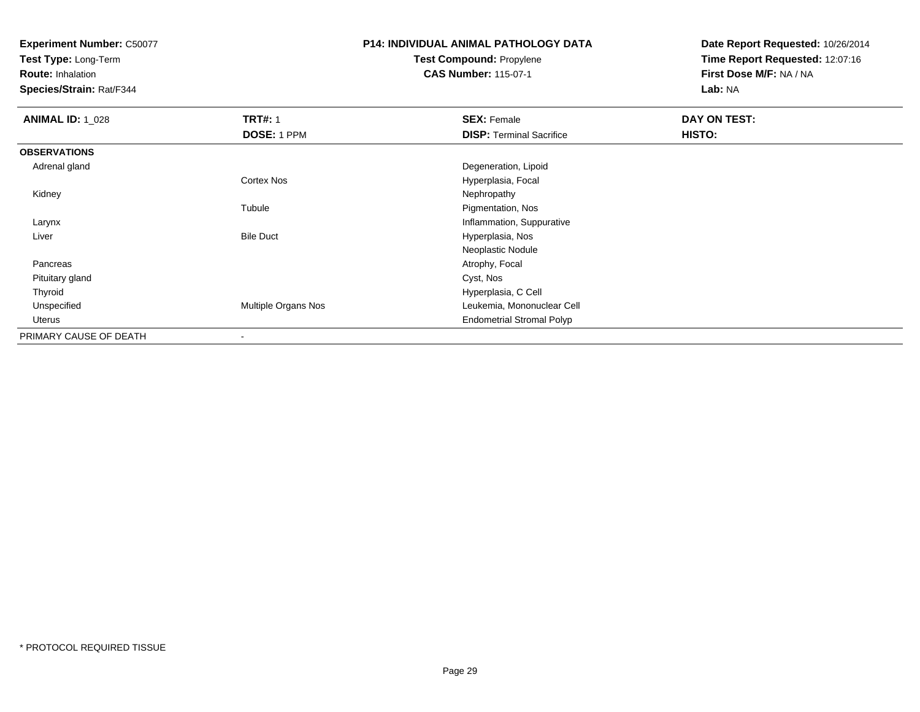**Test Type:** Long-Term

**Route:** Inhalation

**Species/Strain:** Rat/F344

# **P14: INDIVIDUAL ANIMAL PATHOLOGY DATATest Compound:** Propylene

**CAS Number:** 115-07-1

| <b>ANIMAL ID: 1 028</b> | <b>TRT#: 1</b>      | <b>SEX: Female</b>               | DAY ON TEST: |  |
|-------------------------|---------------------|----------------------------------|--------------|--|
|                         | DOSE: 1 PPM         | <b>DISP: Terminal Sacrifice</b>  | HISTO:       |  |
| <b>OBSERVATIONS</b>     |                     |                                  |              |  |
| Adrenal gland           |                     | Degeneration, Lipoid             |              |  |
|                         | Cortex Nos          | Hyperplasia, Focal               |              |  |
| Kidney                  |                     | Nephropathy                      |              |  |
|                         | Tubule              | Pigmentation, Nos                |              |  |
| Larynx                  |                     | Inflammation, Suppurative        |              |  |
| Liver                   | <b>Bile Duct</b>    | Hyperplasia, Nos                 |              |  |
|                         |                     | Neoplastic Nodule                |              |  |
| Pancreas                |                     | Atrophy, Focal                   |              |  |
| Pituitary gland         |                     | Cyst, Nos                        |              |  |
| Thyroid                 |                     | Hyperplasia, C Cell              |              |  |
| Unspecified             | Multiple Organs Nos | Leukemia, Mononuclear Cell       |              |  |
| Uterus                  |                     | <b>Endometrial Stromal Polyp</b> |              |  |
| PRIMARY CAUSE OF DEATH  |                     |                                  |              |  |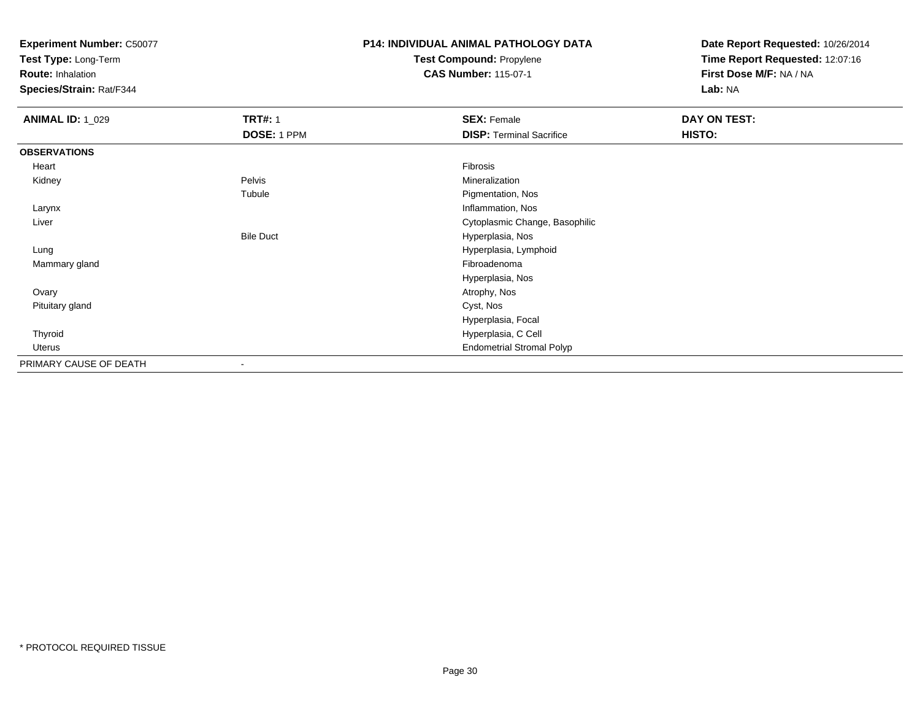**Test Type:** Long-Term

**Route:** Inhalation

**Species/Strain:** Rat/F344

# **P14: INDIVIDUAL ANIMAL PATHOLOGY DATATest Compound:** Propylene

**CAS Number:** 115-07-1

| <b>ANIMAL ID: 1_029</b> | <b>TRT#: 1</b>           | <b>SEX: Female</b>               | <b>DAY ON TEST:</b> |  |
|-------------------------|--------------------------|----------------------------------|---------------------|--|
|                         | DOSE: 1 PPM              | <b>DISP: Terminal Sacrifice</b>  | HISTO:              |  |
| <b>OBSERVATIONS</b>     |                          |                                  |                     |  |
| Heart                   |                          | Fibrosis                         |                     |  |
| Kidney                  | Pelvis                   | Mineralization                   |                     |  |
|                         | Tubule                   | Pigmentation, Nos                |                     |  |
| Larynx                  |                          | Inflammation, Nos                |                     |  |
| Liver                   |                          | Cytoplasmic Change, Basophilic   |                     |  |
|                         | <b>Bile Duct</b>         | Hyperplasia, Nos                 |                     |  |
| Lung                    |                          | Hyperplasia, Lymphoid            |                     |  |
| Mammary gland           |                          | Fibroadenoma                     |                     |  |
|                         |                          | Hyperplasia, Nos                 |                     |  |
| Ovary                   |                          | Atrophy, Nos                     |                     |  |
| Pituitary gland         |                          | Cyst, Nos                        |                     |  |
|                         |                          | Hyperplasia, Focal               |                     |  |
| Thyroid                 |                          | Hyperplasia, C Cell              |                     |  |
| Uterus                  |                          | <b>Endometrial Stromal Polyp</b> |                     |  |
| PRIMARY CAUSE OF DEATH  | $\overline{\phantom{a}}$ |                                  |                     |  |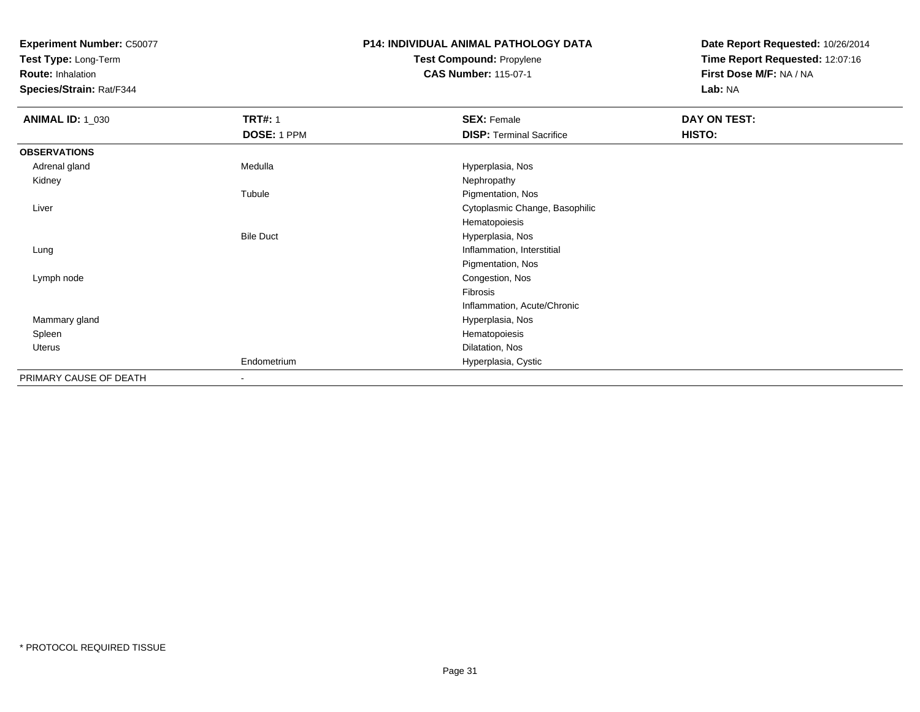**Test Type:** Long-Term

**Route:** Inhalation

**Species/Strain:** Rat/F344

### **P14: INDIVIDUAL ANIMAL PATHOLOGY DATATest Compound:** Propylene**CAS Number:** 115-07-1

| <b>ANIMAL ID: 1_030</b> | <b>TRT#: 1</b>   | <b>SEX: Female</b>              | DAY ON TEST: |  |
|-------------------------|------------------|---------------------------------|--------------|--|
|                         | DOSE: 1 PPM      | <b>DISP: Terminal Sacrifice</b> | HISTO:       |  |
| <b>OBSERVATIONS</b>     |                  |                                 |              |  |
| Adrenal gland           | Medulla          | Hyperplasia, Nos                |              |  |
| Kidney                  |                  | Nephropathy                     |              |  |
|                         | Tubule           | Pigmentation, Nos               |              |  |
| Liver                   |                  | Cytoplasmic Change, Basophilic  |              |  |
|                         |                  | Hematopoiesis                   |              |  |
|                         | <b>Bile Duct</b> | Hyperplasia, Nos                |              |  |
| Lung                    |                  | Inflammation, Interstitial      |              |  |
|                         |                  | Pigmentation, Nos               |              |  |
| Lymph node              |                  | Congestion, Nos                 |              |  |
|                         |                  | Fibrosis                        |              |  |
|                         |                  | Inflammation, Acute/Chronic     |              |  |
| Mammary gland           |                  | Hyperplasia, Nos                |              |  |
| Spleen                  |                  | Hematopoiesis                   |              |  |
| Uterus                  |                  | Dilatation, Nos                 |              |  |
|                         | Endometrium      | Hyperplasia, Cystic             |              |  |
| PRIMARY CAUSE OF DEATH  |                  |                                 |              |  |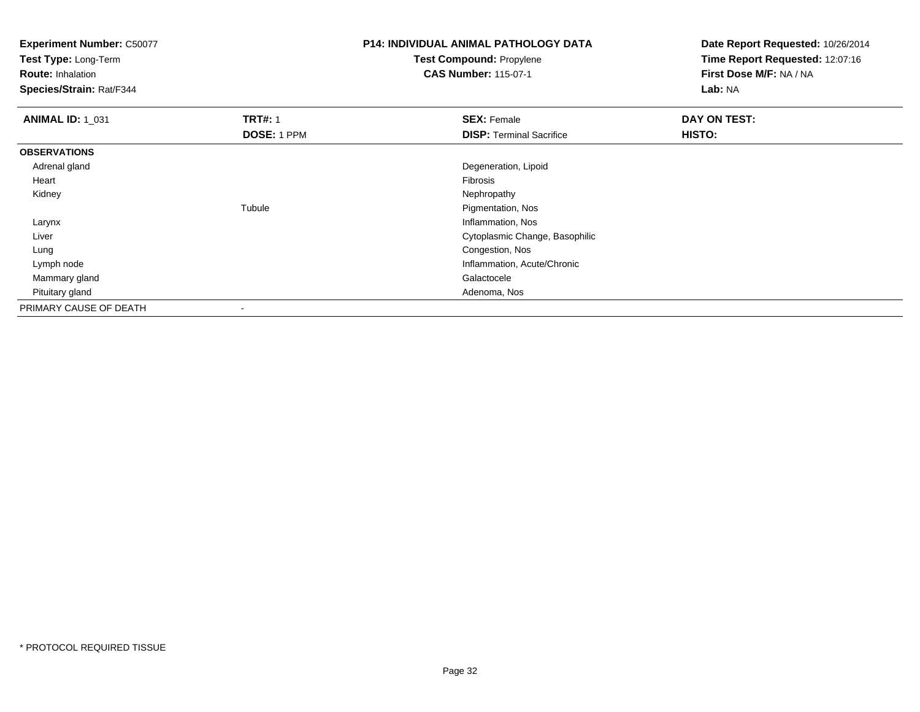**Test Type:** Long-Term

**Route:** Inhalation

**Species/Strain:** Rat/F344

# **P14: INDIVIDUAL ANIMAL PATHOLOGY DATATest Compound:** Propylene

**CAS Number:** 115-07-1

| <b>ANIMAL ID: 1_031</b> | <b>TRT#: 1</b> | <b>SEX: Female</b>              | DAY ON TEST: |
|-------------------------|----------------|---------------------------------|--------------|
|                         | DOSE: 1 PPM    | <b>DISP: Terminal Sacrifice</b> | HISTO:       |
| <b>OBSERVATIONS</b>     |                |                                 |              |
| Adrenal gland           |                | Degeneration, Lipoid            |              |
| Heart                   |                | Fibrosis                        |              |
| Kidney                  |                | Nephropathy                     |              |
|                         | Tubule         | Pigmentation, Nos               |              |
| Larynx                  |                | Inflammation, Nos               |              |
| Liver                   |                | Cytoplasmic Change, Basophilic  |              |
| Lung                    |                | Congestion, Nos                 |              |
| Lymph node              |                | Inflammation, Acute/Chronic     |              |
| Mammary gland           |                | Galactocele                     |              |
| Pituitary gland         |                | Adenoma, Nos                    |              |
| PRIMARY CAUSE OF DEATH  |                |                                 |              |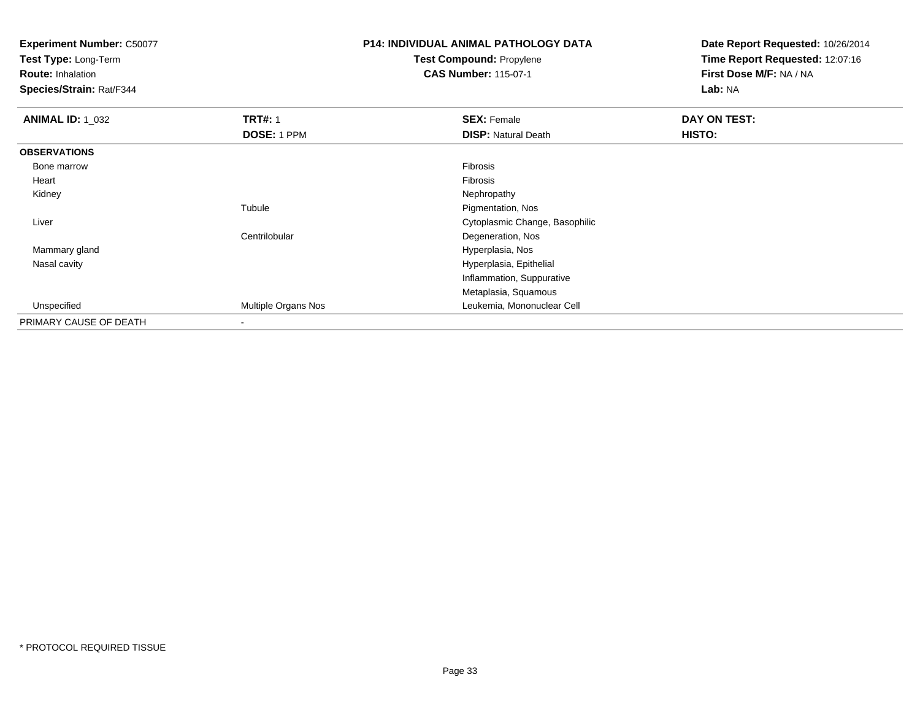**Test Type:** Long-Term

**Route:** Inhalation

**Species/Strain:** Rat/F344

# **P14: INDIVIDUAL ANIMAL PATHOLOGY DATATest Compound:** Propylene

**CAS Number:** 115-07-1

| <b>ANIMAL ID: 1_032</b> | <b>TRT#: 1</b>             | <b>SEX: Female</b>             | DAY ON TEST: |
|-------------------------|----------------------------|--------------------------------|--------------|
|                         | DOSE: 1 PPM                | <b>DISP: Natural Death</b>     | HISTO:       |
| <b>OBSERVATIONS</b>     |                            |                                |              |
| Bone marrow             |                            | Fibrosis                       |              |
| Heart                   |                            | Fibrosis                       |              |
| Kidney                  |                            | Nephropathy                    |              |
|                         | Tubule                     | Pigmentation, Nos              |              |
| Liver                   |                            | Cytoplasmic Change, Basophilic |              |
|                         | Centrilobular              | Degeneration, Nos              |              |
| Mammary gland           |                            | Hyperplasia, Nos               |              |
| Nasal cavity            |                            | Hyperplasia, Epithelial        |              |
|                         |                            | Inflammation, Suppurative      |              |
|                         |                            | Metaplasia, Squamous           |              |
| Unspecified             | <b>Multiple Organs Nos</b> | Leukemia, Mononuclear Cell     |              |
| PRIMARY CAUSE OF DEATH  |                            |                                |              |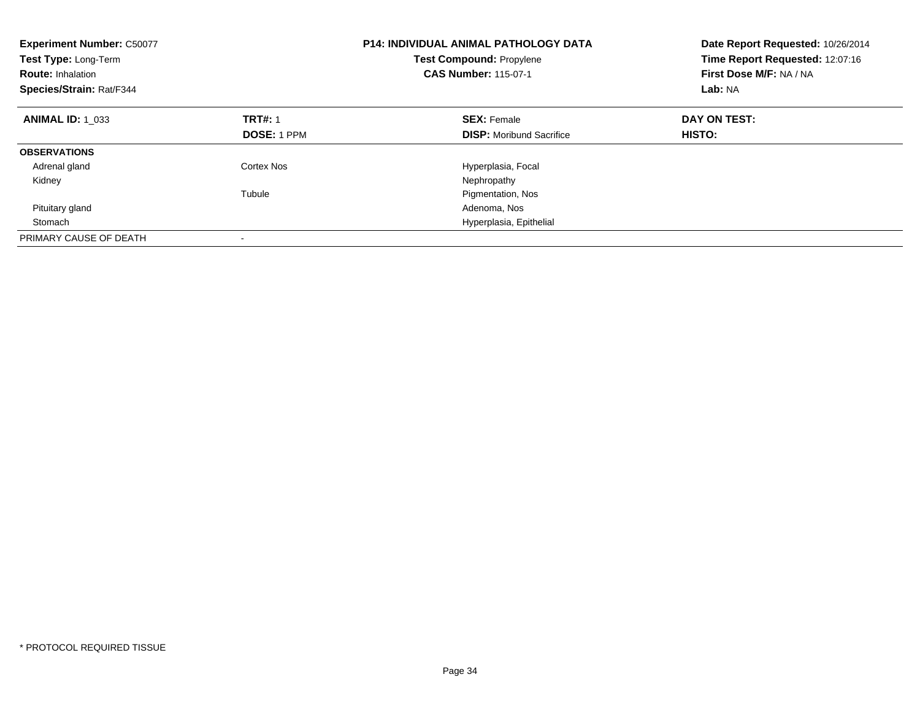| <b>Experiment Number: C50077</b><br>Test Type: Long-Term<br><b>Route: Inhalation</b><br>Species/Strain: Rat/F344 |                   | <b>P14: INDIVIDUAL ANIMAL PATHOLOGY DATA</b><br><b>Test Compound: Propylene</b><br><b>CAS Number: 115-07-1</b> | Date Report Requested: 10/26/2014<br>Time Report Requested: 12:07:16<br>First Dose M/F: NA / NA<br>Lab: NA |  |
|------------------------------------------------------------------------------------------------------------------|-------------------|----------------------------------------------------------------------------------------------------------------|------------------------------------------------------------------------------------------------------------|--|
| <b>ANIMAL ID: 1 033</b>                                                                                          | <b>TRT#: 1</b>    | <b>SEX: Female</b>                                                                                             | DAY ON TEST:                                                                                               |  |
|                                                                                                                  | DOSE: 1 PPM       | <b>DISP:</b> Moribund Sacrifice                                                                                | HISTO:                                                                                                     |  |
| <b>OBSERVATIONS</b>                                                                                              |                   |                                                                                                                |                                                                                                            |  |
| Adrenal gland                                                                                                    | <b>Cortex Nos</b> | Hyperplasia, Focal                                                                                             |                                                                                                            |  |
| Kidney                                                                                                           |                   | Nephropathy                                                                                                    |                                                                                                            |  |
|                                                                                                                  | Tubule            | Pigmentation, Nos                                                                                              |                                                                                                            |  |
| Pituitary gland                                                                                                  |                   | Adenoma, Nos                                                                                                   |                                                                                                            |  |
| Stomach                                                                                                          |                   | Hyperplasia, Epithelial                                                                                        |                                                                                                            |  |
| PRIMARY CAUSE OF DEATH                                                                                           |                   |                                                                                                                |                                                                                                            |  |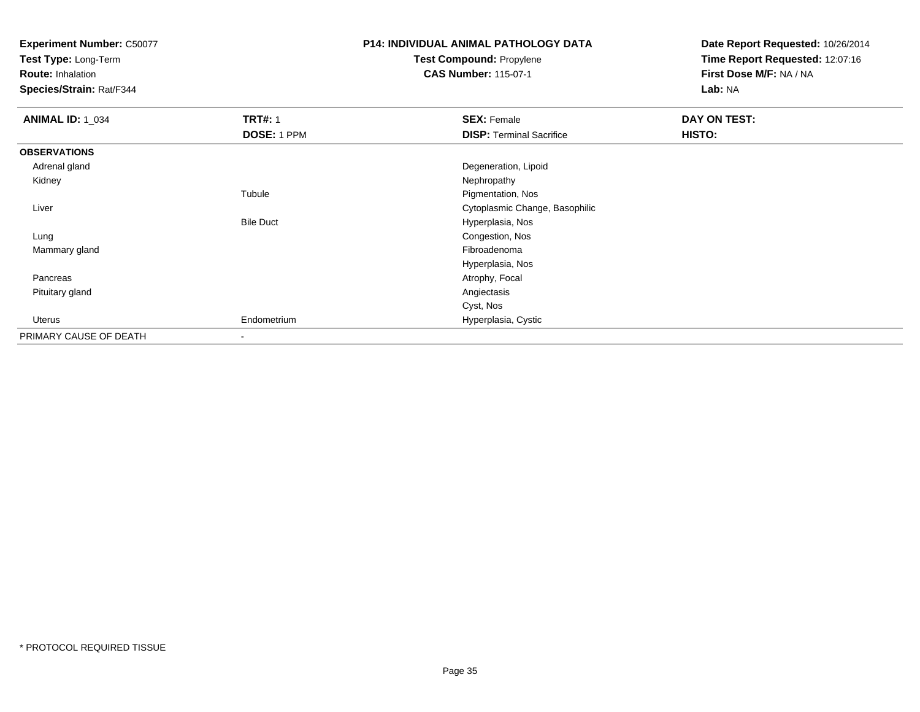**Test Type:** Long-Term

**Route:** Inhalation

**Species/Strain:** Rat/F344

# **P14: INDIVIDUAL ANIMAL PATHOLOGY DATATest Compound:** Propylene

**CAS Number:** 115-07-1

| <b>ANIMAL ID: 1_034</b> | <b>TRT#: 1</b>           | <b>SEX: Female</b>              | DAY ON TEST: |  |
|-------------------------|--------------------------|---------------------------------|--------------|--|
|                         | DOSE: 1 PPM              | <b>DISP: Terminal Sacrifice</b> | HISTO:       |  |
| <b>OBSERVATIONS</b>     |                          |                                 |              |  |
| Adrenal gland           |                          | Degeneration, Lipoid            |              |  |
| Kidney                  |                          | Nephropathy                     |              |  |
|                         | Tubule                   | Pigmentation, Nos               |              |  |
| Liver                   |                          | Cytoplasmic Change, Basophilic  |              |  |
|                         | <b>Bile Duct</b>         | Hyperplasia, Nos                |              |  |
| Lung                    |                          | Congestion, Nos                 |              |  |
| Mammary gland           |                          | Fibroadenoma                    |              |  |
|                         |                          | Hyperplasia, Nos                |              |  |
| Pancreas                |                          | Atrophy, Focal                  |              |  |
| Pituitary gland         |                          | Angiectasis                     |              |  |
|                         |                          | Cyst, Nos                       |              |  |
| Uterus                  | Endometrium              | Hyperplasia, Cystic             |              |  |
| PRIMARY CAUSE OF DEATH  | $\overline{\phantom{a}}$ |                                 |              |  |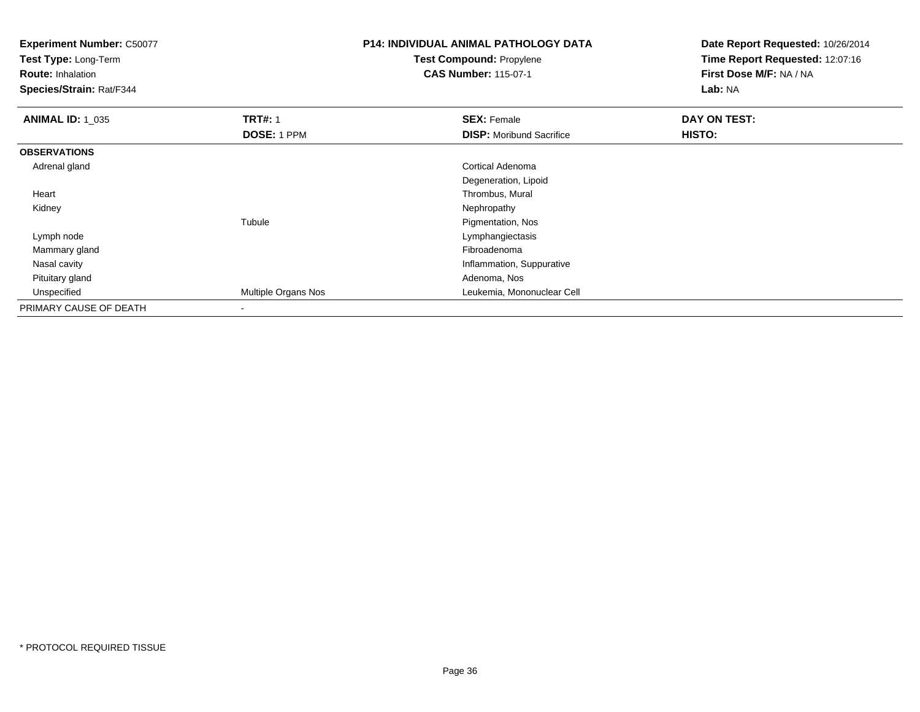**Test Type:** Long-Term

**Route:** Inhalation

**Species/Strain:** Rat/F344

# **P14: INDIVIDUAL ANIMAL PATHOLOGY DATATest Compound:** Propylene

**CAS Number:** 115-07-1

| <b>ANIMAL ID: 1_035</b> | <b>TRT#: 1</b>      | <b>SEX: Female</b>              | DAY ON TEST: |  |
|-------------------------|---------------------|---------------------------------|--------------|--|
|                         | DOSE: 1 PPM         | <b>DISP:</b> Moribund Sacrifice | HISTO:       |  |
| <b>OBSERVATIONS</b>     |                     |                                 |              |  |
| Adrenal gland           |                     | <b>Cortical Adenoma</b>         |              |  |
|                         |                     | Degeneration, Lipoid            |              |  |
| Heart                   |                     | Thrombus, Mural                 |              |  |
| Kidney                  |                     | Nephropathy                     |              |  |
|                         | Tubule              | Pigmentation, Nos               |              |  |
| Lymph node              |                     | Lymphangiectasis                |              |  |
| Mammary gland           |                     | Fibroadenoma                    |              |  |
| Nasal cavity            |                     | Inflammation, Suppurative       |              |  |
| Pituitary gland         |                     | Adenoma, Nos                    |              |  |
| Unspecified             | Multiple Organs Nos | Leukemia, Mononuclear Cell      |              |  |
| PRIMARY CAUSE OF DEATH  | ۰                   |                                 |              |  |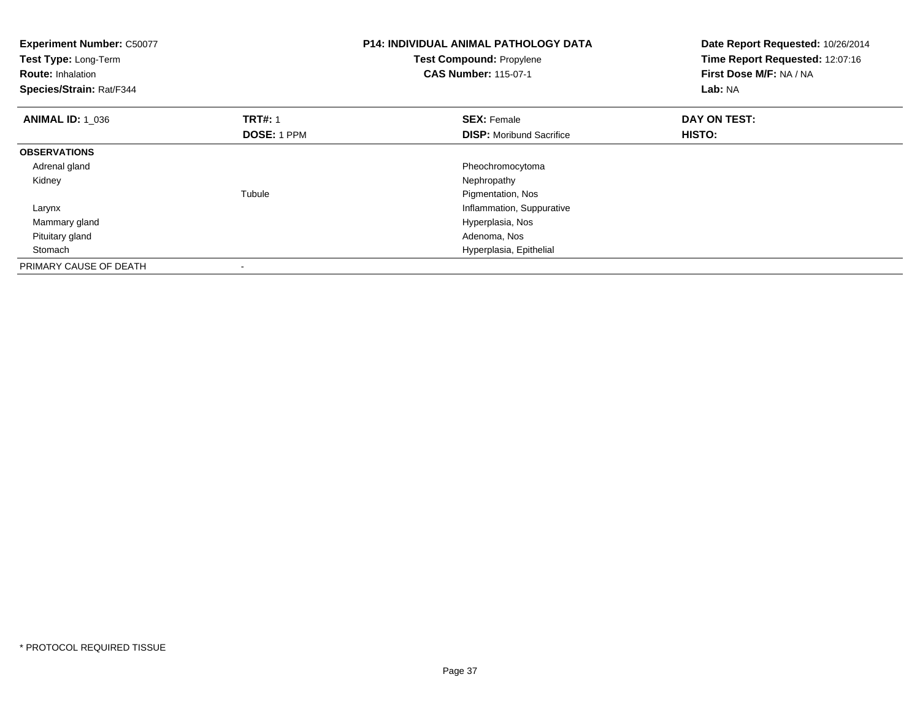| <b>Experiment Number: C50077</b><br>Test Type: Long-Term<br><b>Route: Inhalation</b><br>Species/Strain: Rat/F344 |                    | <b>P14: INDIVIDUAL ANIMAL PATHOLOGY DATA</b><br>Date Report Requested: 10/26/2014<br>Time Report Requested: 12:07:16<br><b>Test Compound: Propylene</b><br>First Dose M/F: NA / NA<br><b>CAS Number: 115-07-1</b><br>Lab: NA |              |
|------------------------------------------------------------------------------------------------------------------|--------------------|------------------------------------------------------------------------------------------------------------------------------------------------------------------------------------------------------------------------------|--------------|
| <b>ANIMAL ID: 1_036</b>                                                                                          | <b>TRT#: 1</b>     | <b>SEX: Female</b>                                                                                                                                                                                                           | DAY ON TEST: |
|                                                                                                                  | <b>DOSE: 1 PPM</b> | <b>DISP:</b> Moribund Sacrifice                                                                                                                                                                                              | HISTO:       |
| <b>OBSERVATIONS</b>                                                                                              |                    |                                                                                                                                                                                                                              |              |
| Adrenal gland                                                                                                    |                    | Pheochromocytoma                                                                                                                                                                                                             |              |
| Kidney                                                                                                           |                    | Nephropathy                                                                                                                                                                                                                  |              |
|                                                                                                                  | Tubule             | Pigmentation, Nos                                                                                                                                                                                                            |              |
| Larynx                                                                                                           |                    | Inflammation, Suppurative                                                                                                                                                                                                    |              |
| Mammary gland                                                                                                    |                    | Hyperplasia, Nos                                                                                                                                                                                                             |              |
| Pituitary gland                                                                                                  |                    | Adenoma, Nos                                                                                                                                                                                                                 |              |
| Stomach                                                                                                          |                    | Hyperplasia, Epithelial                                                                                                                                                                                                      |              |
| PRIMARY CAUSE OF DEATH                                                                                           |                    |                                                                                                                                                                                                                              |              |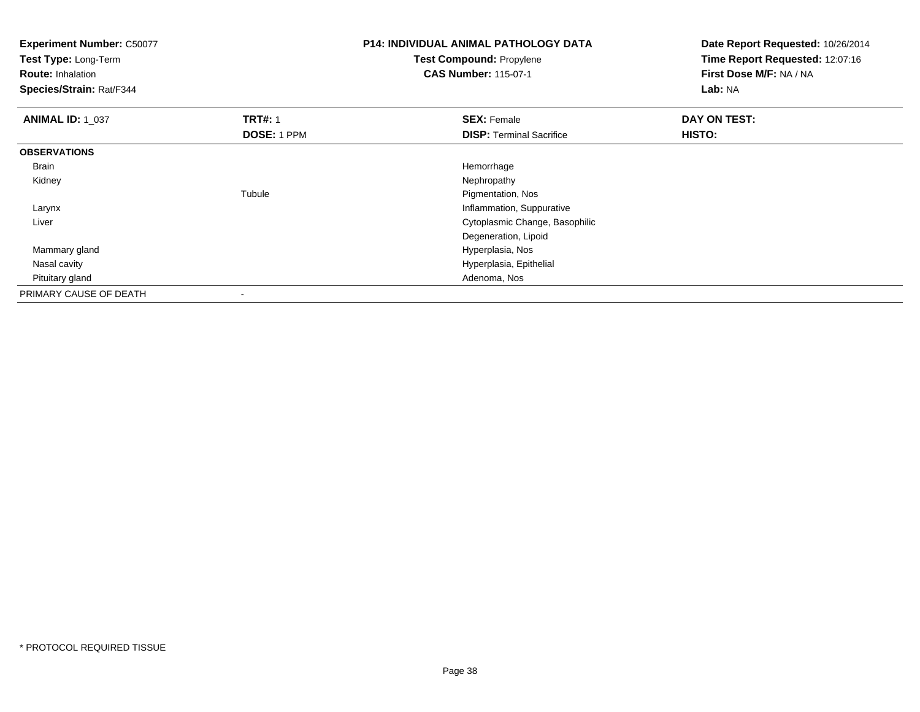| <b>Experiment Number: C50077</b><br>Test Type: Long-Term<br><b>Route: Inhalation</b><br>Species/Strain: Rat/F344 |                | <b>P14: INDIVIDUAL ANIMAL PATHOLOGY DATA</b><br>Date Report Requested: 10/26/2014<br>Time Report Requested: 12:07:16<br>Test Compound: Propylene<br>First Dose M/F: NA / NA<br><b>CAS Number: 115-07-1</b><br>Lab: NA |              |
|------------------------------------------------------------------------------------------------------------------|----------------|-----------------------------------------------------------------------------------------------------------------------------------------------------------------------------------------------------------------------|--------------|
| <b>ANIMAL ID: 1_037</b>                                                                                          | <b>TRT#: 1</b> | <b>SEX: Female</b>                                                                                                                                                                                                    | DAY ON TEST: |
|                                                                                                                  | DOSE: 1 PPM    | <b>DISP:</b> Terminal Sacrifice                                                                                                                                                                                       | HISTO:       |
| <b>OBSERVATIONS</b>                                                                                              |                |                                                                                                                                                                                                                       |              |
| Brain                                                                                                            |                | Hemorrhage                                                                                                                                                                                                            |              |
| Kidney                                                                                                           |                | Nephropathy                                                                                                                                                                                                           |              |
|                                                                                                                  | Tubule         | Pigmentation, Nos                                                                                                                                                                                                     |              |
| Larynx                                                                                                           |                | Inflammation, Suppurative                                                                                                                                                                                             |              |
| Liver                                                                                                            |                | Cytoplasmic Change, Basophilic                                                                                                                                                                                        |              |
|                                                                                                                  |                | Degeneration, Lipoid                                                                                                                                                                                                  |              |
| Mammary gland                                                                                                    |                | Hyperplasia, Nos                                                                                                                                                                                                      |              |
| Nasal cavity                                                                                                     |                | Hyperplasia, Epithelial                                                                                                                                                                                               |              |
| Pituitary gland                                                                                                  |                | Adenoma, Nos                                                                                                                                                                                                          |              |
| PRIMARY CAUSE OF DEATH                                                                                           |                |                                                                                                                                                                                                                       |              |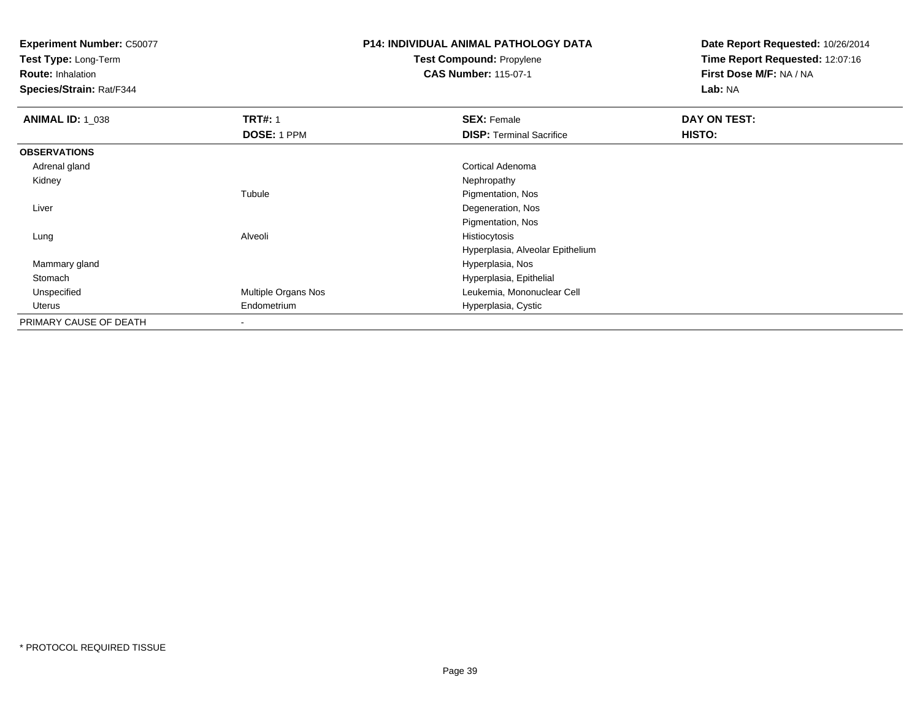**Test Type:** Long-Term

**Route:** Inhalation

**Species/Strain:** Rat/F344

# **P14: INDIVIDUAL ANIMAL PATHOLOGY DATATest Compound:** Propylene

**CAS Number:** 115-07-1

| <b>ANIMAL ID: 1_038</b> | <b>TRT#: 1</b>           | <b>SEX: Female</b>               | DAY ON TEST: |  |
|-------------------------|--------------------------|----------------------------------|--------------|--|
|                         | DOSE: 1 PPM              | <b>DISP: Terminal Sacrifice</b>  | HISTO:       |  |
| <b>OBSERVATIONS</b>     |                          |                                  |              |  |
| Adrenal gland           |                          | Cortical Adenoma                 |              |  |
| Kidney                  |                          | Nephropathy                      |              |  |
|                         | Tubule                   | Pigmentation, Nos                |              |  |
| Liver                   |                          | Degeneration, Nos                |              |  |
|                         |                          | Pigmentation, Nos                |              |  |
| Lung                    | Alveoli                  | Histiocytosis                    |              |  |
|                         |                          | Hyperplasia, Alveolar Epithelium |              |  |
| Mammary gland           |                          | Hyperplasia, Nos                 |              |  |
| Stomach                 |                          | Hyperplasia, Epithelial          |              |  |
| Unspecified             | Multiple Organs Nos      | Leukemia, Mononuclear Cell       |              |  |
| Uterus                  | Endometrium              | Hyperplasia, Cystic              |              |  |
| PRIMARY CAUSE OF DEATH  | $\overline{\phantom{a}}$ |                                  |              |  |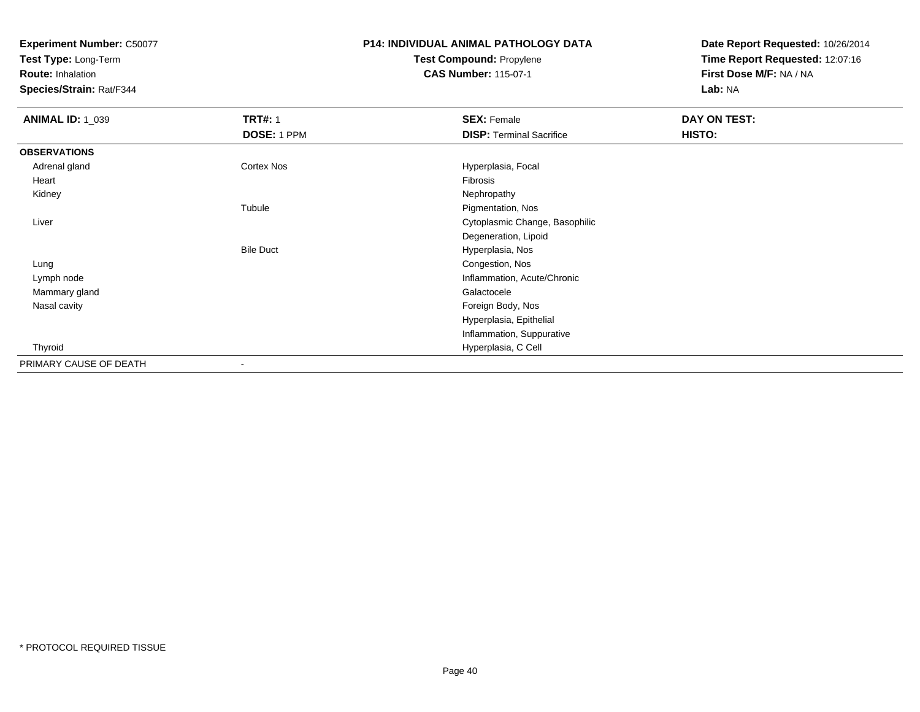**Test Type:** Long-Term

**Route:** Inhalation

**Species/Strain:** Rat/F344

#### **P14: INDIVIDUAL ANIMAL PATHOLOGY DATATest Compound:** Propylene**CAS Number:** 115-07-1

| <b>ANIMAL ID: 1_039</b> | <b>TRT#: 1</b>   | <b>SEX: Female</b>              | DAY ON TEST: |  |
|-------------------------|------------------|---------------------------------|--------------|--|
|                         | DOSE: 1 PPM      | <b>DISP: Terminal Sacrifice</b> | HISTO:       |  |
| <b>OBSERVATIONS</b>     |                  |                                 |              |  |
| Adrenal gland           | Cortex Nos       | Hyperplasia, Focal              |              |  |
| Heart                   |                  | Fibrosis                        |              |  |
| Kidney                  |                  | Nephropathy                     |              |  |
|                         | Tubule           | Pigmentation, Nos               |              |  |
| Liver                   |                  | Cytoplasmic Change, Basophilic  |              |  |
|                         |                  | Degeneration, Lipoid            |              |  |
|                         | <b>Bile Duct</b> | Hyperplasia, Nos                |              |  |
| Lung                    |                  | Congestion, Nos                 |              |  |
| Lymph node              |                  | Inflammation, Acute/Chronic     |              |  |
| Mammary gland           |                  | Galactocele                     |              |  |
| Nasal cavity            |                  | Foreign Body, Nos               |              |  |
|                         |                  | Hyperplasia, Epithelial         |              |  |
|                         |                  | Inflammation, Suppurative       |              |  |
| Thyroid                 |                  | Hyperplasia, C Cell             |              |  |
| PRIMARY CAUSE OF DEATH  |                  |                                 |              |  |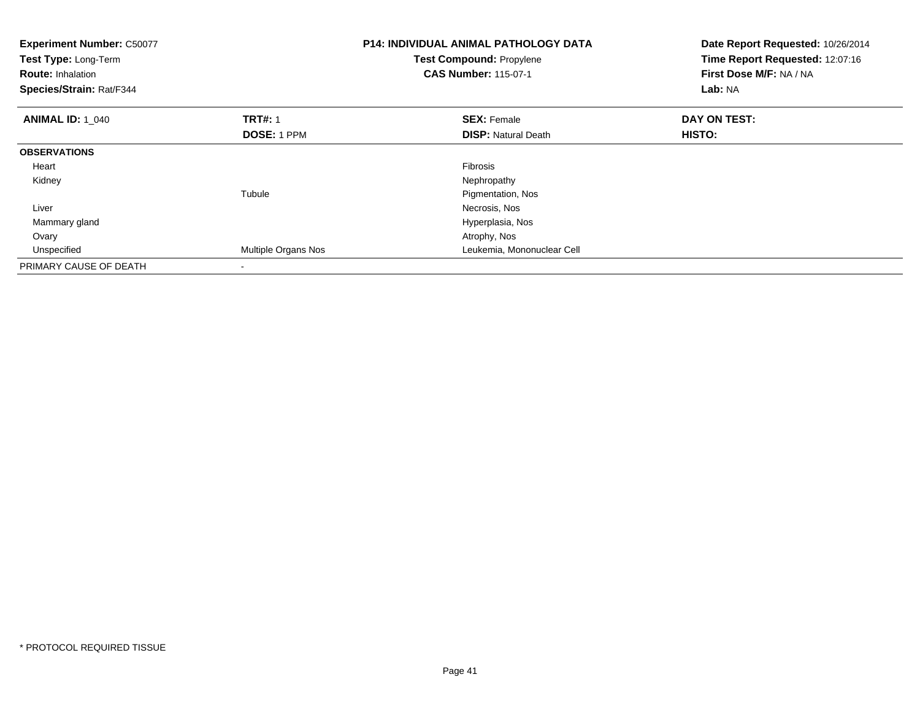| <b>Experiment Number: C50077</b><br>Test Type: Long-Term<br><b>Route: Inhalation</b><br>Species/Strain: Rat/F344 |                     | <b>P14: INDIVIDUAL ANIMAL PATHOLOGY DATA</b><br><b>Test Compound: Propylene</b><br><b>CAS Number: 115-07-1</b> | Date Report Requested: 10/26/2014<br>Time Report Requested: 12:07:16<br>First Dose M/F: NA / NA<br>Lab: NA |
|------------------------------------------------------------------------------------------------------------------|---------------------|----------------------------------------------------------------------------------------------------------------|------------------------------------------------------------------------------------------------------------|
| <b>ANIMAL ID: 1_040</b>                                                                                          | <b>TRT#: 1</b>      | <b>SEX: Female</b>                                                                                             | DAY ON TEST:                                                                                               |
|                                                                                                                  | DOSE: 1 PPM         | <b>DISP:</b> Natural Death                                                                                     | <b>HISTO:</b>                                                                                              |
| <b>OBSERVATIONS</b>                                                                                              |                     |                                                                                                                |                                                                                                            |
| Heart                                                                                                            |                     | <b>Fibrosis</b>                                                                                                |                                                                                                            |
| Kidney                                                                                                           |                     | Nephropathy                                                                                                    |                                                                                                            |
|                                                                                                                  | Tubule              | Pigmentation, Nos                                                                                              |                                                                                                            |
| Liver                                                                                                            |                     | Necrosis, Nos                                                                                                  |                                                                                                            |
| Mammary gland                                                                                                    |                     | Hyperplasia, Nos                                                                                               |                                                                                                            |
| Ovary                                                                                                            |                     | Atrophy, Nos                                                                                                   |                                                                                                            |
| Unspecified                                                                                                      | Multiple Organs Nos | Leukemia, Mononuclear Cell                                                                                     |                                                                                                            |
| PRIMARY CAUSE OF DEATH                                                                                           |                     |                                                                                                                |                                                                                                            |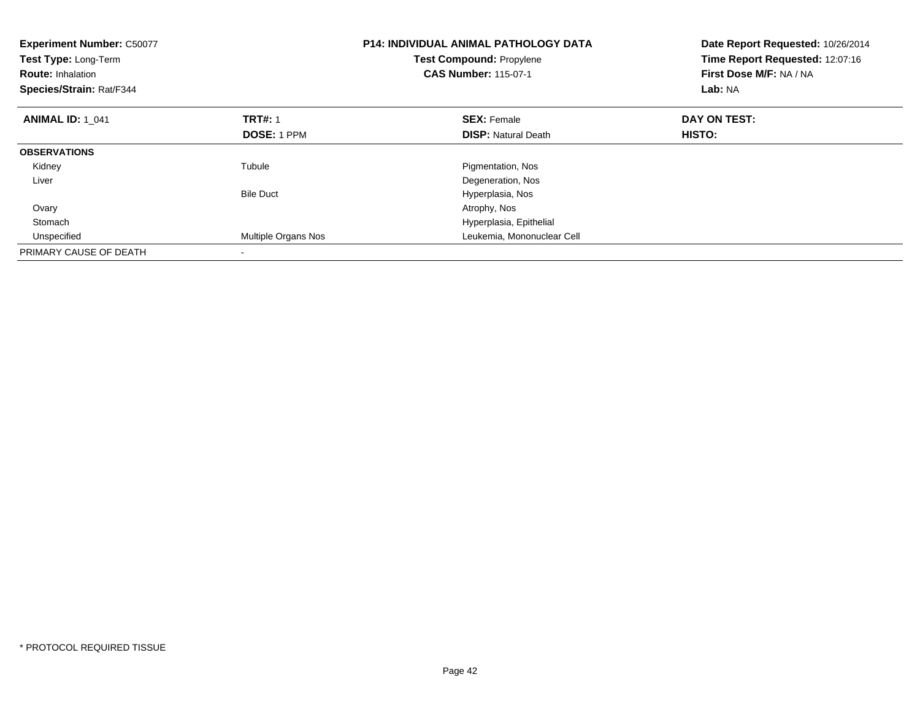| <b>Experiment Number: C50077</b><br>Test Type: Long-Term<br><b>Route: Inhalation</b><br>Species/Strain: Rat/F344 |                     | <b>P14: INDIVIDUAL ANIMAL PATHOLOGY DATA</b><br>Date Report Requested: 10/26/2014<br>Time Report Requested: 12:07:16<br><b>Test Compound: Propylene</b><br><b>CAS Number: 115-07-1</b><br>First Dose M/F: NA / NA<br>Lab: NA |               |
|------------------------------------------------------------------------------------------------------------------|---------------------|------------------------------------------------------------------------------------------------------------------------------------------------------------------------------------------------------------------------------|---------------|
| <b>ANIMAL ID: 1 041</b>                                                                                          | <b>TRT#: 1</b>      | <b>SEX: Female</b>                                                                                                                                                                                                           | DAY ON TEST:  |
|                                                                                                                  | DOSE: 1 PPM         | <b>DISP:</b> Natural Death                                                                                                                                                                                                   | <b>HISTO:</b> |
| <b>OBSERVATIONS</b>                                                                                              |                     |                                                                                                                                                                                                                              |               |
| Kidney                                                                                                           | Tubule              | Pigmentation, Nos                                                                                                                                                                                                            |               |
| Liver                                                                                                            |                     | Degeneration, Nos                                                                                                                                                                                                            |               |
|                                                                                                                  | <b>Bile Duct</b>    | Hyperplasia, Nos                                                                                                                                                                                                             |               |
| Ovary                                                                                                            |                     | Atrophy, Nos                                                                                                                                                                                                                 |               |
| Stomach                                                                                                          |                     | Hyperplasia, Epithelial                                                                                                                                                                                                      |               |
| Unspecified                                                                                                      | Multiple Organs Nos | Leukemia, Mononuclear Cell                                                                                                                                                                                                   |               |
| PRIMARY CAUSE OF DEATH                                                                                           |                     |                                                                                                                                                                                                                              |               |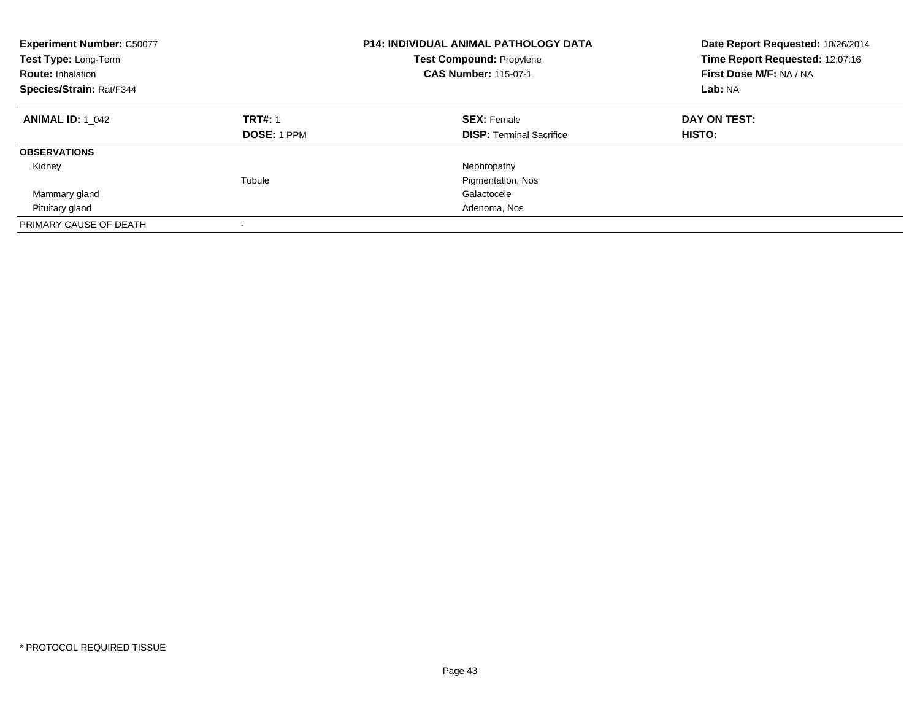| <b>Experiment Number: C50077</b><br>Test Type: Long-Term<br><b>Route: Inhalation</b><br>Species/Strain: Rat/F344 |                                      | <b>P14: INDIVIDUAL ANIMAL PATHOLOGY DATA</b><br><b>Test Compound: Propylene</b><br><b>CAS Number: 115-07-1</b> | Date Report Requested: 10/26/2014<br>Time Report Requested: 12:07:16<br>First Dose M/F: NA / NA<br>Lab: NA |
|------------------------------------------------------------------------------------------------------------------|--------------------------------------|----------------------------------------------------------------------------------------------------------------|------------------------------------------------------------------------------------------------------------|
| <b>ANIMAL ID: 1 042</b>                                                                                          | <b>TRT#: 1</b><br><b>DOSE: 1 PPM</b> | <b>SEX: Female</b><br><b>DISP:</b> Terminal Sacrifice                                                          | DAY ON TEST:<br><b>HISTO:</b>                                                                              |
| <b>OBSERVATIONS</b>                                                                                              |                                      |                                                                                                                |                                                                                                            |
| Kidney                                                                                                           |                                      | Nephropathy                                                                                                    |                                                                                                            |
|                                                                                                                  | Tubule                               | Pigmentation, Nos                                                                                              |                                                                                                            |
| Mammary gland                                                                                                    |                                      | Galactocele                                                                                                    |                                                                                                            |
| Pituitary gland                                                                                                  |                                      | Adenoma, Nos                                                                                                   |                                                                                                            |
| PRIMARY CAUSE OF DEATH                                                                                           |                                      |                                                                                                                |                                                                                                            |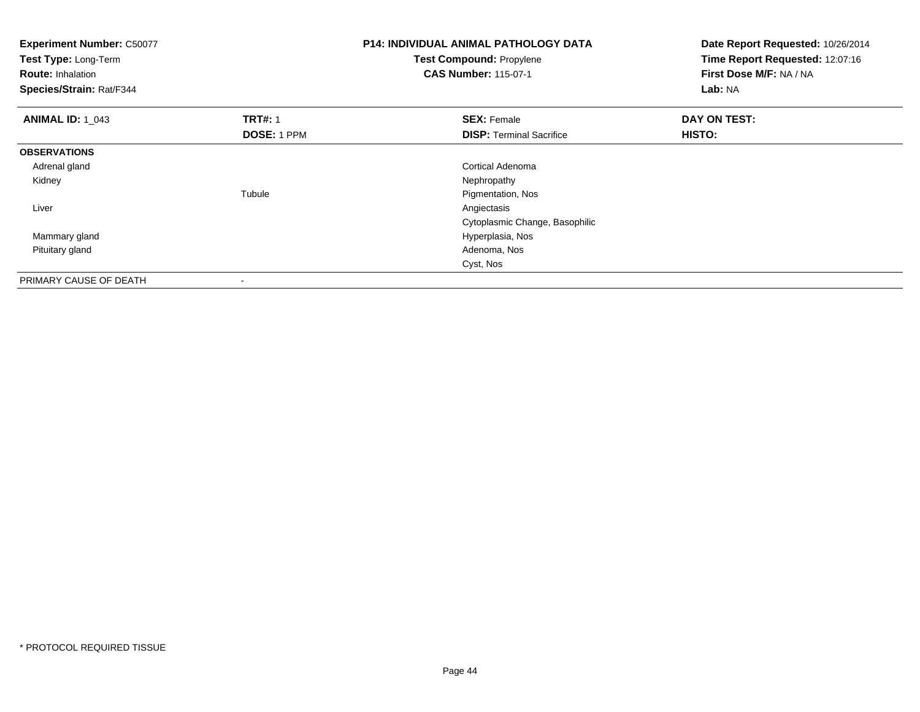| <b>Experiment Number: C50077</b><br>Test Type: Long-Term<br><b>Route: Inhalation</b><br>Species/Strain: Rat/F344 |                | <b>P14: INDIVIDUAL ANIMAL PATHOLOGY DATA</b><br>Test Compound: Propylene<br><b>CAS Number: 115-07-1</b> | Date Report Requested: 10/26/2014<br>Time Report Requested: 12:07:16<br>First Dose M/F: NA / NA<br>Lab: NA |
|------------------------------------------------------------------------------------------------------------------|----------------|---------------------------------------------------------------------------------------------------------|------------------------------------------------------------------------------------------------------------|
| <b>ANIMAL ID: 1 043</b>                                                                                          | <b>TRT#: 1</b> | <b>SEX: Female</b>                                                                                      | DAY ON TEST:                                                                                               |
|                                                                                                                  | DOSE: 1 PPM    | <b>DISP:</b> Terminal Sacrifice                                                                         | HISTO:                                                                                                     |
| <b>OBSERVATIONS</b>                                                                                              |                |                                                                                                         |                                                                                                            |
| Adrenal gland                                                                                                    |                | Cortical Adenoma                                                                                        |                                                                                                            |
| Kidney                                                                                                           |                | Nephropathy                                                                                             |                                                                                                            |
|                                                                                                                  | Tubule         | Pigmentation, Nos                                                                                       |                                                                                                            |
| Liver                                                                                                            |                | Angiectasis                                                                                             |                                                                                                            |
|                                                                                                                  |                | Cytoplasmic Change, Basophilic                                                                          |                                                                                                            |
| Mammary gland                                                                                                    |                | Hyperplasia, Nos                                                                                        |                                                                                                            |
| Pituitary gland                                                                                                  |                | Adenoma, Nos                                                                                            |                                                                                                            |
|                                                                                                                  |                | Cyst, Nos                                                                                               |                                                                                                            |
| PRIMARY CAUSE OF DEATH                                                                                           |                |                                                                                                         |                                                                                                            |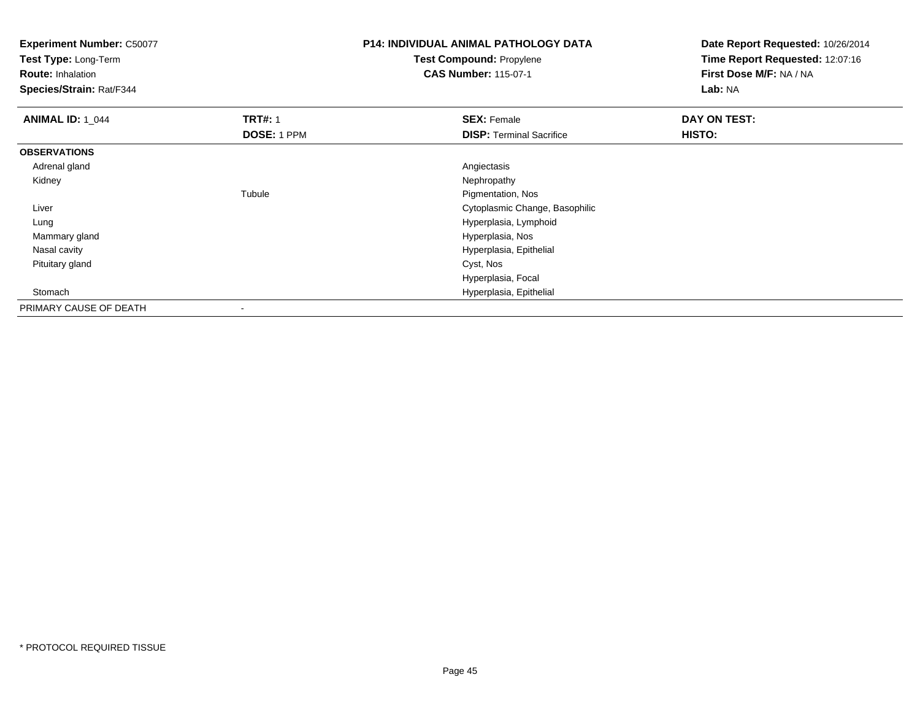**Experiment Number:** C50077**Test Type:** Long-Term**Route:** Inhalation **Species/Strain:** Rat/F344**P14: INDIVIDUAL ANIMAL PATHOLOGY DATATest Compound:** Propylene**CAS Number:** 115-07-1**Date Report Requested:** 10/26/2014**Time Report Requested:** 12:07:16**First Dose M/F:** NA / NA**Lab:** NA**ANIMAL ID: 1\_044 TRT#:** 1 **SEX:** Female **DAY ON TEST: DOSE:** 1 PPM**DISP:** Terminal Sacrifice **HISTO: OBSERVATIONS** Adrenal glandd and the contract of the contract of the contract of the contract of the contract of the contract of the contract of the contract of the contract of the contract of the contract of the contract of the contract of the cont Kidneyy the control of the control of the control of the control of the control of the control of the control of the control of the control of the control of the control of the control of the control of the control of the contro Tubule Pigmentation, Nos Liver Cytoplasmic Change, Basophilic Lung Hyperplasia, Lymphoid Mammary gland Hyperplasia, Nos Nasal cavity Hyperplasia, Epithelial Pituitary gland Cyst, Nos Hyperplasia, Focal Stomach Hyperplasia, Epithelial PRIMARY CAUSE OF DEATH-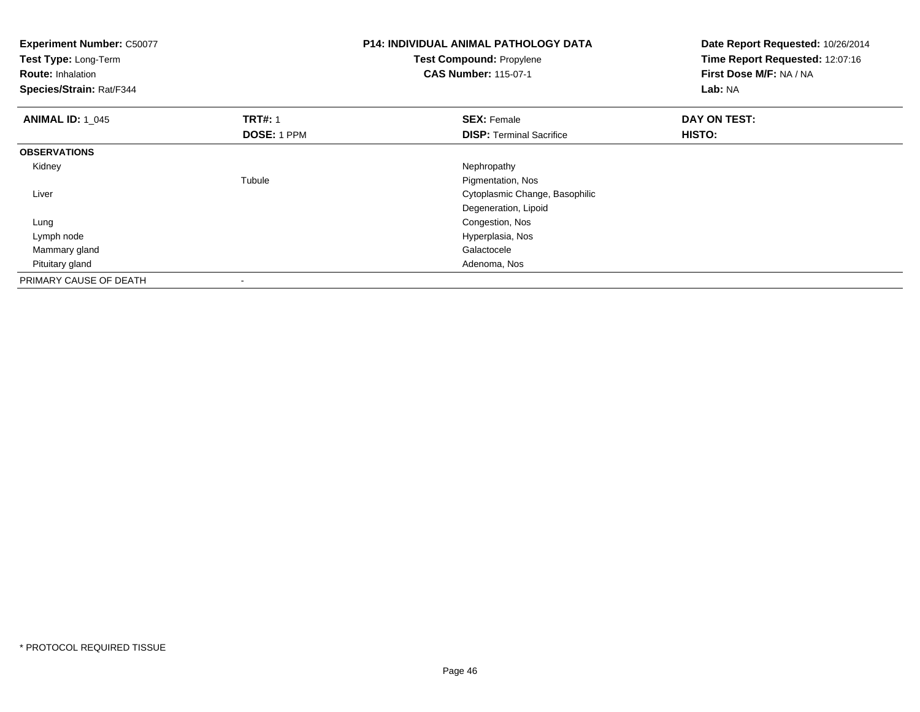| <b>Experiment Number: C50077</b><br>Test Type: Long-Term<br><b>Route: Inhalation</b><br>Species/Strain: Rat/F344 |                                      | <b>P14: INDIVIDUAL ANIMAL PATHOLOGY DATA</b><br>Test Compound: Propylene<br><b>CAS Number: 115-07-1</b> | Date Report Requested: 10/26/2014<br>Time Report Requested: 12:07:16<br>First Dose M/F: NA / NA<br>Lab: NA |
|------------------------------------------------------------------------------------------------------------------|--------------------------------------|---------------------------------------------------------------------------------------------------------|------------------------------------------------------------------------------------------------------------|
| <b>ANIMAL ID: 1_045</b>                                                                                          | <b>TRT#: 1</b><br><b>DOSE: 1 PPM</b> | <b>SEX: Female</b><br><b>DISP:</b> Terminal Sacrifice                                                   | DAY ON TEST:<br>HISTO:                                                                                     |
| <b>OBSERVATIONS</b>                                                                                              |                                      |                                                                                                         |                                                                                                            |
| Kidney                                                                                                           |                                      | Nephropathy                                                                                             |                                                                                                            |
|                                                                                                                  | Tubule                               | Pigmentation, Nos                                                                                       |                                                                                                            |
| Liver                                                                                                            |                                      | Cytoplasmic Change, Basophilic                                                                          |                                                                                                            |
|                                                                                                                  |                                      | Degeneration, Lipoid                                                                                    |                                                                                                            |
| Lung                                                                                                             |                                      | Congestion, Nos                                                                                         |                                                                                                            |
| Lymph node                                                                                                       |                                      | Hyperplasia, Nos                                                                                        |                                                                                                            |
| Mammary gland                                                                                                    |                                      | Galactocele                                                                                             |                                                                                                            |
| Pituitary gland                                                                                                  |                                      | Adenoma, Nos                                                                                            |                                                                                                            |
| PRIMARY CAUSE OF DEATH                                                                                           |                                      |                                                                                                         |                                                                                                            |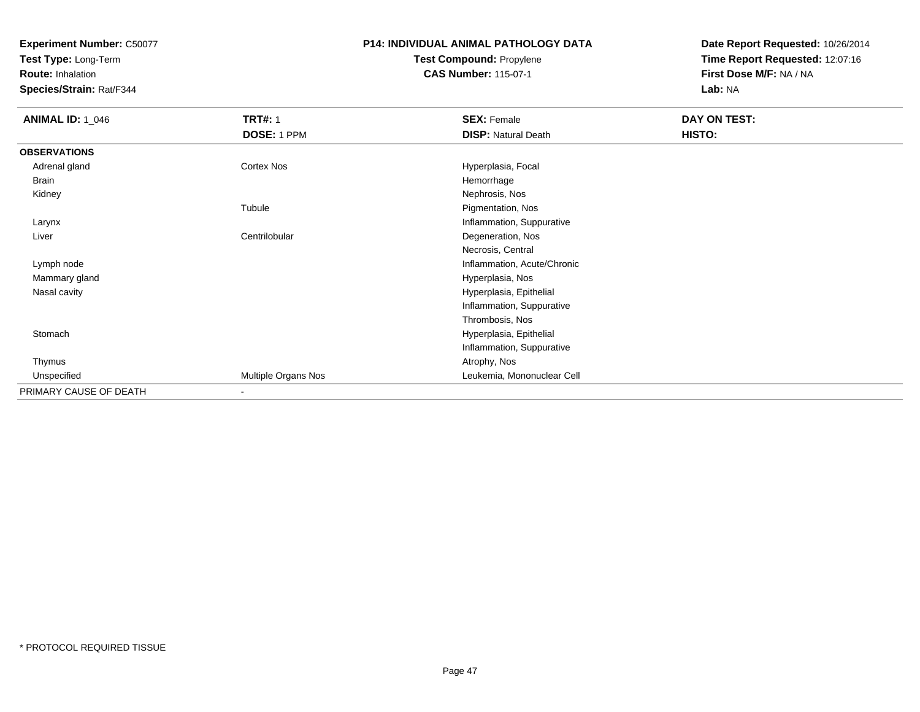**Test Type:** Long-Term

**Route:** Inhalation

**Species/Strain:** Rat/F344

#### **P14: INDIVIDUAL ANIMAL PATHOLOGY DATATest Compound:** Propylene

**CAS Number:** 115-07-1

| <b>ANIMAL ID: 1_046</b> | <b>TRT#: 1</b>      | <b>SEX: Female</b>          | DAY ON TEST: |  |
|-------------------------|---------------------|-----------------------------|--------------|--|
|                         | DOSE: 1 PPM         | <b>DISP: Natural Death</b>  | HISTO:       |  |
| <b>OBSERVATIONS</b>     |                     |                             |              |  |
| Adrenal gland           | Cortex Nos          | Hyperplasia, Focal          |              |  |
| Brain                   |                     | Hemorrhage                  |              |  |
| Kidney                  |                     | Nephrosis, Nos              |              |  |
|                         | Tubule              | Pigmentation, Nos           |              |  |
| Larynx                  |                     | Inflammation, Suppurative   |              |  |
| Liver                   | Centrilobular       | Degeneration, Nos           |              |  |
|                         |                     | Necrosis, Central           |              |  |
| Lymph node              |                     | Inflammation, Acute/Chronic |              |  |
| Mammary gland           |                     | Hyperplasia, Nos            |              |  |
| Nasal cavity            |                     | Hyperplasia, Epithelial     |              |  |
|                         |                     | Inflammation, Suppurative   |              |  |
|                         |                     | Thrombosis, Nos             |              |  |
| Stomach                 |                     | Hyperplasia, Epithelial     |              |  |
|                         |                     | Inflammation, Suppurative   |              |  |
| Thymus                  |                     | Atrophy, Nos                |              |  |
| Unspecified             | Multiple Organs Nos | Leukemia, Mononuclear Cell  |              |  |
| PRIMARY CAUSE OF DEATH  | ۰                   |                             |              |  |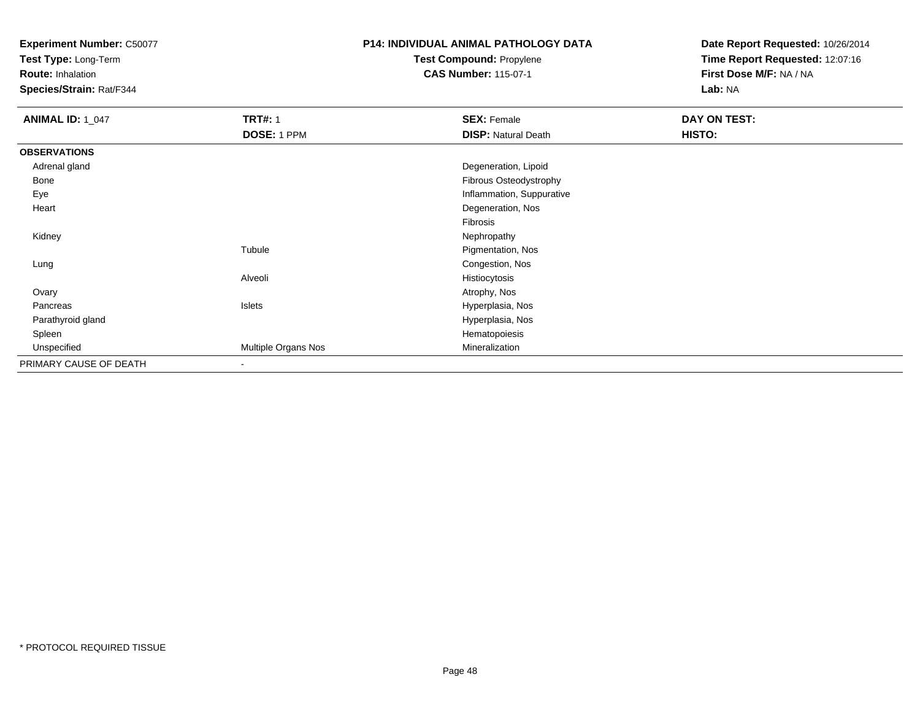**Test Type:** Long-Term

**Route:** Inhalation

**Species/Strain:** Rat/F344

# **P14: INDIVIDUAL ANIMAL PATHOLOGY DATA**

**Test Compound:** Propylene**CAS Number:** 115-07-1

| <b>ANIMAL ID: 1_047</b> | <b>TRT#: 1</b>           | <b>SEX: Female</b>         | DAY ON TEST: |
|-------------------------|--------------------------|----------------------------|--------------|
|                         | DOSE: 1 PPM              | <b>DISP: Natural Death</b> | HISTO:       |
| <b>OBSERVATIONS</b>     |                          |                            |              |
| Adrenal gland           |                          | Degeneration, Lipoid       |              |
| <b>Bone</b>             |                          | Fibrous Osteodystrophy     |              |
| Eye                     |                          | Inflammation, Suppurative  |              |
| Heart                   |                          | Degeneration, Nos          |              |
|                         |                          | Fibrosis                   |              |
| Kidney                  |                          | Nephropathy                |              |
|                         | Tubule                   | Pigmentation, Nos          |              |
| Lung                    |                          | Congestion, Nos            |              |
|                         | Alveoli                  | Histiocytosis              |              |
| Ovary                   |                          | Atrophy, Nos               |              |
| Pancreas                | Islets                   | Hyperplasia, Nos           |              |
| Parathyroid gland       |                          | Hyperplasia, Nos           |              |
| Spleen                  |                          | Hematopoiesis              |              |
| Unspecified             | Multiple Organs Nos      | Mineralization             |              |
| PRIMARY CAUSE OF DEATH  | $\overline{\phantom{a}}$ |                            |              |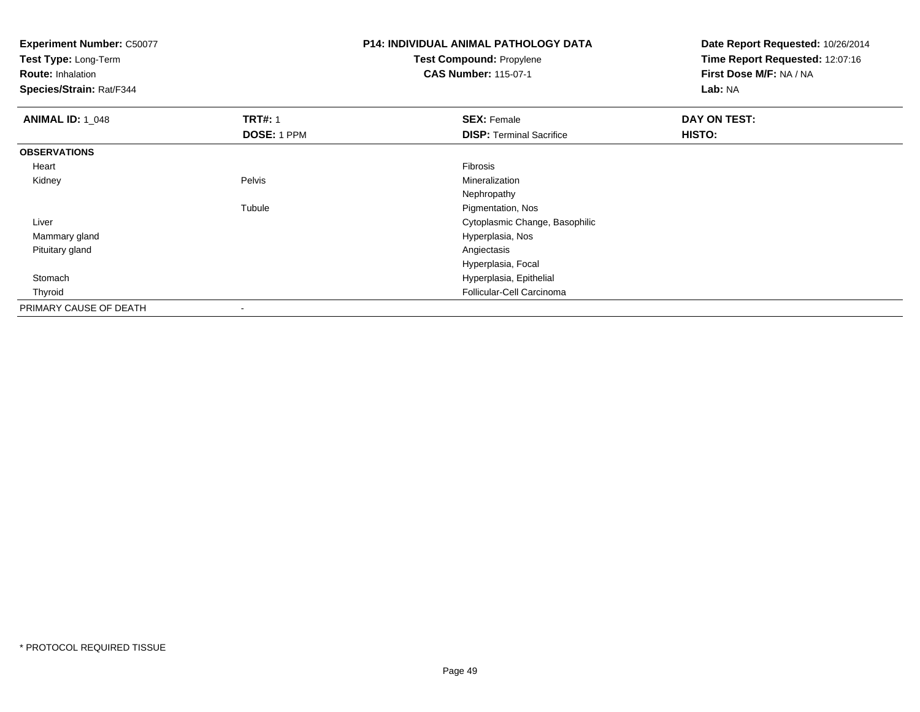**Experiment Number:** C50077**Test Type:** Long-Term**Route:** Inhalation **Species/Strain:** Rat/F344**P14: INDIVIDUAL ANIMAL PATHOLOGY DATATest Compound:** Propylene**CAS Number:** 115-07-1**Date Report Requested:** 10/26/2014**Time Report Requested:** 12:07:16**First Dose M/F:** NA / NA**Lab:** NA**ANIMAL ID: 1\_048 REX:** Female **DAY ON TEST: CONSIST: SEX:** Female **DAY ON TEST: DOSE:** 1 PPM**DISP:** Terminal Sacrifice **HISTO: OBSERVATIONS** Heartt de la constitución de la constitución de la constitución de la constitución de la constitución de la constitución Mineralization Kidneyy Pelvis Mineralization Nephropathye Pigmentation, Nos Tubule Liver Cytoplasmic Change, Basophilic Mammary gland Hyperplasia, Nos Pituitary glandd and the contract of the contract of the contract of the contract of the contract of the contract of the contract of the contract of the contract of the contract of the contract of the contract of the contract of the cont Hyperplasia, Focal Stomach Hyperplasia, Epithelial ThyroidFollicular-Cell Carcinoma

PRIMARY CAUSE OF DEATH-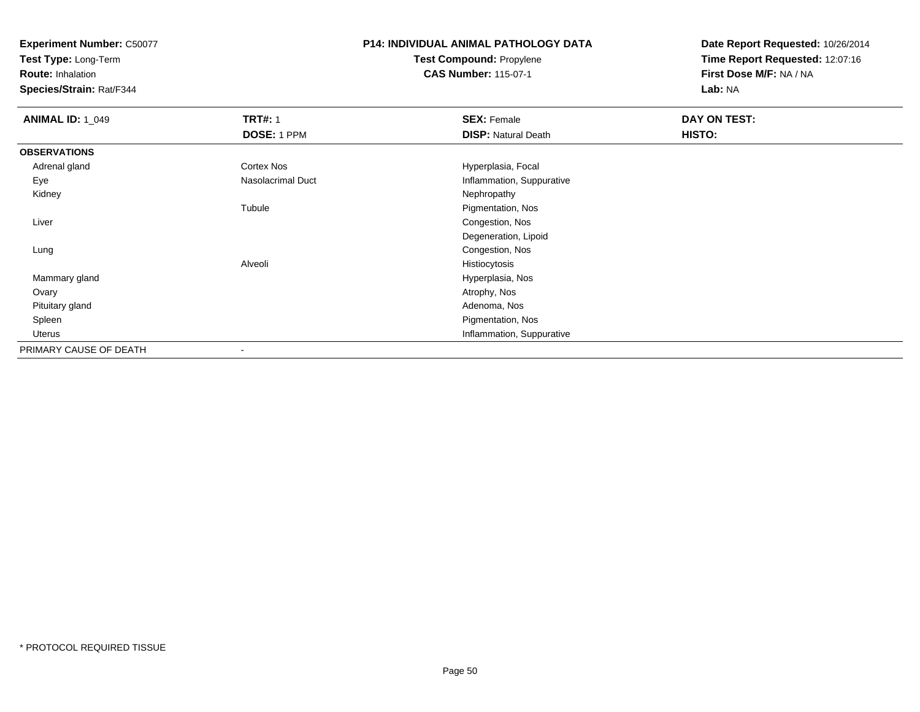**Test Type:** Long-Term

**Route:** Inhalation

**Species/Strain:** Rat/F344

# **P14: INDIVIDUAL ANIMAL PATHOLOGY DATATest Compound:** Propylene

**CAS Number:** 115-07-1

| <b>ANIMAL ID: 1_049</b> | <b>TRT#: 1</b>    | <b>SEX: Female</b>         | DAY ON TEST: |
|-------------------------|-------------------|----------------------------|--------------|
|                         | DOSE: 1 PPM       | <b>DISP: Natural Death</b> | HISTO:       |
| <b>OBSERVATIONS</b>     |                   |                            |              |
| Adrenal gland           | <b>Cortex Nos</b> | Hyperplasia, Focal         |              |
| Eye                     | Nasolacrimal Duct | Inflammation, Suppurative  |              |
| Kidney                  |                   | Nephropathy                |              |
|                         | Tubule            | Pigmentation, Nos          |              |
| Liver                   |                   | Congestion, Nos            |              |
|                         |                   | Degeneration, Lipoid       |              |
| Lung                    |                   | Congestion, Nos            |              |
|                         | Alveoli           | Histiocytosis              |              |
| Mammary gland           |                   | Hyperplasia, Nos           |              |
| Ovary                   |                   | Atrophy, Nos               |              |
| Pituitary gland         |                   | Adenoma, Nos               |              |
| Spleen                  |                   | Pigmentation, Nos          |              |
| Uterus                  |                   | Inflammation, Suppurative  |              |
| PRIMARY CAUSE OF DEATH  |                   |                            |              |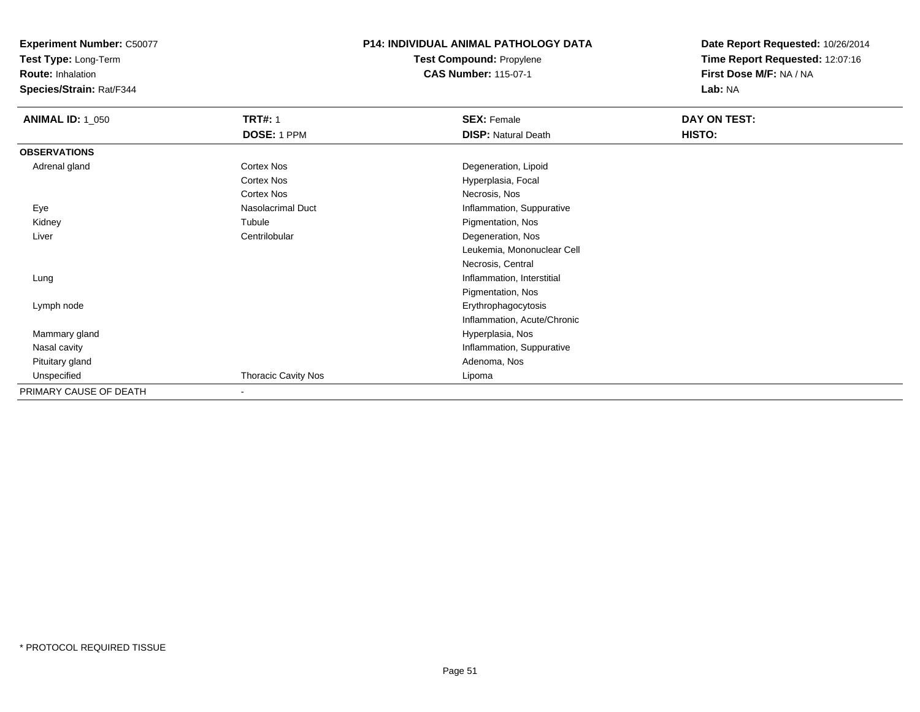**Test Type:** Long-Term

**Route:** Inhalation

**Species/Strain:** Rat/F344

#### **P14: INDIVIDUAL ANIMAL PATHOLOGY DATATest Compound:** Propylene

**CAS Number:** 115-07-1

| <b>ANIMAL ID: 1_050</b> | <b>TRT#: 1</b>             | <b>SEX: Female</b>          | DAY ON TEST: |
|-------------------------|----------------------------|-----------------------------|--------------|
|                         | DOSE: 1 PPM                | <b>DISP: Natural Death</b>  | HISTO:       |
| <b>OBSERVATIONS</b>     |                            |                             |              |
| Adrenal gland           | Cortex Nos                 | Degeneration, Lipoid        |              |
|                         | Cortex Nos                 | Hyperplasia, Focal          |              |
|                         | Cortex Nos                 | Necrosis, Nos               |              |
| Eye                     | <b>Nasolacrimal Duct</b>   | Inflammation, Suppurative   |              |
| Kidney                  | Tubule                     | Pigmentation, Nos           |              |
| Liver                   | Centrilobular              | Degeneration, Nos           |              |
|                         |                            | Leukemia, Mononuclear Cell  |              |
|                         |                            | Necrosis, Central           |              |
| Lung                    |                            | Inflammation, Interstitial  |              |
|                         |                            | Pigmentation, Nos           |              |
| Lymph node              |                            | Erythrophagocytosis         |              |
|                         |                            | Inflammation, Acute/Chronic |              |
| Mammary gland           |                            | Hyperplasia, Nos            |              |
| Nasal cavity            |                            | Inflammation, Suppurative   |              |
| Pituitary gland         |                            | Adenoma, Nos                |              |
| Unspecified             | <b>Thoracic Cavity Nos</b> | Lipoma                      |              |
| PRIMARY CAUSE OF DEATH  | ۰                          |                             |              |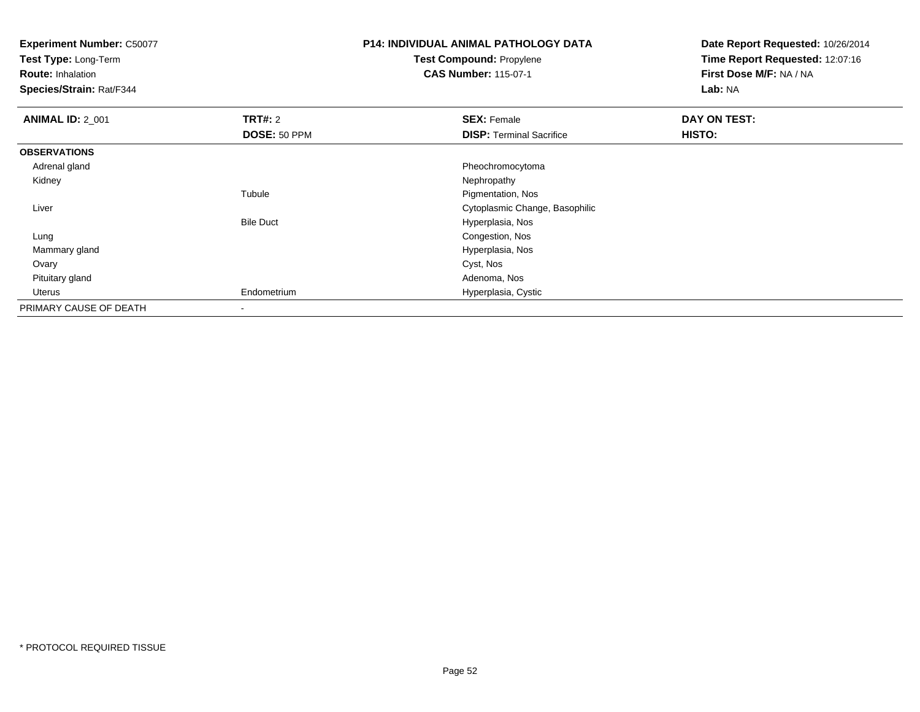**Test Type:** Long-Term

**Route:** Inhalation

**Species/Strain:** Rat/F344

# **P14: INDIVIDUAL ANIMAL PATHOLOGY DATATest Compound:** Propylene

**CAS Number:** 115-07-1

| <b>ANIMAL ID: 2 001</b> | TRT#: 2          | <b>SEX: Female</b>              | DAY ON TEST: |  |
|-------------------------|------------------|---------------------------------|--------------|--|
|                         | DOSE: 50 PPM     | <b>DISP: Terminal Sacrifice</b> | HISTO:       |  |
| <b>OBSERVATIONS</b>     |                  |                                 |              |  |
| Adrenal gland           |                  | Pheochromocytoma                |              |  |
| Kidney                  |                  | Nephropathy                     |              |  |
|                         | Tubule           | Pigmentation, Nos               |              |  |
| Liver                   |                  | Cytoplasmic Change, Basophilic  |              |  |
|                         | <b>Bile Duct</b> | Hyperplasia, Nos                |              |  |
| Lung                    |                  | Congestion, Nos                 |              |  |
| Mammary gland           |                  | Hyperplasia, Nos                |              |  |
| Ovary                   |                  | Cyst, Nos                       |              |  |
| Pituitary gland         |                  | Adenoma, Nos                    |              |  |
| Uterus                  | Endometrium      | Hyperplasia, Cystic             |              |  |
| PRIMARY CAUSE OF DEATH  | ۰                |                                 |              |  |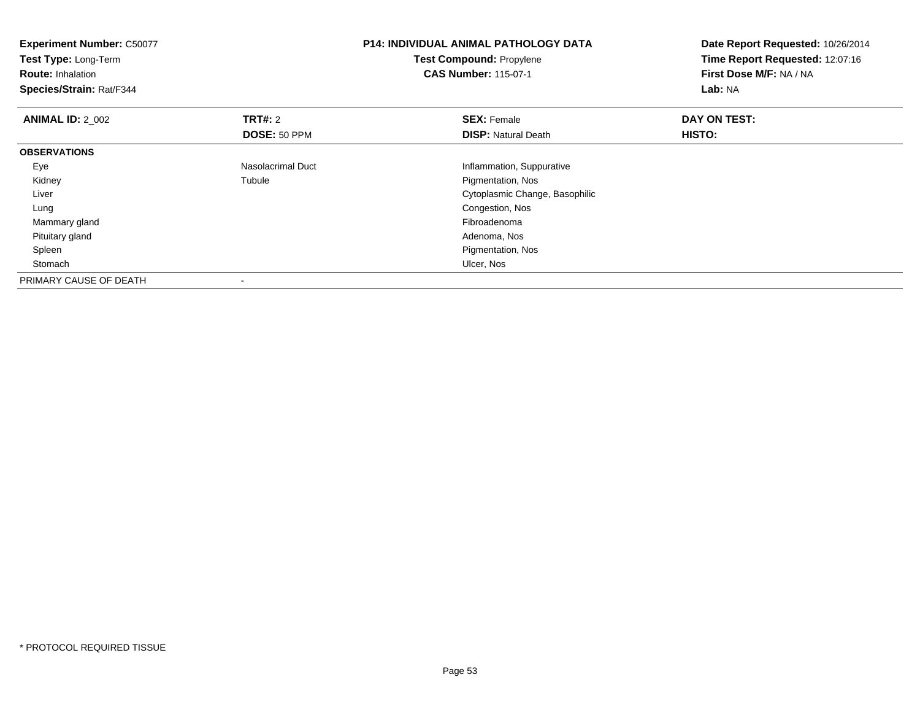| <b>Experiment Number: C50077</b><br>Test Type: Long-Term<br><b>Route: Inhalation</b><br>Species/Strain: Rat/F344 |                   | <b>P14: INDIVIDUAL ANIMAL PATHOLOGY DATA</b><br>Test Compound: Propylene<br><b>CAS Number: 115-07-1</b> | Date Report Requested: 10/26/2014<br>Time Report Requested: 12:07:16<br>First Dose M/F: NA / NA<br>Lab: NA |
|------------------------------------------------------------------------------------------------------------------|-------------------|---------------------------------------------------------------------------------------------------------|------------------------------------------------------------------------------------------------------------|
| <b>ANIMAL ID: 2 002</b>                                                                                          | <b>TRT#: 2</b>    | <b>SEX: Female</b>                                                                                      | DAY ON TEST:                                                                                               |
|                                                                                                                  | DOSE: 50 PPM      | <b>DISP: Natural Death</b>                                                                              | <b>HISTO:</b>                                                                                              |
| <b>OBSERVATIONS</b>                                                                                              |                   |                                                                                                         |                                                                                                            |
| Eye                                                                                                              | Nasolacrimal Duct | Inflammation, Suppurative                                                                               |                                                                                                            |
| Kidney                                                                                                           | Tubule            | Pigmentation, Nos                                                                                       |                                                                                                            |
| Liver                                                                                                            |                   | Cytoplasmic Change, Basophilic                                                                          |                                                                                                            |
| Lung                                                                                                             |                   | Congestion, Nos                                                                                         |                                                                                                            |
| Mammary gland                                                                                                    |                   | Fibroadenoma                                                                                            |                                                                                                            |
| Pituitary gland                                                                                                  |                   | Adenoma, Nos                                                                                            |                                                                                                            |
| Spleen                                                                                                           |                   | Pigmentation, Nos                                                                                       |                                                                                                            |
| Stomach                                                                                                          |                   | Ulcer, Nos                                                                                              |                                                                                                            |
| PRIMARY CAUSE OF DEATH                                                                                           | $\,$              |                                                                                                         |                                                                                                            |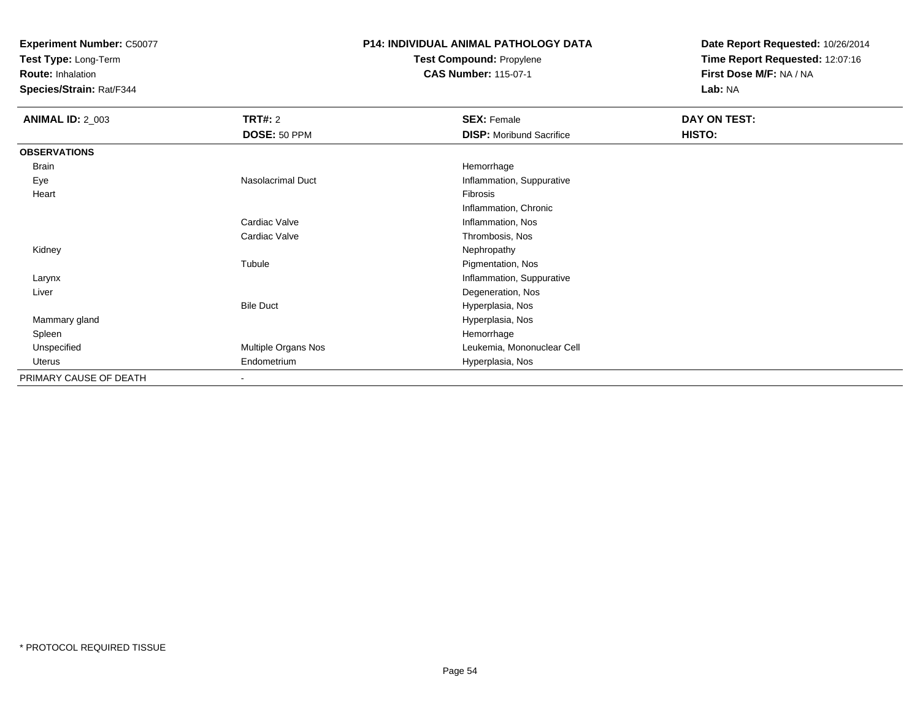**Test Type:** Long-Term

**Route:** Inhalation

**Species/Strain:** Rat/F344

# **P14: INDIVIDUAL ANIMAL PATHOLOGY DATATest Compound:** Propylene

**CAS Number:** 115-07-1

| <b>ANIMAL ID: 2_003</b> | <b>TRT#: 2</b>           | <b>SEX: Female</b>              | DAY ON TEST: |
|-------------------------|--------------------------|---------------------------------|--------------|
|                         | DOSE: 50 PPM             | <b>DISP:</b> Moribund Sacrifice | HISTO:       |
| <b>OBSERVATIONS</b>     |                          |                                 |              |
| <b>Brain</b>            |                          | Hemorrhage                      |              |
| Eye                     | Nasolacrimal Duct        | Inflammation, Suppurative       |              |
| Heart                   |                          | Fibrosis                        |              |
|                         |                          | Inflammation, Chronic           |              |
|                         | Cardiac Valve            | Inflammation, Nos               |              |
|                         | Cardiac Valve            | Thrombosis, Nos                 |              |
| Kidney                  |                          | Nephropathy                     |              |
|                         | Tubule                   | Pigmentation, Nos               |              |
| Larynx                  |                          | Inflammation, Suppurative       |              |
| Liver                   |                          | Degeneration, Nos               |              |
|                         | <b>Bile Duct</b>         | Hyperplasia, Nos                |              |
| Mammary gland           |                          | Hyperplasia, Nos                |              |
| Spleen                  |                          | Hemorrhage                      |              |
| Unspecified             | Multiple Organs Nos      | Leukemia, Mononuclear Cell      |              |
| Uterus                  | Endometrium              | Hyperplasia, Nos                |              |
| PRIMARY CAUSE OF DEATH  | $\overline{\phantom{a}}$ |                                 |              |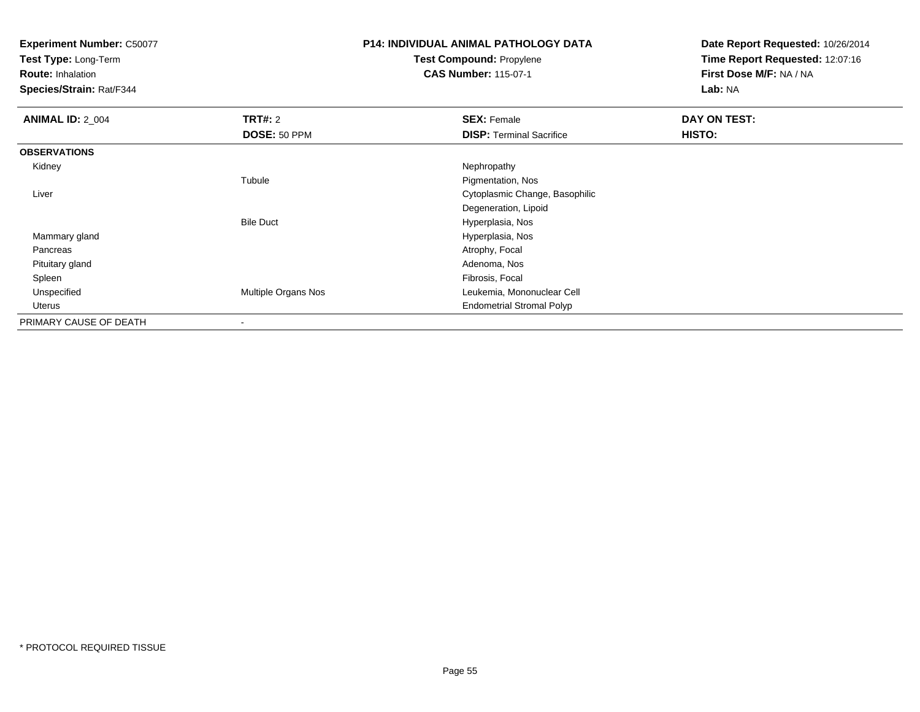**Test Type:** Long-Term

**Route:** Inhalation

**Species/Strain:** Rat/F344

# **P14: INDIVIDUAL ANIMAL PATHOLOGY DATATest Compound:** Propylene

**CAS Number:** 115-07-1

| <b>ANIMAL ID: 2_004</b> | <b>TRT#: 2</b>           | <b>SEX: Female</b>               | DAY ON TEST: |
|-------------------------|--------------------------|----------------------------------|--------------|
|                         | DOSE: 50 PPM             | <b>DISP: Terminal Sacrifice</b>  | HISTO:       |
| <b>OBSERVATIONS</b>     |                          |                                  |              |
| Kidney                  |                          | Nephropathy                      |              |
|                         | Tubule                   | Pigmentation, Nos                |              |
| Liver                   |                          | Cytoplasmic Change, Basophilic   |              |
|                         |                          | Degeneration, Lipoid             |              |
|                         | <b>Bile Duct</b>         | Hyperplasia, Nos                 |              |
| Mammary gland           |                          | Hyperplasia, Nos                 |              |
| Pancreas                |                          | Atrophy, Focal                   |              |
| Pituitary gland         |                          | Adenoma, Nos                     |              |
| Spleen                  |                          | Fibrosis, Focal                  |              |
| Unspecified             | Multiple Organs Nos      | Leukemia, Mononuclear Cell       |              |
| Uterus                  |                          | <b>Endometrial Stromal Polyp</b> |              |
| PRIMARY CAUSE OF DEATH  | $\overline{\phantom{a}}$ |                                  |              |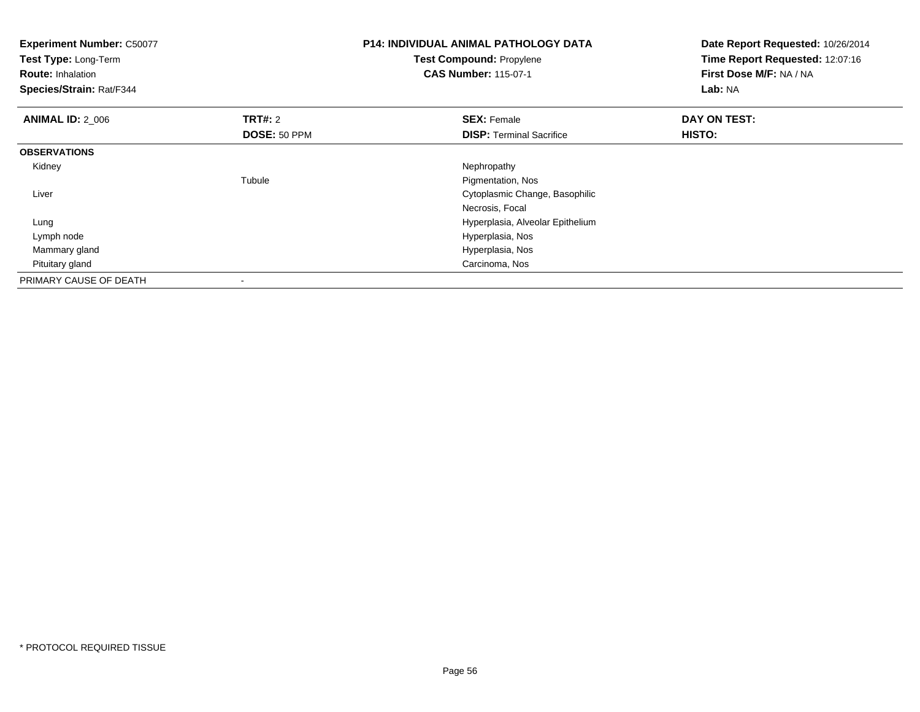| <b>Experiment Number: C50077</b><br>Test Type: Long-Term<br><b>Route: Inhalation</b><br>Species/Strain: Rat/F344 |                | <b>P14: INDIVIDUAL ANIMAL PATHOLOGY DATA</b><br>Test Compound: Propylene<br><b>CAS Number: 115-07-1</b> | Date Report Requested: 10/26/2014<br>Time Report Requested: 12:07:16<br>First Dose M/F: NA / NA<br><b>Lab: NA</b> |
|------------------------------------------------------------------------------------------------------------------|----------------|---------------------------------------------------------------------------------------------------------|-------------------------------------------------------------------------------------------------------------------|
| <b>ANIMAL ID: 2 006</b>                                                                                          | <b>TRT#: 2</b> | <b>SEX: Female</b>                                                                                      | DAY ON TEST:                                                                                                      |
|                                                                                                                  | DOSE: 50 PPM   | <b>DISP:</b> Terminal Sacrifice                                                                         | HISTO:                                                                                                            |
| <b>OBSERVATIONS</b>                                                                                              |                |                                                                                                         |                                                                                                                   |
| Kidney                                                                                                           |                | Nephropathy                                                                                             |                                                                                                                   |
|                                                                                                                  | Tubule         | Pigmentation, Nos                                                                                       |                                                                                                                   |
| Liver                                                                                                            |                | Cytoplasmic Change, Basophilic                                                                          |                                                                                                                   |
|                                                                                                                  |                | Necrosis, Focal                                                                                         |                                                                                                                   |
| Lung                                                                                                             |                | Hyperplasia, Alveolar Epithelium                                                                        |                                                                                                                   |
| Lymph node                                                                                                       |                | Hyperplasia, Nos                                                                                        |                                                                                                                   |
| Mammary gland                                                                                                    |                | Hyperplasia, Nos                                                                                        |                                                                                                                   |
| Pituitary gland                                                                                                  |                | Carcinoma, Nos                                                                                          |                                                                                                                   |
| PRIMARY CAUSE OF DEATH                                                                                           |                |                                                                                                         |                                                                                                                   |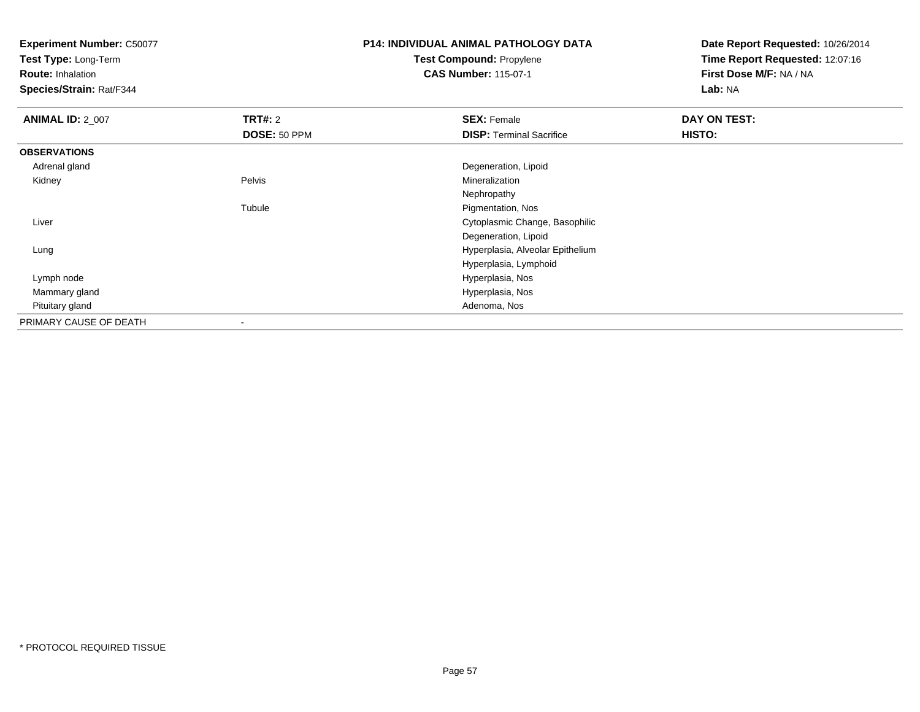**Test Type:** Long-Term

**Route:** Inhalation

**Species/Strain:** Rat/F344

# **P14: INDIVIDUAL ANIMAL PATHOLOGY DATATest Compound:** Propylene

**CAS Number:** 115-07-1

| <b>ANIMAL ID: 2_007</b> | <b>TRT#: 2</b> | <b>SEX: Female</b>               | DAY ON TEST: |  |
|-------------------------|----------------|----------------------------------|--------------|--|
|                         | DOSE: 50 PPM   | <b>DISP: Terminal Sacrifice</b>  | HISTO:       |  |
| <b>OBSERVATIONS</b>     |                |                                  |              |  |
| Adrenal gland           |                | Degeneration, Lipoid             |              |  |
| Kidney                  | Pelvis         | Mineralization                   |              |  |
|                         |                | Nephropathy                      |              |  |
|                         | Tubule         | Pigmentation, Nos                |              |  |
| Liver                   |                | Cytoplasmic Change, Basophilic   |              |  |
|                         |                | Degeneration, Lipoid             |              |  |
| Lung                    |                | Hyperplasia, Alveolar Epithelium |              |  |
|                         |                | Hyperplasia, Lymphoid            |              |  |
| Lymph node              |                | Hyperplasia, Nos                 |              |  |
| Mammary gland           |                | Hyperplasia, Nos                 |              |  |
| Pituitary gland         |                | Adenoma, Nos                     |              |  |
| PRIMARY CAUSE OF DEATH  | $\blacksquare$ |                                  |              |  |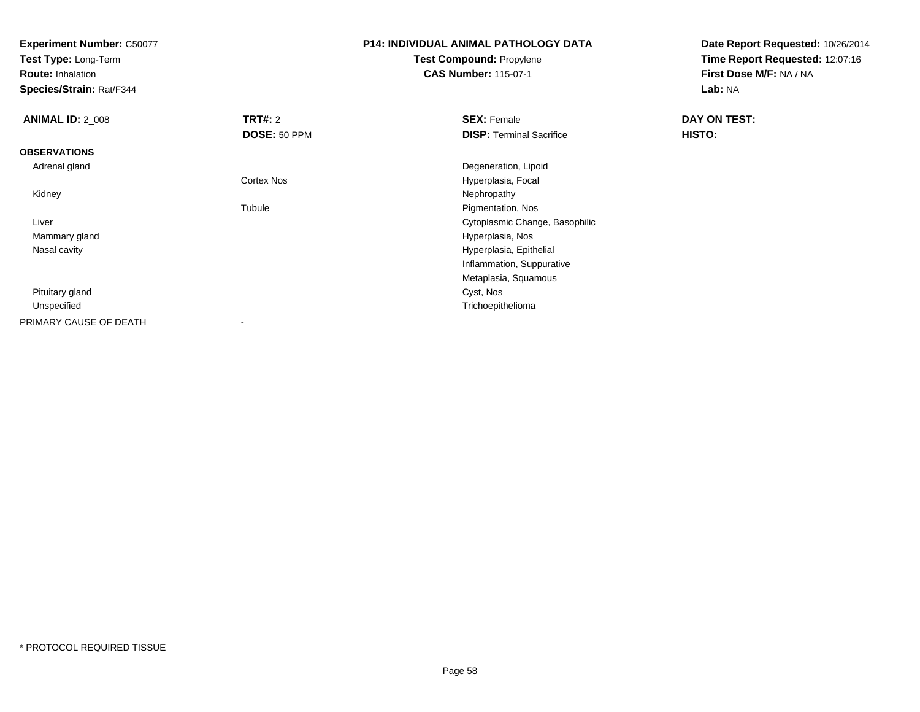**Test Type:** Long-Term

**Route:** Inhalation

**Species/Strain:** Rat/F344

# **P14: INDIVIDUAL ANIMAL PATHOLOGY DATATest Compound:** Propylene

**CAS Number:** 115-07-1

| <b>ANIMAL ID: 2_008</b> | <b>TRT#: 2</b>    | <b>SEX: Female</b>              | DAY ON TEST: |  |
|-------------------------|-------------------|---------------------------------|--------------|--|
|                         | DOSE: 50 PPM      | <b>DISP: Terminal Sacrifice</b> | HISTO:       |  |
| <b>OBSERVATIONS</b>     |                   |                                 |              |  |
| Adrenal gland           |                   | Degeneration, Lipoid            |              |  |
|                         | <b>Cortex Nos</b> | Hyperplasia, Focal              |              |  |
| Kidney                  |                   | Nephropathy                     |              |  |
|                         | Tubule            | Pigmentation, Nos               |              |  |
| Liver                   |                   | Cytoplasmic Change, Basophilic  |              |  |
| Mammary gland           |                   | Hyperplasia, Nos                |              |  |
| Nasal cavity            |                   | Hyperplasia, Epithelial         |              |  |
|                         |                   | Inflammation, Suppurative       |              |  |
|                         |                   | Metaplasia, Squamous            |              |  |
| Pituitary gland         |                   | Cyst, Nos                       |              |  |
| Unspecified             |                   | Trichoepithelioma               |              |  |
| PRIMARY CAUSE OF DEATH  |                   |                                 |              |  |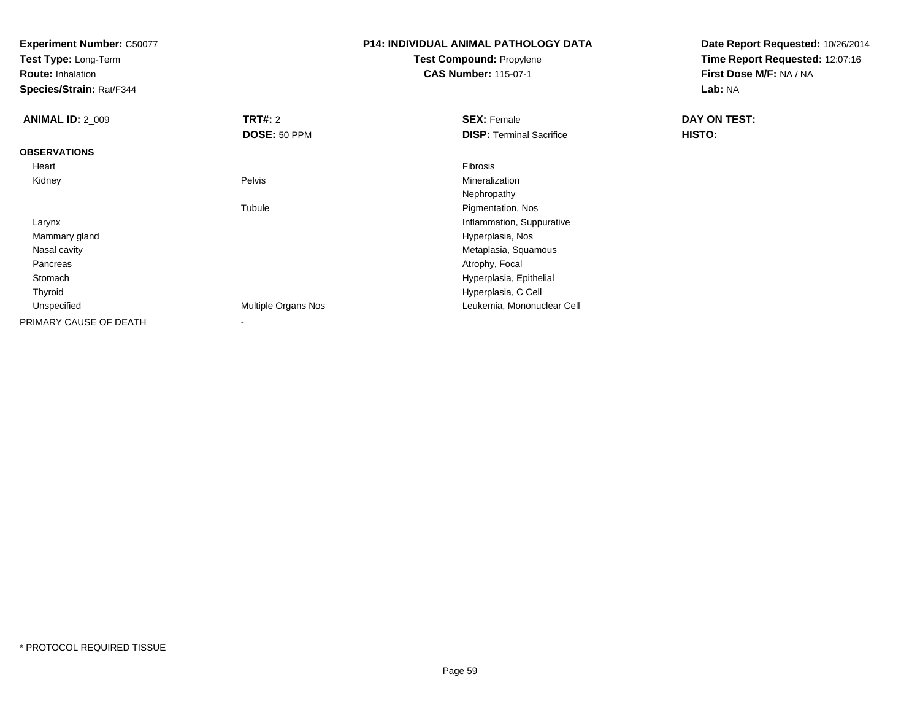**Test Type:** Long-Term

**Route:** Inhalation

**Species/Strain:** Rat/F344

# **P14: INDIVIDUAL ANIMAL PATHOLOGY DATATest Compound:** Propylene

**CAS Number:** 115-07-1

| <b>ANIMAL ID: 2 009</b> | TRT#: 2             | <b>SEX: Female</b>              | DAY ON TEST: |  |
|-------------------------|---------------------|---------------------------------|--------------|--|
|                         | DOSE: 50 PPM        | <b>DISP:</b> Terminal Sacrifice | HISTO:       |  |
| <b>OBSERVATIONS</b>     |                     |                                 |              |  |
| Heart                   |                     | Fibrosis                        |              |  |
| Kidney                  | Pelvis              | Mineralization                  |              |  |
|                         |                     | Nephropathy                     |              |  |
|                         | Tubule              | Pigmentation, Nos               |              |  |
| Larynx                  |                     | Inflammation, Suppurative       |              |  |
| Mammary gland           |                     | Hyperplasia, Nos                |              |  |
| Nasal cavity            |                     | Metaplasia, Squamous            |              |  |
| Pancreas                |                     | Atrophy, Focal                  |              |  |
| Stomach                 |                     | Hyperplasia, Epithelial         |              |  |
| Thyroid                 |                     | Hyperplasia, C Cell             |              |  |
| Unspecified             | Multiple Organs Nos | Leukemia, Mononuclear Cell      |              |  |
| PRIMARY CAUSE OF DEATH  | $\,$                |                                 |              |  |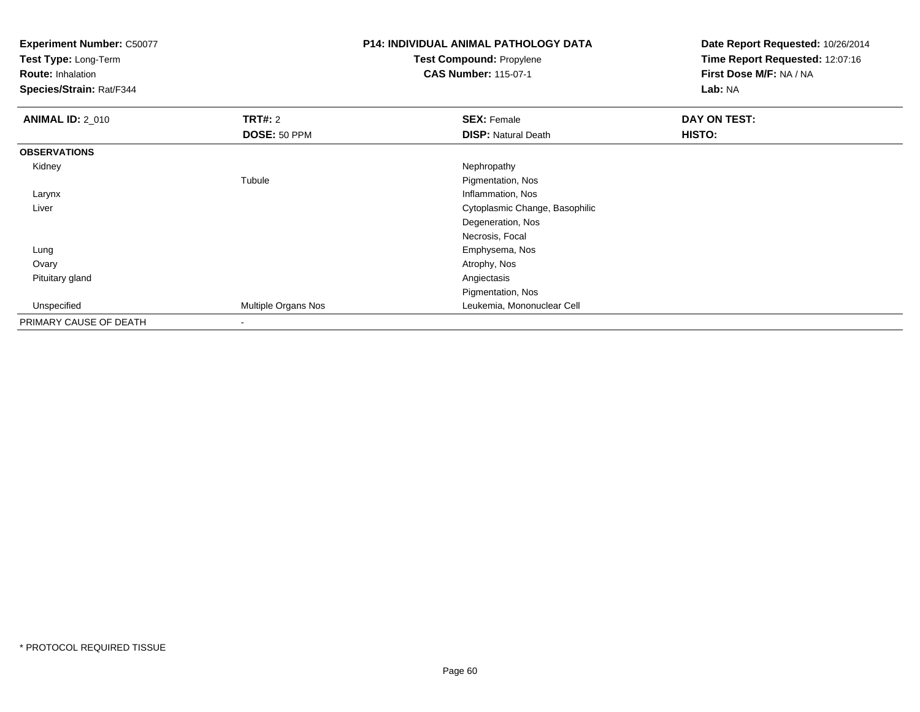**Test Type:** Long-Term

**Route:** Inhalation

**Species/Strain:** Rat/F344

# **P14: INDIVIDUAL ANIMAL PATHOLOGY DATATest Compound:** Propylene

**CAS Number:** 115-07-1

| <b>ANIMAL ID: 2_010</b> | <b>TRT#: 2</b>      | <b>SEX: Female</b>             | DAY ON TEST: |
|-------------------------|---------------------|--------------------------------|--------------|
|                         | DOSE: 50 PPM        | <b>DISP: Natural Death</b>     | HISTO:       |
| <b>OBSERVATIONS</b>     |                     |                                |              |
| Kidney                  |                     | Nephropathy                    |              |
|                         | Tubule              | Pigmentation, Nos              |              |
| Larynx                  |                     | Inflammation, Nos              |              |
| Liver                   |                     | Cytoplasmic Change, Basophilic |              |
|                         |                     | Degeneration, Nos              |              |
|                         |                     | Necrosis, Focal                |              |
| Lung                    |                     | Emphysema, Nos                 |              |
| Ovary                   |                     | Atrophy, Nos                   |              |
| Pituitary gland         |                     | Angiectasis                    |              |
|                         |                     | Pigmentation, Nos              |              |
| Unspecified             | Multiple Organs Nos | Leukemia, Mononuclear Cell     |              |
| PRIMARY CAUSE OF DEATH  | $\blacksquare$      |                                |              |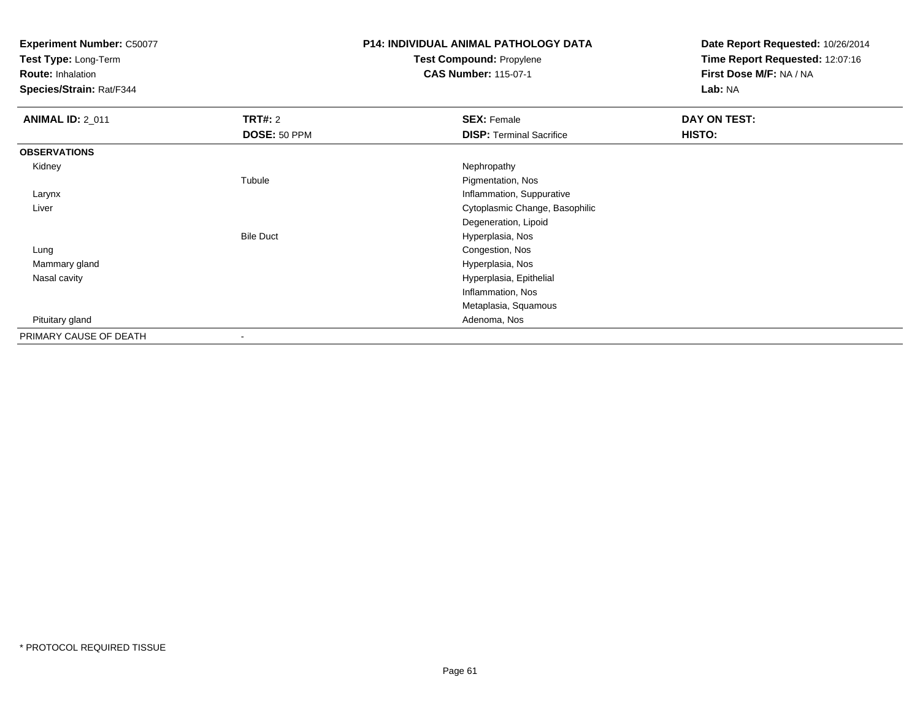**Test Type:** Long-Term

**Route:** Inhalation

**Species/Strain:** Rat/F344

# **P14: INDIVIDUAL ANIMAL PATHOLOGY DATATest Compound:** Propylene

**CAS Number:** 115-07-1

| <b>ANIMAL ID: 2_011</b> | <b>TRT#: 2</b>   | <b>SEX: Female</b>              | DAY ON TEST: |
|-------------------------|------------------|---------------------------------|--------------|
|                         | DOSE: 50 PPM     | <b>DISP: Terminal Sacrifice</b> | HISTO:       |
| <b>OBSERVATIONS</b>     |                  |                                 |              |
| Kidney                  |                  | Nephropathy                     |              |
|                         | Tubule           | Pigmentation, Nos               |              |
| Larynx                  |                  | Inflammation, Suppurative       |              |
| Liver                   |                  | Cytoplasmic Change, Basophilic  |              |
|                         |                  | Degeneration, Lipoid            |              |
|                         | <b>Bile Duct</b> | Hyperplasia, Nos                |              |
| Lung                    |                  | Congestion, Nos                 |              |
| Mammary gland           |                  | Hyperplasia, Nos                |              |
| Nasal cavity            |                  | Hyperplasia, Epithelial         |              |
|                         |                  | Inflammation, Nos               |              |
|                         |                  | Metaplasia, Squamous            |              |
| Pituitary gland         |                  | Adenoma, Nos                    |              |
| PRIMARY CAUSE OF DEATH  |                  |                                 |              |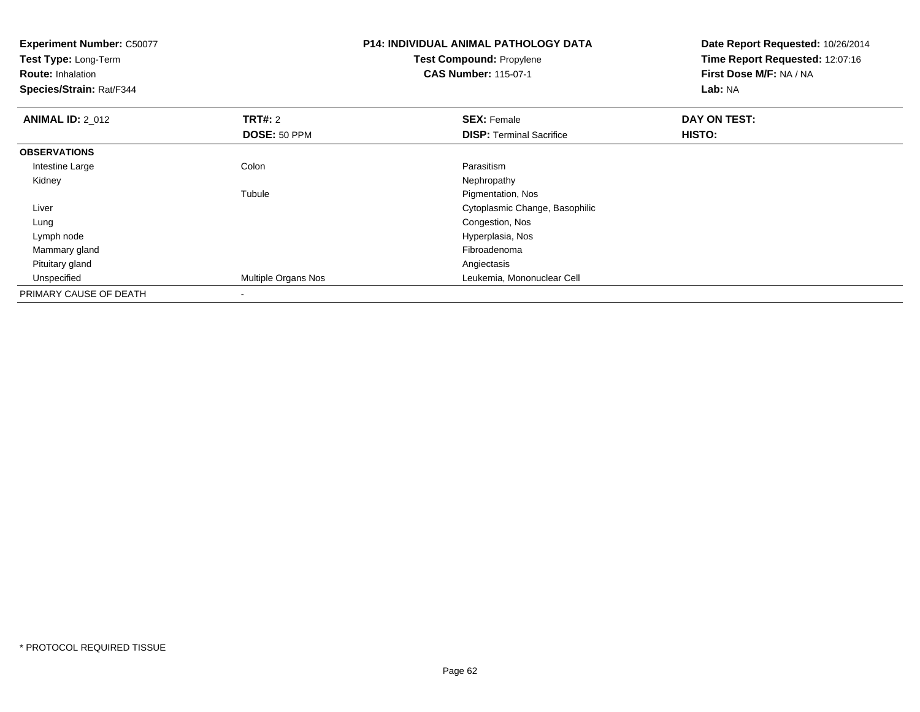| <b>Experiment Number: C50077</b><br>Test Type: Long-Term<br><b>Route: Inhalation</b><br>Species/Strain: Rat/F344 |                     | <b>P14: INDIVIDUAL ANIMAL PATHOLOGY DATA</b><br><b>Test Compound: Propylene</b><br><b>CAS Number: 115-07-1</b> | Date Report Requested: 10/26/2014<br>Time Report Requested: 12:07:16<br>First Dose M/F: NA / NA<br>Lab: NA |
|------------------------------------------------------------------------------------------------------------------|---------------------|----------------------------------------------------------------------------------------------------------------|------------------------------------------------------------------------------------------------------------|
| <b>ANIMAL ID: 2_012</b>                                                                                          | <b>TRT#: 2</b>      | <b>SEX: Female</b>                                                                                             | DAY ON TEST:                                                                                               |
|                                                                                                                  | DOSE: 50 PPM        | <b>DISP: Terminal Sacrifice</b>                                                                                | HISTO:                                                                                                     |
| <b>OBSERVATIONS</b>                                                                                              |                     |                                                                                                                |                                                                                                            |
| Intestine Large                                                                                                  | Colon               | Parasitism                                                                                                     |                                                                                                            |
| Kidney                                                                                                           |                     | Nephropathy                                                                                                    |                                                                                                            |
|                                                                                                                  | Tubule              | Pigmentation, Nos                                                                                              |                                                                                                            |
| Liver                                                                                                            |                     | Cytoplasmic Change, Basophilic                                                                                 |                                                                                                            |
| Lung                                                                                                             |                     | Congestion, Nos                                                                                                |                                                                                                            |
| Lymph node                                                                                                       |                     | Hyperplasia, Nos                                                                                               |                                                                                                            |
| Mammary gland                                                                                                    |                     | Fibroadenoma                                                                                                   |                                                                                                            |
| Pituitary gland                                                                                                  |                     | Angiectasis                                                                                                    |                                                                                                            |
| Unspecified                                                                                                      | Multiple Organs Nos | Leukemia, Mononuclear Cell                                                                                     |                                                                                                            |
| PRIMARY CAUSE OF DEATH                                                                                           |                     |                                                                                                                |                                                                                                            |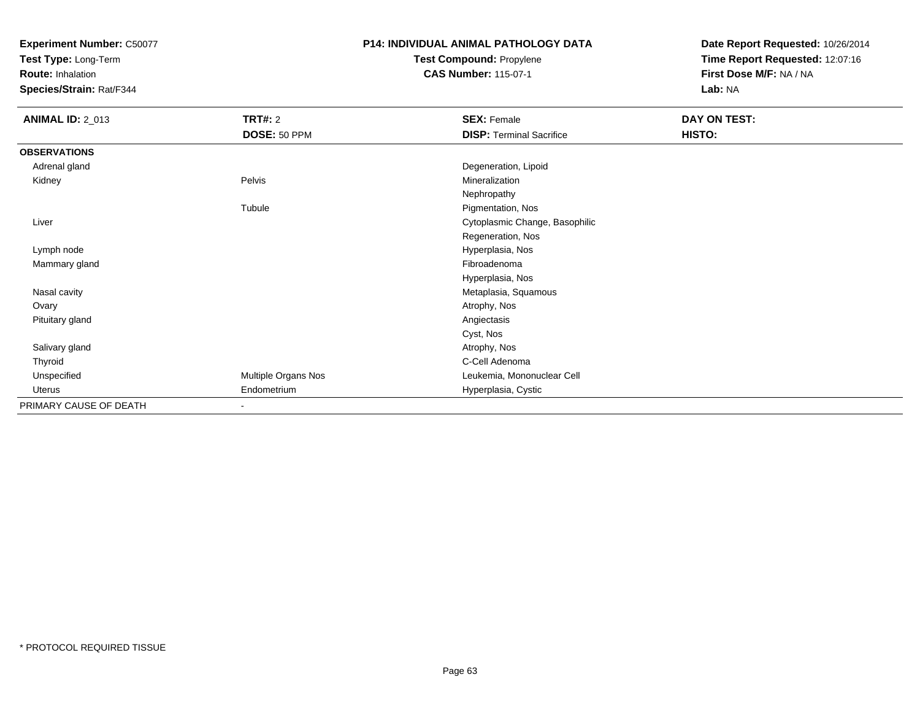**Test Type:** Long-Term

**Route:** Inhalation

**Species/Strain:** Rat/F344

#### **P14: INDIVIDUAL ANIMAL PATHOLOGY DATATest Compound:** Propylene

**CAS Number:** 115-07-1

| <b>ANIMAL ID: 2_013</b> | <b>TRT#: 2</b>           | <b>SEX: Female</b>              | DAY ON TEST: |  |
|-------------------------|--------------------------|---------------------------------|--------------|--|
|                         | DOSE: 50 PPM             | <b>DISP: Terminal Sacrifice</b> | HISTO:       |  |
| <b>OBSERVATIONS</b>     |                          |                                 |              |  |
| Adrenal gland           |                          | Degeneration, Lipoid            |              |  |
| Kidney                  | Pelvis                   | Mineralization                  |              |  |
|                         |                          | Nephropathy                     |              |  |
|                         | Tubule                   | Pigmentation, Nos               |              |  |
| Liver                   |                          | Cytoplasmic Change, Basophilic  |              |  |
|                         |                          | Regeneration, Nos               |              |  |
| Lymph node              |                          | Hyperplasia, Nos                |              |  |
| Mammary gland           |                          | Fibroadenoma                    |              |  |
|                         |                          | Hyperplasia, Nos                |              |  |
| Nasal cavity            |                          | Metaplasia, Squamous            |              |  |
| Ovary                   |                          | Atrophy, Nos                    |              |  |
| Pituitary gland         |                          | Angiectasis                     |              |  |
|                         |                          | Cyst, Nos                       |              |  |
| Salivary gland          |                          | Atrophy, Nos                    |              |  |
| Thyroid                 |                          | C-Cell Adenoma                  |              |  |
| Unspecified             | Multiple Organs Nos      | Leukemia, Mononuclear Cell      |              |  |
| Uterus                  | Endometrium              | Hyperplasia, Cystic             |              |  |
| PRIMARY CAUSE OF DEATH  | $\overline{\phantom{a}}$ |                                 |              |  |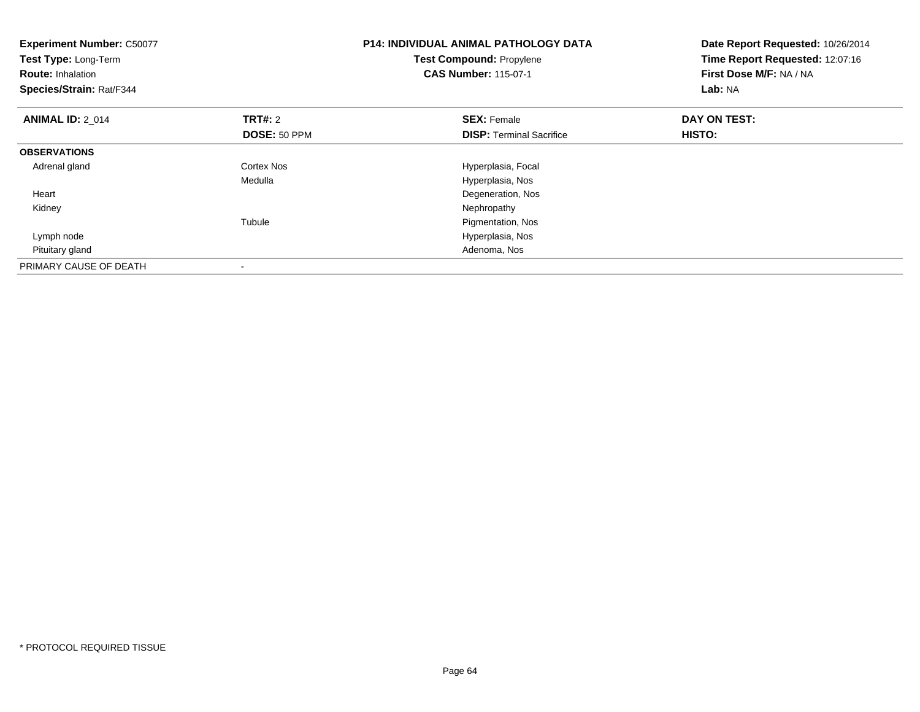| <b>Experiment Number: C50077</b><br>Test Type: Long-Term<br><b>Route: Inhalation</b><br>Species/Strain: Rat/F344 |                | <b>P14: INDIVIDUAL ANIMAL PATHOLOGY DATA</b><br>Test Compound: Propylene<br><b>CAS Number: 115-07-1</b> | Date Report Requested: 10/26/2014<br>Time Report Requested: 12:07:16<br>First Dose M/F: NA / NA<br>Lab: NA |
|------------------------------------------------------------------------------------------------------------------|----------------|---------------------------------------------------------------------------------------------------------|------------------------------------------------------------------------------------------------------------|
| <b>ANIMAL ID: 2 014</b>                                                                                          | <b>TRT#:</b> 2 | <b>SEX: Female</b>                                                                                      | DAY ON TEST:                                                                                               |
|                                                                                                                  | DOSE: 50 PPM   | <b>DISP:</b> Terminal Sacrifice                                                                         | <b>HISTO:</b>                                                                                              |
| <b>OBSERVATIONS</b>                                                                                              |                |                                                                                                         |                                                                                                            |
| Adrenal gland                                                                                                    | Cortex Nos     | Hyperplasia, Focal                                                                                      |                                                                                                            |
|                                                                                                                  | Medulla        | Hyperplasia, Nos                                                                                        |                                                                                                            |
| Heart                                                                                                            |                | Degeneration, Nos                                                                                       |                                                                                                            |
| Kidney                                                                                                           |                | Nephropathy                                                                                             |                                                                                                            |
|                                                                                                                  | Tubule         | Pigmentation, Nos                                                                                       |                                                                                                            |
| Lymph node                                                                                                       |                | Hyperplasia, Nos                                                                                        |                                                                                                            |
| Pituitary gland                                                                                                  |                | Adenoma, Nos                                                                                            |                                                                                                            |
| PRIMARY CAUSE OF DEATH                                                                                           |                |                                                                                                         |                                                                                                            |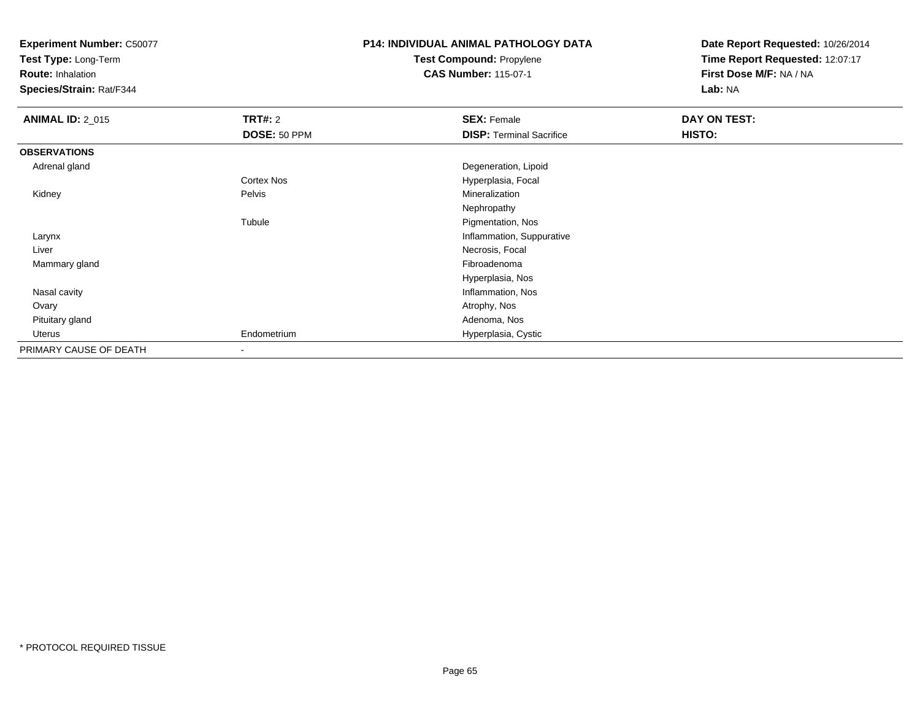**Test Type:** Long-Term

**Route:** Inhalation

**Species/Strain:** Rat/F344

# **P14: INDIVIDUAL ANIMAL PATHOLOGY DATATest Compound:** Propylene

**CAS Number:** 115-07-1

| <b>ANIMAL ID: 2_015</b> | <b>TRT#: 2</b> | <b>SEX: Female</b>              | DAY ON TEST: |  |
|-------------------------|----------------|---------------------------------|--------------|--|
|                         | DOSE: 50 PPM   | <b>DISP: Terminal Sacrifice</b> | HISTO:       |  |
| <b>OBSERVATIONS</b>     |                |                                 |              |  |
| Adrenal gland           |                | Degeneration, Lipoid            |              |  |
|                         | Cortex Nos     | Hyperplasia, Focal              |              |  |
| Kidney                  | Pelvis         | Mineralization                  |              |  |
|                         |                | Nephropathy                     |              |  |
|                         | Tubule         | Pigmentation, Nos               |              |  |
| Larynx                  |                | Inflammation, Suppurative       |              |  |
| Liver                   |                | Necrosis, Focal                 |              |  |
| Mammary gland           |                | Fibroadenoma                    |              |  |
|                         |                | Hyperplasia, Nos                |              |  |
| Nasal cavity            |                | Inflammation, Nos               |              |  |
| Ovary                   |                | Atrophy, Nos                    |              |  |
| Pituitary gland         |                | Adenoma, Nos                    |              |  |
| Uterus                  | Endometrium    | Hyperplasia, Cystic             |              |  |
| PRIMARY CAUSE OF DEATH  |                |                                 |              |  |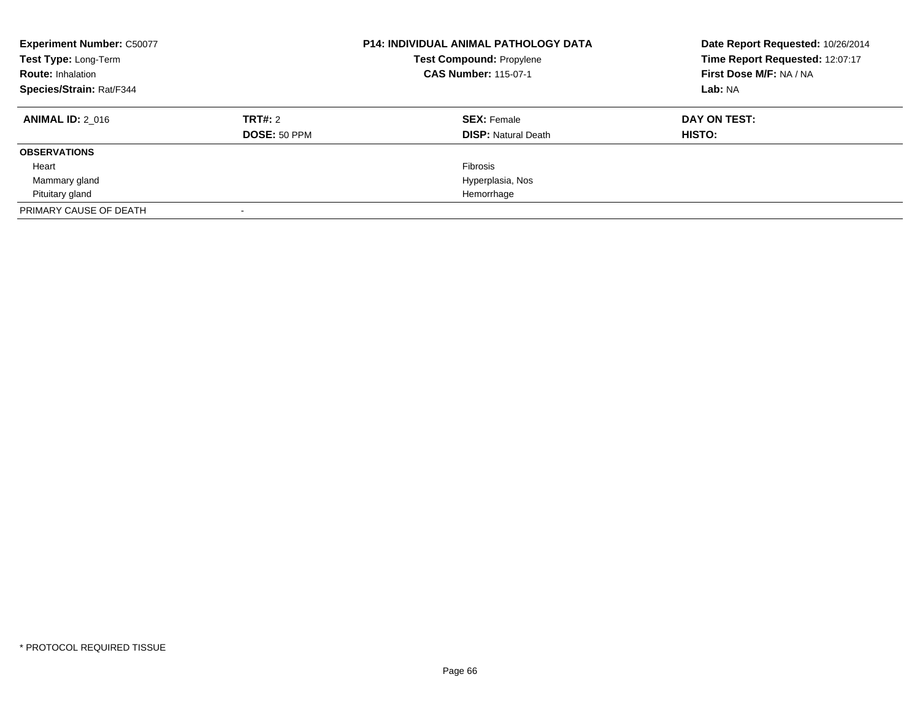| <b>Experiment Number: C50077</b><br>Test Type: Long-Term<br><b>Route: Inhalation</b><br>Species/Strain: Rat/F344 |                         | <b>P14: INDIVIDUAL ANIMAL PATHOLOGY DATA</b><br><b>Test Compound: Propylene</b><br><b>CAS Number: 115-07-1</b> | Date Report Requested: 10/26/2014<br>Time Report Requested: 12:07:17<br>First Dose M/F: NA / NA<br>Lab: NA |
|------------------------------------------------------------------------------------------------------------------|-------------------------|----------------------------------------------------------------------------------------------------------------|------------------------------------------------------------------------------------------------------------|
| <b>ANIMAL ID: 2 016</b>                                                                                          | TRT#: 2<br>DOSE: 50 PPM | <b>SEX: Female</b><br><b>DISP: Natural Death</b>                                                               | DAY ON TEST:<br>HISTO:                                                                                     |
| <b>OBSERVATIONS</b>                                                                                              |                         |                                                                                                                |                                                                                                            |
| Heart                                                                                                            |                         | Fibrosis                                                                                                       |                                                                                                            |
| Mammary gland                                                                                                    |                         | Hyperplasia, Nos                                                                                               |                                                                                                            |
| Pituitary gland                                                                                                  |                         | Hemorrhage                                                                                                     |                                                                                                            |
| PRIMARY CAUSE OF DEATH                                                                                           |                         |                                                                                                                |                                                                                                            |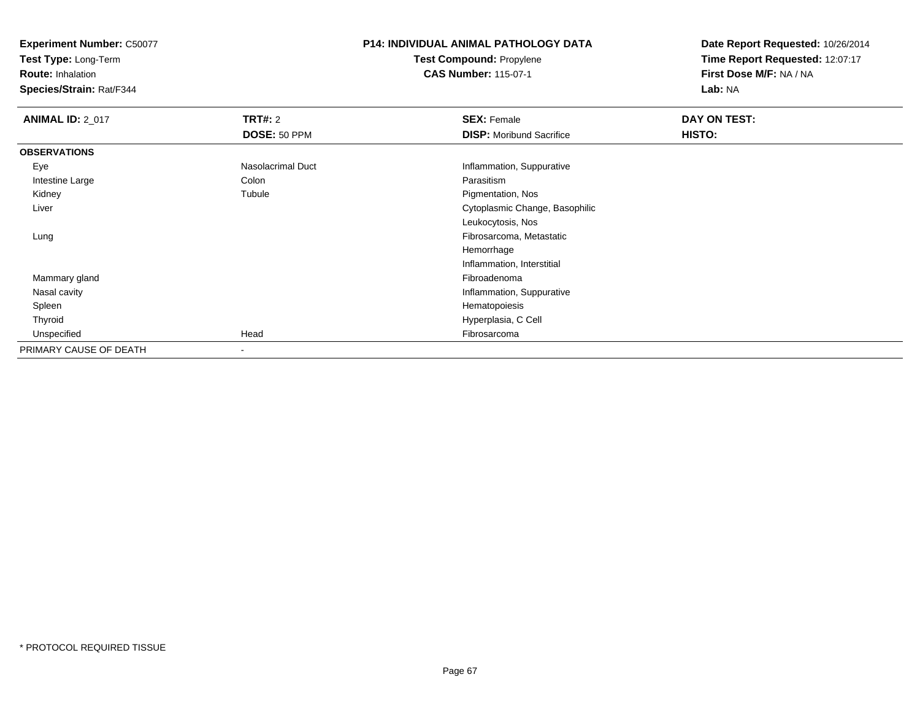**Test Type:** Long-Term

**Route:** Inhalation

**Species/Strain:** Rat/F344

#### **P14: INDIVIDUAL ANIMAL PATHOLOGY DATATest Compound:** Propylene**CAS Number:** 115-07-1

| <b>ANIMAL ID: 2_017</b> | <b>TRT#: 2</b>           | <b>SEX: Female</b>              | DAY ON TEST: |  |
|-------------------------|--------------------------|---------------------------------|--------------|--|
|                         | DOSE: 50 PPM             | <b>DISP:</b> Moribund Sacrifice | HISTO:       |  |
| <b>OBSERVATIONS</b>     |                          |                                 |              |  |
| Eye                     | Nasolacrimal Duct        | Inflammation, Suppurative       |              |  |
| Intestine Large         | Colon                    | Parasitism                      |              |  |
| Kidney                  | Tubule                   | Pigmentation, Nos               |              |  |
| Liver                   |                          | Cytoplasmic Change, Basophilic  |              |  |
|                         |                          | Leukocytosis, Nos               |              |  |
| Lung                    |                          | Fibrosarcoma, Metastatic        |              |  |
|                         |                          | Hemorrhage                      |              |  |
|                         |                          | Inflammation, Interstitial      |              |  |
| Mammary gland           |                          | Fibroadenoma                    |              |  |
| Nasal cavity            |                          | Inflammation, Suppurative       |              |  |
| Spleen                  |                          | Hematopoiesis                   |              |  |
| Thyroid                 |                          | Hyperplasia, C Cell             |              |  |
| Unspecified             | Head                     | Fibrosarcoma                    |              |  |
| PRIMARY CAUSE OF DEATH  | $\overline{\phantom{a}}$ |                                 |              |  |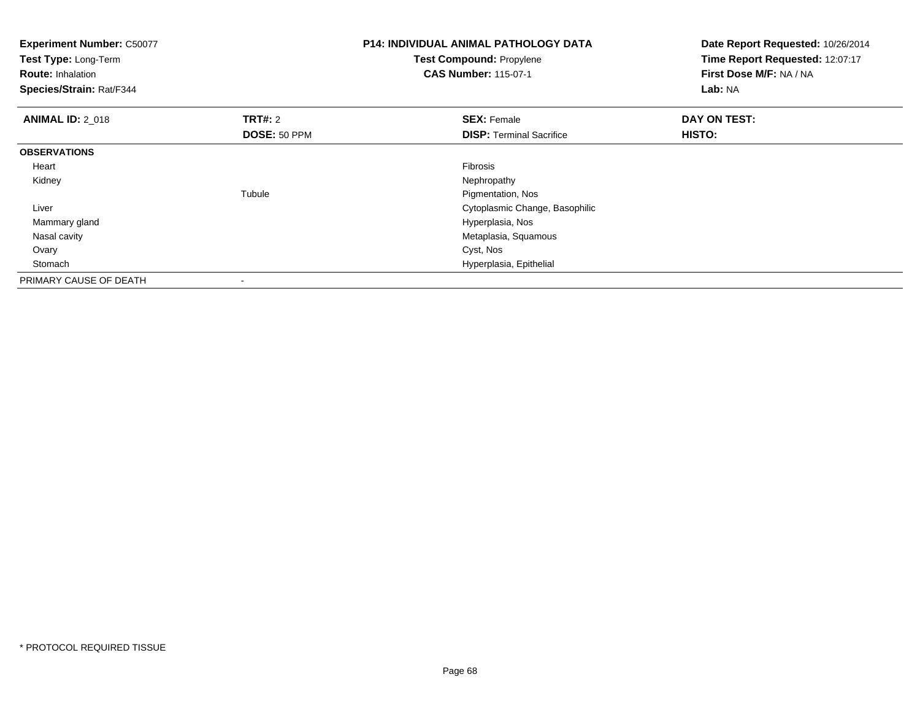| <b>Experiment Number: C50077</b><br>Test Type: Long-Term<br><b>Route: Inhalation</b><br>Species/Strain: Rat/F344 |                | <b>P14: INDIVIDUAL ANIMAL PATHOLOGY DATA</b><br>Test Compound: Propylene<br><b>CAS Number: 115-07-1</b> | Date Report Requested: 10/26/2014<br>Time Report Requested: 12:07:17<br>First Dose M/F: NA / NA<br>Lab: NA |
|------------------------------------------------------------------------------------------------------------------|----------------|---------------------------------------------------------------------------------------------------------|------------------------------------------------------------------------------------------------------------|
| <b>ANIMAL ID: 2 018</b>                                                                                          | <b>TRT#: 2</b> | <b>SEX: Female</b>                                                                                      | DAY ON TEST:                                                                                               |
|                                                                                                                  | DOSE: 50 PPM   | <b>DISP:</b> Terminal Sacrifice                                                                         | <b>HISTO:</b>                                                                                              |
| <b>OBSERVATIONS</b>                                                                                              |                |                                                                                                         |                                                                                                            |
| Heart                                                                                                            |                | <b>Fibrosis</b>                                                                                         |                                                                                                            |
| Kidney                                                                                                           |                | Nephropathy                                                                                             |                                                                                                            |
|                                                                                                                  | Tubule         | Pigmentation, Nos                                                                                       |                                                                                                            |
| Liver                                                                                                            |                | Cytoplasmic Change, Basophilic                                                                          |                                                                                                            |
| Mammary gland                                                                                                    |                | Hyperplasia, Nos                                                                                        |                                                                                                            |
| Nasal cavity                                                                                                     |                | Metaplasia, Squamous                                                                                    |                                                                                                            |
| Ovary                                                                                                            |                | Cyst, Nos                                                                                               |                                                                                                            |
| Stomach                                                                                                          |                | Hyperplasia, Epithelial                                                                                 |                                                                                                            |
| PRIMARY CAUSE OF DEATH                                                                                           |                |                                                                                                         |                                                                                                            |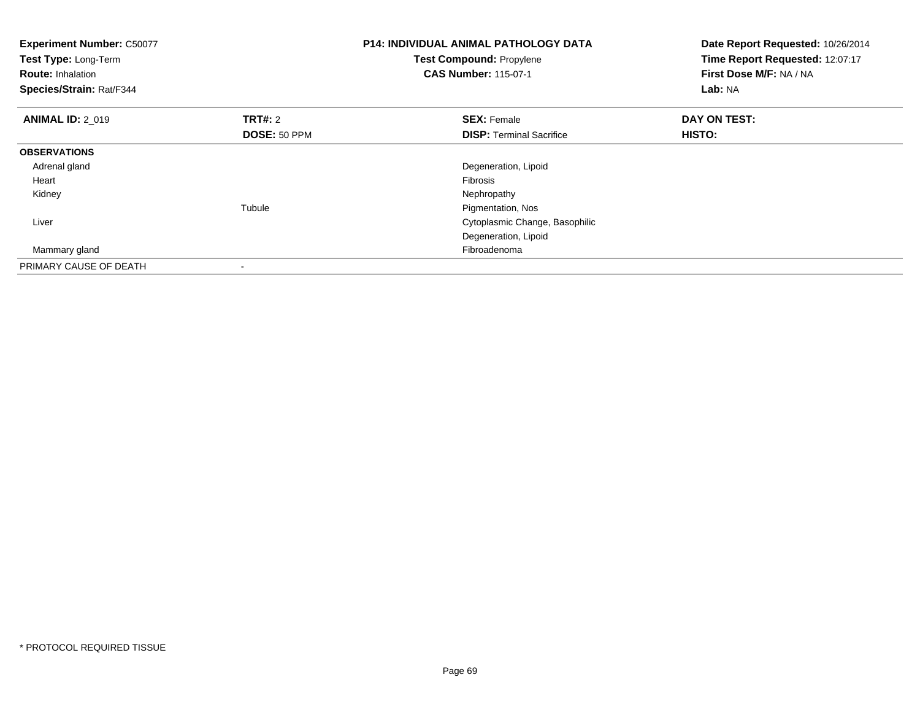| <b>Experiment Number: C50077</b><br>Test Type: Long-Term<br><b>Route: Inhalation</b><br>Species/Strain: Rat/F344 |                | <b>P14: INDIVIDUAL ANIMAL PATHOLOGY DATA</b><br><b>Test Compound: Propylene</b><br><b>CAS Number: 115-07-1</b> | Date Report Requested: 10/26/2014<br>Time Report Requested: 12:07:17<br>First Dose M/F: NA / NA<br>Lab: NA |
|------------------------------------------------------------------------------------------------------------------|----------------|----------------------------------------------------------------------------------------------------------------|------------------------------------------------------------------------------------------------------------|
| <b>ANIMAL ID: 2 019</b>                                                                                          | <b>TRT#: 2</b> | <b>SEX: Female</b>                                                                                             | DAY ON TEST:                                                                                               |
|                                                                                                                  | DOSE: 50 PPM   | <b>DISP:</b> Terminal Sacrifice                                                                                | HISTO:                                                                                                     |
| <b>OBSERVATIONS</b>                                                                                              |                |                                                                                                                |                                                                                                            |
| Adrenal gland                                                                                                    |                | Degeneration, Lipoid                                                                                           |                                                                                                            |
| Heart                                                                                                            |                | Fibrosis                                                                                                       |                                                                                                            |
| Kidney                                                                                                           |                | Nephropathy                                                                                                    |                                                                                                            |
|                                                                                                                  | Tubule         | Pigmentation, Nos                                                                                              |                                                                                                            |
| Liver                                                                                                            |                | Cytoplasmic Change, Basophilic                                                                                 |                                                                                                            |
|                                                                                                                  |                | Degeneration, Lipoid                                                                                           |                                                                                                            |
| Mammary gland                                                                                                    |                | Fibroadenoma                                                                                                   |                                                                                                            |
| PRIMARY CAUSE OF DEATH                                                                                           |                |                                                                                                                |                                                                                                            |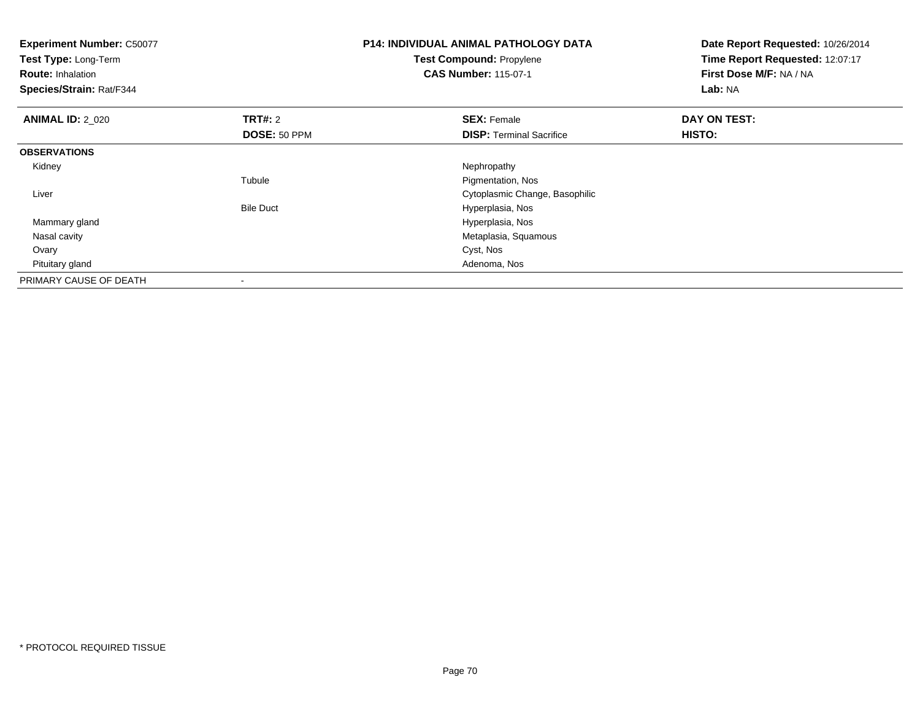| <b>Experiment Number: C50077</b><br>Test Type: Long-Term<br><b>Route: Inhalation</b><br>Species/Strain: Rat/F344 |                  | <b>P14: INDIVIDUAL ANIMAL PATHOLOGY DATA</b><br>Test Compound: Propylene<br><b>CAS Number: 115-07-1</b> | Date Report Requested: 10/26/2014<br>Time Report Requested: 12:07:17<br>First Dose M/F: NA / NA<br><b>Lab: NA</b> |
|------------------------------------------------------------------------------------------------------------------|------------------|---------------------------------------------------------------------------------------------------------|-------------------------------------------------------------------------------------------------------------------|
| <b>ANIMAL ID: 2 020</b>                                                                                          | <b>TRT#: 2</b>   | <b>SEX: Female</b>                                                                                      | DAY ON TEST:                                                                                                      |
|                                                                                                                  | DOSE: 50 PPM     | <b>DISP:</b> Terminal Sacrifice                                                                         | HISTO:                                                                                                            |
| <b>OBSERVATIONS</b>                                                                                              |                  |                                                                                                         |                                                                                                                   |
| Kidney                                                                                                           |                  | Nephropathy                                                                                             |                                                                                                                   |
|                                                                                                                  | Tubule           | Pigmentation, Nos                                                                                       |                                                                                                                   |
| Liver                                                                                                            |                  | Cytoplasmic Change, Basophilic                                                                          |                                                                                                                   |
|                                                                                                                  | <b>Bile Duct</b> | Hyperplasia, Nos                                                                                        |                                                                                                                   |
| Mammary gland                                                                                                    |                  | Hyperplasia, Nos                                                                                        |                                                                                                                   |
| Nasal cavity                                                                                                     |                  | Metaplasia, Squamous                                                                                    |                                                                                                                   |
| Ovary                                                                                                            |                  | Cyst, Nos                                                                                               |                                                                                                                   |
| Pituitary gland                                                                                                  |                  | Adenoma, Nos                                                                                            |                                                                                                                   |
| PRIMARY CAUSE OF DEATH                                                                                           |                  |                                                                                                         |                                                                                                                   |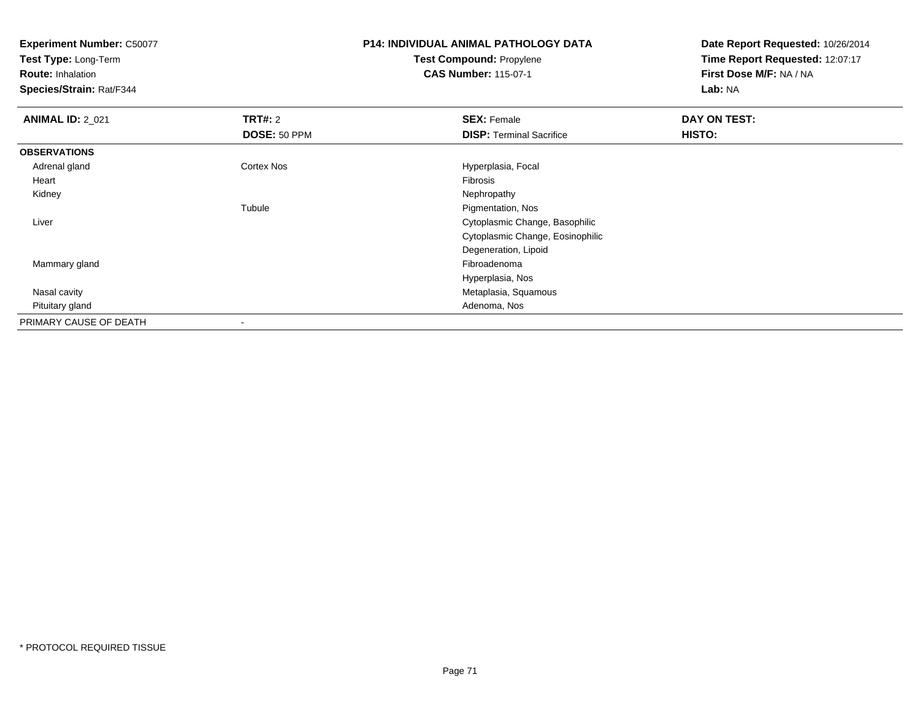**Test Type:** Long-Term

**Route:** Inhalation

**Species/Strain:** Rat/F344

#### **P14: INDIVIDUAL ANIMAL PATHOLOGY DATATest Compound:** Propylene**CAS Number:** 115-07-1

| <b>ANIMAL ID: 2_021</b> | TRT#: 2        | <b>SEX: Female</b>               | DAY ON TEST: |  |
|-------------------------|----------------|----------------------------------|--------------|--|
|                         | DOSE: 50 PPM   | <b>DISP: Terminal Sacrifice</b>  | HISTO:       |  |
| <b>OBSERVATIONS</b>     |                |                                  |              |  |
| Adrenal gland           | Cortex Nos     | Hyperplasia, Focal               |              |  |
| Heart                   |                | Fibrosis                         |              |  |
| Kidney                  |                | Nephropathy                      |              |  |
|                         | Tubule         | Pigmentation, Nos                |              |  |
| Liver                   |                | Cytoplasmic Change, Basophilic   |              |  |
|                         |                | Cytoplasmic Change, Eosinophilic |              |  |
|                         |                | Degeneration, Lipoid             |              |  |
| Mammary gland           |                | Fibroadenoma                     |              |  |
|                         |                | Hyperplasia, Nos                 |              |  |
| Nasal cavity            |                | Metaplasia, Squamous             |              |  |
| Pituitary gland         |                | Adenoma, Nos                     |              |  |
| PRIMARY CAUSE OF DEATH  | $\blacksquare$ |                                  |              |  |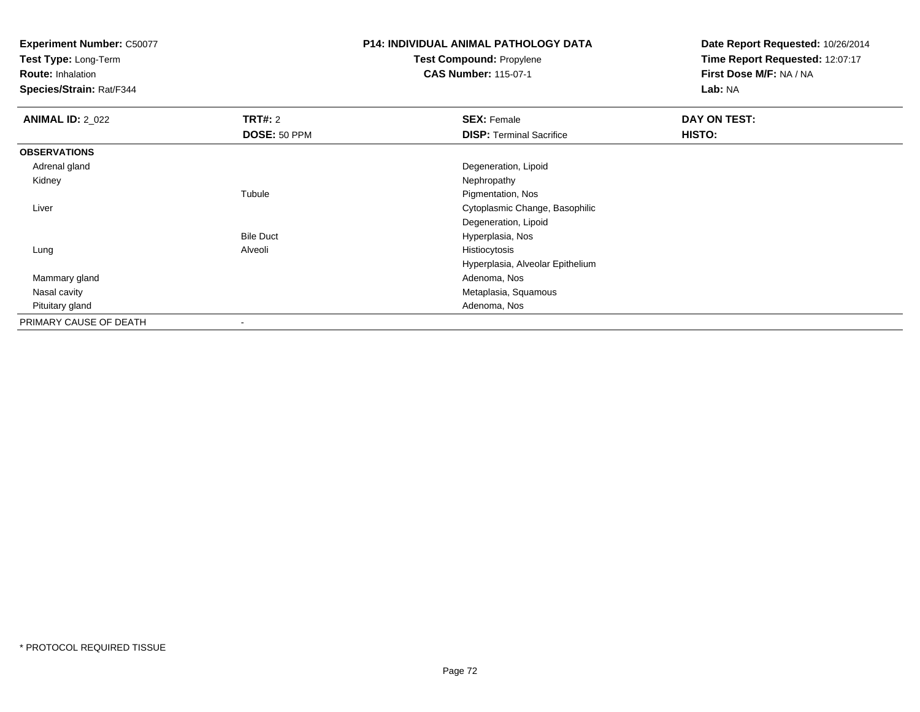**Test Type:** Long-Term

**Route:** Inhalation

**Species/Strain:** Rat/F344

# **P14: INDIVIDUAL ANIMAL PATHOLOGY DATATest Compound:** Propylene

**CAS Number:** 115-07-1

| <b>ANIMAL ID: 2 022</b> | TRT#: 2          | <b>SEX: Female</b>               | DAY ON TEST: |
|-------------------------|------------------|----------------------------------|--------------|
|                         | DOSE: 50 PPM     | <b>DISP: Terminal Sacrifice</b>  | HISTO:       |
| <b>OBSERVATIONS</b>     |                  |                                  |              |
| Adrenal gland           |                  | Degeneration, Lipoid             |              |
| Kidney                  |                  | Nephropathy                      |              |
|                         | Tubule           | Pigmentation, Nos                |              |
| Liver                   |                  | Cytoplasmic Change, Basophilic   |              |
|                         |                  | Degeneration, Lipoid             |              |
|                         | <b>Bile Duct</b> | Hyperplasia, Nos                 |              |
| Lung                    | Alveoli          | Histiocytosis                    |              |
|                         |                  | Hyperplasia, Alveolar Epithelium |              |
| Mammary gland           |                  | Adenoma, Nos                     |              |
| Nasal cavity            |                  | Metaplasia, Squamous             |              |
| Pituitary gland         |                  | Adenoma, Nos                     |              |
| PRIMARY CAUSE OF DEATH  | $\,$             |                                  |              |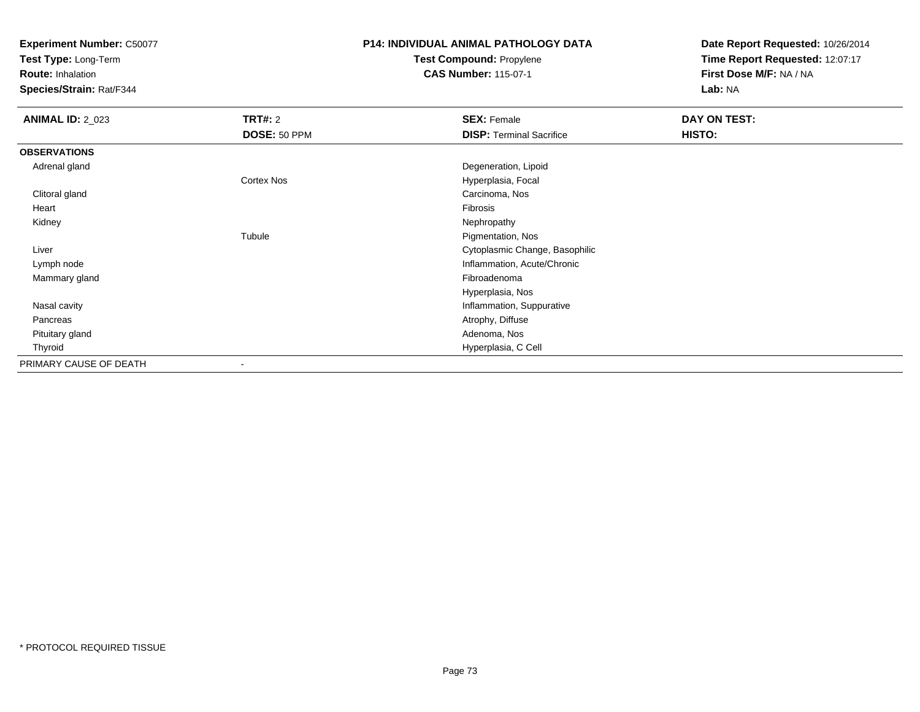**Test Type:** Long-Term

**Route:** Inhalation

**Species/Strain:** Rat/F344

## **P14: INDIVIDUAL ANIMAL PATHOLOGY DATATest Compound:** Propylene

**CAS Number:** 115-07-1

| <b>ANIMAL ID: 2_023</b> | TRT#: 2      | <b>SEX: Female</b>              | DAY ON TEST: |
|-------------------------|--------------|---------------------------------|--------------|
|                         | DOSE: 50 PPM | <b>DISP: Terminal Sacrifice</b> | HISTO:       |
| <b>OBSERVATIONS</b>     |              |                                 |              |
| Adrenal gland           |              | Degeneration, Lipoid            |              |
|                         | Cortex Nos   | Hyperplasia, Focal              |              |
| Clitoral gland          |              | Carcinoma, Nos                  |              |
| Heart                   |              | Fibrosis                        |              |
| Kidney                  |              | Nephropathy                     |              |
|                         | Tubule       | Pigmentation, Nos               |              |
| Liver                   |              | Cytoplasmic Change, Basophilic  |              |
| Lymph node              |              | Inflammation, Acute/Chronic     |              |
| Mammary gland           |              | Fibroadenoma                    |              |
|                         |              | Hyperplasia, Nos                |              |
| Nasal cavity            |              | Inflammation, Suppurative       |              |
| Pancreas                |              | Atrophy, Diffuse                |              |
| Pituitary gland         |              | Adenoma, Nos                    |              |
| Thyroid                 |              | Hyperplasia, C Cell             |              |
| PRIMARY CAUSE OF DEATH  | -            |                                 |              |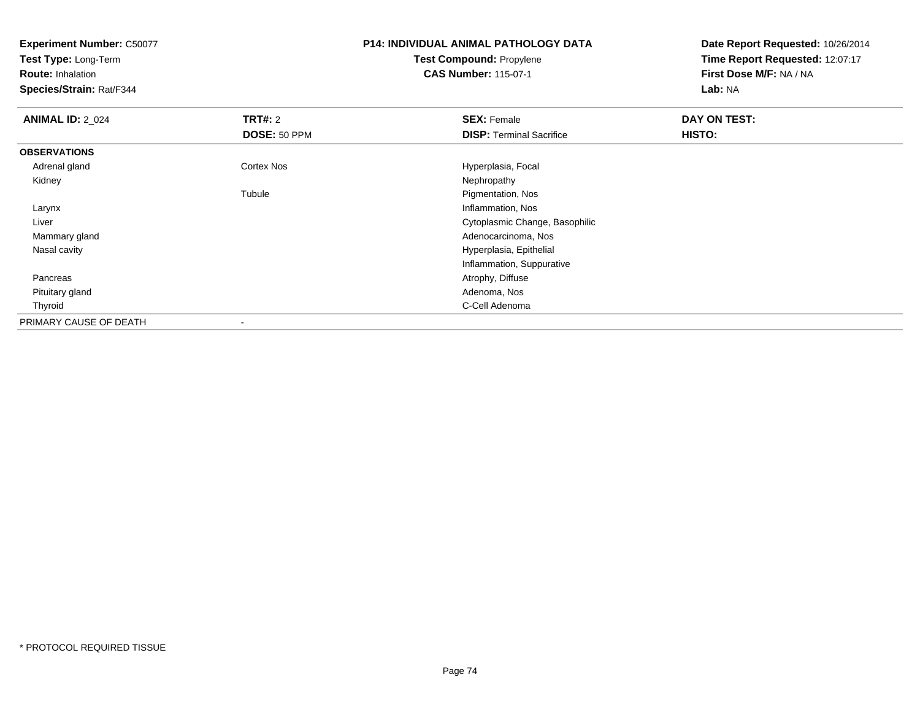**Test Type:** Long-Term

**Route:** Inhalation

**Species/Strain:** Rat/F344

### **P14: INDIVIDUAL ANIMAL PATHOLOGY DATATest Compound:** Propylene**CAS Number:** 115-07-1

| <b>ANIMAL ID: 2_024</b> | TRT#: 2      | <b>SEX: Female</b>              | DAY ON TEST:  |
|-------------------------|--------------|---------------------------------|---------------|
|                         | DOSE: 50 PPM | <b>DISP: Terminal Sacrifice</b> | <b>HISTO:</b> |
| <b>OBSERVATIONS</b>     |              |                                 |               |
| Adrenal gland           | Cortex Nos   | Hyperplasia, Focal              |               |
| Kidney                  |              | Nephropathy                     |               |
|                         | Tubule       | Pigmentation, Nos               |               |
| Larynx                  |              | Inflammation, Nos               |               |
| Liver                   |              | Cytoplasmic Change, Basophilic  |               |
| Mammary gland           |              | Adenocarcinoma, Nos             |               |
| Nasal cavity            |              | Hyperplasia, Epithelial         |               |
|                         |              | Inflammation, Suppurative       |               |
| Pancreas                |              | Atrophy, Diffuse                |               |
| Pituitary gland         |              | Adenoma, Nos                    |               |
| Thyroid                 |              | C-Cell Adenoma                  |               |
| PRIMARY CAUSE OF DEATH  | ۰            |                                 |               |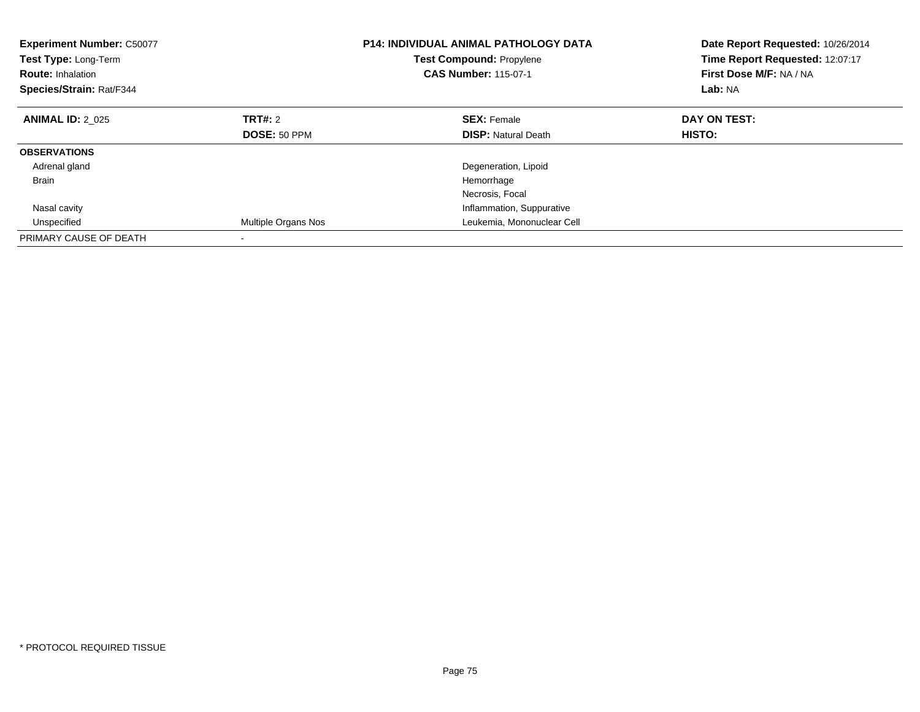| <b>Experiment Number: C50077</b><br><b>Test Type: Long-Term</b><br><b>Route: Inhalation</b><br>Species/Strain: Rat/F344 |                     | <b>P14: INDIVIDUAL ANIMAL PATHOLOGY DATA</b><br><b>Test Compound: Propylene</b><br><b>CAS Number: 115-07-1</b> | Date Report Requested: 10/26/2014<br>Time Report Requested: 12:07:17<br>First Dose M/F: NA / NA<br>Lab: NA |
|-------------------------------------------------------------------------------------------------------------------------|---------------------|----------------------------------------------------------------------------------------------------------------|------------------------------------------------------------------------------------------------------------|
| <b>ANIMAL ID: 2 025</b>                                                                                                 | TRT#: 2             | <b>SEX: Female</b>                                                                                             | DAY ON TEST:                                                                                               |
|                                                                                                                         | DOSE: 50 PPM        | <b>DISP:</b> Natural Death                                                                                     | <b>HISTO:</b>                                                                                              |
| <b>OBSERVATIONS</b>                                                                                                     |                     |                                                                                                                |                                                                                                            |
| Adrenal gland                                                                                                           |                     | Degeneration, Lipoid                                                                                           |                                                                                                            |
| <b>Brain</b>                                                                                                            |                     | Hemorrhage                                                                                                     |                                                                                                            |
|                                                                                                                         |                     | Necrosis, Focal                                                                                                |                                                                                                            |
| Nasal cavity                                                                                                            |                     | Inflammation, Suppurative                                                                                      |                                                                                                            |
| Unspecified                                                                                                             | Multiple Organs Nos | Leukemia, Mononuclear Cell                                                                                     |                                                                                                            |
| PRIMARY CAUSE OF DEATH                                                                                                  |                     |                                                                                                                |                                                                                                            |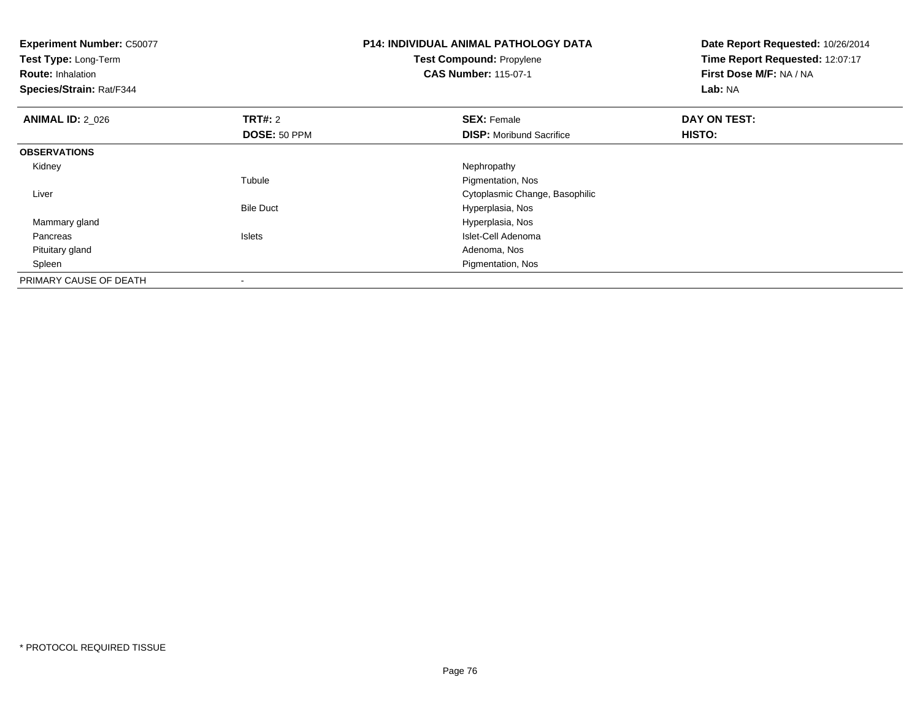| <b>Experiment Number: C50077</b><br>Test Type: Long-Term<br><b>Route: Inhalation</b><br>Species/Strain: Rat/F344 |                                | <b>P14: INDIVIDUAL ANIMAL PATHOLOGY DATA</b><br><b>Test Compound: Propylene</b><br><b>CAS Number: 115-07-1</b> | Date Report Requested: 10/26/2014<br>Time Report Requested: 12:07:17<br>First Dose M/F: NA / NA<br>Lab: NA |
|------------------------------------------------------------------------------------------------------------------|--------------------------------|----------------------------------------------------------------------------------------------------------------|------------------------------------------------------------------------------------------------------------|
| <b>ANIMAL ID: 2 026</b>                                                                                          | <b>TRT#: 2</b><br>DOSE: 50 PPM | <b>SEX: Female</b><br><b>DISP:</b> Moribund Sacrifice                                                          | DAY ON TEST:<br>HISTO:                                                                                     |
|                                                                                                                  |                                |                                                                                                                |                                                                                                            |
| <b>OBSERVATIONS</b>                                                                                              |                                |                                                                                                                |                                                                                                            |
| Kidney                                                                                                           |                                | Nephropathy                                                                                                    |                                                                                                            |
|                                                                                                                  | Tubule                         | Pigmentation, Nos                                                                                              |                                                                                                            |
| Liver                                                                                                            |                                | Cytoplasmic Change, Basophilic                                                                                 |                                                                                                            |
|                                                                                                                  | <b>Bile Duct</b>               | Hyperplasia, Nos                                                                                               |                                                                                                            |
| Mammary gland                                                                                                    |                                | Hyperplasia, Nos                                                                                               |                                                                                                            |
| Pancreas                                                                                                         | <b>Islets</b>                  | Islet-Cell Adenoma                                                                                             |                                                                                                            |
| Pituitary gland                                                                                                  |                                | Adenoma, Nos                                                                                                   |                                                                                                            |
| Spleen                                                                                                           |                                | Pigmentation, Nos                                                                                              |                                                                                                            |
| PRIMARY CAUSE OF DEATH                                                                                           |                                |                                                                                                                |                                                                                                            |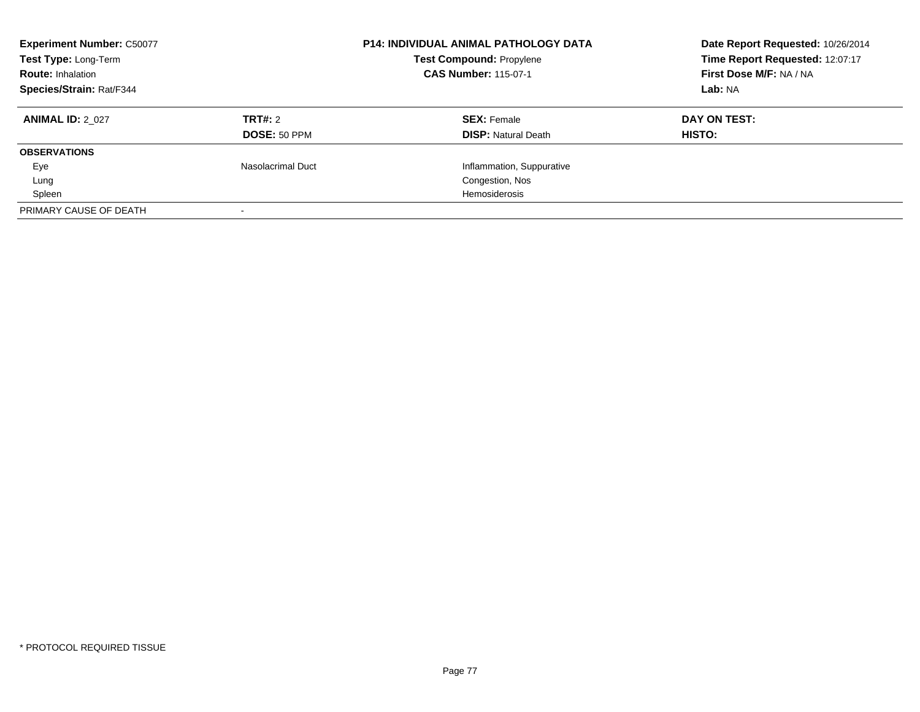| <b>Experiment Number: C50077</b><br>Test Type: Long-Term<br><b>Route: Inhalation</b><br>Species/Strain: Rat/F344 |                     | <b>P14: INDIVIDUAL ANIMAL PATHOLOGY DATA</b><br><b>Test Compound: Propylene</b><br><b>CAS Number: 115-07-1</b> | Date Report Requested: 10/26/2014<br>Time Report Requested: 12:07:17<br>First Dose M/F: NA / NA<br>Lab: NA |
|------------------------------------------------------------------------------------------------------------------|---------------------|----------------------------------------------------------------------------------------------------------------|------------------------------------------------------------------------------------------------------------|
| <b>ANIMAL ID: 2 027</b>                                                                                          | <b>TRT#: 2</b>      | <b>SEX: Female</b>                                                                                             | DAY ON TEST:                                                                                               |
|                                                                                                                  | <b>DOSE: 50 PPM</b> | <b>DISP: Natural Death</b>                                                                                     | <b>HISTO:</b>                                                                                              |
| <b>OBSERVATIONS</b>                                                                                              |                     |                                                                                                                |                                                                                                            |
| Eye                                                                                                              | Nasolacrimal Duct   | Inflammation, Suppurative                                                                                      |                                                                                                            |
| Lung                                                                                                             |                     | Congestion, Nos                                                                                                |                                                                                                            |
| Spleen                                                                                                           |                     | Hemosiderosis                                                                                                  |                                                                                                            |
| PRIMARY CAUSE OF DEATH                                                                                           |                     |                                                                                                                |                                                                                                            |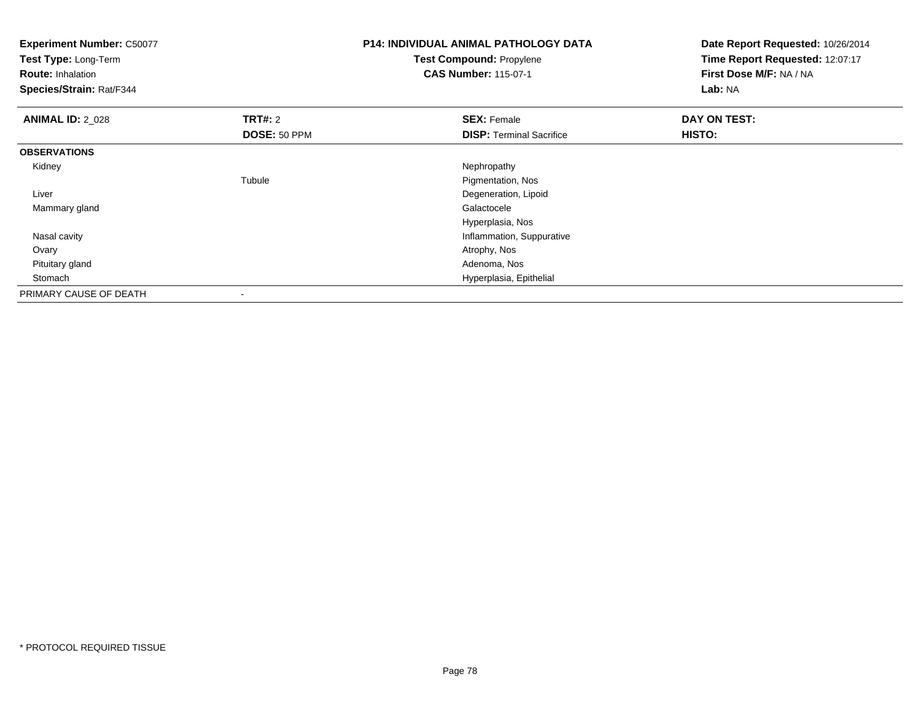| <b>Experiment Number: C50077</b><br>Test Type: Long-Term<br><b>Route: Inhalation</b><br>Species/Strain: Rat/F344 |                | <b>P14: INDIVIDUAL ANIMAL PATHOLOGY DATA</b><br>Test Compound: Propylene<br><b>CAS Number: 115-07-1</b> | Date Report Requested: 10/26/2014<br>Time Report Requested: 12:07:17<br>First Dose M/F: NA / NA<br>Lab: NA |
|------------------------------------------------------------------------------------------------------------------|----------------|---------------------------------------------------------------------------------------------------------|------------------------------------------------------------------------------------------------------------|
| <b>ANIMAL ID: 2_028</b>                                                                                          | <b>TRT#: 2</b> | <b>SEX: Female</b>                                                                                      | DAY ON TEST:                                                                                               |
|                                                                                                                  | DOSE: 50 PPM   | <b>DISP: Terminal Sacrifice</b>                                                                         | HISTO:                                                                                                     |
| <b>OBSERVATIONS</b>                                                                                              |                |                                                                                                         |                                                                                                            |
| Kidney                                                                                                           |                | Nephropathy                                                                                             |                                                                                                            |
|                                                                                                                  | Tubule         | Pigmentation, Nos                                                                                       |                                                                                                            |
| Liver                                                                                                            |                | Degeneration, Lipoid                                                                                    |                                                                                                            |
| Mammary gland                                                                                                    |                | Galactocele                                                                                             |                                                                                                            |
|                                                                                                                  |                | Hyperplasia, Nos                                                                                        |                                                                                                            |
| Nasal cavity                                                                                                     |                | Inflammation, Suppurative                                                                               |                                                                                                            |
| Ovary                                                                                                            |                | Atrophy, Nos                                                                                            |                                                                                                            |
| Pituitary gland                                                                                                  |                | Adenoma, Nos                                                                                            |                                                                                                            |
| Stomach                                                                                                          |                | Hyperplasia, Epithelial                                                                                 |                                                                                                            |
| PRIMARY CAUSE OF DEATH                                                                                           |                |                                                                                                         |                                                                                                            |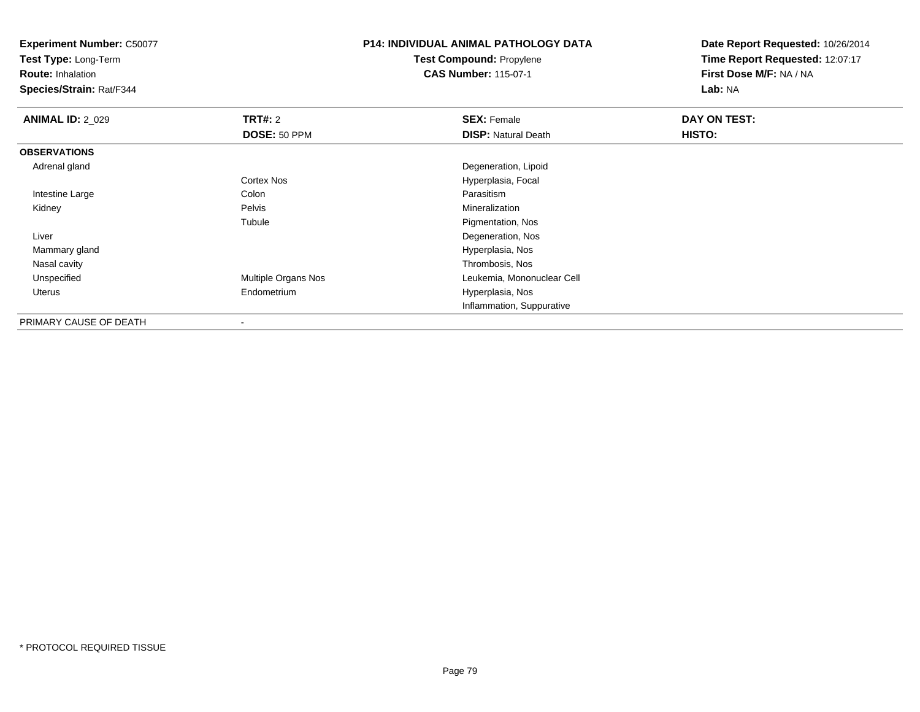**Test Type:** Long-Term

**Route:** Inhalation

**Species/Strain:** Rat/F344

# **P14: INDIVIDUAL ANIMAL PATHOLOGY DATATest Compound:** Propylene

**CAS Number:** 115-07-1

| <b>ANIMAL ID: 2_029</b> | <b>TRT#: 2</b>             | <b>SEX: Female</b>         | DAY ON TEST: |  |
|-------------------------|----------------------------|----------------------------|--------------|--|
|                         | DOSE: 50 PPM               | <b>DISP: Natural Death</b> | HISTO:       |  |
| <b>OBSERVATIONS</b>     |                            |                            |              |  |
| Adrenal gland           |                            | Degeneration, Lipoid       |              |  |
|                         | Cortex Nos                 | Hyperplasia, Focal         |              |  |
| Intestine Large         | Colon                      | Parasitism                 |              |  |
| Kidney                  | Pelvis                     | Mineralization             |              |  |
|                         | Tubule                     | Pigmentation, Nos          |              |  |
| Liver                   |                            | Degeneration, Nos          |              |  |
| Mammary gland           |                            | Hyperplasia, Nos           |              |  |
| Nasal cavity            |                            | Thrombosis, Nos            |              |  |
| Unspecified             | <b>Multiple Organs Nos</b> | Leukemia, Mononuclear Cell |              |  |
| Uterus                  | Endometrium                | Hyperplasia, Nos           |              |  |
|                         |                            | Inflammation, Suppurative  |              |  |
| PRIMARY CAUSE OF DEATH  | ۰                          |                            |              |  |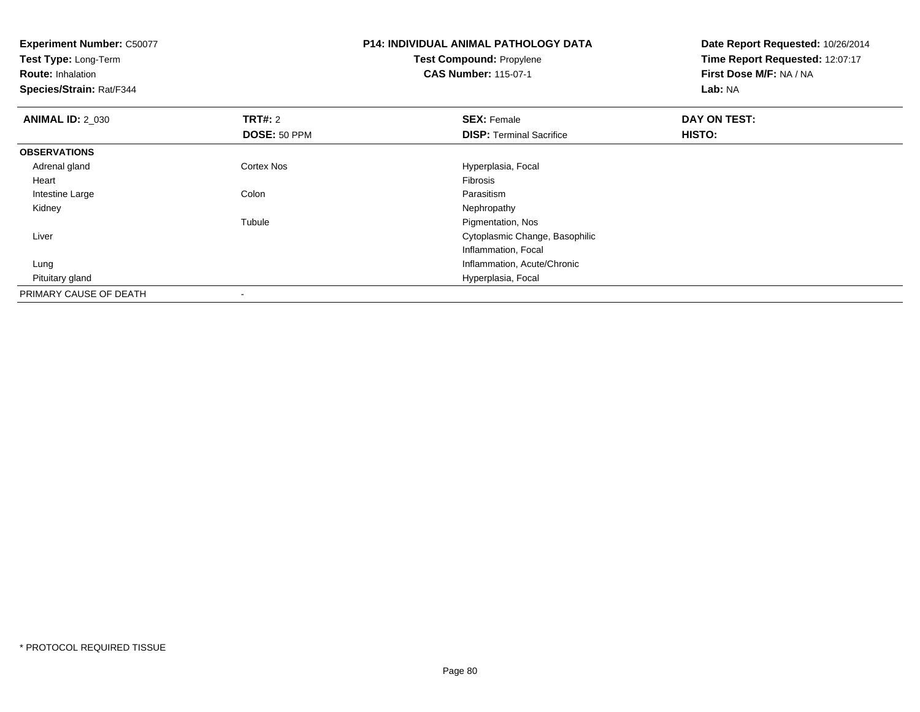| <b>Experiment Number: C50077</b><br>Test Type: Long-Term |                | <b>P14: INDIVIDUAL ANIMAL PATHOLOGY DATA</b> | Date Report Requested: 10/26/2014<br>Time Report Requested: 12:07:17 |
|----------------------------------------------------------|----------------|----------------------------------------------|----------------------------------------------------------------------|
|                                                          |                | <b>Test Compound: Propylene</b>              |                                                                      |
| <b>Route: Inhalation</b>                                 |                | <b>CAS Number: 115-07-1</b>                  | First Dose M/F: NA / NA                                              |
| <b>Species/Strain: Rat/F344</b>                          |                |                                              | Lab: NA                                                              |
| <b>ANIMAL ID: 2_030</b>                                  | <b>TRT#: 2</b> | <b>SEX: Female</b>                           | DAY ON TEST:                                                         |
|                                                          | DOSE: 50 PPM   | <b>DISP: Terminal Sacrifice</b>              | HISTO:                                                               |
| <b>OBSERVATIONS</b>                                      |                |                                              |                                                                      |
| Adrenal gland                                            | Cortex Nos     | Hyperplasia, Focal                           |                                                                      |
| Heart                                                    |                | <b>Fibrosis</b>                              |                                                                      |
| Intestine Large                                          | Colon          | Parasitism                                   |                                                                      |
| Kidney                                                   |                | Nephropathy                                  |                                                                      |
|                                                          | Tubule         | Pigmentation, Nos                            |                                                                      |
| Liver                                                    |                | Cytoplasmic Change, Basophilic               |                                                                      |
|                                                          |                | Inflammation, Focal                          |                                                                      |
| Lung                                                     |                | Inflammation, Acute/Chronic                  |                                                                      |
| Pituitary gland                                          |                | Hyperplasia, Focal                           |                                                                      |
| PRIMARY CAUSE OF DEATH                                   |                |                                              |                                                                      |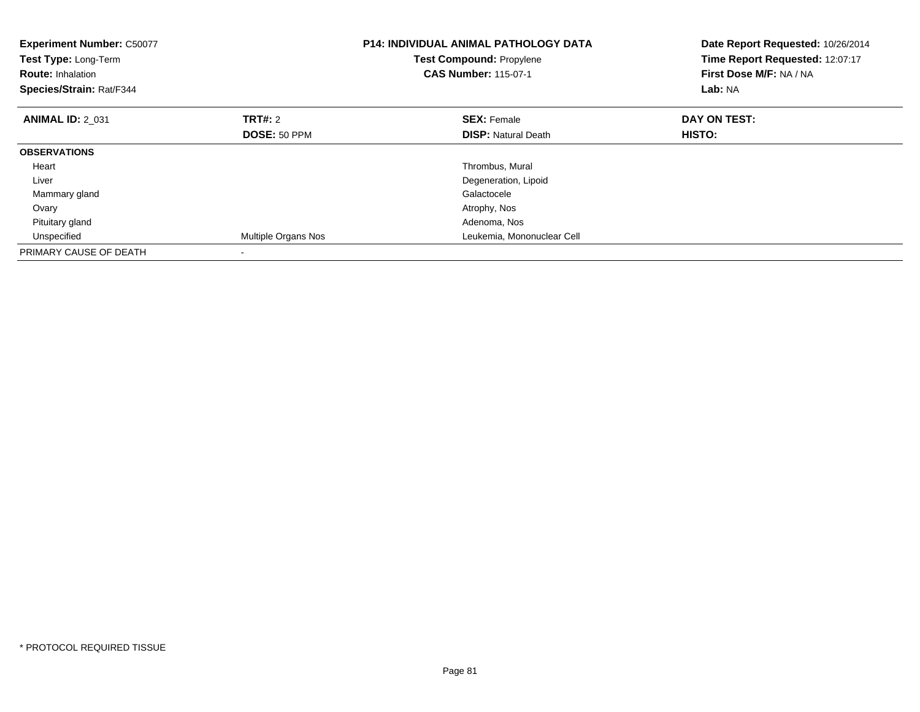| <b>Experiment Number: C50077</b><br>Test Type: Long-Term<br><b>Route: Inhalation</b><br>Species/Strain: Rat/F344 |                     | <b>P14: INDIVIDUAL ANIMAL PATHOLOGY DATA</b><br><b>Test Compound: Propylene</b><br><b>CAS Number: 115-07-1</b> | Date Report Requested: 10/26/2014<br>Time Report Requested: 12:07:17<br>First Dose M/F: NA / NA<br>Lab: NA |
|------------------------------------------------------------------------------------------------------------------|---------------------|----------------------------------------------------------------------------------------------------------------|------------------------------------------------------------------------------------------------------------|
| <b>ANIMAL ID: 2 031</b>                                                                                          | <b>TRT#: 2</b>      | <b>SEX: Female</b>                                                                                             | DAY ON TEST:                                                                                               |
|                                                                                                                  | <b>DOSE: 50 PPM</b> | <b>DISP:</b> Natural Death                                                                                     | <b>HISTO:</b>                                                                                              |
| <b>OBSERVATIONS</b>                                                                                              |                     |                                                                                                                |                                                                                                            |
| Heart                                                                                                            |                     | Thrombus, Mural                                                                                                |                                                                                                            |
| Liver                                                                                                            |                     | Degeneration, Lipoid                                                                                           |                                                                                                            |
| Mammary gland                                                                                                    |                     | Galactocele                                                                                                    |                                                                                                            |
| Ovary                                                                                                            |                     | Atrophy, Nos                                                                                                   |                                                                                                            |
| Pituitary gland                                                                                                  |                     | Adenoma, Nos                                                                                                   |                                                                                                            |
| Unspecified                                                                                                      | Multiple Organs Nos | Leukemia, Mononuclear Cell                                                                                     |                                                                                                            |
| PRIMARY CAUSE OF DEATH                                                                                           |                     |                                                                                                                |                                                                                                            |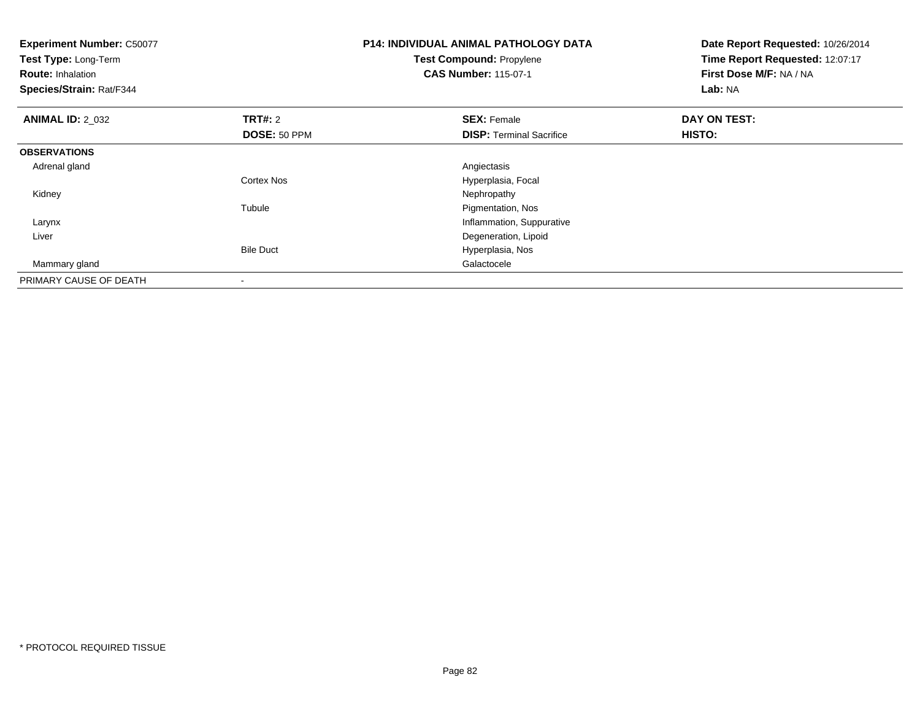| <b>Experiment Number: C50077</b><br>Test Type: Long-Term<br><b>Route: Inhalation</b><br>Species/Strain: Rat/F344 |                   | <b>P14: INDIVIDUAL ANIMAL PATHOLOGY DATA</b><br><b>Test Compound: Propylene</b><br><b>CAS Number: 115-07-1</b> | Date Report Requested: 10/26/2014<br>Time Report Requested: 12:07:17<br>First Dose M/F: NA / NA<br>Lab: NA |
|------------------------------------------------------------------------------------------------------------------|-------------------|----------------------------------------------------------------------------------------------------------------|------------------------------------------------------------------------------------------------------------|
| <b>ANIMAL ID: 2 032</b>                                                                                          | <b>TRT#: 2</b>    | <b>SEX: Female</b>                                                                                             | DAY ON TEST:                                                                                               |
|                                                                                                                  | DOSE: 50 PPM      | <b>DISP:</b> Terminal Sacrifice                                                                                | <b>HISTO:</b>                                                                                              |
| <b>OBSERVATIONS</b>                                                                                              |                   |                                                                                                                |                                                                                                            |
| Adrenal gland                                                                                                    |                   | Angiectasis                                                                                                    |                                                                                                            |
|                                                                                                                  | <b>Cortex Nos</b> | Hyperplasia, Focal                                                                                             |                                                                                                            |
| Kidney                                                                                                           |                   | Nephropathy                                                                                                    |                                                                                                            |
|                                                                                                                  | Tubule            | Pigmentation, Nos                                                                                              |                                                                                                            |
| Larynx                                                                                                           |                   | Inflammation, Suppurative                                                                                      |                                                                                                            |
| Liver                                                                                                            |                   | Degeneration, Lipoid                                                                                           |                                                                                                            |
|                                                                                                                  | <b>Bile Duct</b>  | Hyperplasia, Nos                                                                                               |                                                                                                            |
| Mammary gland                                                                                                    |                   | Galactocele                                                                                                    |                                                                                                            |
| PRIMARY CAUSE OF DEATH                                                                                           |                   |                                                                                                                |                                                                                                            |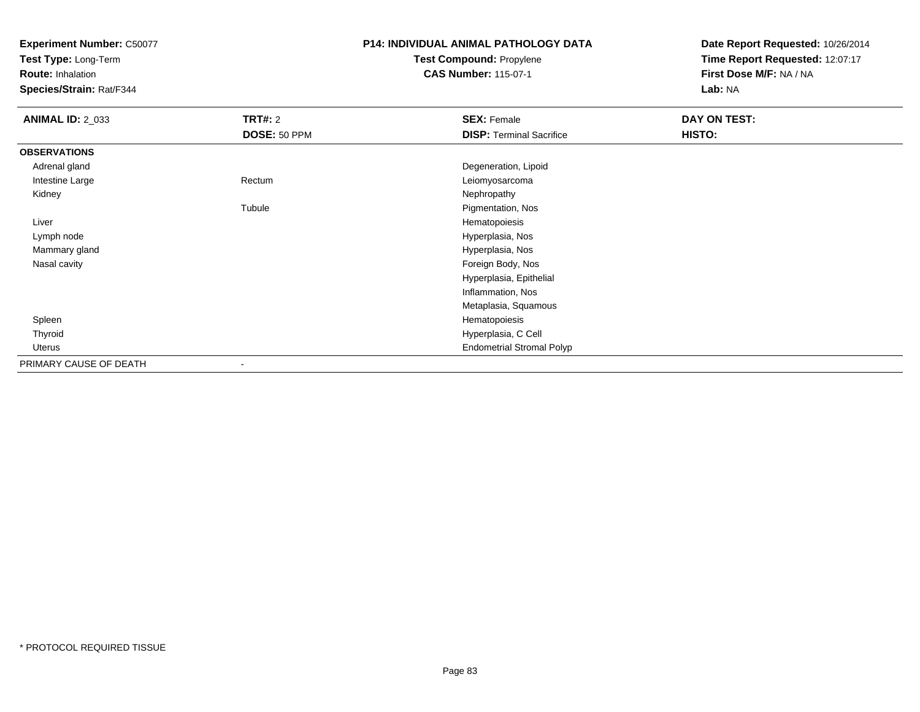**Test Type:** Long-Term

**Route:** Inhalation

**Species/Strain:** Rat/F344

# **P14: INDIVIDUAL ANIMAL PATHOLOGY DATATest Compound:** Propylene

**CAS Number:** 115-07-1

| <b>ANIMAL ID: 2_033</b> | <b>TRT#: 2</b>           | <b>SEX: Female</b>               | DAY ON TEST: |
|-------------------------|--------------------------|----------------------------------|--------------|
|                         | DOSE: 50 PPM             | <b>DISP: Terminal Sacrifice</b>  | HISTO:       |
| <b>OBSERVATIONS</b>     |                          |                                  |              |
| Adrenal gland           |                          | Degeneration, Lipoid             |              |
| Intestine Large         | Rectum                   | Leiomyosarcoma                   |              |
| Kidney                  |                          | Nephropathy                      |              |
|                         | Tubule                   | Pigmentation, Nos                |              |
| Liver                   |                          | Hematopoiesis                    |              |
| Lymph node              |                          | Hyperplasia, Nos                 |              |
| Mammary gland           |                          | Hyperplasia, Nos                 |              |
| Nasal cavity            |                          | Foreign Body, Nos                |              |
|                         |                          | Hyperplasia, Epithelial          |              |
|                         |                          | Inflammation, Nos                |              |
|                         |                          | Metaplasia, Squamous             |              |
| Spleen                  |                          | Hematopoiesis                    |              |
| Thyroid                 |                          | Hyperplasia, C Cell              |              |
| Uterus                  |                          | <b>Endometrial Stromal Polyp</b> |              |
| PRIMARY CAUSE OF DEATH  | $\overline{\phantom{a}}$ |                                  |              |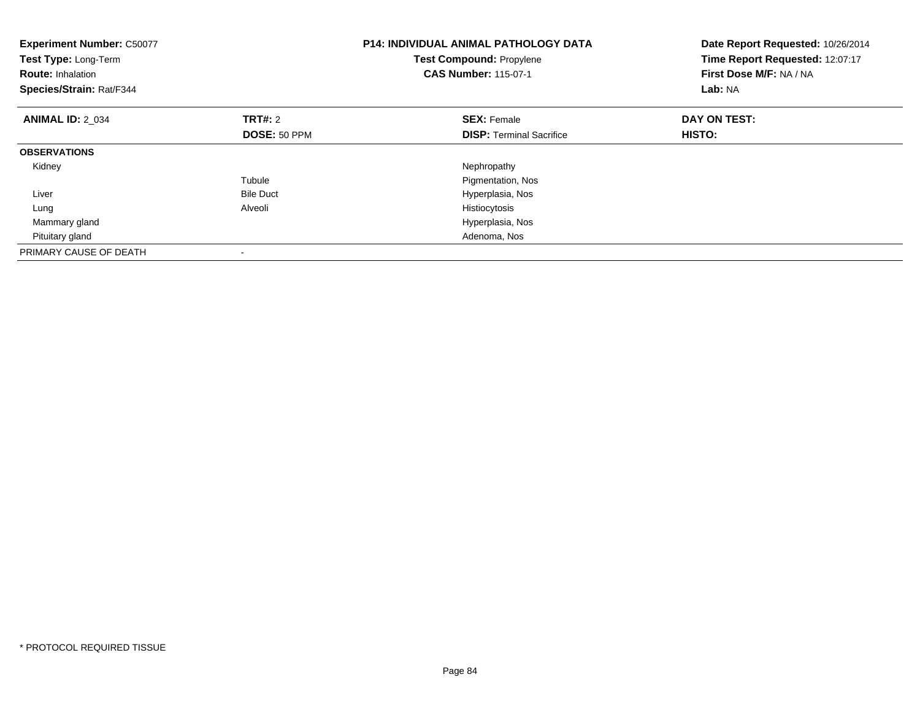| <b>Experiment Number: C50077</b><br>Test Type: Long-Term<br><b>Route: Inhalation</b><br>Species/Strain: Rat/F344 |                  | <b>P14: INDIVIDUAL ANIMAL PATHOLOGY DATA</b><br>Test Compound: Propylene<br><b>CAS Number: 115-07-1</b> | Date Report Requested: 10/26/2014<br>Time Report Requested: 12:07:17<br>First Dose M/F: NA / NA<br>Lab: NA |
|------------------------------------------------------------------------------------------------------------------|------------------|---------------------------------------------------------------------------------------------------------|------------------------------------------------------------------------------------------------------------|
| <b>ANIMAL ID: 2 034</b>                                                                                          | <b>TRT#: 2</b>   | <b>SEX: Female</b>                                                                                      | DAY ON TEST:                                                                                               |
|                                                                                                                  | DOSE: 50 PPM     | <b>DISP:</b> Terminal Sacrifice                                                                         | HISTO:                                                                                                     |
| <b>OBSERVATIONS</b>                                                                                              |                  |                                                                                                         |                                                                                                            |
| Kidney                                                                                                           |                  | Nephropathy                                                                                             |                                                                                                            |
|                                                                                                                  | Tubule           | Pigmentation, Nos                                                                                       |                                                                                                            |
| Liver                                                                                                            | <b>Bile Duct</b> | Hyperplasia, Nos                                                                                        |                                                                                                            |
| Lung                                                                                                             | Alveoli          | Histiocytosis                                                                                           |                                                                                                            |
| Mammary gland                                                                                                    |                  | Hyperplasia, Nos                                                                                        |                                                                                                            |
| Pituitary gland                                                                                                  |                  | Adenoma, Nos                                                                                            |                                                                                                            |
| PRIMARY CAUSE OF DEATH                                                                                           |                  |                                                                                                         |                                                                                                            |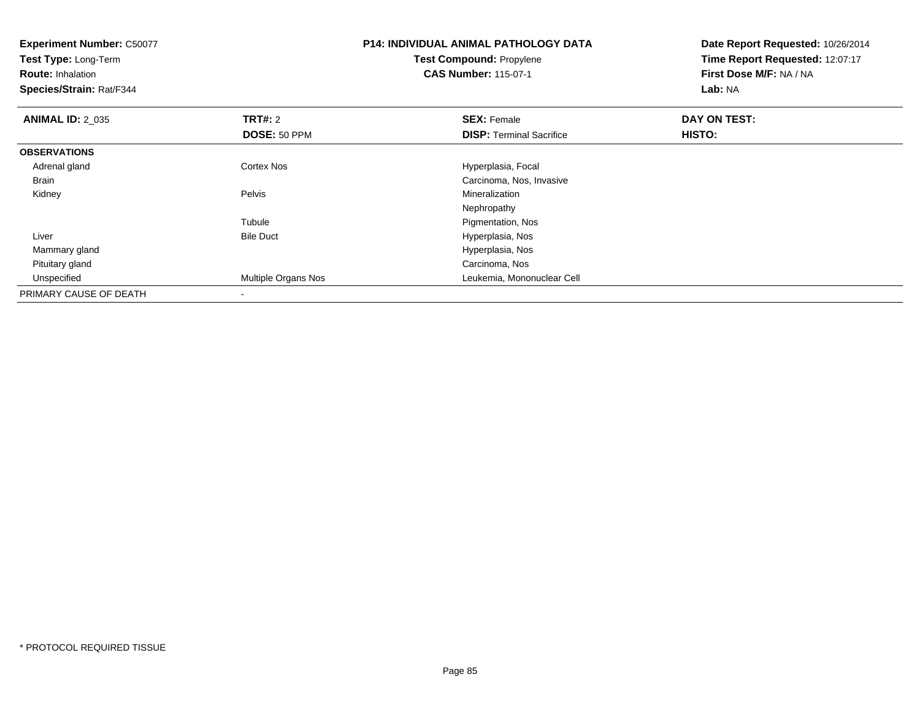| <b>Experiment Number: C50077</b><br>Test Type: Long-Term<br><b>Route: Inhalation</b><br>Species/Strain: Rat/F344 |                     | <b>P14: INDIVIDUAL ANIMAL PATHOLOGY DATA</b><br>Test Compound: Propylene<br><b>CAS Number: 115-07-1</b> | Date Report Requested: 10/26/2014<br>Time Report Requested: 12:07:17<br>First Dose M/F: NA / NA<br>Lab: NA |
|------------------------------------------------------------------------------------------------------------------|---------------------|---------------------------------------------------------------------------------------------------------|------------------------------------------------------------------------------------------------------------|
| <b>ANIMAL ID: 2_035</b>                                                                                          | <b>TRT#: 2</b>      | <b>SEX: Female</b>                                                                                      | DAY ON TEST:                                                                                               |
|                                                                                                                  | DOSE: 50 PPM        | <b>DISP: Terminal Sacrifice</b>                                                                         | HISTO:                                                                                                     |
| <b>OBSERVATIONS</b>                                                                                              |                     |                                                                                                         |                                                                                                            |
| Adrenal gland                                                                                                    | <b>Cortex Nos</b>   | Hyperplasia, Focal                                                                                      |                                                                                                            |
| Brain                                                                                                            |                     | Carcinoma, Nos, Invasive                                                                                |                                                                                                            |
| Kidney                                                                                                           | Pelvis              | <b>Mineralization</b>                                                                                   |                                                                                                            |
|                                                                                                                  |                     | Nephropathy                                                                                             |                                                                                                            |
|                                                                                                                  | Tubule              | Pigmentation, Nos                                                                                       |                                                                                                            |
| Liver                                                                                                            | <b>Bile Duct</b>    | Hyperplasia, Nos                                                                                        |                                                                                                            |
| Mammary gland                                                                                                    |                     | Hyperplasia, Nos                                                                                        |                                                                                                            |
| Pituitary gland                                                                                                  |                     | Carcinoma, Nos                                                                                          |                                                                                                            |
| Unspecified                                                                                                      | Multiple Organs Nos | Leukemia, Mononuclear Cell                                                                              |                                                                                                            |
| PRIMARY CAUSE OF DEATH                                                                                           |                     |                                                                                                         |                                                                                                            |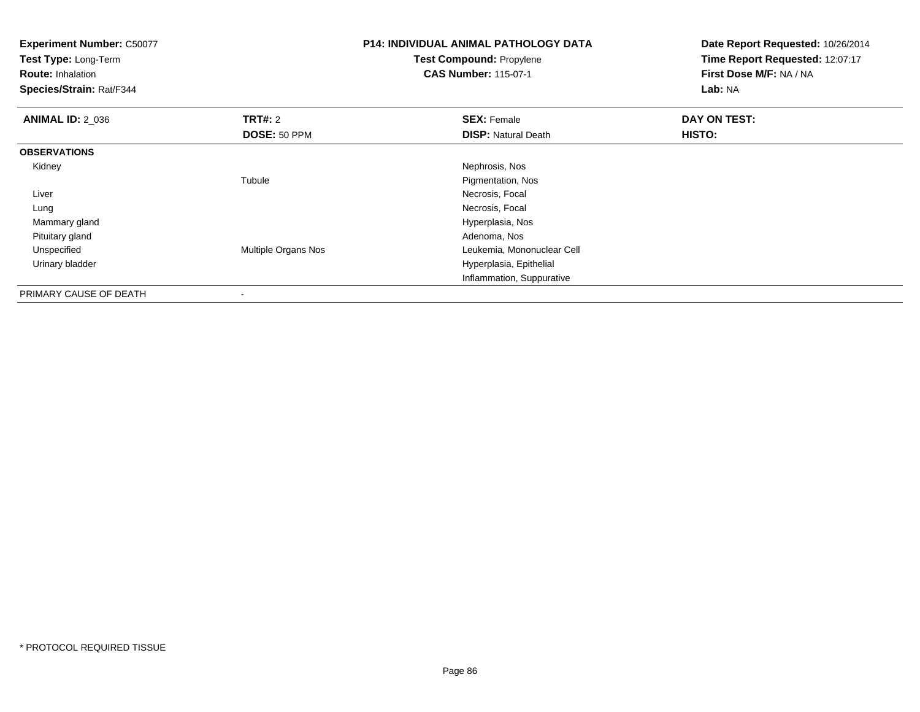| <b>Experiment Number: C50077</b><br>Test Type: Long-Term<br><b>Route: Inhalation</b><br>Species/Strain: Rat/F344 |                     | <b>P14: INDIVIDUAL ANIMAL PATHOLOGY DATA</b><br><b>Test Compound: Propylene</b><br><b>CAS Number: 115-07-1</b> | Date Report Requested: 10/26/2014<br>Time Report Requested: 12:07:17<br>First Dose M/F: NA / NA<br>Lab: NA |
|------------------------------------------------------------------------------------------------------------------|---------------------|----------------------------------------------------------------------------------------------------------------|------------------------------------------------------------------------------------------------------------|
| <b>ANIMAL ID: 2 036</b>                                                                                          | <b>TRT#: 2</b>      | <b>SEX: Female</b>                                                                                             | DAY ON TEST:                                                                                               |
|                                                                                                                  | DOSE: 50 PPM        | <b>DISP: Natural Death</b>                                                                                     | HISTO:                                                                                                     |
| <b>OBSERVATIONS</b>                                                                                              |                     |                                                                                                                |                                                                                                            |
| Kidney                                                                                                           |                     | Nephrosis, Nos                                                                                                 |                                                                                                            |
|                                                                                                                  | Tubule              | Pigmentation, Nos                                                                                              |                                                                                                            |
| Liver                                                                                                            |                     | Necrosis, Focal                                                                                                |                                                                                                            |
| Lung                                                                                                             |                     | Necrosis, Focal                                                                                                |                                                                                                            |
| Mammary gland                                                                                                    |                     | Hyperplasia, Nos                                                                                               |                                                                                                            |
| Pituitary gland                                                                                                  |                     | Adenoma, Nos                                                                                                   |                                                                                                            |
| Unspecified                                                                                                      | Multiple Organs Nos | Leukemia, Mononuclear Cell                                                                                     |                                                                                                            |
| Urinary bladder                                                                                                  |                     | Hyperplasia, Epithelial                                                                                        |                                                                                                            |
|                                                                                                                  |                     | Inflammation, Suppurative                                                                                      |                                                                                                            |
| DDII11ND17Q111QFQFQF1T11                                                                                         |                     |                                                                                                                |                                                                                                            |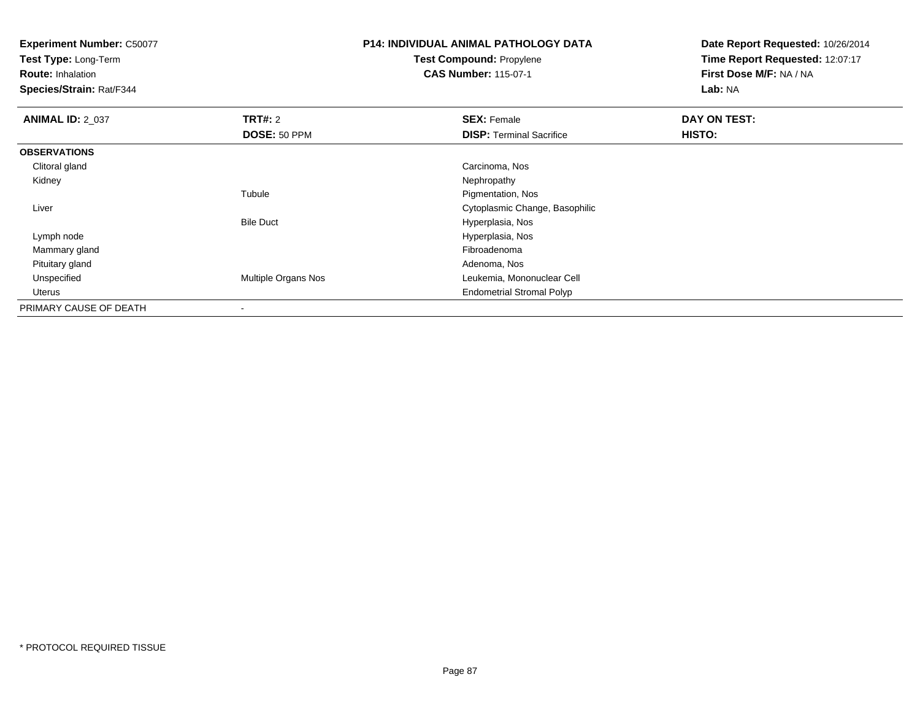**Test Type:** Long-Term

**Route:** Inhalation

**Species/Strain:** Rat/F344

## **P14: INDIVIDUAL ANIMAL PATHOLOGY DATATest Compound:** Propylene

**CAS Number:** 115-07-1

| <b>ANIMAL ID: 2 037</b> | TRT#: 2                  | <b>SEX: Female</b>               | DAY ON TEST:  |  |
|-------------------------|--------------------------|----------------------------------|---------------|--|
|                         | DOSE: 50 PPM             | <b>DISP: Terminal Sacrifice</b>  | <b>HISTO:</b> |  |
| <b>OBSERVATIONS</b>     |                          |                                  |               |  |
| Clitoral gland          |                          | Carcinoma, Nos                   |               |  |
| Kidney                  |                          | Nephropathy                      |               |  |
|                         | Tubule                   | Pigmentation, Nos                |               |  |
| Liver                   |                          | Cytoplasmic Change, Basophilic   |               |  |
|                         | <b>Bile Duct</b>         | Hyperplasia, Nos                 |               |  |
| Lymph node              |                          | Hyperplasia, Nos                 |               |  |
| Mammary gland           |                          | Fibroadenoma                     |               |  |
| Pituitary gland         |                          | Adenoma, Nos                     |               |  |
| Unspecified             | Multiple Organs Nos      | Leukemia, Mononuclear Cell       |               |  |
| Uterus                  |                          | <b>Endometrial Stromal Polyp</b> |               |  |
| PRIMARY CAUSE OF DEATH  | $\overline{\phantom{a}}$ |                                  |               |  |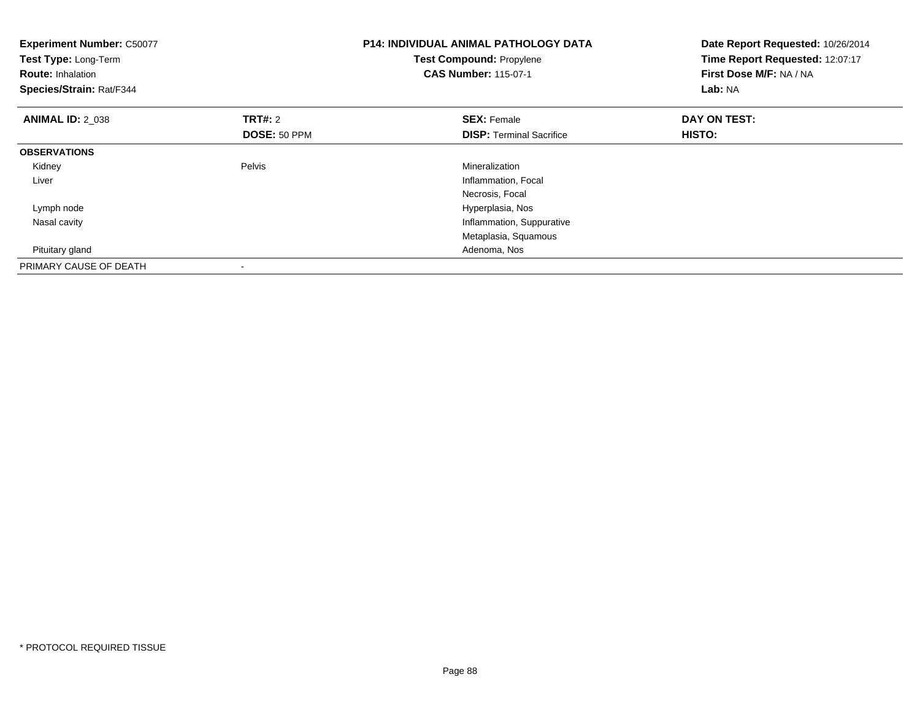| <b>Experiment Number: C50077</b><br>Test Type: Long-Term<br><b>Route: Inhalation</b><br>Species/Strain: Rat/F344 |                | <b>P14: INDIVIDUAL ANIMAL PATHOLOGY DATA</b><br>Test Compound: Propylene<br><b>CAS Number: 115-07-1</b> | Date Report Requested: 10/26/2014<br>Time Report Requested: 12:07:17<br>First Dose M/F: NA / NA<br>Lab: NA |
|------------------------------------------------------------------------------------------------------------------|----------------|---------------------------------------------------------------------------------------------------------|------------------------------------------------------------------------------------------------------------|
| <b>ANIMAL ID: 2_038</b>                                                                                          | <b>TRT#:</b> 2 | <b>SEX: Female</b>                                                                                      | DAY ON TEST:                                                                                               |
|                                                                                                                  | DOSE: 50 PPM   | <b>DISP:</b> Terminal Sacrifice                                                                         | HISTO:                                                                                                     |
| <b>OBSERVATIONS</b>                                                                                              |                |                                                                                                         |                                                                                                            |
| Kidney                                                                                                           | Pelvis         | Mineralization                                                                                          |                                                                                                            |
| Liver                                                                                                            |                | Inflammation, Focal                                                                                     |                                                                                                            |
|                                                                                                                  |                | Necrosis, Focal                                                                                         |                                                                                                            |
| Lymph node                                                                                                       |                | Hyperplasia, Nos                                                                                        |                                                                                                            |
| Nasal cavity                                                                                                     |                | Inflammation, Suppurative                                                                               |                                                                                                            |
|                                                                                                                  |                | Metaplasia, Squamous                                                                                    |                                                                                                            |
| Pituitary gland                                                                                                  |                | Adenoma, Nos                                                                                            |                                                                                                            |
| PRIMARY CAUSE OF DEATH                                                                                           |                |                                                                                                         |                                                                                                            |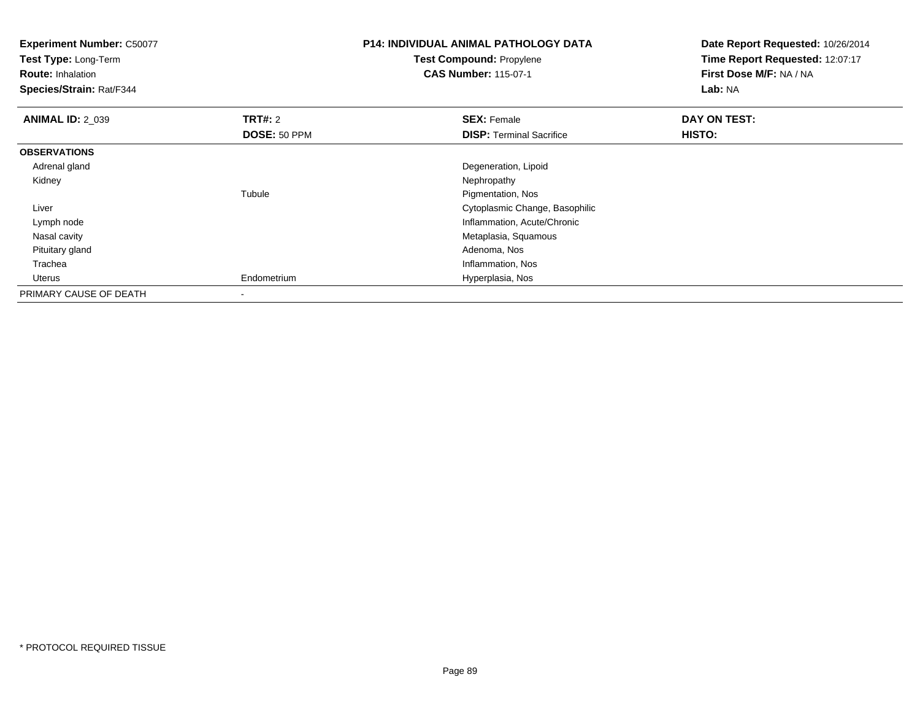| <b>Experiment Number: C50077</b><br>Test Type: Long-Term<br><b>Route: Inhalation</b><br>Species/Strain: Rat/F344 |                | <b>P14: INDIVIDUAL ANIMAL PATHOLOGY DATA</b><br>Test Compound: Propylene<br><b>CAS Number: 115-07-1</b> | Date Report Requested: 10/26/2014<br>Time Report Requested: 12:07:17<br>First Dose M/F: NA / NA<br>Lab: NA |
|------------------------------------------------------------------------------------------------------------------|----------------|---------------------------------------------------------------------------------------------------------|------------------------------------------------------------------------------------------------------------|
| <b>ANIMAL ID: 2 039</b>                                                                                          | <b>TRT#:</b> 2 | <b>SEX: Female</b>                                                                                      | DAY ON TEST:                                                                                               |
|                                                                                                                  | DOSE: 50 PPM   | <b>DISP:</b> Terminal Sacrifice                                                                         | HISTO:                                                                                                     |
| <b>OBSERVATIONS</b>                                                                                              |                |                                                                                                         |                                                                                                            |
| Adrenal gland                                                                                                    |                | Degeneration, Lipoid                                                                                    |                                                                                                            |
| Kidney                                                                                                           |                | Nephropathy                                                                                             |                                                                                                            |
|                                                                                                                  | Tubule         | Pigmentation, Nos                                                                                       |                                                                                                            |
| Liver                                                                                                            |                | Cytoplasmic Change, Basophilic                                                                          |                                                                                                            |
| Lymph node                                                                                                       |                | Inflammation, Acute/Chronic                                                                             |                                                                                                            |
| Nasal cavity                                                                                                     |                | Metaplasia, Squamous                                                                                    |                                                                                                            |
| Pituitary gland                                                                                                  |                | Adenoma, Nos                                                                                            |                                                                                                            |
| Trachea                                                                                                          |                | Inflammation, Nos                                                                                       |                                                                                                            |
| Uterus                                                                                                           | Endometrium    | Hyperplasia, Nos                                                                                        |                                                                                                            |
| PRIMARY CAUSE OF DEATH                                                                                           |                |                                                                                                         |                                                                                                            |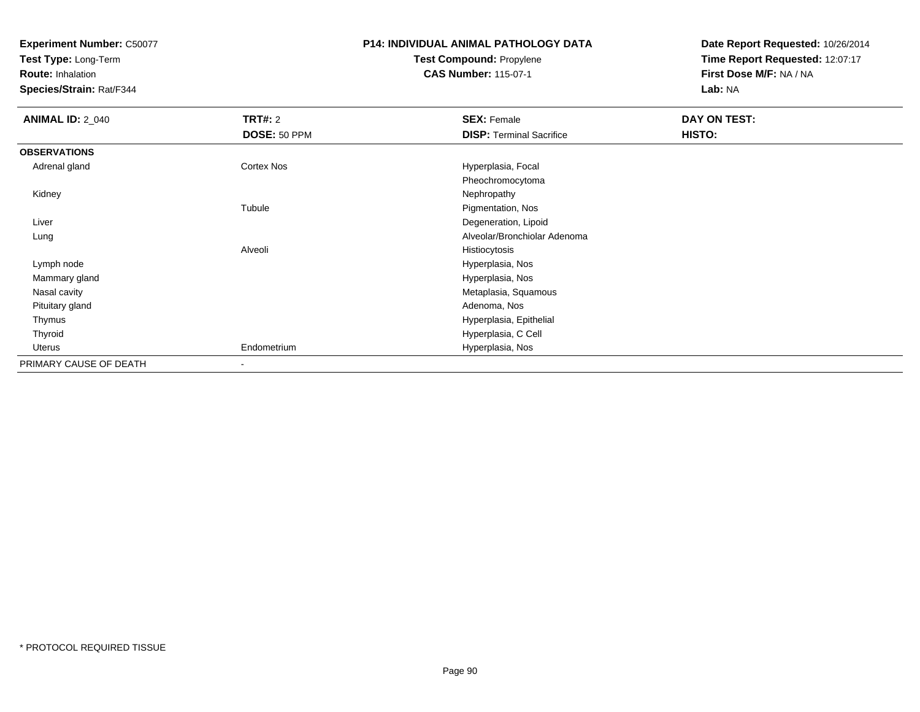**Test Type:** Long-Term

**Route:** Inhalation

**Species/Strain:** Rat/F344

## **P14: INDIVIDUAL ANIMAL PATHOLOGY DATATest Compound:** Propylene

**CAS Number:** 115-07-1

| <b>ANIMAL ID: 2_040</b> | <b>TRT#: 2</b>           | <b>SEX: Female</b>              | DAY ON TEST: |  |
|-------------------------|--------------------------|---------------------------------|--------------|--|
|                         | DOSE: 50 PPM             | <b>DISP: Terminal Sacrifice</b> | HISTO:       |  |
| <b>OBSERVATIONS</b>     |                          |                                 |              |  |
| Adrenal gland           | Cortex Nos               | Hyperplasia, Focal              |              |  |
|                         |                          | Pheochromocytoma                |              |  |
| Kidney                  |                          | Nephropathy                     |              |  |
|                         | Tubule                   | Pigmentation, Nos               |              |  |
| Liver                   |                          | Degeneration, Lipoid            |              |  |
| Lung                    |                          | Alveolar/Bronchiolar Adenoma    |              |  |
|                         | Alveoli                  | Histiocytosis                   |              |  |
| Lymph node              |                          | Hyperplasia, Nos                |              |  |
| Mammary gland           |                          | Hyperplasia, Nos                |              |  |
| Nasal cavity            |                          | Metaplasia, Squamous            |              |  |
| Pituitary gland         |                          | Adenoma, Nos                    |              |  |
| Thymus                  |                          | Hyperplasia, Epithelial         |              |  |
| Thyroid                 |                          | Hyperplasia, C Cell             |              |  |
| Uterus                  | Endometrium              | Hyperplasia, Nos                |              |  |
| PRIMARY CAUSE OF DEATH  | $\overline{\phantom{a}}$ |                                 |              |  |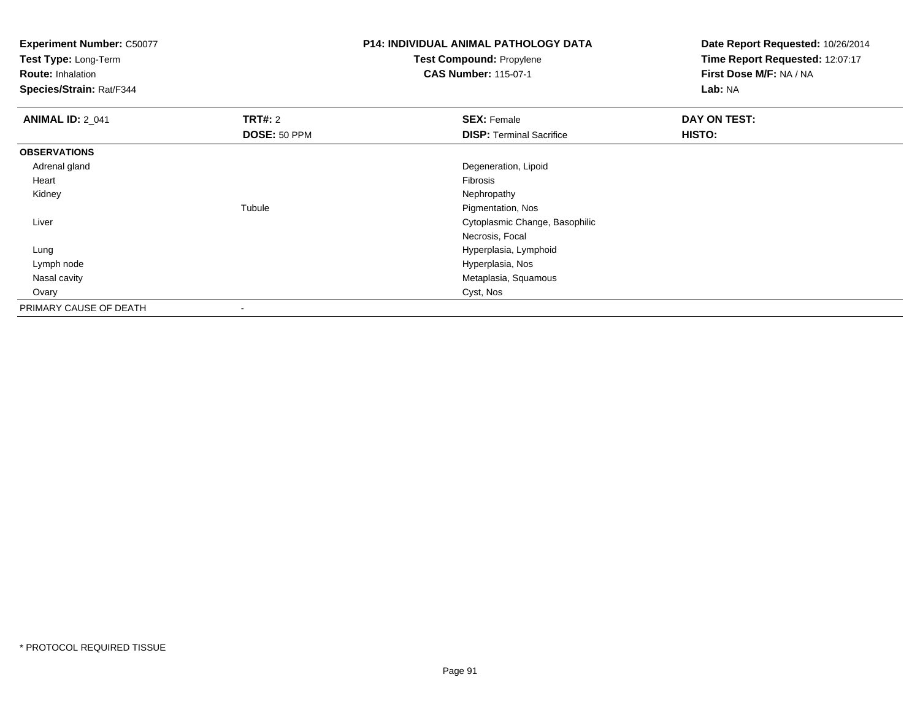**Test Type:** Long-Term

**Route:** Inhalation

**Species/Strain:** Rat/F344

# **P14: INDIVIDUAL ANIMAL PATHOLOGY DATATest Compound:** Propylene

**CAS Number:** 115-07-1

| <b>ANIMAL ID: 2_041</b> | <b>TRT#: 2</b> | <b>SEX: Female</b>              | DAY ON TEST: |  |
|-------------------------|----------------|---------------------------------|--------------|--|
|                         | DOSE: 50 PPM   | <b>DISP: Terminal Sacrifice</b> | HISTO:       |  |
| <b>OBSERVATIONS</b>     |                |                                 |              |  |
| Adrenal gland           |                | Degeneration, Lipoid            |              |  |
| Heart                   |                | Fibrosis                        |              |  |
| Kidney                  |                | Nephropathy                     |              |  |
|                         | Tubule         | Pigmentation, Nos               |              |  |
| Liver                   |                | Cytoplasmic Change, Basophilic  |              |  |
|                         |                | Necrosis, Focal                 |              |  |
| Lung                    |                | Hyperplasia, Lymphoid           |              |  |
| Lymph node              |                | Hyperplasia, Nos                |              |  |
| Nasal cavity            |                | Metaplasia, Squamous            |              |  |
| Ovary                   |                | Cyst, Nos                       |              |  |
| PRIMARY CAUSE OF DEATH  |                |                                 |              |  |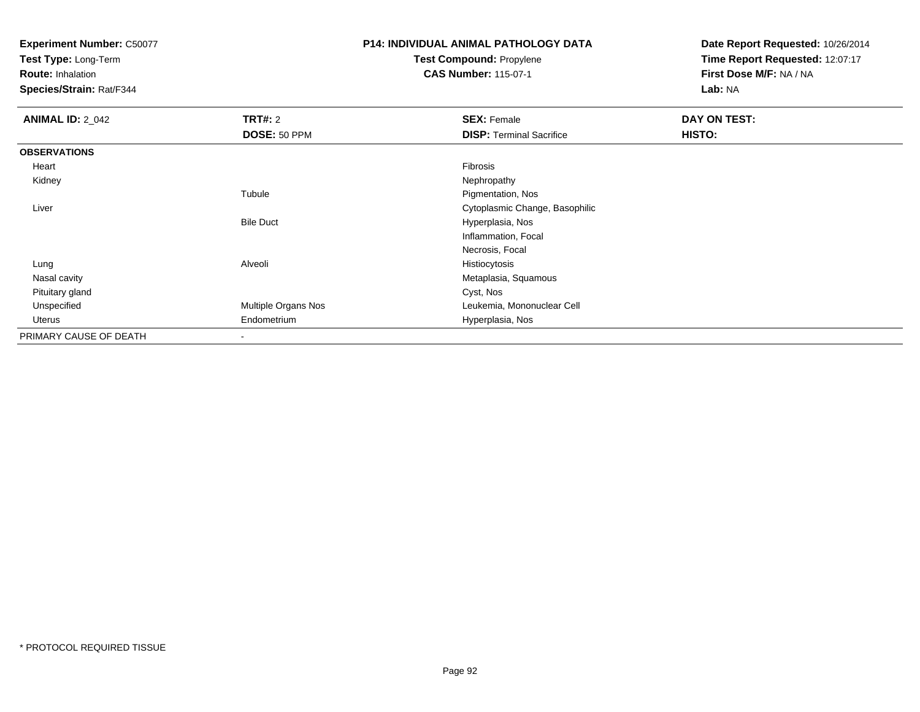**Test Type:** Long-Term

**Route:** Inhalation

**Species/Strain:** Rat/F344

# **P14: INDIVIDUAL ANIMAL PATHOLOGY DATATest Compound:** Propylene

**CAS Number:** 115-07-1

| <b>ANIMAL ID: 2_042</b> | <b>TRT#: 2</b>      | <b>SEX: Female</b>              | DAY ON TEST: |  |
|-------------------------|---------------------|---------------------------------|--------------|--|
|                         | DOSE: 50 PPM        | <b>DISP: Terminal Sacrifice</b> | HISTO:       |  |
| <b>OBSERVATIONS</b>     |                     |                                 |              |  |
| Heart                   |                     | Fibrosis                        |              |  |
| Kidney                  |                     | Nephropathy                     |              |  |
|                         | Tubule              | Pigmentation, Nos               |              |  |
| Liver                   |                     | Cytoplasmic Change, Basophilic  |              |  |
|                         | <b>Bile Duct</b>    | Hyperplasia, Nos                |              |  |
|                         |                     | Inflammation, Focal             |              |  |
|                         |                     | Necrosis, Focal                 |              |  |
| Lung                    | Alveoli             | Histiocytosis                   |              |  |
| Nasal cavity            |                     | Metaplasia, Squamous            |              |  |
| Pituitary gland         |                     | Cyst, Nos                       |              |  |
| Unspecified             | Multiple Organs Nos | Leukemia, Mononuclear Cell      |              |  |
| Uterus                  | Endometrium         | Hyperplasia, Nos                |              |  |
| PRIMARY CAUSE OF DEATH  |                     |                                 |              |  |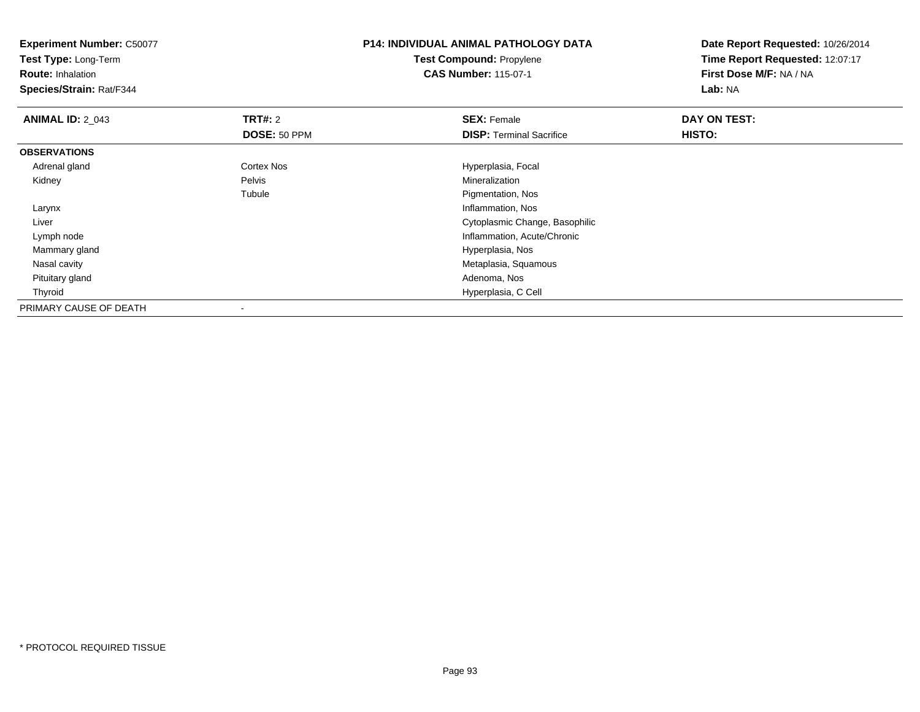**Experiment Number:** C50077**Test Type:** Long-Term**Route:** Inhalation **Species/Strain:** Rat/F344**P14: INDIVIDUAL ANIMAL PATHOLOGY DATATest Compound:** Propylene**CAS Number:** 115-07-1**Date Report Requested:** 10/26/2014**Time Report Requested:** 12:07:17**First Dose M/F:** NA / NA**Lab:** NA**ANIMAL ID: 2 043 TRT#:** 2 **SEX:** Female **DAY ON TEST: DOSE:** 50 PPM**DISP:** Terminal Sacrifice **HISTO: OBSERVATIONS** Adrenal glandCortex Nos **Exercía Exercía Exercía Exercía Exercía Exercía Exercía Exercía Exercía Exercía Exercía Exercía Exercía Exercía Exercía Exercía Exercía Exercía Exercía Exercía Exercía Exercía Exercía Exercía Exercía Exercía Ex**  Kidneyy Pelvis Mineralization e **Pigmentation**, Nos Tubule Larynx Inflammation, Nos Liver Cytoplasmic Change, Basophilic Lymph node Inflammation, Acute/Chronic Mammary gland Hyperplasia, Nos Nasal cavity Metaplasia, Squamous Pituitary gland Adenoma, Nos Thyroid Hyperplasia, C Cell PRIMARY CAUSE OF DEATH-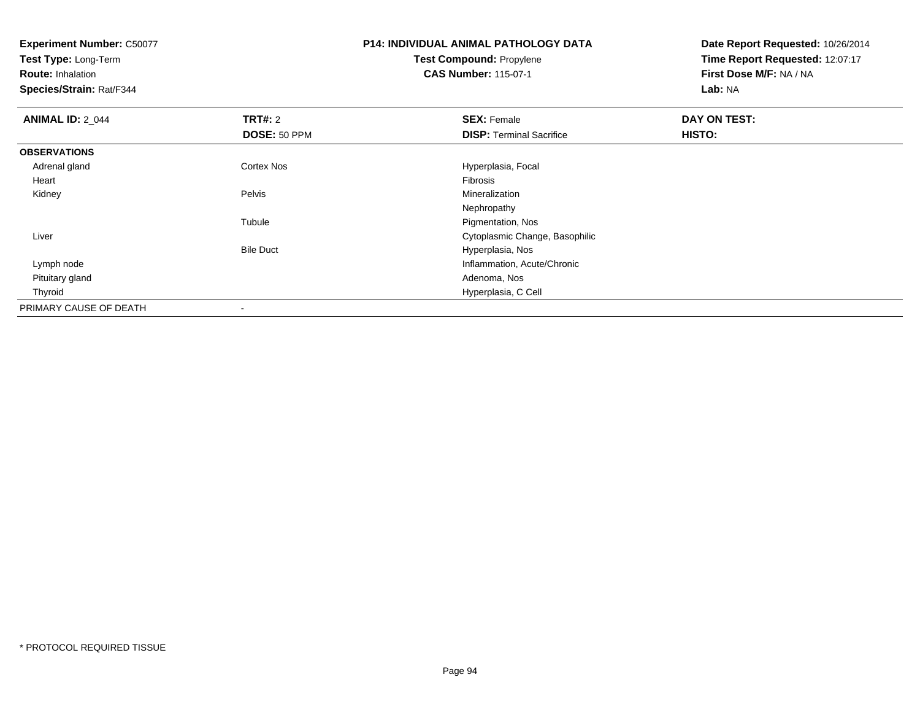**Test Type:** Long-Term

**Route:** Inhalation

**Species/Strain:** Rat/F344

### **P14: INDIVIDUAL ANIMAL PATHOLOGY DATATest Compound:** Propylene**CAS Number:** 115-07-1

| <b>ANIMAL ID: 2 044</b> | <b>TRT#: 2</b>   | <b>SEX: Female</b>              | DAY ON TEST: |  |
|-------------------------|------------------|---------------------------------|--------------|--|
|                         | DOSE: 50 PPM     | <b>DISP: Terminal Sacrifice</b> | HISTO:       |  |
| <b>OBSERVATIONS</b>     |                  |                                 |              |  |
| Adrenal gland           | Cortex Nos       | Hyperplasia, Focal              |              |  |
| Heart                   |                  | Fibrosis                        |              |  |
| Kidney                  | Pelvis           | Mineralization                  |              |  |
|                         |                  | Nephropathy                     |              |  |
|                         | Tubule           | Pigmentation, Nos               |              |  |
| Liver                   |                  | Cytoplasmic Change, Basophilic  |              |  |
|                         | <b>Bile Duct</b> | Hyperplasia, Nos                |              |  |
| Lymph node              |                  | Inflammation, Acute/Chronic     |              |  |
| Pituitary gland         |                  | Adenoma, Nos                    |              |  |
| Thyroid                 |                  | Hyperplasia, C Cell             |              |  |
| PRIMARY CAUSE OF DEATH  |                  |                                 |              |  |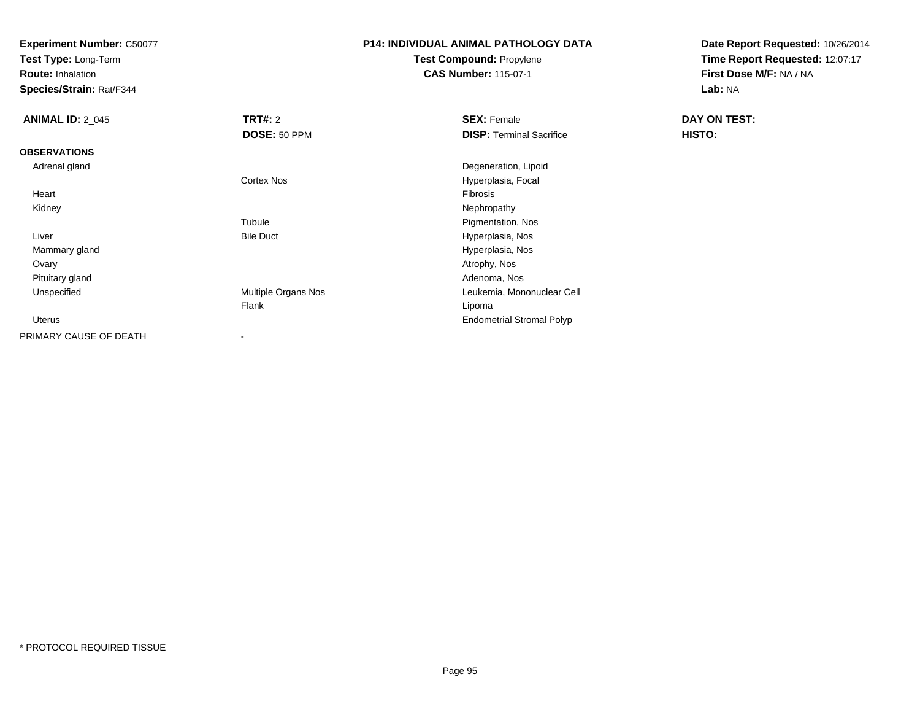**Test Type:** Long-Term

**Route:** Inhalation

**Species/Strain:** Rat/F344

# **P14: INDIVIDUAL ANIMAL PATHOLOGY DATATest Compound:** Propylene

**CAS Number:** 115-07-1

| <b>ANIMAL ID: 2 045</b> | TRT#: 2             | <b>SEX: Female</b>               | DAY ON TEST: |
|-------------------------|---------------------|----------------------------------|--------------|
|                         | DOSE: 50 PPM        | <b>DISP: Terminal Sacrifice</b>  | HISTO:       |
| <b>OBSERVATIONS</b>     |                     |                                  |              |
| Adrenal gland           |                     | Degeneration, Lipoid             |              |
|                         | Cortex Nos          | Hyperplasia, Focal               |              |
| Heart                   |                     | Fibrosis                         |              |
| Kidney                  |                     | Nephropathy                      |              |
|                         | Tubule              | Pigmentation, Nos                |              |
| Liver                   | <b>Bile Duct</b>    | Hyperplasia, Nos                 |              |
| Mammary gland           |                     | Hyperplasia, Nos                 |              |
| Ovary                   |                     | Atrophy, Nos                     |              |
| Pituitary gland         |                     | Adenoma, Nos                     |              |
| Unspecified             | Multiple Organs Nos | Leukemia, Mononuclear Cell       |              |
|                         | Flank               | Lipoma                           |              |
| Uterus                  |                     | <b>Endometrial Stromal Polyp</b> |              |
| PRIMARY CAUSE OF DEATH  | ۰                   |                                  |              |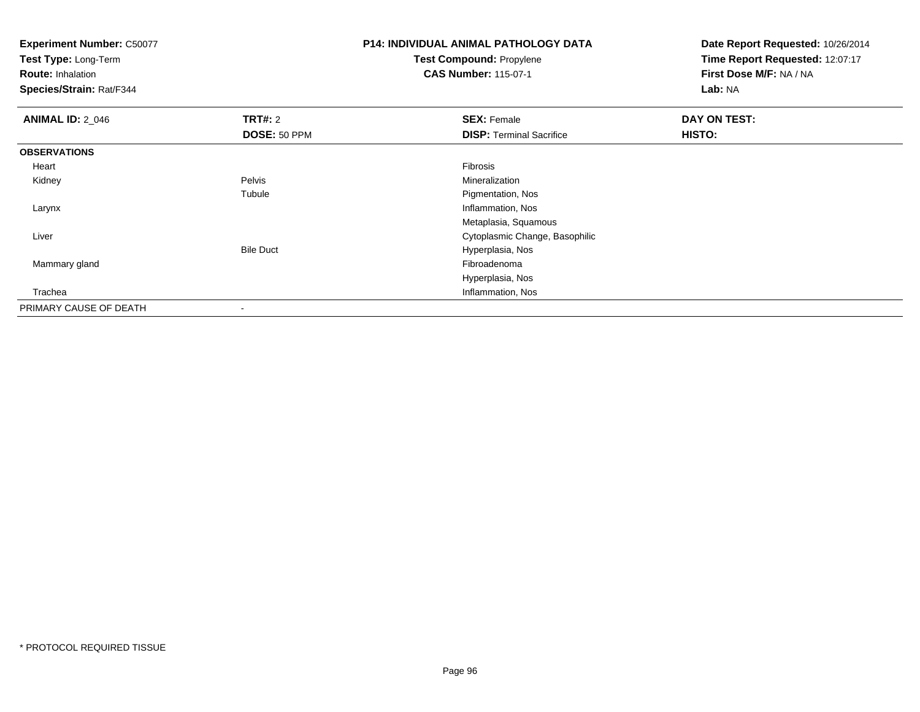**Experiment Number:** C50077**Test Type:** Long-Term**Route:** Inhalation **Species/Strain:** Rat/F344**P14: INDIVIDUAL ANIMAL PATHOLOGY DATATest Compound:** Propylene**CAS Number:** 115-07-1**Date Report Requested:** 10/26/2014**Time Report Requested:** 12:07:17**First Dose M/F:** NA / NA**Lab:** NA**ANIMAL ID: 2 046 6 DAY ON TEST: TRT#:** 2 **SEX:** Female **SEX:** Female **DOSE:** 50 PPM**DISP:** Terminal Sacrifice **HISTO: OBSERVATIONS** Heartt de la constitución de la constitución de la constitución de la constitución de la constitución de la constitución Mineralization Kidneyy Pelvis Mineralization e **Pigmentation**, Nos Tubule Larynx Inflammation, Nos Metaplasia, Squamous**Cytoplasmic Change, Basophilic Change, Basophilic Change, Basophilic Change, Basophilic Change, Basophilic Change, Basophilic Change, Basophilic Change, Basophilic Change, Basophilic Change, Basophilic Change, Basophilic**  LiverBile Duct Hyperplasia, Nos Mammary glandd and the control of the control of the control of the control of the control of the control of the control of the control of the control of the control of the control of the control of the control of the control of the co Hyperplasia, Nos Inflammation, Nos TracheaPRIMARY CAUSE OF DEATH-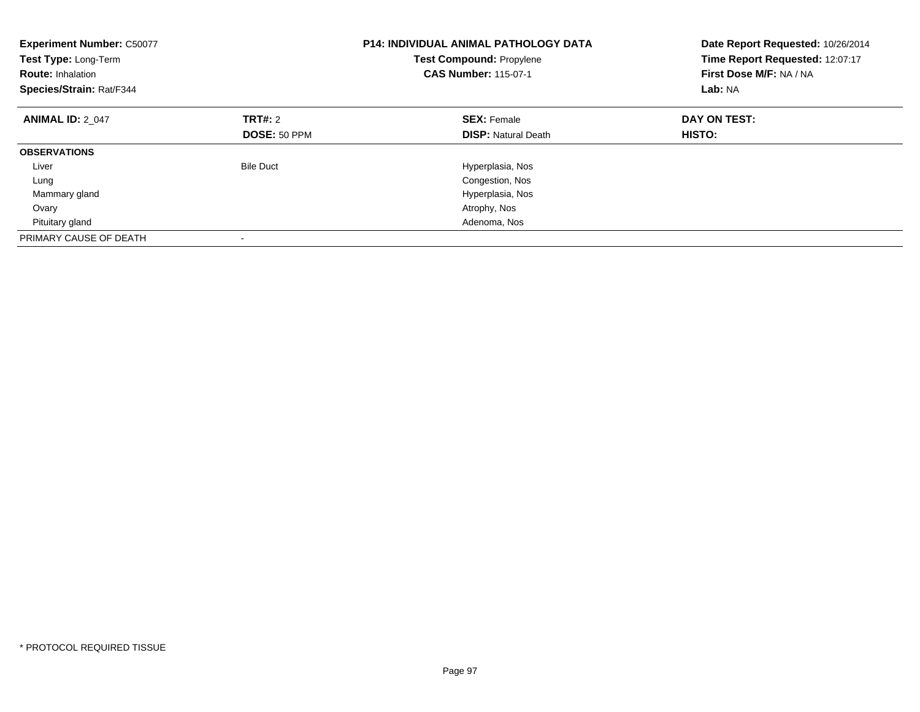| <b>Experiment Number: C50077</b><br>Test Type: Long-Term<br><b>Route: Inhalation</b><br>Species/Strain: Rat/F344 |                                | <b>P14: INDIVIDUAL ANIMAL PATHOLOGY DATA</b><br><b>Test Compound: Propylene</b><br><b>CAS Number: 115-07-1</b> | Date Report Requested: 10/26/2014<br>Time Report Requested: 12:07:17<br>First Dose M/F: NA / NA<br>Lab: NA |
|------------------------------------------------------------------------------------------------------------------|--------------------------------|----------------------------------------------------------------------------------------------------------------|------------------------------------------------------------------------------------------------------------|
| <b>ANIMAL ID: 2 047</b>                                                                                          | <b>TRT#:</b> 2<br>DOSE: 50 PPM | <b>SEX: Female</b><br><b>DISP:</b> Natural Death                                                               | DAY ON TEST:<br>HISTO:                                                                                     |
| <b>OBSERVATIONS</b>                                                                                              |                                |                                                                                                                |                                                                                                            |
| Liver                                                                                                            | <b>Bile Duct</b>               | Hyperplasia, Nos                                                                                               |                                                                                                            |
| Lung                                                                                                             |                                | Congestion, Nos                                                                                                |                                                                                                            |
| Mammary gland                                                                                                    |                                | Hyperplasia, Nos                                                                                               |                                                                                                            |
| Ovary                                                                                                            |                                | Atrophy, Nos                                                                                                   |                                                                                                            |
| Pituitary gland                                                                                                  |                                | Adenoma, Nos                                                                                                   |                                                                                                            |
| PRIMARY CAUSE OF DEATH                                                                                           |                                |                                                                                                                |                                                                                                            |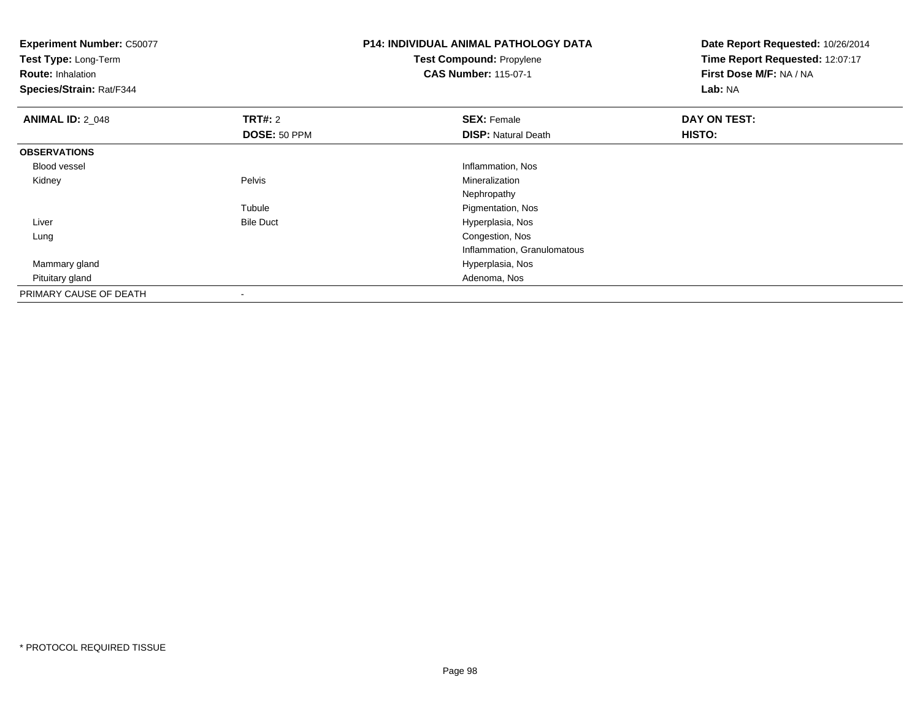**Experiment Number:** C50077**Test Type:** Long-Term**Route:** Inhalation **Species/Strain:** Rat/F344**P14: INDIVIDUAL ANIMAL PATHOLOGY DATATest Compound:** Propylene**CAS Number:** 115-07-1**Date Report Requested:** 10/26/2014**Time Report Requested:** 12:07:17**First Dose M/F:** NA / NA**Lab:** NA**ANIMAL ID: 2 048 REX:** Female **DAY ON TEST: CONSIST: SEX:** Female **DAY ON TEST: DOSE:** 50 PPM**DISP:** Natural Death **HISTO: OBSERVATIONS** Blood vessel Inflammation, Nos Kidneyy Pelvis Mineralization Nephropathye Pigmentation, Nos Tubule LiverBile Duct **Hyperplasia**, Nos Congestion, Nos LungInflammation, Granulomatous Mammary gland Hyperplasia, Nos Pituitary gland Adenoma, Nos PRIMARY CAUSE OF DEATH-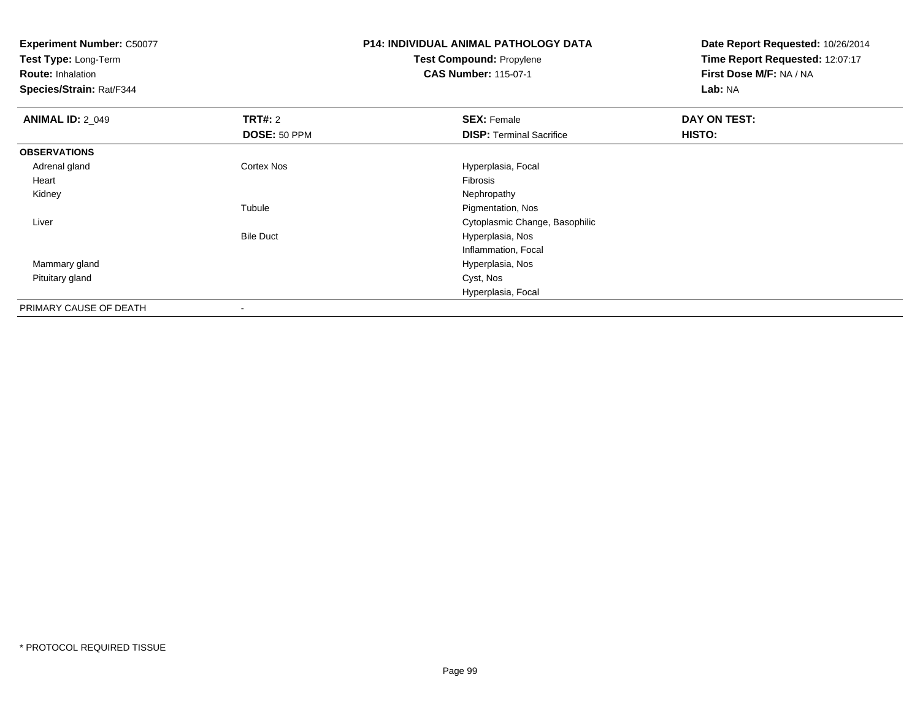**Test Type:** Long-Term

**Route:** Inhalation

**Species/Strain:** Rat/F344

### **P14: INDIVIDUAL ANIMAL PATHOLOGY DATATest Compound:** Propylene**CAS Number:** 115-07-1

| <b>ANIMAL ID: 2_049</b> | <b>TRT#: 2</b>    | <b>SEX: Female</b>              | DAY ON TEST: |  |
|-------------------------|-------------------|---------------------------------|--------------|--|
|                         | DOSE: 50 PPM      | <b>DISP: Terminal Sacrifice</b> | HISTO:       |  |
| <b>OBSERVATIONS</b>     |                   |                                 |              |  |
| Adrenal gland           | <b>Cortex Nos</b> | Hyperplasia, Focal              |              |  |
| Heart                   |                   | Fibrosis                        |              |  |
| Kidney                  |                   | Nephropathy                     |              |  |
|                         | Tubule            | Pigmentation, Nos               |              |  |
| Liver                   |                   | Cytoplasmic Change, Basophilic  |              |  |
|                         | <b>Bile Duct</b>  | Hyperplasia, Nos                |              |  |
|                         |                   | Inflammation, Focal             |              |  |
| Mammary gland           |                   | Hyperplasia, Nos                |              |  |
| Pituitary gland         |                   | Cyst, Nos                       |              |  |
|                         |                   | Hyperplasia, Focal              |              |  |
| PRIMARY CAUSE OF DEATH  | $\,$ $\,$         |                                 |              |  |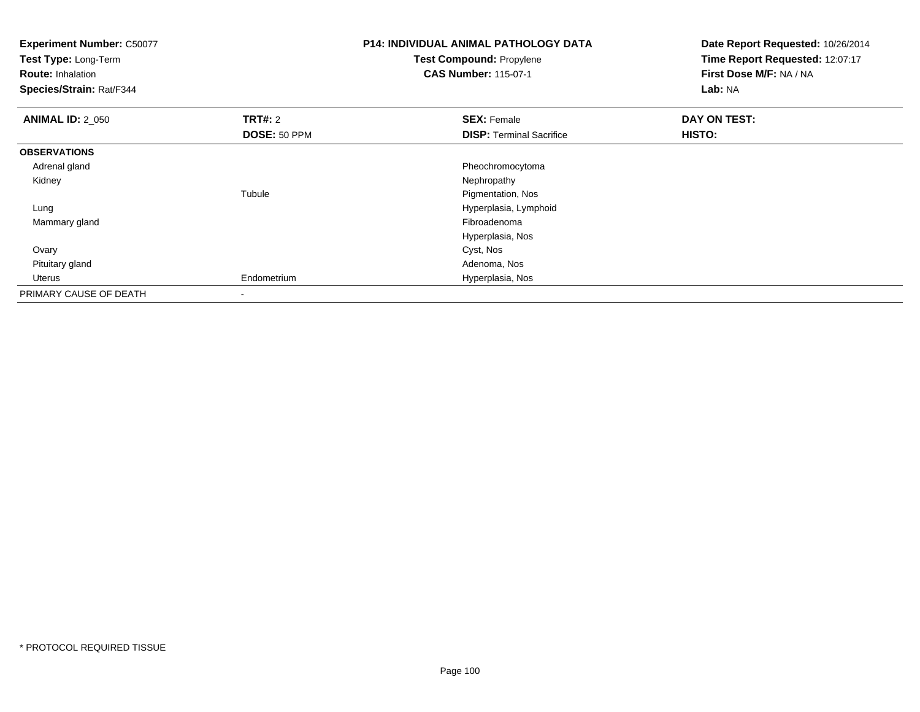| <b>Experiment Number: C50077</b><br>Test Type: Long-Term<br><b>Route: Inhalation</b><br>Species/Strain: Rat/F344 |                | <b>P14: INDIVIDUAL ANIMAL PATHOLOGY DATA</b><br>Test Compound: Propylene<br><b>CAS Number: 115-07-1</b> | Date Report Requested: 10/26/2014<br>Time Report Requested: 12:07:17<br>First Dose M/F: NA / NA<br>Lab: NA |  |
|------------------------------------------------------------------------------------------------------------------|----------------|---------------------------------------------------------------------------------------------------------|------------------------------------------------------------------------------------------------------------|--|
| <b>ANIMAL ID: 2 050</b>                                                                                          | <b>TRT#:</b> 2 | <b>SEX: Female</b>                                                                                      | DAY ON TEST:                                                                                               |  |
|                                                                                                                  | DOSE: 50 PPM   | <b>DISP: Terminal Sacrifice</b>                                                                         | HISTO:                                                                                                     |  |
| <b>OBSERVATIONS</b>                                                                                              |                |                                                                                                         |                                                                                                            |  |
| Adrenal gland                                                                                                    |                | Pheochromocytoma                                                                                        |                                                                                                            |  |
| Kidney                                                                                                           |                | Nephropathy                                                                                             |                                                                                                            |  |
|                                                                                                                  | Tubule         | Pigmentation, Nos                                                                                       |                                                                                                            |  |
| Lung                                                                                                             |                | Hyperplasia, Lymphoid                                                                                   |                                                                                                            |  |
| Mammary gland                                                                                                    |                | Fibroadenoma                                                                                            |                                                                                                            |  |
|                                                                                                                  |                | Hyperplasia, Nos                                                                                        |                                                                                                            |  |
| Ovary                                                                                                            |                | Cyst, Nos                                                                                               |                                                                                                            |  |
| Pituitary gland                                                                                                  |                | Adenoma, Nos                                                                                            |                                                                                                            |  |
| Uterus                                                                                                           | Endometrium    | Hyperplasia, Nos                                                                                        |                                                                                                            |  |
| PRIMARY CAUSE OF DEATH                                                                                           |                |                                                                                                         |                                                                                                            |  |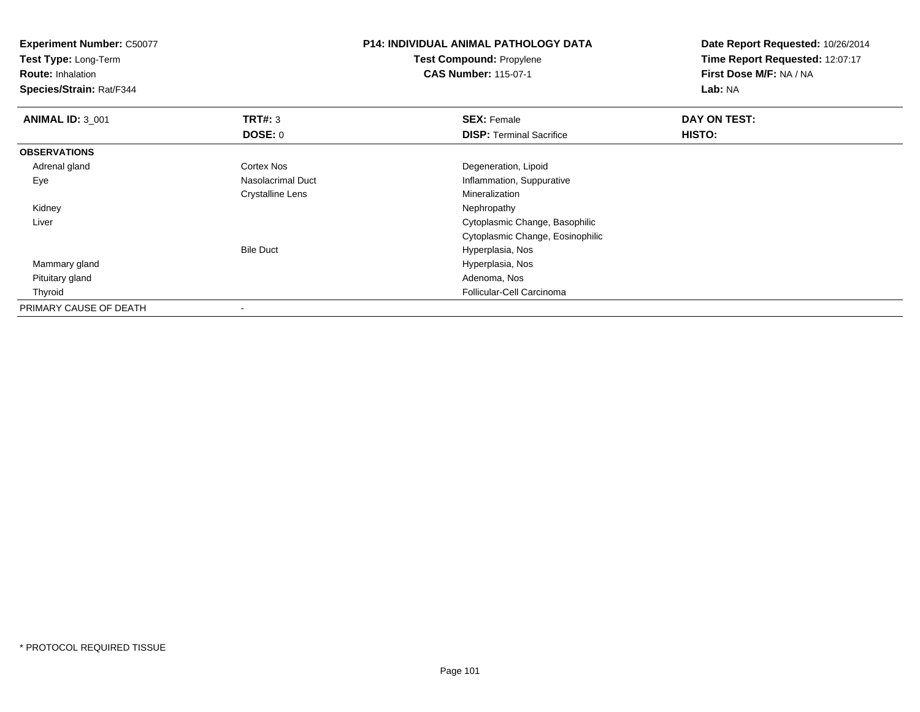**Experiment Number:** C50077**Test Type:** Long-Term**Route:** Inhalation **Species/Strain:** Rat/F344**P14: INDIVIDUAL ANIMAL PATHOLOGY DATATest Compound:** Propylene**CAS Number:** 115-07-1**Date Report Requested:** 10/26/2014**Time Report Requested:** 12:07:17**First Dose M/F:** NA / NA**Lab:** NA**ANIMAL ID:** 3\_001**TRT#:** 3 **SEX:** Female **DAY ON TEST: DOSE:** 0**DISP:** Terminal Sacrifice **HISTO: OBSERVATIONS** Adrenal glandCortex Nos<br>
Nasolacrimal Duct<br>
Nasolacrimal Duct<br>
Nasolacrimal Duct<br>
Nasolacrimal Duct<br>
Nasolacrimal Duct<br>
Nasolacrimal Duct<br>
Nasolacrimal Duct<br>
Nasolacrimal Duct<br>
Nasolacrimal Duct<br>
Nasolacrimal Duct<br>
Nasolacrimal Duct<br>
N EyeInflammation, Suppurative Crystalline Lens MineralizationNephropathy Kidneyy the control of the control of the control of the control of the control of the control of the control of the control of the control of the control of the control of the control of the control of the control of the contro Liver Cytoplasmic Change, Basophilic Cytoplasmic Change, EosinophilicBile Duct Hyperplasia, Nosd and the contract of the contract of the contract of the contract of the Hyperplasia, Nos Mammary gland Pituitary glandd and the control of the control of the control of the control of the control of the control of the control of the control of the control of the control of the control of the control of the control of the control of the co Thyroid Follicular-Cell Carcinoma PRIMARY CAUSE OF DEATH-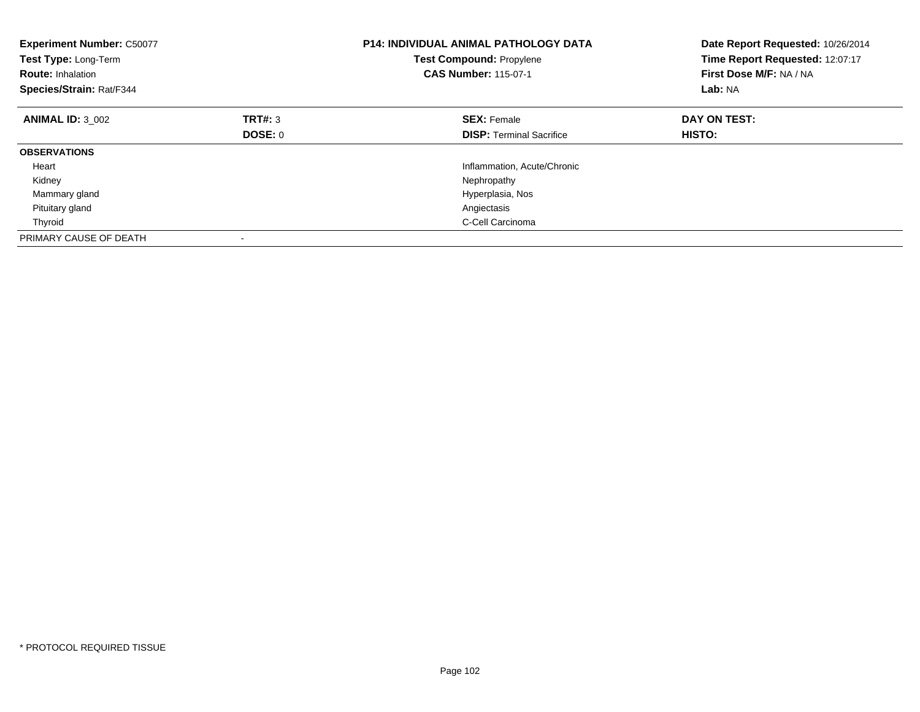| <b>Experiment Number: C50077</b><br>Test Type: Long-Term<br><b>Route: Inhalation</b><br>Species/Strain: Rat/F344 |             | <b>P14: INDIVIDUAL ANIMAL PATHOLOGY DATA</b><br><b>Test Compound: Propylene</b><br><b>CAS Number: 115-07-1</b> | Date Report Requested: 10/26/2014<br>Time Report Requested: 12:07:17<br>First Dose M/F: NA / NA<br>Lab: NA |  |
|------------------------------------------------------------------------------------------------------------------|-------------|----------------------------------------------------------------------------------------------------------------|------------------------------------------------------------------------------------------------------------|--|
| <b>ANIMAL ID: 3 002</b>                                                                                          | TRT#: 3     | <b>SEX: Female</b>                                                                                             | DAY ON TEST:                                                                                               |  |
|                                                                                                                  | DOSE: 0     | <b>DISP:</b> Terminal Sacrifice                                                                                | <b>HISTO:</b>                                                                                              |  |
| <b>OBSERVATIONS</b>                                                                                              |             |                                                                                                                |                                                                                                            |  |
| Heart                                                                                                            |             | Inflammation, Acute/Chronic                                                                                    |                                                                                                            |  |
| Kidney                                                                                                           | Nephropathy |                                                                                                                |                                                                                                            |  |
| Mammary gland<br>Hyperplasia, Nos                                                                                |             |                                                                                                                |                                                                                                            |  |
| Pituitary gland                                                                                                  |             | Angiectasis                                                                                                    |                                                                                                            |  |
| Thyroid                                                                                                          |             | C-Cell Carcinoma                                                                                               |                                                                                                            |  |
| PRIMARY CAUSE OF DEATH                                                                                           |             |                                                                                                                |                                                                                                            |  |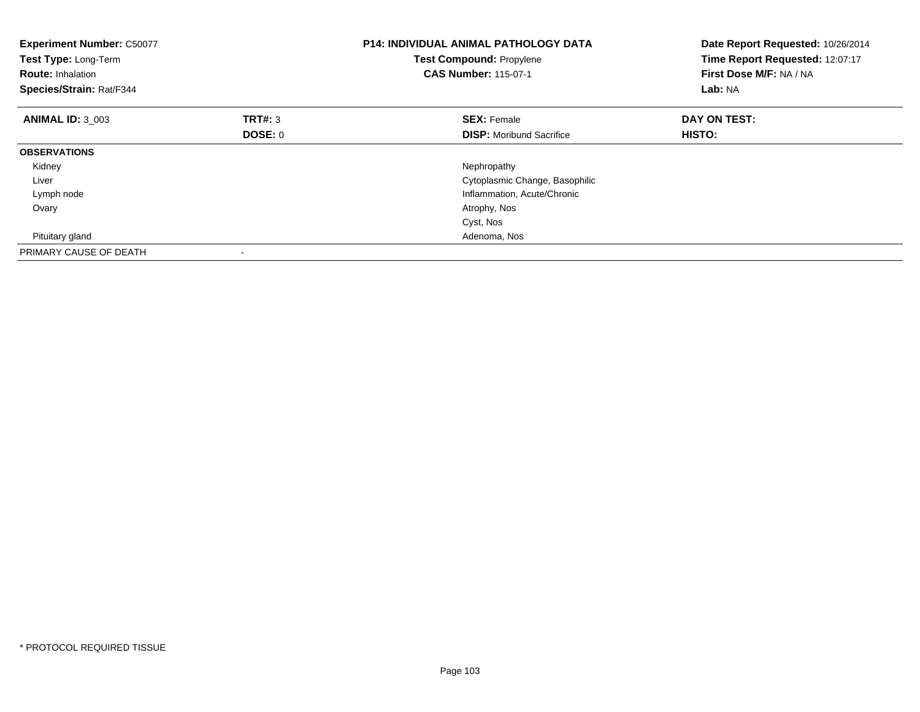| <b>Experiment Number: C50077</b><br>Test Type: Long-Term<br><b>Route: Inhalation</b><br>Species/Strain: Rat/F344 |                                | <b>P14: INDIVIDUAL ANIMAL PATHOLOGY DATA</b><br>Test Compound: Propylene<br><b>CAS Number: 115-07-1</b> | Date Report Requested: 10/26/2014<br>Time Report Requested: 12:07:17<br>First Dose M/F: NA / NA<br>Lab: NA |  |
|------------------------------------------------------------------------------------------------------------------|--------------------------------|---------------------------------------------------------------------------------------------------------|------------------------------------------------------------------------------------------------------------|--|
| <b>ANIMAL ID: 3 003</b>                                                                                          | <b>TRT#: 3</b>                 | <b>SEX: Female</b>                                                                                      | DAY ON TEST:                                                                                               |  |
|                                                                                                                  | <b>DOSE: 0</b>                 | <b>DISP:</b> Moribund Sacrifice                                                                         | HISTO:                                                                                                     |  |
| <b>OBSERVATIONS</b>                                                                                              |                                |                                                                                                         |                                                                                                            |  |
| Kidney                                                                                                           |                                | Nephropathy                                                                                             |                                                                                                            |  |
| Liver                                                                                                            | Cytoplasmic Change, Basophilic |                                                                                                         |                                                                                                            |  |
| Lymph node                                                                                                       |                                | Inflammation, Acute/Chronic                                                                             |                                                                                                            |  |
| Ovary                                                                                                            |                                | Atrophy, Nos                                                                                            |                                                                                                            |  |
|                                                                                                                  |                                | Cyst, Nos                                                                                               |                                                                                                            |  |
| Pituitary gland                                                                                                  |                                | Adenoma, Nos                                                                                            |                                                                                                            |  |
| PRIMARY CAUSE OF DEATH                                                                                           |                                |                                                                                                         |                                                                                                            |  |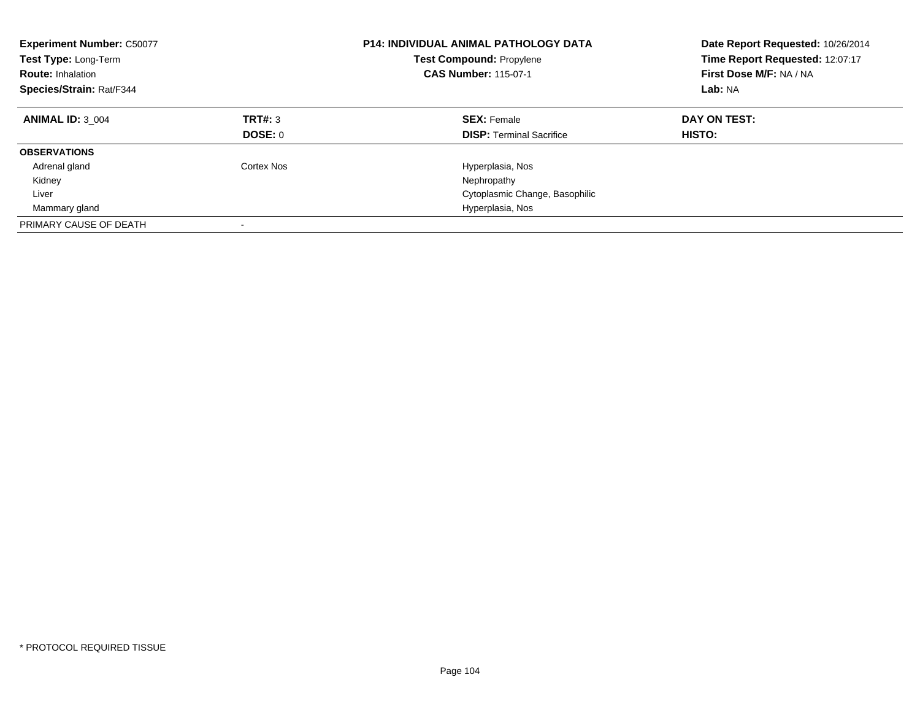| <b>Experiment Number: C50077</b><br><b>Test Type: Long-Term</b><br><b>Route: Inhalation</b><br>Species/Strain: Rat/F344 |                          | <b>P14: INDIVIDUAL ANIMAL PATHOLOGY DATA</b><br><b>Test Compound: Propylene</b><br><b>CAS Number: 115-07-1</b> | Date Report Requested: 10/26/2014<br>Time Report Requested: 12:07:17<br>First Dose M/F: NA / NA<br>Lab: NA |  |
|-------------------------------------------------------------------------------------------------------------------------|--------------------------|----------------------------------------------------------------------------------------------------------------|------------------------------------------------------------------------------------------------------------|--|
| <b>ANIMAL ID: 3 004</b>                                                                                                 | TRT#: 3<br>DOSE: 0       | <b>SEX: Female</b><br><b>DISP:</b> Terminal Sacrifice                                                          | DAY ON TEST:<br>HISTO:                                                                                     |  |
| <b>OBSERVATIONS</b>                                                                                                     |                          |                                                                                                                |                                                                                                            |  |
| Adrenal gland<br>Kidney                                                                                                 | Cortex Nos               | Hyperplasia, Nos<br>Nephropathy                                                                                |                                                                                                            |  |
| Liver                                                                                                                   |                          | Cytoplasmic Change, Basophilic                                                                                 |                                                                                                            |  |
| Mammary gland                                                                                                           |                          | Hyperplasia, Nos                                                                                               |                                                                                                            |  |
| PRIMARY CAUSE OF DEATH                                                                                                  | $\overline{\phantom{a}}$ |                                                                                                                |                                                                                                            |  |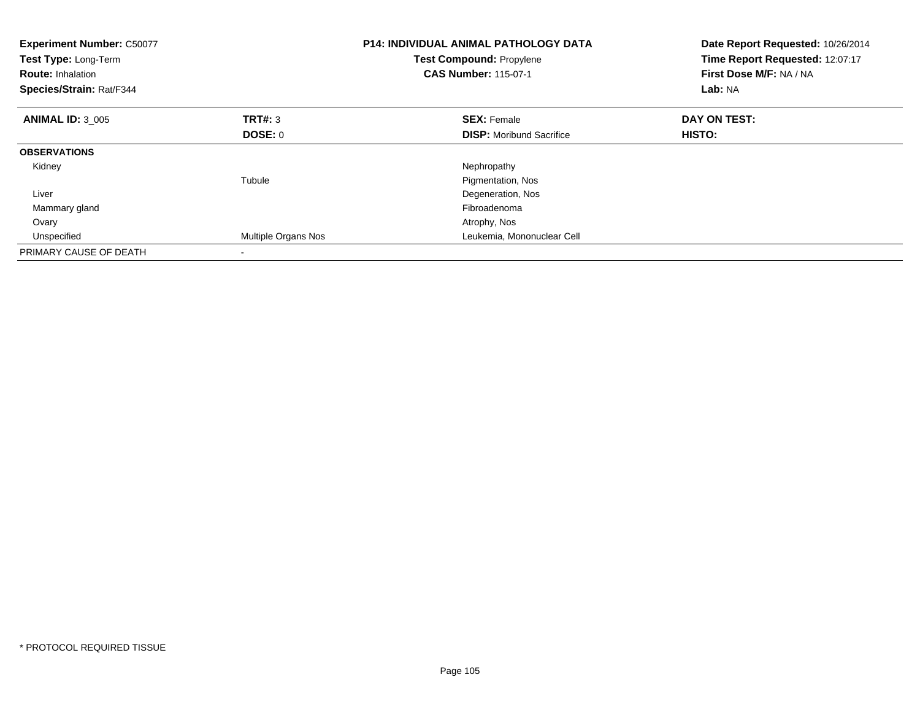| <b>Experiment Number: C50077</b><br>Test Type: Long-Term<br><b>Route: Inhalation</b><br>Species/Strain: Rat/F344 |                            | <b>P14: INDIVIDUAL ANIMAL PATHOLOGY DATA</b><br>Test Compound: Propylene<br><b>CAS Number: 115-07-1</b> | Date Report Requested: 10/26/2014<br>Time Report Requested: 12:07:17<br>First Dose M/F: NA / NA<br>Lab: NA |  |
|------------------------------------------------------------------------------------------------------------------|----------------------------|---------------------------------------------------------------------------------------------------------|------------------------------------------------------------------------------------------------------------|--|
| <b>ANIMAL ID: 3 005</b>                                                                                          | TRT#: 3                    | <b>SEX: Female</b>                                                                                      | DAY ON TEST:                                                                                               |  |
|                                                                                                                  | DOSE: 0                    | <b>DISP:</b> Moribund Sacrifice                                                                         | HISTO:                                                                                                     |  |
| <b>OBSERVATIONS</b>                                                                                              |                            |                                                                                                         |                                                                                                            |  |
| Kidney                                                                                                           |                            | Nephropathy                                                                                             |                                                                                                            |  |
|                                                                                                                  | Tubule                     | Pigmentation, Nos                                                                                       |                                                                                                            |  |
| Liver                                                                                                            |                            | Degeneration, Nos                                                                                       |                                                                                                            |  |
| Mammary gland                                                                                                    |                            | Fibroadenoma                                                                                            |                                                                                                            |  |
| Ovary                                                                                                            |                            | Atrophy, Nos                                                                                            |                                                                                                            |  |
| Unspecified                                                                                                      | <b>Multiple Organs Nos</b> | Leukemia, Mononuclear Cell                                                                              |                                                                                                            |  |
| PRIMARY CAUSE OF DEATH                                                                                           |                            |                                                                                                         |                                                                                                            |  |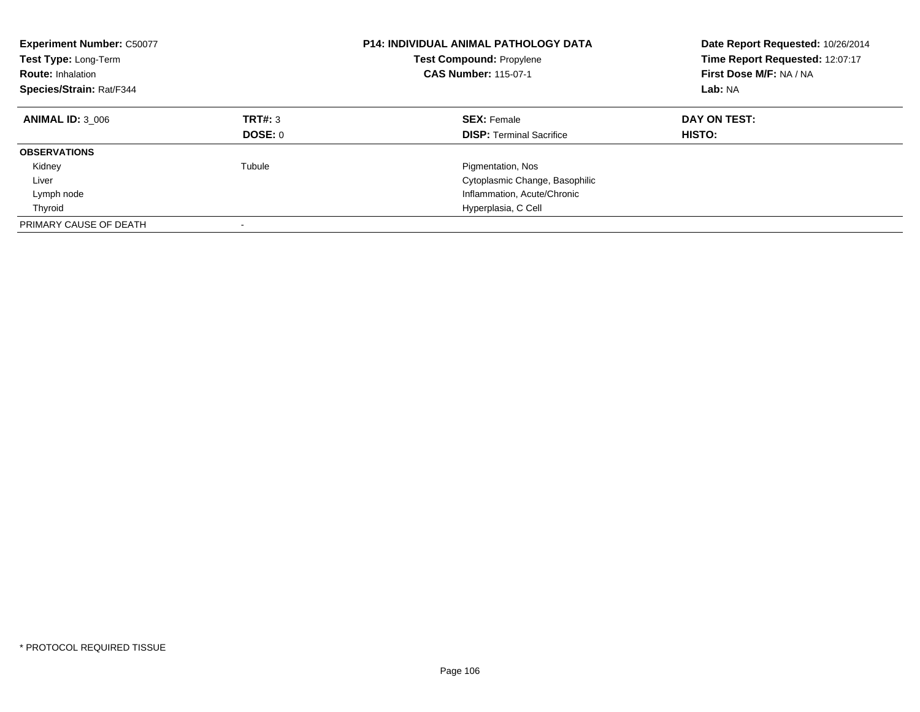| <b>Experiment Number: C50077</b><br>Test Type: Long-Term<br><b>Route: Inhalation</b><br>Species/Strain: Rat/F344 |                    | <b>P14: INDIVIDUAL ANIMAL PATHOLOGY DATA</b><br><b>Test Compound: Propylene</b><br><b>CAS Number: 115-07-1</b> | Date Report Requested: 10/26/2014<br>Time Report Requested: 12:07:17<br>First Dose M/F: NA / NA<br>Lab: NA |  |
|------------------------------------------------------------------------------------------------------------------|--------------------|----------------------------------------------------------------------------------------------------------------|------------------------------------------------------------------------------------------------------------|--|
| <b>ANIMAL ID: 3 006</b>                                                                                          | TRT#: 3<br>DOSE: 0 | <b>SEX: Female</b><br><b>DISP:</b> Terminal Sacrifice                                                          | DAY ON TEST:<br>HISTO:                                                                                     |  |
| <b>OBSERVATIONS</b>                                                                                              |                    |                                                                                                                |                                                                                                            |  |
| Kidney                                                                                                           | Tubule             | Pigmentation, Nos                                                                                              |                                                                                                            |  |
| Liver                                                                                                            |                    | Cytoplasmic Change, Basophilic                                                                                 |                                                                                                            |  |
| Lymph node                                                                                                       |                    | Inflammation, Acute/Chronic                                                                                    |                                                                                                            |  |
| Thyroid                                                                                                          |                    | Hyperplasia, C Cell                                                                                            |                                                                                                            |  |
| PRIMARY CAUSE OF DEATH                                                                                           |                    |                                                                                                                |                                                                                                            |  |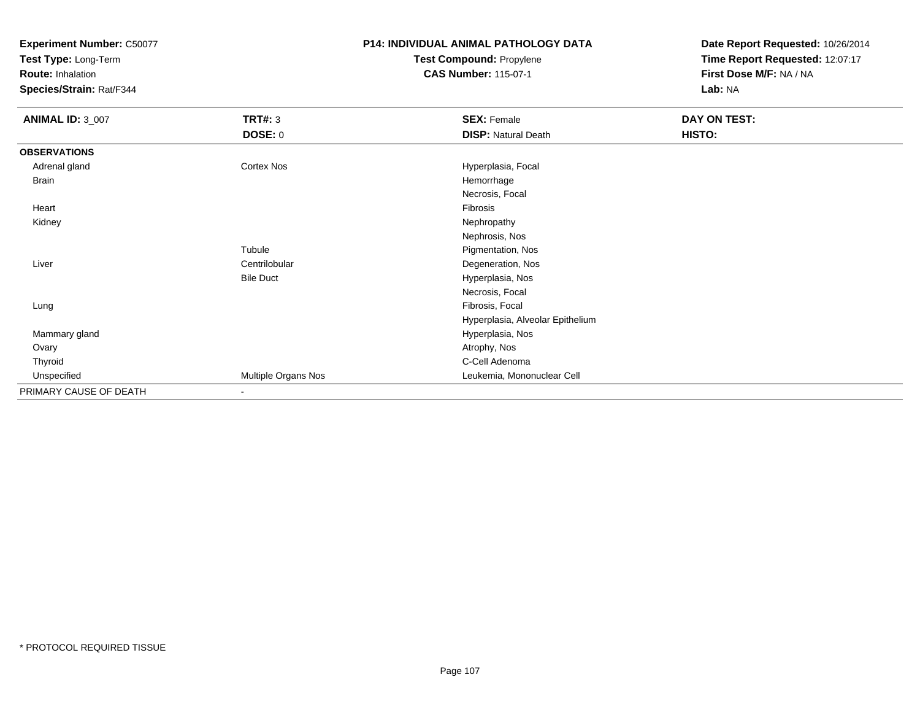**Test Type:** Long-Term

**Route:** Inhalation

**Species/Strain:** Rat/F344

## **P14: INDIVIDUAL ANIMAL PATHOLOGY DATATest Compound:** Propylene

**CAS Number:** 115-07-1

| <b>ANIMAL ID: 3_007</b> | <b>TRT#: 3</b>      | <b>SEX: Female</b>               | DAY ON TEST: |  |
|-------------------------|---------------------|----------------------------------|--------------|--|
|                         | <b>DOSE: 0</b>      | <b>DISP: Natural Death</b>       | HISTO:       |  |
| <b>OBSERVATIONS</b>     |                     |                                  |              |  |
| Adrenal gland           | Cortex Nos          | Hyperplasia, Focal               |              |  |
| Brain                   |                     | Hemorrhage                       |              |  |
|                         |                     | Necrosis, Focal                  |              |  |
| Heart                   |                     | Fibrosis                         |              |  |
| Kidney                  |                     | Nephropathy                      |              |  |
|                         |                     | Nephrosis, Nos                   |              |  |
|                         | Tubule              | Pigmentation, Nos                |              |  |
| Liver                   | Centrilobular       | Degeneration, Nos                |              |  |
|                         | <b>Bile Duct</b>    | Hyperplasia, Nos                 |              |  |
|                         |                     | Necrosis, Focal                  |              |  |
| Lung                    |                     | Fibrosis, Focal                  |              |  |
|                         |                     | Hyperplasia, Alveolar Epithelium |              |  |
| Mammary gland           |                     | Hyperplasia, Nos                 |              |  |
| Ovary                   |                     | Atrophy, Nos                     |              |  |
| Thyroid                 |                     | C-Cell Adenoma                   |              |  |
| Unspecified             | Multiple Organs Nos | Leukemia, Mononuclear Cell       |              |  |
| PRIMARY CAUSE OF DEATH  | $\blacksquare$      |                                  |              |  |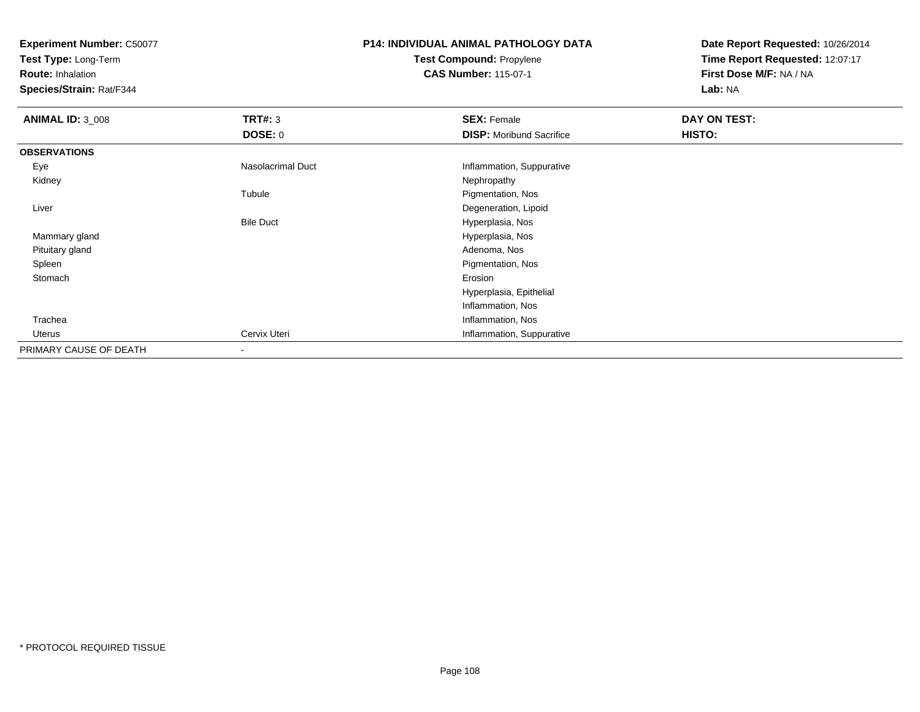**Test Type:** Long-Term

**Route:** Inhalation

**Species/Strain:** Rat/F344

# **P14: INDIVIDUAL ANIMAL PATHOLOGY DATATest Compound:** Propylene

**CAS Number:** 115-07-1

| <b>ANIMAL ID: 3_008</b> | <b>TRT#: 3</b>    | <b>SEX: Female</b>              | DAY ON TEST: |  |
|-------------------------|-------------------|---------------------------------|--------------|--|
|                         | <b>DOSE: 0</b>    | <b>DISP:</b> Moribund Sacrifice | HISTO:       |  |
| <b>OBSERVATIONS</b>     |                   |                                 |              |  |
| Eye                     | Nasolacrimal Duct | Inflammation, Suppurative       |              |  |
| Kidney                  |                   | Nephropathy                     |              |  |
|                         | Tubule            | Pigmentation, Nos               |              |  |
| Liver                   |                   | Degeneration, Lipoid            |              |  |
|                         | <b>Bile Duct</b>  | Hyperplasia, Nos                |              |  |
| Mammary gland           |                   | Hyperplasia, Nos                |              |  |
| Pituitary gland         |                   | Adenoma, Nos                    |              |  |
| Spleen                  |                   | Pigmentation, Nos               |              |  |
| Stomach                 |                   | Erosion                         |              |  |
|                         |                   | Hyperplasia, Epithelial         |              |  |
|                         |                   | Inflammation, Nos               |              |  |
| Trachea                 |                   | Inflammation, Nos               |              |  |
| Uterus                  | Cervix Uteri      | Inflammation, Suppurative       |              |  |
| PRIMARY CAUSE OF DEATH  |                   |                                 |              |  |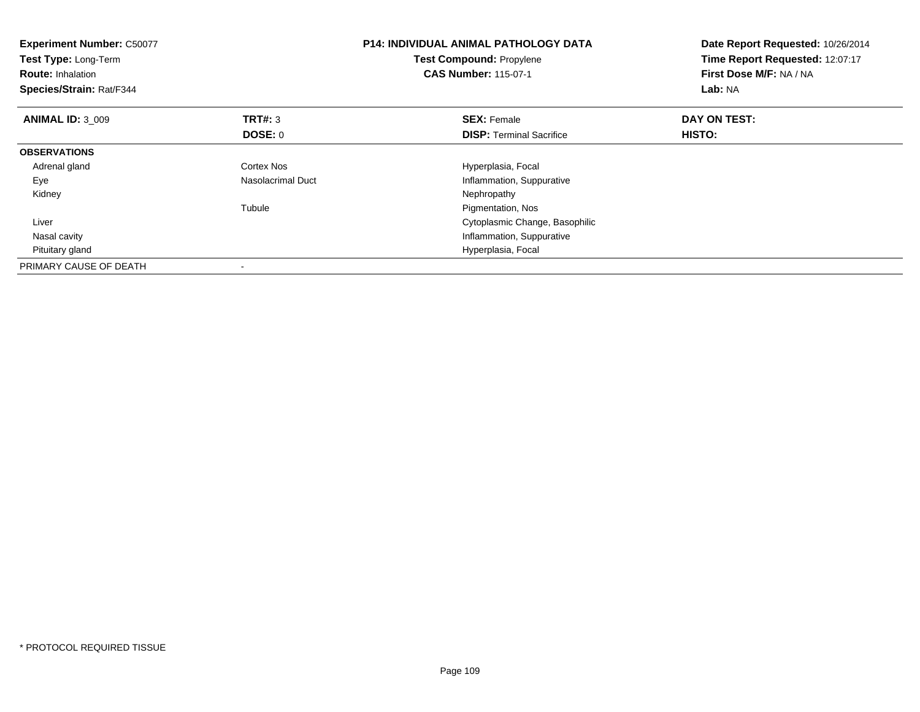| <b>Experiment Number: C50077</b><br>Test Type: Long-Term<br><b>Route: Inhalation</b><br>Species/Strain: Rat/F344 |                   | <b>P14: INDIVIDUAL ANIMAL PATHOLOGY DATA</b><br><b>Test Compound: Propylene</b><br><b>CAS Number: 115-07-1</b> | Date Report Requested: 10/26/2014<br>Time Report Requested: 12:07:17<br>First Dose M/F: NA / NA<br>Lab: NA |
|------------------------------------------------------------------------------------------------------------------|-------------------|----------------------------------------------------------------------------------------------------------------|------------------------------------------------------------------------------------------------------------|
| <b>ANIMAL ID: 3 009</b>                                                                                          | <b>TRT#: 3</b>    | <b>SEX: Female</b>                                                                                             | DAY ON TEST:                                                                                               |
|                                                                                                                  | DOSE: 0           | <b>DISP:</b> Terminal Sacrifice                                                                                | <b>HISTO:</b>                                                                                              |
| <b>OBSERVATIONS</b>                                                                                              |                   |                                                                                                                |                                                                                                            |
| Adrenal gland                                                                                                    | Cortex Nos        | Hyperplasia, Focal                                                                                             |                                                                                                            |
| Eye                                                                                                              | Nasolacrimal Duct | Inflammation, Suppurative                                                                                      |                                                                                                            |
| Kidney                                                                                                           |                   | Nephropathy                                                                                                    |                                                                                                            |
|                                                                                                                  | Tubule            | Pigmentation, Nos                                                                                              |                                                                                                            |
| Liver                                                                                                            |                   | Cytoplasmic Change, Basophilic                                                                                 |                                                                                                            |
| Nasal cavity                                                                                                     |                   | Inflammation, Suppurative                                                                                      |                                                                                                            |
| Pituitary gland                                                                                                  |                   | Hyperplasia, Focal                                                                                             |                                                                                                            |
| PRIMARY CAUSE OF DEATH                                                                                           |                   |                                                                                                                |                                                                                                            |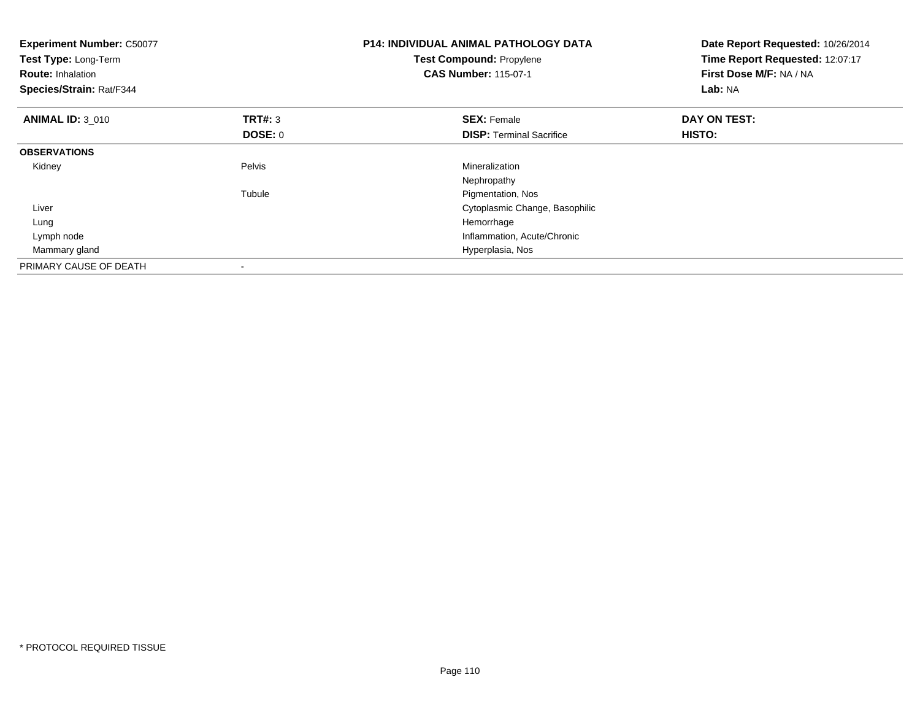| <b>Experiment Number: C50077</b><br>Test Type: Long-Term<br><b>Route: Inhalation</b><br>Species/Strain: Rat/F344 |                | <b>P14: INDIVIDUAL ANIMAL PATHOLOGY DATA</b><br>Test Compound: Propylene<br><b>CAS Number: 115-07-1</b> | Date Report Requested: 10/26/2014<br>Time Report Requested: 12:07:17<br>First Dose M/F: NA / NA<br>Lab: NA |
|------------------------------------------------------------------------------------------------------------------|----------------|---------------------------------------------------------------------------------------------------------|------------------------------------------------------------------------------------------------------------|
| <b>ANIMAL ID: 3 010</b>                                                                                          | <b>TRT#: 3</b> | <b>SEX: Female</b>                                                                                      | DAY ON TEST:                                                                                               |
|                                                                                                                  | DOSE: 0        | <b>DISP:</b> Terminal Sacrifice                                                                         | HISTO:                                                                                                     |
| <b>OBSERVATIONS</b>                                                                                              |                |                                                                                                         |                                                                                                            |
| Kidney                                                                                                           | Pelvis         | Mineralization                                                                                          |                                                                                                            |
|                                                                                                                  |                | Nephropathy                                                                                             |                                                                                                            |
|                                                                                                                  | Tubule         | Pigmentation, Nos                                                                                       |                                                                                                            |
| Liver                                                                                                            |                | Cytoplasmic Change, Basophilic                                                                          |                                                                                                            |
| Lung                                                                                                             |                | Hemorrhage                                                                                              |                                                                                                            |
| Lymph node                                                                                                       |                | Inflammation, Acute/Chronic                                                                             |                                                                                                            |
| Mammary gland                                                                                                    |                | Hyperplasia, Nos                                                                                        |                                                                                                            |
| PRIMARY CAUSE OF DEATH                                                                                           |                |                                                                                                         |                                                                                                            |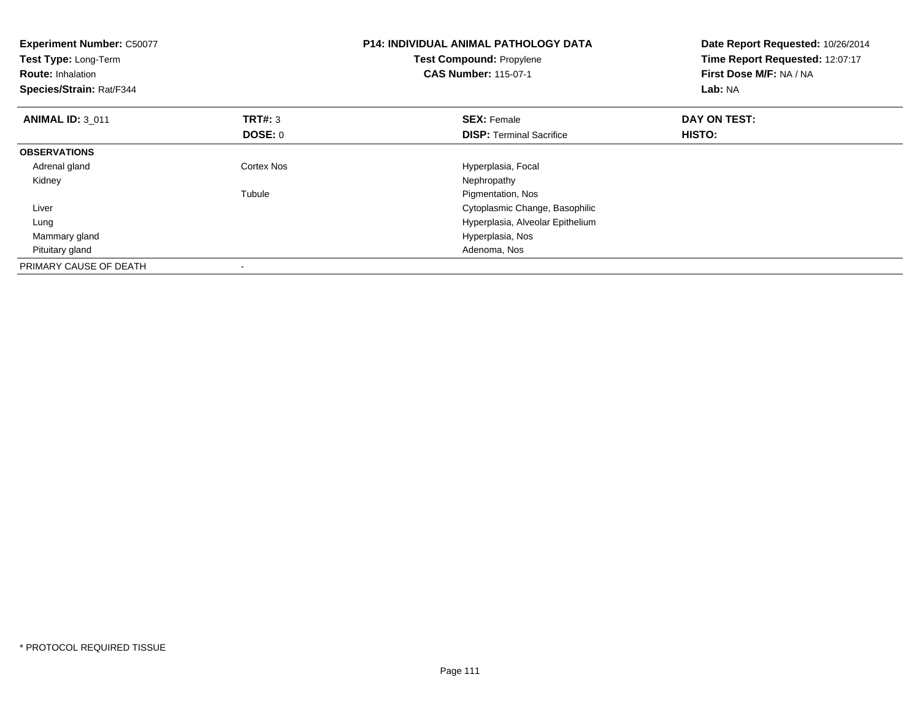| <b>Experiment Number: C50077</b><br>Test Type: Long-Term<br><b>Route: Inhalation</b><br>Species/Strain: Rat/F344 |                | P14: INDIVIDUAL ANIMAL PATHOLOGY DATA<br>Test Compound: Propylene<br><b>CAS Number: 115-07-1</b> | Date Report Requested: 10/26/2014<br>Time Report Requested: 12:07:17<br>First Dose M/F: NA / NA<br>Lab: NA |
|------------------------------------------------------------------------------------------------------------------|----------------|--------------------------------------------------------------------------------------------------|------------------------------------------------------------------------------------------------------------|
| <b>ANIMAL ID: 3 011</b>                                                                                          | <b>TRT#: 3</b> | <b>SEX: Female</b>                                                                               | DAY ON TEST:                                                                                               |
|                                                                                                                  | DOSE: 0        | <b>DISP:</b> Terminal Sacrifice                                                                  | <b>HISTO:</b>                                                                                              |
| <b>OBSERVATIONS</b>                                                                                              |                |                                                                                                  |                                                                                                            |
| Adrenal gland                                                                                                    | Cortex Nos     | Hyperplasia, Focal                                                                               |                                                                                                            |
| Kidney                                                                                                           |                | Nephropathy                                                                                      |                                                                                                            |
|                                                                                                                  | Tubule         | Pigmentation, Nos                                                                                |                                                                                                            |
| Liver                                                                                                            |                | Cytoplasmic Change, Basophilic                                                                   |                                                                                                            |
| Lung                                                                                                             |                | Hyperplasia, Alveolar Epithelium                                                                 |                                                                                                            |
| Mammary gland                                                                                                    |                | Hyperplasia, Nos                                                                                 |                                                                                                            |
| Pituitary gland                                                                                                  |                | Adenoma, Nos                                                                                     |                                                                                                            |
| PRIMARY CAUSE OF DEATH                                                                                           |                |                                                                                                  |                                                                                                            |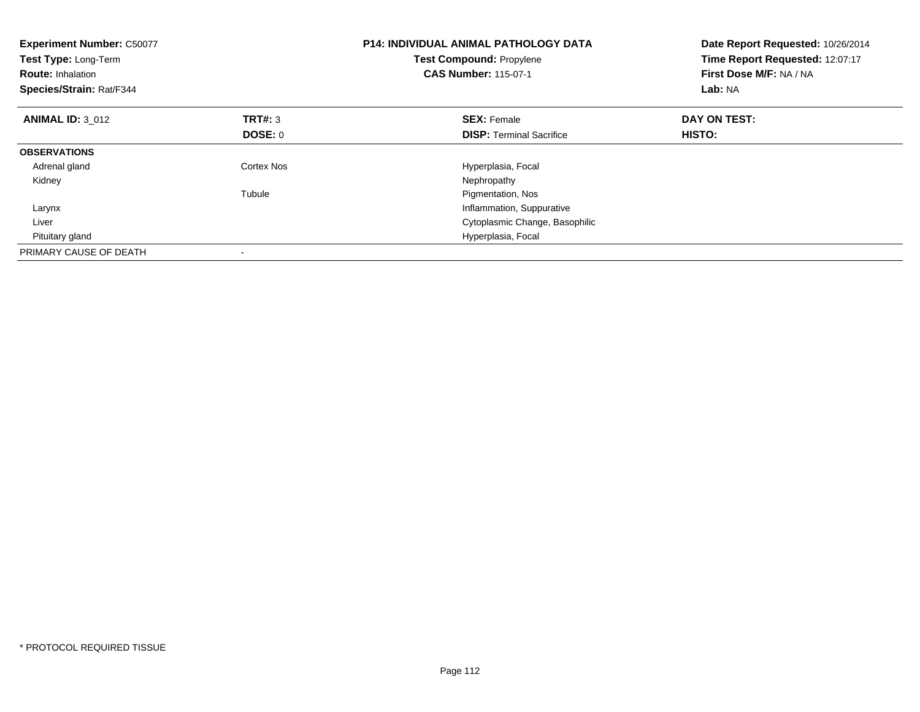| <b>Experiment Number: C50077</b><br>Test Type: Long-Term<br><b>Route: Inhalation</b><br>Species/Strain: Rat/F344 |                | <b>P14: INDIVIDUAL ANIMAL PATHOLOGY DATA</b><br><b>Test Compound: Propylene</b><br><b>CAS Number: 115-07-1</b> | Date Report Requested: 10/26/2014<br>Time Report Requested: 12:07:17<br>First Dose M/F: NA / NA<br>Lab: NA |
|------------------------------------------------------------------------------------------------------------------|----------------|----------------------------------------------------------------------------------------------------------------|------------------------------------------------------------------------------------------------------------|
| <b>ANIMAL ID: 3 012</b>                                                                                          | <b>TRT#: 3</b> | <b>SEX: Female</b>                                                                                             | DAY ON TEST:                                                                                               |
|                                                                                                                  | DOSE: 0        | <b>DISP:</b> Terminal Sacrifice                                                                                | HISTO:                                                                                                     |
| <b>OBSERVATIONS</b>                                                                                              |                |                                                                                                                |                                                                                                            |
| Adrenal gland                                                                                                    | Cortex Nos     | Hyperplasia, Focal                                                                                             |                                                                                                            |
| Kidney                                                                                                           |                | Nephropathy                                                                                                    |                                                                                                            |
|                                                                                                                  | Tubule         | Pigmentation, Nos                                                                                              |                                                                                                            |
| Larynx                                                                                                           |                | Inflammation, Suppurative                                                                                      |                                                                                                            |
| Liver                                                                                                            |                | Cytoplasmic Change, Basophilic                                                                                 |                                                                                                            |
| Pituitary gland                                                                                                  |                | Hyperplasia, Focal                                                                                             |                                                                                                            |
| PRIMARY CAUSE OF DEATH                                                                                           |                |                                                                                                                |                                                                                                            |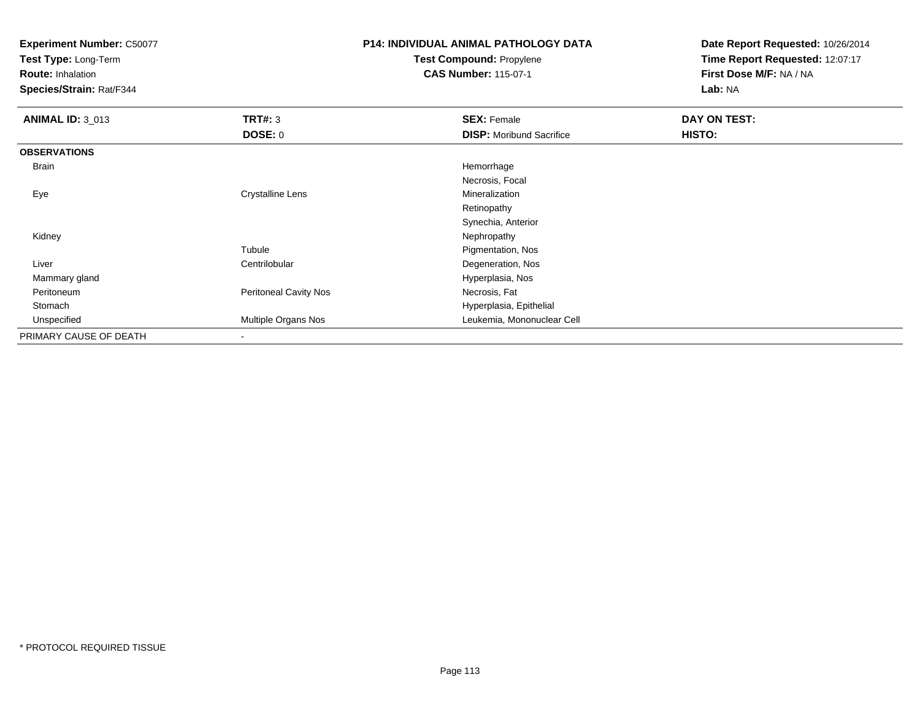**Test Type:** Long-Term

**Route:** Inhalation

**Species/Strain:** Rat/F344

# **P14: INDIVIDUAL ANIMAL PATHOLOGY DATATest Compound:** Propylene

**CAS Number:** 115-07-1

| <b>ANIMAL ID: 3_013</b> | TRT#: 3                      | <b>SEX: Female</b>              | DAY ON TEST: |  |
|-------------------------|------------------------------|---------------------------------|--------------|--|
|                         | <b>DOSE: 0</b>               | <b>DISP:</b> Moribund Sacrifice | HISTO:       |  |
| <b>OBSERVATIONS</b>     |                              |                                 |              |  |
| Brain                   |                              | Hemorrhage                      |              |  |
|                         |                              | Necrosis, Focal                 |              |  |
| Eye                     | <b>Crystalline Lens</b>      | Mineralization                  |              |  |
|                         |                              | Retinopathy                     |              |  |
|                         |                              | Synechia, Anterior              |              |  |
| Kidney                  |                              | Nephropathy                     |              |  |
|                         | Tubule                       | Pigmentation, Nos               |              |  |
| Liver                   | Centrilobular                | Degeneration, Nos               |              |  |
| Mammary gland           |                              | Hyperplasia, Nos                |              |  |
| Peritoneum              | <b>Peritoneal Cavity Nos</b> | Necrosis, Fat                   |              |  |
| Stomach                 |                              | Hyperplasia, Epithelial         |              |  |
| Unspecified             | Multiple Organs Nos          | Leukemia, Mononuclear Cell      |              |  |
| PRIMARY CAUSE OF DEATH  |                              |                                 |              |  |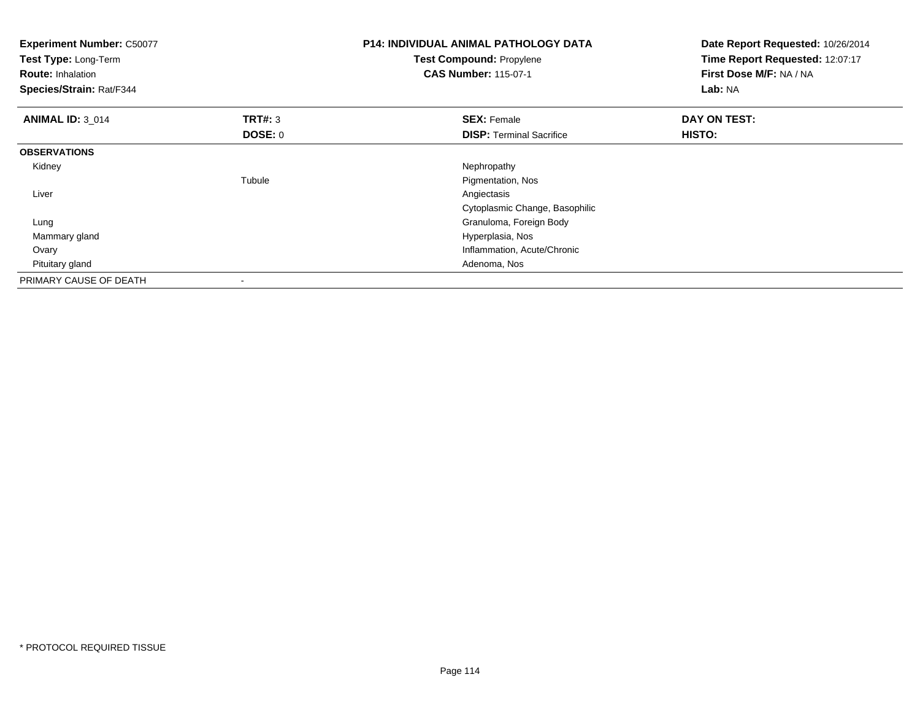| <b>P14: INDIVIDUAL ANIMAL PATHOLOGY DATA</b><br><b>Experiment Number: C50077</b><br><b>Test Compound: Propylene</b><br>Test Type: Long-Term<br><b>CAS Number: 115-07-1</b><br><b>Route: Inhalation</b><br>Species/Strain: Rat/F344 |                | Date Report Requested: 10/26/2014<br>Time Report Requested: 12:07:17<br>First Dose M/F: NA / NA<br>Lab: NA |              |
|------------------------------------------------------------------------------------------------------------------------------------------------------------------------------------------------------------------------------------|----------------|------------------------------------------------------------------------------------------------------------|--------------|
| <b>ANIMAL ID: 3_014</b>                                                                                                                                                                                                            | <b>TRT#: 3</b> | <b>SEX: Female</b>                                                                                         | DAY ON TEST: |
|                                                                                                                                                                                                                                    | DOSE: 0        | <b>DISP:</b> Terminal Sacrifice                                                                            | HISTO:       |
| <b>OBSERVATIONS</b>                                                                                                                                                                                                                |                |                                                                                                            |              |
| Kidney                                                                                                                                                                                                                             |                | Nephropathy                                                                                                |              |
|                                                                                                                                                                                                                                    | Tubule         | Pigmentation, Nos                                                                                          |              |
| Liver                                                                                                                                                                                                                              |                | Angiectasis                                                                                                |              |
|                                                                                                                                                                                                                                    |                | Cytoplasmic Change, Basophilic                                                                             |              |
| Lung                                                                                                                                                                                                                               |                | Granuloma, Foreign Body                                                                                    |              |
| Mammary gland                                                                                                                                                                                                                      |                | Hyperplasia, Nos                                                                                           |              |
| Ovary                                                                                                                                                                                                                              |                | Inflammation, Acute/Chronic                                                                                |              |
| Pituitary gland                                                                                                                                                                                                                    |                | Adenoma, Nos                                                                                               |              |
| PRIMARY CAUSE OF DEATH                                                                                                                                                                                                             |                |                                                                                                            |              |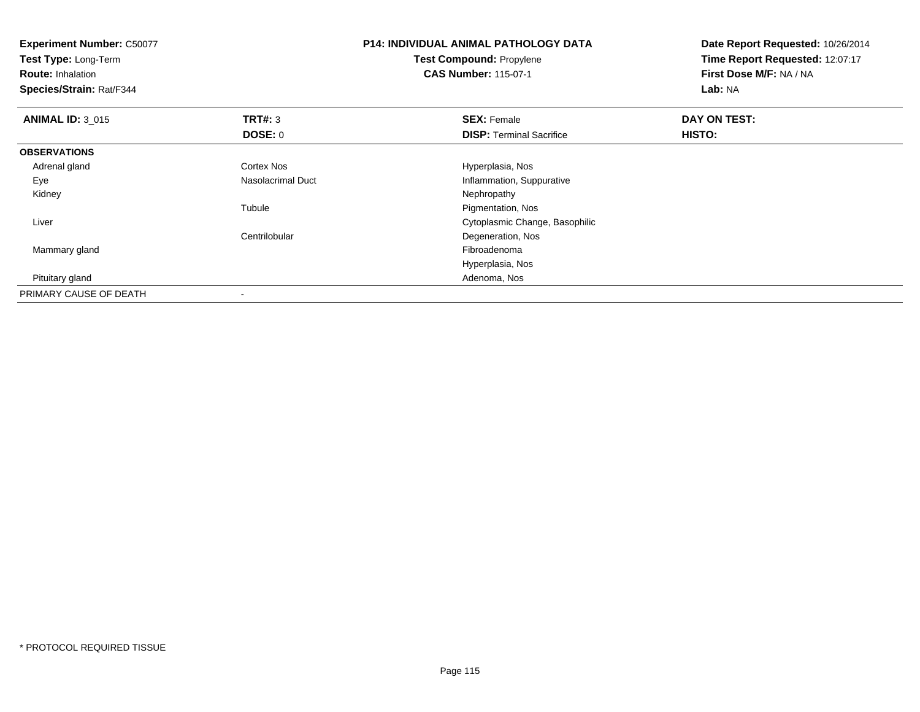| <b>Experiment Number: C50077</b><br>Test Type: Long-Term |                   | <b>P14: INDIVIDUAL ANIMAL PATHOLOGY DATA</b> | Date Report Requested: 10/26/2014<br>Time Report Requested: 12:07:17 |  |
|----------------------------------------------------------|-------------------|----------------------------------------------|----------------------------------------------------------------------|--|
|                                                          |                   | <b>Test Compound: Propylene</b>              |                                                                      |  |
| <b>Route: Inhalation</b>                                 |                   | <b>CAS Number: 115-07-1</b>                  | First Dose M/F: NA / NA                                              |  |
| Species/Strain: Rat/F344                                 |                   |                                              | Lab: NA                                                              |  |
| <b>ANIMAL ID: 3_015</b>                                  | <b>TRT#: 3</b>    | <b>SEX: Female</b>                           | DAY ON TEST:                                                         |  |
|                                                          | <b>DOSE: 0</b>    | <b>DISP:</b> Terminal Sacrifice              | HISTO:                                                               |  |
| <b>OBSERVATIONS</b>                                      |                   |                                              |                                                                      |  |
| Adrenal gland                                            | Cortex Nos        | Hyperplasia, Nos                             |                                                                      |  |
| Eye                                                      | Nasolacrimal Duct | Inflammation, Suppurative                    |                                                                      |  |
| Kidney                                                   |                   | Nephropathy                                  |                                                                      |  |
|                                                          | Tubule            | Pigmentation, Nos                            |                                                                      |  |
| Liver                                                    |                   | Cytoplasmic Change, Basophilic               |                                                                      |  |
|                                                          | Centrilobular     | Degeneration, Nos                            |                                                                      |  |
| Mammary gland                                            |                   | Fibroadenoma                                 |                                                                      |  |
|                                                          |                   | Hyperplasia, Nos                             |                                                                      |  |
| Pituitary gland                                          |                   | Adenoma, Nos                                 |                                                                      |  |
| PRIMARY CAUSE OF DEATH                                   |                   |                                              |                                                                      |  |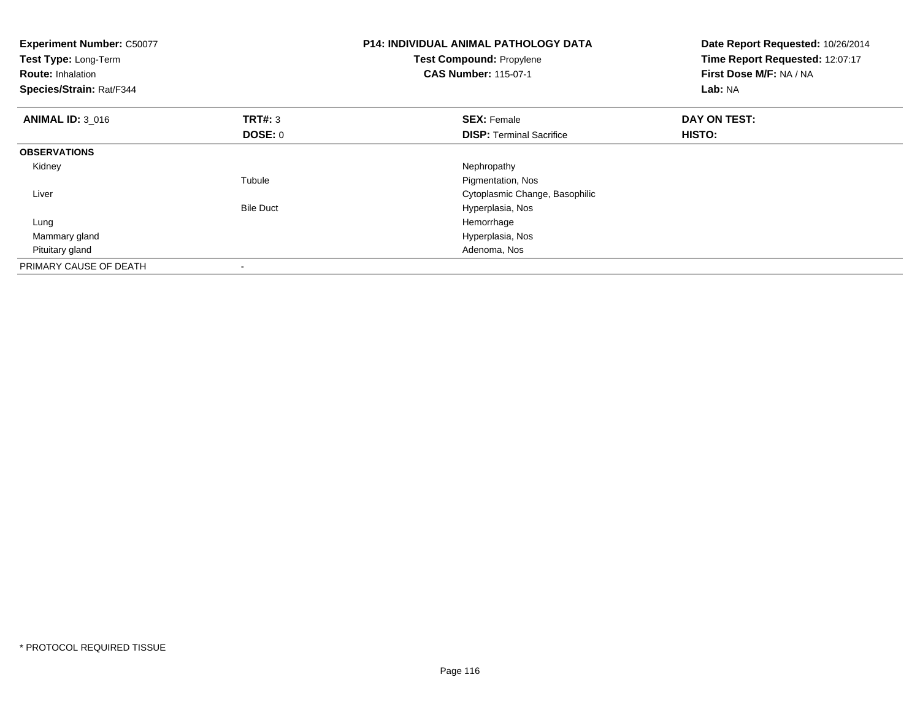| <b>Experiment Number: C50077</b><br>Test Type: Long-Term<br><b>Route: Inhalation</b><br>Species/Strain: Rat/F344 |                  | <b>P14: INDIVIDUAL ANIMAL PATHOLOGY DATA</b><br>Test Compound: Propylene<br><b>CAS Number: 115-07-1</b> | Date Report Requested: 10/26/2014<br>Time Report Requested: 12:07:17<br>First Dose M/F: NA / NA<br>Lab: NA |
|------------------------------------------------------------------------------------------------------------------|------------------|---------------------------------------------------------------------------------------------------------|------------------------------------------------------------------------------------------------------------|
| <b>ANIMAL ID: 3 016</b>                                                                                          | <b>TRT#: 3</b>   | <b>SEX: Female</b>                                                                                      | DAY ON TEST:                                                                                               |
|                                                                                                                  | DOSE: 0          | <b>DISP:</b> Terminal Sacrifice                                                                         | HISTO:                                                                                                     |
| <b>OBSERVATIONS</b>                                                                                              |                  |                                                                                                         |                                                                                                            |
| Kidney                                                                                                           |                  | Nephropathy                                                                                             |                                                                                                            |
|                                                                                                                  | Tubule           | Pigmentation, Nos                                                                                       |                                                                                                            |
| Liver                                                                                                            |                  | Cytoplasmic Change, Basophilic                                                                          |                                                                                                            |
|                                                                                                                  | <b>Bile Duct</b> | Hyperplasia, Nos                                                                                        |                                                                                                            |
| Lung                                                                                                             |                  | Hemorrhage                                                                                              |                                                                                                            |
| Mammary gland                                                                                                    |                  | Hyperplasia, Nos                                                                                        |                                                                                                            |
| Pituitary gland                                                                                                  |                  | Adenoma, Nos                                                                                            |                                                                                                            |
| PRIMARY CAUSE OF DEATH                                                                                           |                  |                                                                                                         |                                                                                                            |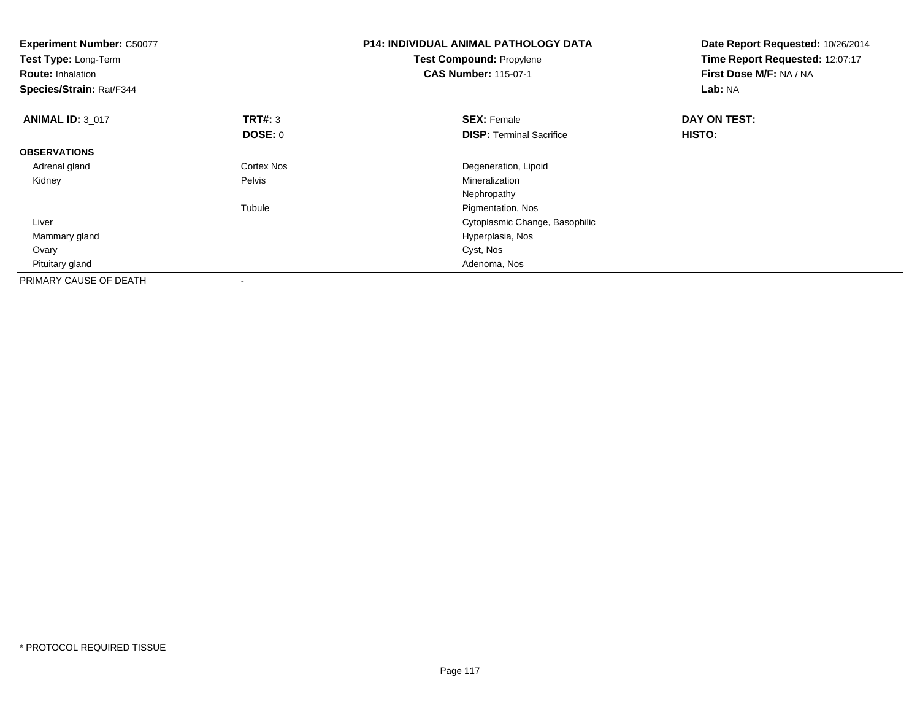| <b>Experiment Number: C50077</b><br>Test Type: Long-Term<br><b>Route: Inhalation</b><br>Species/Strain: Rat/F344 |                          | <b>P14: INDIVIDUAL ANIMAL PATHOLOGY DATA</b><br><b>Test Compound: Propylene</b><br><b>CAS Number: 115-07-1</b> | Date Report Requested: 10/26/2014<br>Time Report Requested: 12:07:17<br>First Dose M/F: NA / NA<br>Lab: NA |
|------------------------------------------------------------------------------------------------------------------|--------------------------|----------------------------------------------------------------------------------------------------------------|------------------------------------------------------------------------------------------------------------|
| <b>ANIMAL ID: 3 017</b>                                                                                          | <b>TRT#: 3</b>           | <b>SEX: Female</b>                                                                                             | DAY ON TEST:                                                                                               |
|                                                                                                                  | <b>DOSE: 0</b>           | <b>DISP: Terminal Sacrifice</b>                                                                                | <b>HISTO:</b>                                                                                              |
| <b>OBSERVATIONS</b>                                                                                              |                          |                                                                                                                |                                                                                                            |
| Adrenal gland                                                                                                    | <b>Cortex Nos</b>        | Degeneration, Lipoid                                                                                           |                                                                                                            |
| Kidney                                                                                                           | Pelvis                   | Mineralization                                                                                                 |                                                                                                            |
|                                                                                                                  |                          | Nephropathy                                                                                                    |                                                                                                            |
|                                                                                                                  | Tubule                   | Pigmentation, Nos                                                                                              |                                                                                                            |
| Liver                                                                                                            |                          | Cytoplasmic Change, Basophilic                                                                                 |                                                                                                            |
| Mammary gland                                                                                                    |                          | Hyperplasia, Nos                                                                                               |                                                                                                            |
| Ovary                                                                                                            |                          | Cyst, Nos                                                                                                      |                                                                                                            |
| Pituitary gland                                                                                                  |                          | Adenoma, Nos                                                                                                   |                                                                                                            |
| PRIMARY CAUSE OF DEATH                                                                                           | $\overline{\phantom{a}}$ |                                                                                                                |                                                                                                            |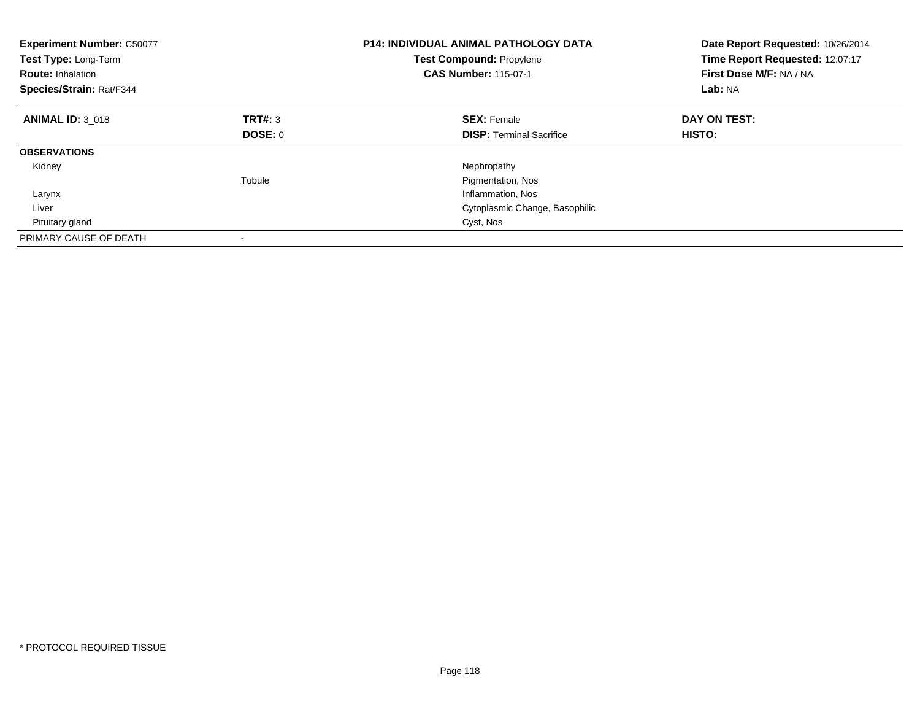| <b>Experiment Number: C50077</b><br>Test Type: Long-Term<br><b>Route: Inhalation</b><br>Species/Strain: Rat/F344 |         | <b>P14: INDIVIDUAL ANIMAL PATHOLOGY DATA</b><br><b>Test Compound: Propylene</b><br><b>CAS Number: 115-07-1</b> | Date Report Requested: 10/26/2014<br>Time Report Requested: 12:07:17<br>First Dose M/F: NA / NA<br>Lab: NA |
|------------------------------------------------------------------------------------------------------------------|---------|----------------------------------------------------------------------------------------------------------------|------------------------------------------------------------------------------------------------------------|
| <b>ANIMAL ID: 3 018</b>                                                                                          | TRT#: 3 | <b>SEX: Female</b>                                                                                             | DAY ON TEST:                                                                                               |
|                                                                                                                  | DOSE: 0 | <b>DISP:</b> Terminal Sacrifice                                                                                | HISTO:                                                                                                     |
| <b>OBSERVATIONS</b>                                                                                              |         |                                                                                                                |                                                                                                            |
| Kidney                                                                                                           |         | Nephropathy                                                                                                    |                                                                                                            |
|                                                                                                                  | Tubule  | Pigmentation, Nos                                                                                              |                                                                                                            |
| Larynx                                                                                                           |         | Inflammation, Nos                                                                                              |                                                                                                            |
| Liver                                                                                                            |         | Cytoplasmic Change, Basophilic                                                                                 |                                                                                                            |
| Pituitary gland                                                                                                  |         | Cyst, Nos                                                                                                      |                                                                                                            |
| PRIMARY CAUSE OF DEATH                                                                                           |         |                                                                                                                |                                                                                                            |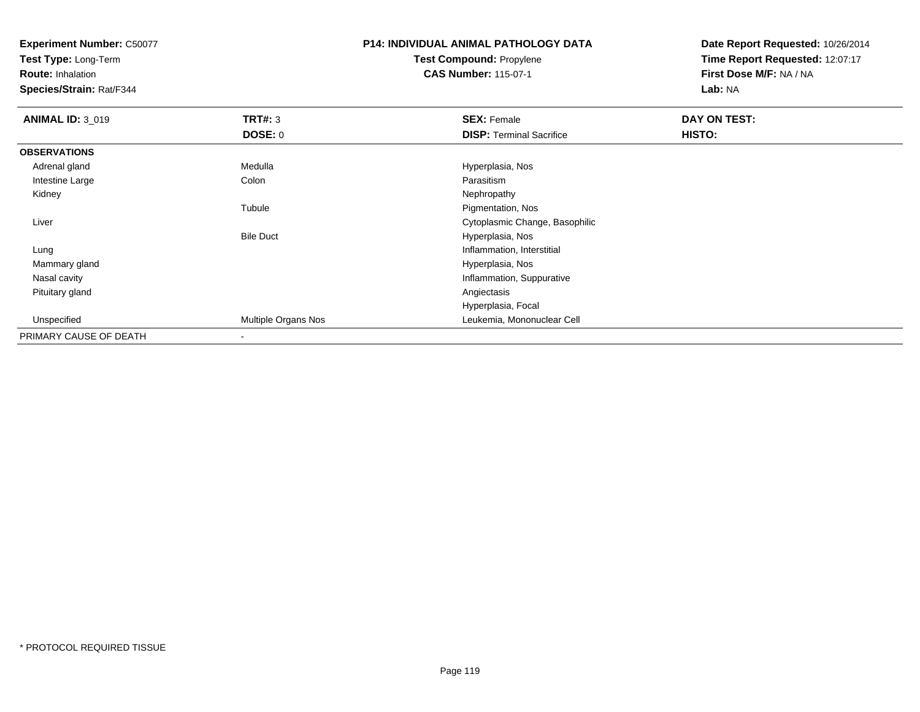**Test Type:** Long-Term

**Route:** Inhalation

**Species/Strain:** Rat/F344

### **P14: INDIVIDUAL ANIMAL PATHOLOGY DATATest Compound:** Propylene**CAS Number:** 115-07-1

| <b>ANIMAL ID: 3_019</b> | TRT#: 3             | <b>SEX: Female</b>              | DAY ON TEST: |  |
|-------------------------|---------------------|---------------------------------|--------------|--|
|                         | <b>DOSE: 0</b>      | <b>DISP:</b> Terminal Sacrifice | HISTO:       |  |
| <b>OBSERVATIONS</b>     |                     |                                 |              |  |
| Adrenal gland           | Medulla             | Hyperplasia, Nos                |              |  |
| Intestine Large         | Colon               | Parasitism                      |              |  |
| Kidney                  |                     | Nephropathy                     |              |  |
|                         | Tubule              | Pigmentation, Nos               |              |  |
| Liver                   |                     | Cytoplasmic Change, Basophilic  |              |  |
|                         | <b>Bile Duct</b>    | Hyperplasia, Nos                |              |  |
| Lung                    |                     | Inflammation, Interstitial      |              |  |
| Mammary gland           |                     | Hyperplasia, Nos                |              |  |
| Nasal cavity            |                     | Inflammation, Suppurative       |              |  |
| Pituitary gland         |                     | Angiectasis                     |              |  |
|                         |                     | Hyperplasia, Focal              |              |  |
| Unspecified             | Multiple Organs Nos | Leukemia, Mononuclear Cell      |              |  |
| PRIMARY CAUSE OF DEATH  |                     |                                 |              |  |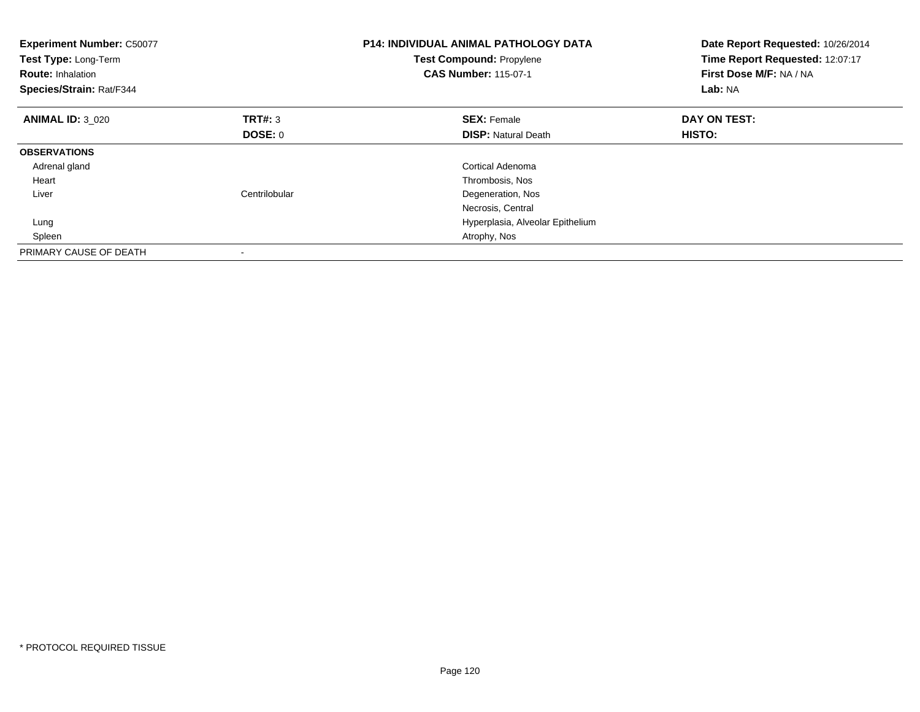| <b>Experiment Number: C50077</b><br>Test Type: Long-Term<br><b>Route: Inhalation</b><br>Species/Strain: Rat/F344 |                | <b>P14: INDIVIDUAL ANIMAL PATHOLOGY DATA</b><br>Test Compound: Propylene<br><b>CAS Number: 115-07-1</b> | Date Report Requested: 10/26/2014<br>Time Report Requested: 12:07:17<br>First Dose M/F: NA / NA<br>Lab: NA |
|------------------------------------------------------------------------------------------------------------------|----------------|---------------------------------------------------------------------------------------------------------|------------------------------------------------------------------------------------------------------------|
| <b>ANIMAL ID: 3 020</b>                                                                                          | TRT#: 3        | <b>SEX: Female</b>                                                                                      | DAY ON TEST:                                                                                               |
|                                                                                                                  | <b>DOSE: 0</b> | <b>DISP:</b> Natural Death                                                                              | HISTO:                                                                                                     |
| <b>OBSERVATIONS</b>                                                                                              |                |                                                                                                         |                                                                                                            |
| Adrenal gland                                                                                                    |                | <b>Cortical Adenoma</b>                                                                                 |                                                                                                            |
| Heart                                                                                                            |                | Thrombosis, Nos                                                                                         |                                                                                                            |
| Liver                                                                                                            | Centrilobular  | Degeneration, Nos                                                                                       |                                                                                                            |
|                                                                                                                  |                | Necrosis, Central                                                                                       |                                                                                                            |
| Lung                                                                                                             |                | Hyperplasia, Alveolar Epithelium                                                                        |                                                                                                            |
| Spleen                                                                                                           |                | Atrophy, Nos                                                                                            |                                                                                                            |
| PRIMARY CAUSE OF DEATH                                                                                           |                |                                                                                                         |                                                                                                            |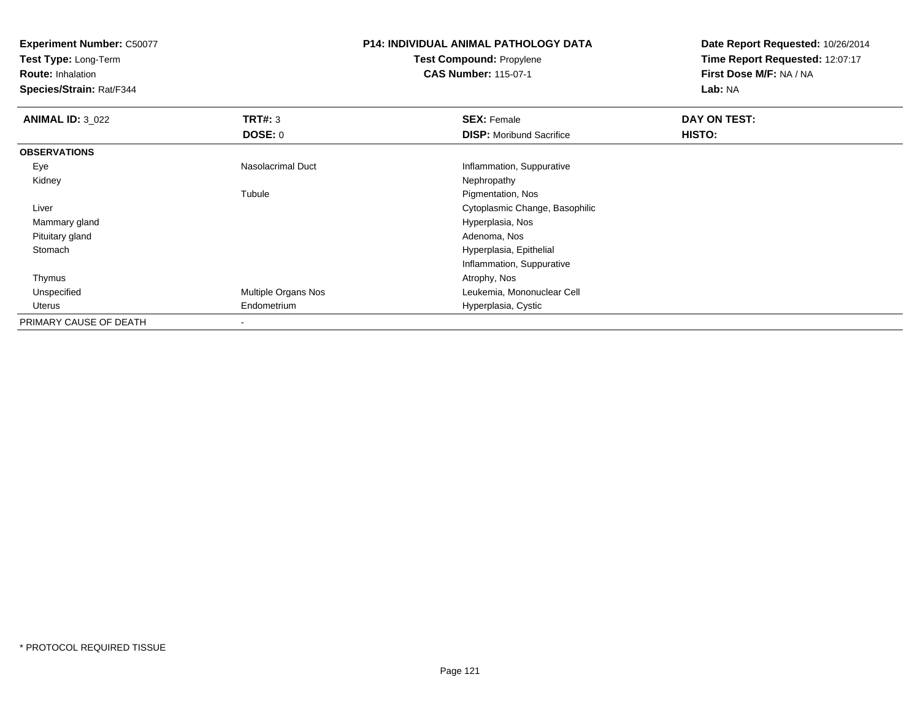**Test Type:** Long-Term

**Route:** Inhalation

**Species/Strain:** Rat/F344

### **P14: INDIVIDUAL ANIMAL PATHOLOGY DATATest Compound:** Propylene**CAS Number:** 115-07-1

| <b>ANIMAL ID: 3 022</b> | TRT#: 3             | <b>SEX: Female</b>              | DAY ON TEST: |  |
|-------------------------|---------------------|---------------------------------|--------------|--|
|                         | <b>DOSE: 0</b>      | <b>DISP:</b> Moribund Sacrifice | HISTO:       |  |
| <b>OBSERVATIONS</b>     |                     |                                 |              |  |
| Eye                     | Nasolacrimal Duct   | Inflammation, Suppurative       |              |  |
| Kidney                  |                     | Nephropathy                     |              |  |
|                         | Tubule              | Pigmentation, Nos               |              |  |
| Liver                   |                     | Cytoplasmic Change, Basophilic  |              |  |
| Mammary gland           |                     | Hyperplasia, Nos                |              |  |
| Pituitary gland         |                     | Adenoma, Nos                    |              |  |
| Stomach                 |                     | Hyperplasia, Epithelial         |              |  |
|                         |                     | Inflammation, Suppurative       |              |  |
| Thymus                  |                     | Atrophy, Nos                    |              |  |
| Unspecified             | Multiple Organs Nos | Leukemia, Mononuclear Cell      |              |  |
| Uterus                  | Endometrium         | Hyperplasia, Cystic             |              |  |
| PRIMARY CAUSE OF DEATH  |                     |                                 |              |  |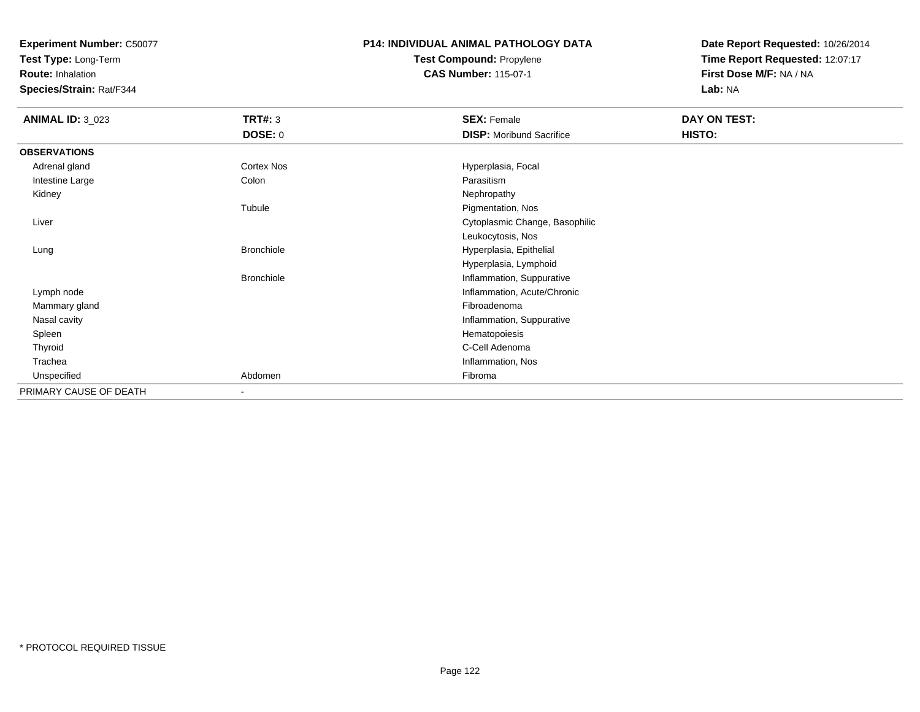**Test Type:** Long-Term

**Route:** Inhalation

**Species/Strain:** Rat/F344

### **P14: INDIVIDUAL ANIMAL PATHOLOGY DATATest Compound:** Propylene**CAS Number:** 115-07-1

| <b>ANIMAL ID: 3_023</b> | TRT#: 3           | <b>SEX: Female</b>              | DAY ON TEST: |  |
|-------------------------|-------------------|---------------------------------|--------------|--|
|                         | <b>DOSE: 0</b>    | <b>DISP:</b> Moribund Sacrifice | HISTO:       |  |
| <b>OBSERVATIONS</b>     |                   |                                 |              |  |
| Adrenal gland           | <b>Cortex Nos</b> | Hyperplasia, Focal              |              |  |
| Intestine Large         | Colon             | Parasitism                      |              |  |
| Kidney                  |                   | Nephropathy                     |              |  |
|                         | Tubule            | Pigmentation, Nos               |              |  |
| Liver                   |                   | Cytoplasmic Change, Basophilic  |              |  |
|                         |                   | Leukocytosis, Nos               |              |  |
| Lung                    | Bronchiole        | Hyperplasia, Epithelial         |              |  |
|                         |                   | Hyperplasia, Lymphoid           |              |  |
|                         | <b>Bronchiole</b> | Inflammation, Suppurative       |              |  |
| Lymph node              |                   | Inflammation, Acute/Chronic     |              |  |
| Mammary gland           |                   | Fibroadenoma                    |              |  |
| Nasal cavity            |                   | Inflammation, Suppurative       |              |  |
| Spleen                  |                   | Hematopoiesis                   |              |  |
| Thyroid                 |                   | C-Cell Adenoma                  |              |  |
| Trachea                 |                   | Inflammation, Nos               |              |  |
| Unspecified             | Abdomen           | Fibroma                         |              |  |
| PRIMARY CAUSE OF DEATH  |                   |                                 |              |  |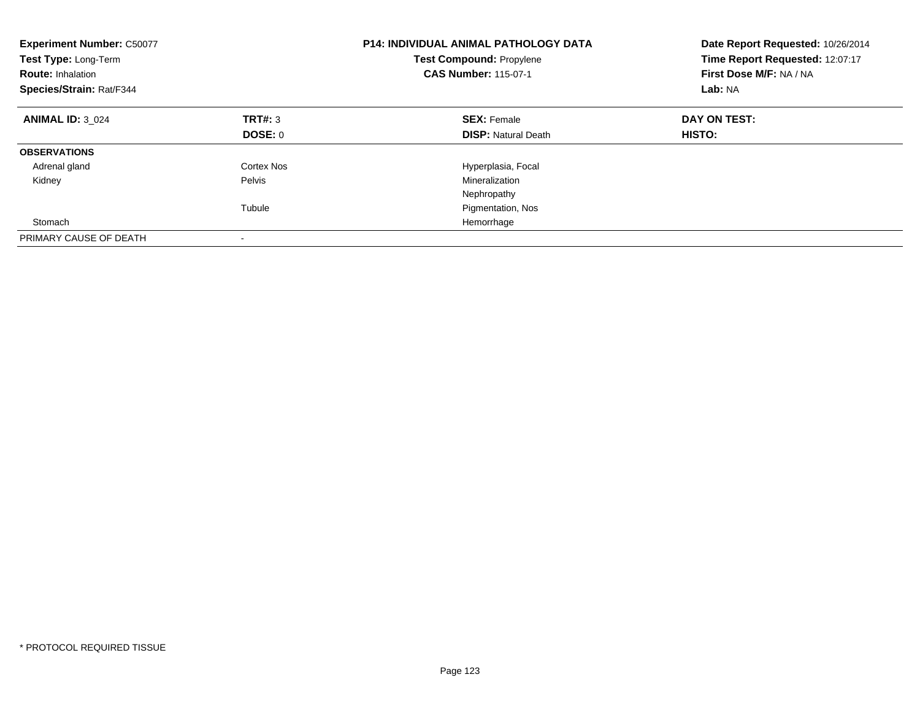| <b>Experiment Number: C50077</b><br>Test Type: Long-Term<br><b>Route: Inhalation</b><br>Species/Strain: Rat/F344 |            | <b>P14: INDIVIDUAL ANIMAL PATHOLOGY DATA</b><br><b>Test Compound: Propylene</b><br><b>CAS Number: 115-07-1</b> | Date Report Requested: 10/26/2014<br>Time Report Requested: 12:07:17<br>First Dose M/F: NA / NA<br>Lab: NA |  |
|------------------------------------------------------------------------------------------------------------------|------------|----------------------------------------------------------------------------------------------------------------|------------------------------------------------------------------------------------------------------------|--|
| <b>ANIMAL ID: 3 024</b>                                                                                          | TRT#: 3    | <b>SEX: Female</b>                                                                                             | DAY ON TEST:                                                                                               |  |
|                                                                                                                  | DOSE: 0    | <b>DISP:</b> Natural Death                                                                                     | HISTO:                                                                                                     |  |
| <b>OBSERVATIONS</b>                                                                                              |            |                                                                                                                |                                                                                                            |  |
| Adrenal gland                                                                                                    | Cortex Nos | Hyperplasia, Focal                                                                                             |                                                                                                            |  |
| Kidney                                                                                                           | Pelvis     | Mineralization                                                                                                 |                                                                                                            |  |
|                                                                                                                  |            | Nephropathy                                                                                                    |                                                                                                            |  |
|                                                                                                                  | Tubule     | Pigmentation, Nos                                                                                              |                                                                                                            |  |
| Stomach                                                                                                          |            | Hemorrhage                                                                                                     |                                                                                                            |  |
| PRIMARY CAUSE OF DEATH                                                                                           |            |                                                                                                                |                                                                                                            |  |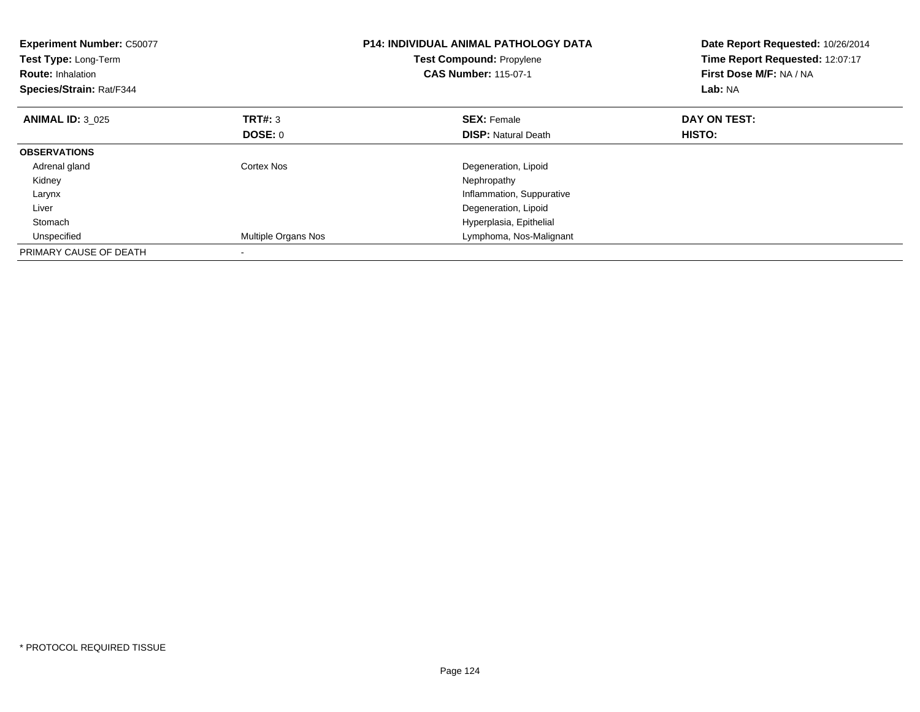| <b>Experiment Number: C50077</b><br>Test Type: Long-Term<br><b>Route: Inhalation</b><br>Species/Strain: Rat/F344 |                     | <b>P14: INDIVIDUAL ANIMAL PATHOLOGY DATA</b><br><b>Test Compound: Propylene</b><br><b>CAS Number: 115-07-1</b> | Date Report Requested: 10/26/2014<br>Time Report Requested: 12:07:17<br>First Dose M/F: NA / NA<br>Lab: NA |
|------------------------------------------------------------------------------------------------------------------|---------------------|----------------------------------------------------------------------------------------------------------------|------------------------------------------------------------------------------------------------------------|
| <b>ANIMAL ID: 3 025</b>                                                                                          | TRT#: 3             | <b>SEX: Female</b>                                                                                             | DAY ON TEST:                                                                                               |
|                                                                                                                  | DOSE: 0             | <b>DISP:</b> Natural Death                                                                                     | <b>HISTO:</b>                                                                                              |
| <b>OBSERVATIONS</b>                                                                                              |                     |                                                                                                                |                                                                                                            |
| Adrenal gland                                                                                                    | Cortex Nos          | Degeneration, Lipoid                                                                                           |                                                                                                            |
| Kidney                                                                                                           |                     | Nephropathy                                                                                                    |                                                                                                            |
| Larynx                                                                                                           |                     | Inflammation, Suppurative                                                                                      |                                                                                                            |
| Liver                                                                                                            |                     | Degeneration, Lipoid                                                                                           |                                                                                                            |
| Stomach                                                                                                          |                     | Hyperplasia, Epithelial                                                                                        |                                                                                                            |
| Unspecified                                                                                                      | Multiple Organs Nos | Lymphoma, Nos-Malignant                                                                                        |                                                                                                            |
| PRIMARY CAUSE OF DEATH                                                                                           |                     |                                                                                                                |                                                                                                            |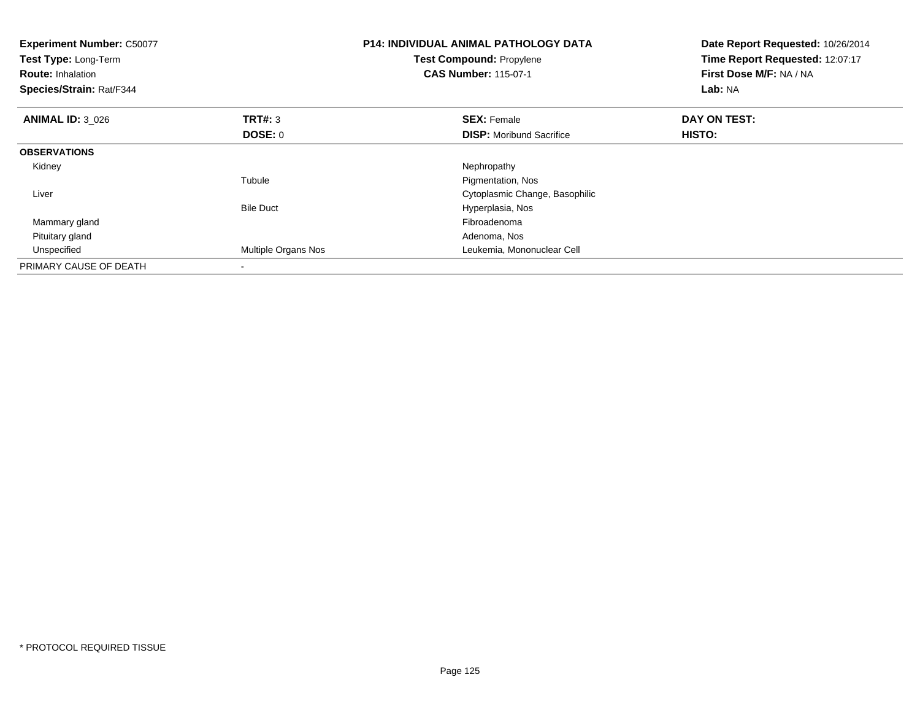| <b>Experiment Number: C50077</b><br>Test Type: Long-Term<br><b>Route: Inhalation</b><br>Species/Strain: Rat/F344 |                     | <b>P14: INDIVIDUAL ANIMAL PATHOLOGY DATA</b><br><b>Test Compound: Propylene</b><br><b>CAS Number: 115-07-1</b> | Date Report Requested: 10/26/2014<br>Time Report Requested: 12:07:17<br>First Dose M/F: NA / NA<br>Lab: NA |
|------------------------------------------------------------------------------------------------------------------|---------------------|----------------------------------------------------------------------------------------------------------------|------------------------------------------------------------------------------------------------------------|
| <b>ANIMAL ID: 3_026</b>                                                                                          | <b>TRT#: 3</b>      | <b>SEX: Female</b>                                                                                             | DAY ON TEST:                                                                                               |
|                                                                                                                  | <b>DOSE: 0</b>      | <b>DISP:</b> Moribund Sacrifice                                                                                | HISTO:                                                                                                     |
| <b>OBSERVATIONS</b>                                                                                              |                     |                                                                                                                |                                                                                                            |
| Kidney                                                                                                           |                     | Nephropathy                                                                                                    |                                                                                                            |
|                                                                                                                  | Tubule              | Pigmentation, Nos                                                                                              |                                                                                                            |
| Liver                                                                                                            |                     | Cytoplasmic Change, Basophilic                                                                                 |                                                                                                            |
|                                                                                                                  | <b>Bile Duct</b>    | Hyperplasia, Nos                                                                                               |                                                                                                            |
| Mammary gland                                                                                                    |                     | Fibroadenoma                                                                                                   |                                                                                                            |
| Pituitary gland                                                                                                  |                     | Adenoma, Nos                                                                                                   |                                                                                                            |
| Unspecified                                                                                                      | Multiple Organs Nos | Leukemia, Mononuclear Cell                                                                                     |                                                                                                            |
| PRIMARY CAUSE OF DEATH                                                                                           |                     |                                                                                                                |                                                                                                            |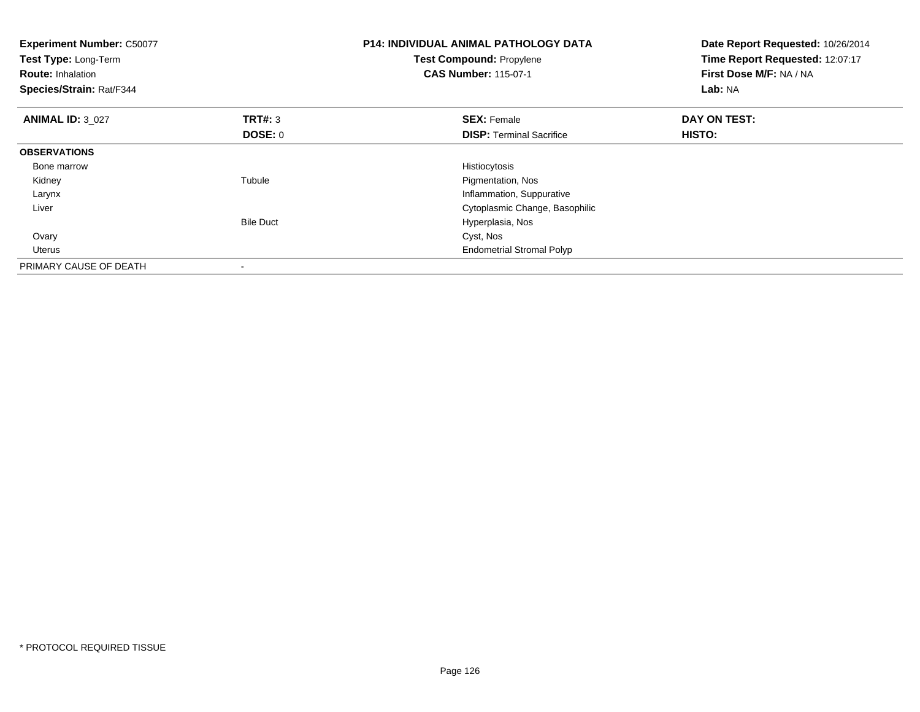| <b>Experiment Number: C50077</b><br>Test Type: Long-Term<br><b>Route: Inhalation</b><br>Species/Strain: Rat/F344 |                  | <b>P14: INDIVIDUAL ANIMAL PATHOLOGY DATA</b><br>Test Compound: Propylene<br><b>CAS Number: 115-07-1</b> | Date Report Requested: 10/26/2014<br>Time Report Requested: 12:07:17<br>First Dose M/F: NA / NA<br>Lab: NA |
|------------------------------------------------------------------------------------------------------------------|------------------|---------------------------------------------------------------------------------------------------------|------------------------------------------------------------------------------------------------------------|
| <b>ANIMAL ID: 3 027</b>                                                                                          | <b>TRT#: 3</b>   | <b>SEX: Female</b>                                                                                      | DAY ON TEST:                                                                                               |
|                                                                                                                  | <b>DOSE: 0</b>   | <b>DISP:</b> Terminal Sacrifice                                                                         | HISTO:                                                                                                     |
| <b>OBSERVATIONS</b>                                                                                              |                  |                                                                                                         |                                                                                                            |
| Bone marrow                                                                                                      |                  | Histiocytosis                                                                                           |                                                                                                            |
| Kidney                                                                                                           | Tubule           | Pigmentation, Nos                                                                                       |                                                                                                            |
| Larynx                                                                                                           |                  | Inflammation, Suppurative                                                                               |                                                                                                            |
| Liver                                                                                                            |                  | Cytoplasmic Change, Basophilic                                                                          |                                                                                                            |
|                                                                                                                  | <b>Bile Duct</b> | Hyperplasia, Nos                                                                                        |                                                                                                            |
| Ovary                                                                                                            |                  | Cyst, Nos                                                                                               |                                                                                                            |
| <b>Uterus</b>                                                                                                    |                  | <b>Endometrial Stromal Polyp</b>                                                                        |                                                                                                            |
| PRIMARY CAUSE OF DEATH                                                                                           |                  |                                                                                                         |                                                                                                            |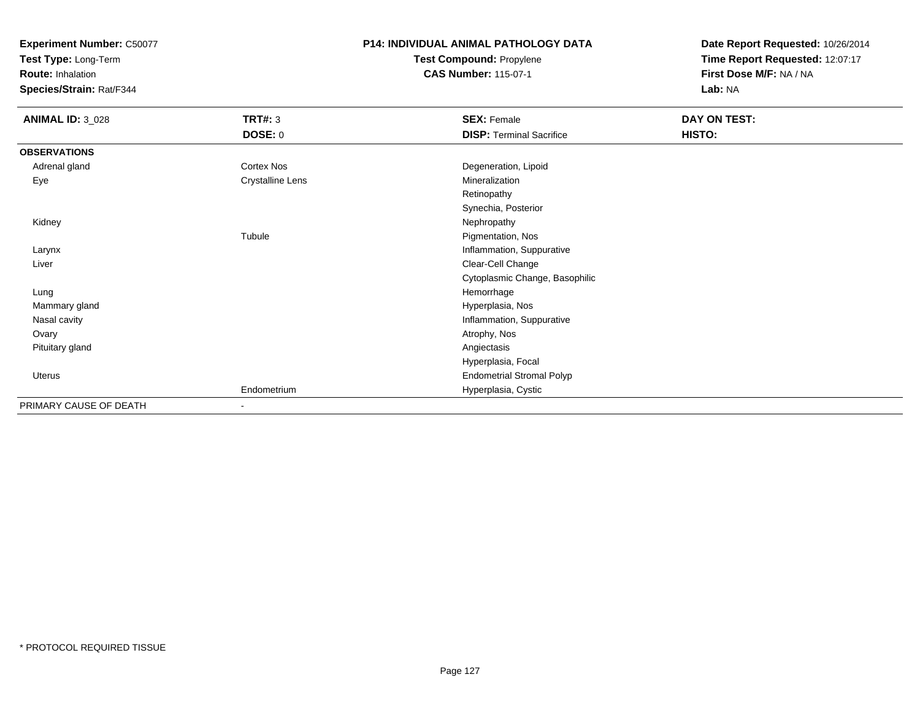**Test Type:** Long-Term

**Route:** Inhalation

**Species/Strain:** Rat/F344

# **P14: INDIVIDUAL ANIMAL PATHOLOGY DATATest Compound:** Propylene

**CAS Number:** 115-07-1

| <b>ANIMAL ID: 3_028</b> | <b>TRT#: 3</b>   | <b>SEX: Female</b>               | DAY ON TEST: |
|-------------------------|------------------|----------------------------------|--------------|
|                         | <b>DOSE: 0</b>   | <b>DISP: Terminal Sacrifice</b>  | HISTO:       |
| <b>OBSERVATIONS</b>     |                  |                                  |              |
| Adrenal gland           | Cortex Nos       | Degeneration, Lipoid             |              |
| Eye                     | Crystalline Lens | Mineralization                   |              |
|                         |                  | Retinopathy                      |              |
|                         |                  | Synechia, Posterior              |              |
| Kidney                  |                  | Nephropathy                      |              |
|                         | Tubule           | Pigmentation, Nos                |              |
| Larynx                  |                  | Inflammation, Suppurative        |              |
| Liver                   |                  | Clear-Cell Change                |              |
|                         |                  | Cytoplasmic Change, Basophilic   |              |
| Lung                    |                  | Hemorrhage                       |              |
| Mammary gland           |                  | Hyperplasia, Nos                 |              |
| Nasal cavity            |                  | Inflammation, Suppurative        |              |
| Ovary                   |                  | Atrophy, Nos                     |              |
| Pituitary gland         |                  | Angiectasis                      |              |
|                         |                  | Hyperplasia, Focal               |              |
| Uterus                  |                  | <b>Endometrial Stromal Polyp</b> |              |
|                         | Endometrium      | Hyperplasia, Cystic              |              |
| PRIMARY CAUSE OF DEATH  | $\blacksquare$   |                                  |              |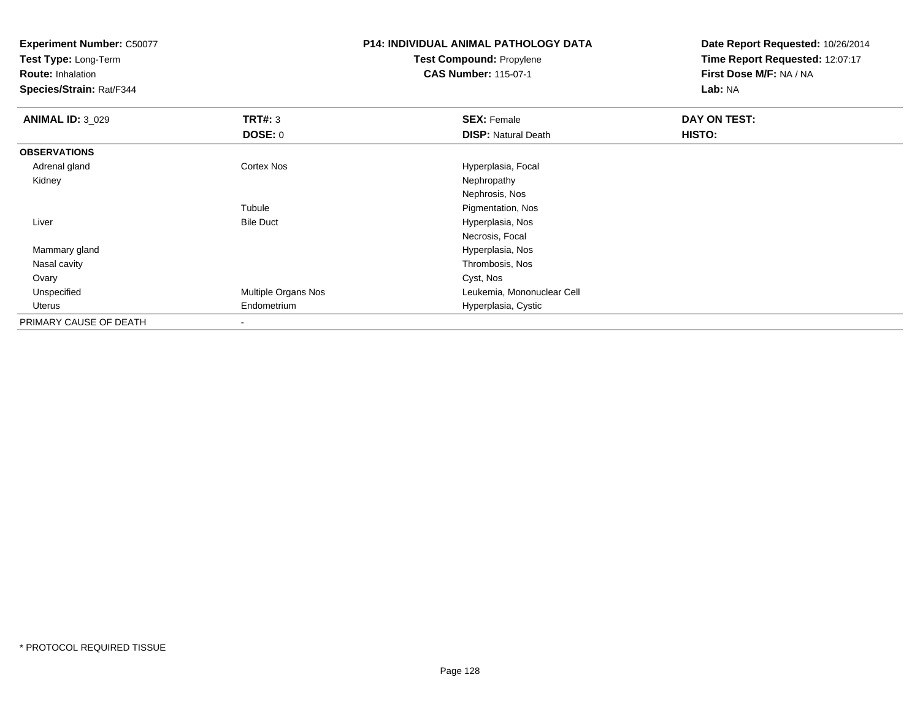**Test Type:** Long-Term

**Route:** Inhalation

**Species/Strain:** Rat/F344

# **P14: INDIVIDUAL ANIMAL PATHOLOGY DATATest Compound:** Propylene

**CAS Number:** 115-07-1

| <b>ANIMAL ID: 3 029</b> | TRT#: 3                  | <b>SEX: Female</b>         | DAY ON TEST: |  |
|-------------------------|--------------------------|----------------------------|--------------|--|
|                         | <b>DOSE: 0</b>           | <b>DISP: Natural Death</b> | HISTO:       |  |
| <b>OBSERVATIONS</b>     |                          |                            |              |  |
| Adrenal gland           | <b>Cortex Nos</b>        | Hyperplasia, Focal         |              |  |
| Kidney                  |                          | Nephropathy                |              |  |
|                         |                          | Nephrosis, Nos             |              |  |
|                         | Tubule                   | Pigmentation, Nos          |              |  |
| Liver                   | <b>Bile Duct</b>         | Hyperplasia, Nos           |              |  |
|                         |                          | Necrosis, Focal            |              |  |
| Mammary gland           |                          | Hyperplasia, Nos           |              |  |
| Nasal cavity            |                          | Thrombosis, Nos            |              |  |
| Ovary                   |                          | Cyst, Nos                  |              |  |
| Unspecified             | Multiple Organs Nos      | Leukemia, Mononuclear Cell |              |  |
| Uterus                  | Endometrium              | Hyperplasia, Cystic        |              |  |
| PRIMARY CAUSE OF DEATH  | $\overline{\phantom{a}}$ |                            |              |  |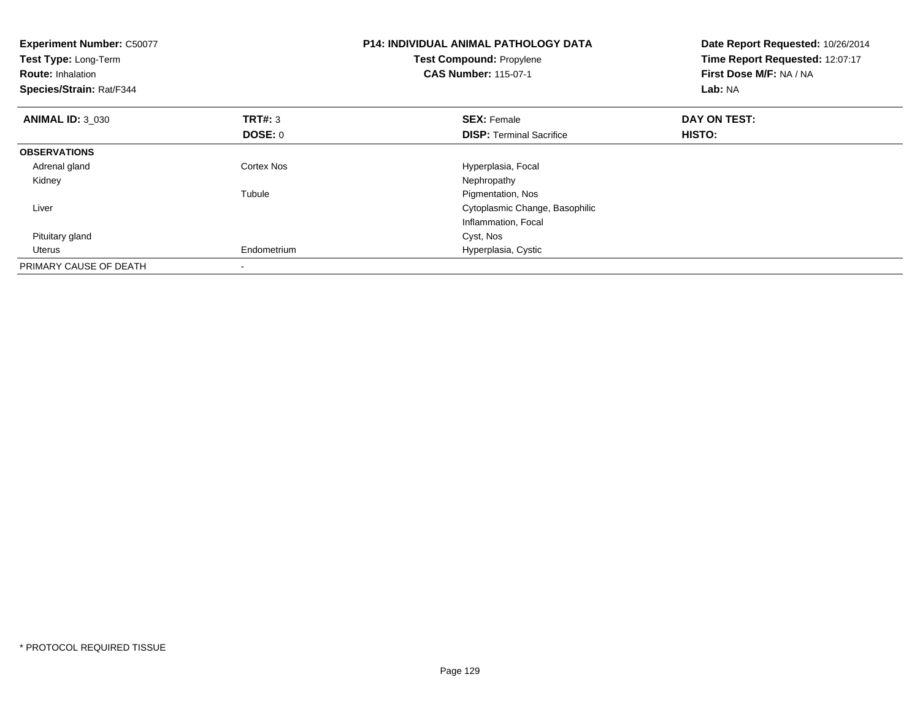| <b>Experiment Number: C50077</b><br>Test Type: Long-Term<br><b>Route: Inhalation</b><br>Species/Strain: Rat/F344 |                | <b>P14: INDIVIDUAL ANIMAL PATHOLOGY DATA</b><br>Test Compound: Propylene<br><b>CAS Number: 115-07-1</b> | Date Report Requested: 10/26/2014<br>Time Report Requested: 12:07:17<br>First Dose M/F: NA / NA<br>Lab: NA |  |
|------------------------------------------------------------------------------------------------------------------|----------------|---------------------------------------------------------------------------------------------------------|------------------------------------------------------------------------------------------------------------|--|
| <b>ANIMAL ID: 3 030</b>                                                                                          | <b>TRT#: 3</b> | <b>SEX: Female</b>                                                                                      | DAY ON TEST:                                                                                               |  |
|                                                                                                                  | <b>DOSE: 0</b> | <b>DISP:</b> Terminal Sacrifice                                                                         | HISTO:                                                                                                     |  |
| <b>OBSERVATIONS</b>                                                                                              |                |                                                                                                         |                                                                                                            |  |
| Adrenal gland                                                                                                    | Cortex Nos     | Hyperplasia, Focal                                                                                      |                                                                                                            |  |
| Kidney                                                                                                           |                | Nephropathy                                                                                             |                                                                                                            |  |
|                                                                                                                  | Tubule         | Pigmentation, Nos                                                                                       |                                                                                                            |  |
| Liver                                                                                                            |                | Cytoplasmic Change, Basophilic                                                                          |                                                                                                            |  |
|                                                                                                                  |                | Inflammation, Focal                                                                                     |                                                                                                            |  |
| Pituitary gland                                                                                                  |                | Cyst, Nos                                                                                               |                                                                                                            |  |
| Uterus                                                                                                           | Endometrium    | Hyperplasia, Cystic                                                                                     |                                                                                                            |  |
| PRIMARY CAUSE OF DEATH                                                                                           |                |                                                                                                         |                                                                                                            |  |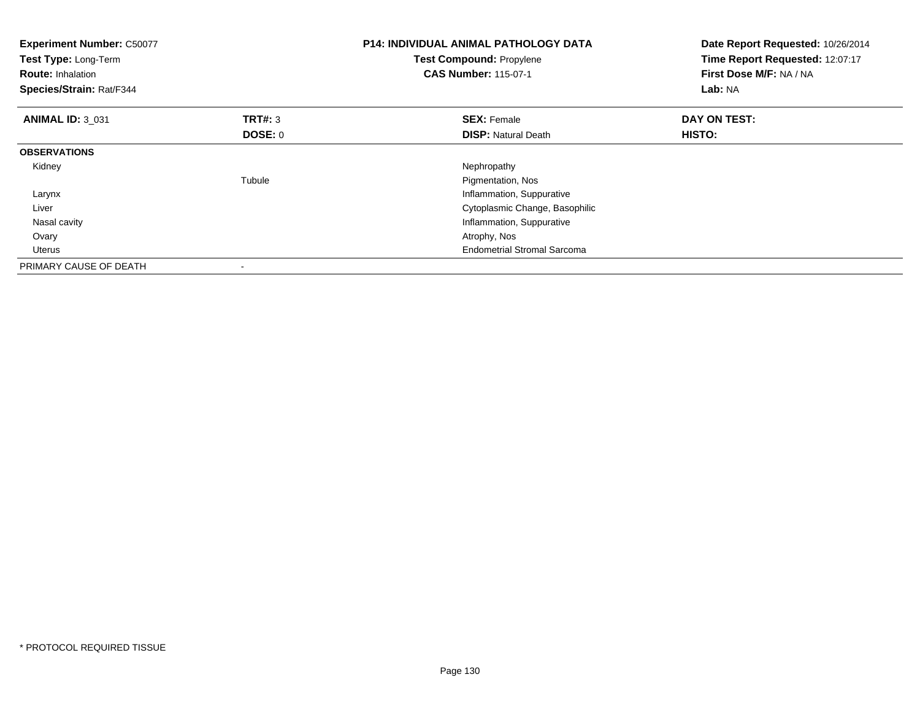| <b>Experiment Number: C50077</b><br>Test Type: Long-Term<br><b>Route: Inhalation</b><br>Species/Strain: Rat/F344 |                | <b>P14: INDIVIDUAL ANIMAL PATHOLOGY DATA</b><br>Test Compound: Propylene<br><b>CAS Number: 115-07-1</b> | Date Report Requested: 10/26/2014<br>Time Report Requested: 12:07:17<br>First Dose M/F: NA / NA<br>Lab: NA |
|------------------------------------------------------------------------------------------------------------------|----------------|---------------------------------------------------------------------------------------------------------|------------------------------------------------------------------------------------------------------------|
| <b>ANIMAL ID: 3 031</b>                                                                                          | <b>TRT#: 3</b> | <b>SEX: Female</b>                                                                                      | DAY ON TEST:                                                                                               |
|                                                                                                                  | <b>DOSE: 0</b> | <b>DISP:</b> Natural Death                                                                              | HISTO:                                                                                                     |
| <b>OBSERVATIONS</b>                                                                                              |                |                                                                                                         |                                                                                                            |
| Kidney                                                                                                           |                | Nephropathy                                                                                             |                                                                                                            |
|                                                                                                                  | Tubule         | Pigmentation, Nos                                                                                       |                                                                                                            |
| Larynx                                                                                                           |                | Inflammation, Suppurative                                                                               |                                                                                                            |
| Liver                                                                                                            |                | Cytoplasmic Change, Basophilic                                                                          |                                                                                                            |
| Nasal cavity                                                                                                     |                | Inflammation, Suppurative                                                                               |                                                                                                            |
| Ovary                                                                                                            |                | Atrophy, Nos                                                                                            |                                                                                                            |
| <b>Uterus</b>                                                                                                    |                | <b>Endometrial Stromal Sarcoma</b>                                                                      |                                                                                                            |
| PRIMARY CAUSE OF DEATH                                                                                           |                |                                                                                                         |                                                                                                            |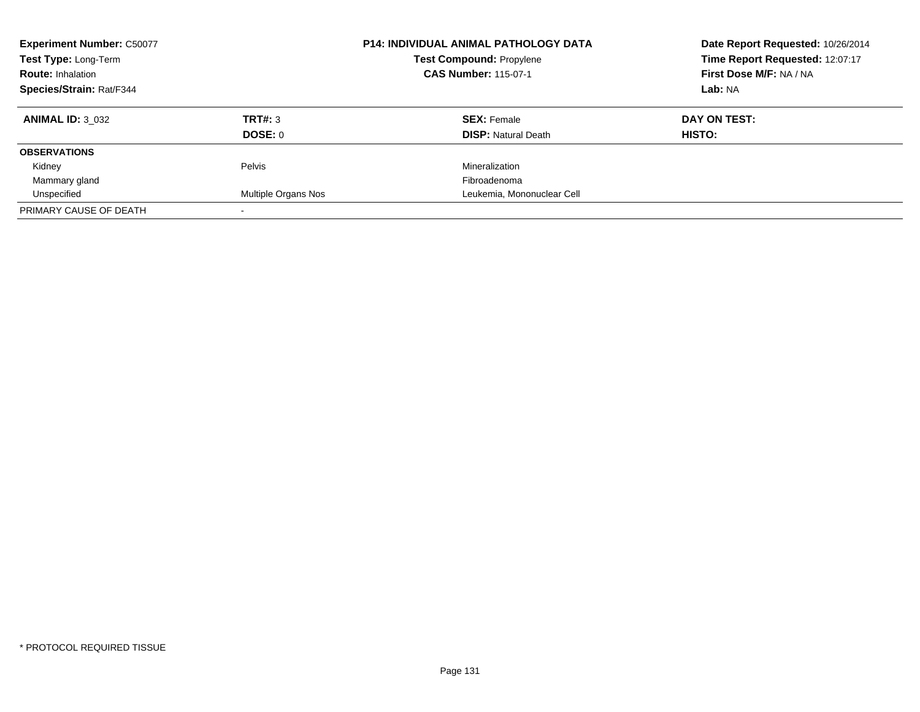| <b>Experiment Number: C50077</b><br>Test Type: Long-Term<br><b>Route: Inhalation</b><br>Species/Strain: Rat/F344 |                           | <b>P14: INDIVIDUAL ANIMAL PATHOLOGY DATA</b><br><b>Test Compound: Propylene</b><br><b>CAS Number: 115-07-1</b> | Date Report Requested: 10/26/2014<br>Time Report Requested: 12:07:17<br>First Dose M/F: NA / NA<br>Lab: NA |
|------------------------------------------------------------------------------------------------------------------|---------------------------|----------------------------------------------------------------------------------------------------------------|------------------------------------------------------------------------------------------------------------|
| <b>ANIMAL ID: 3 032</b>                                                                                          | TRT#: 3<br><b>DOSE: 0</b> | <b>SEX: Female</b><br><b>DISP:</b> Natural Death                                                               | DAY ON TEST:<br>HISTO:                                                                                     |
| <b>OBSERVATIONS</b>                                                                                              |                           |                                                                                                                |                                                                                                            |
| Kidney                                                                                                           | Pelvis                    | Mineralization                                                                                                 |                                                                                                            |
| Mammary gland                                                                                                    |                           | Fibroadenoma                                                                                                   |                                                                                                            |
| Unspecified                                                                                                      | Multiple Organs Nos       | Leukemia, Mononuclear Cell                                                                                     |                                                                                                            |
| PRIMARY CAUSE OF DEATH                                                                                           |                           |                                                                                                                |                                                                                                            |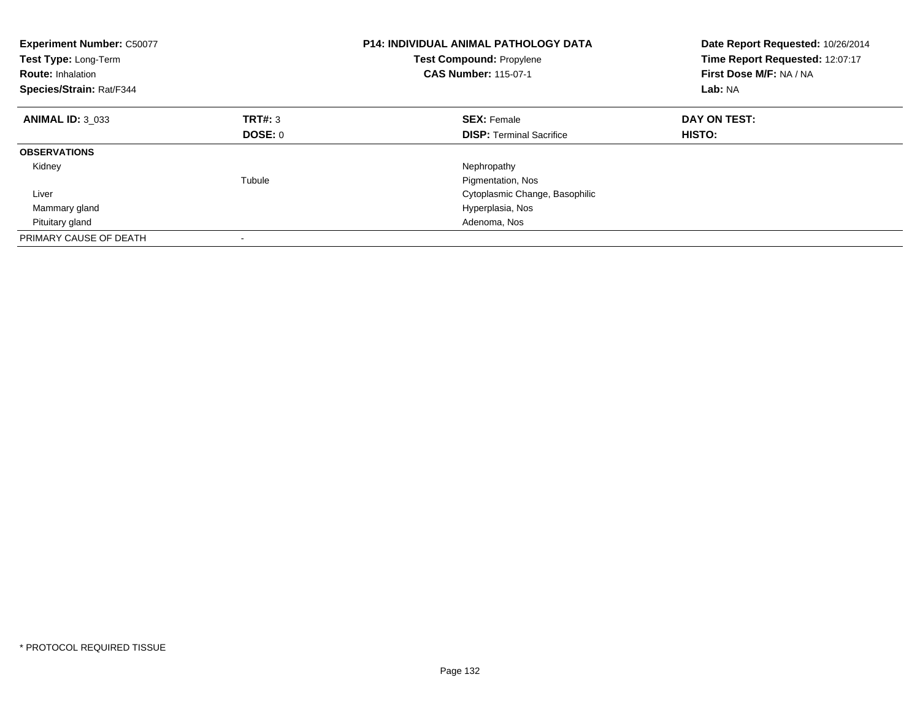| <b>Experiment Number: C50077</b><br>Test Type: Long-Term<br><b>Route: Inhalation</b><br>Species/Strain: Rat/F344 |         | <b>P14: INDIVIDUAL ANIMAL PATHOLOGY DATA</b><br><b>Test Compound: Propylene</b><br><b>CAS Number: 115-07-1</b> | Date Report Requested: 10/26/2014<br>Time Report Requested: 12:07:17<br>First Dose M/F: NA / NA<br>Lab: NA |
|------------------------------------------------------------------------------------------------------------------|---------|----------------------------------------------------------------------------------------------------------------|------------------------------------------------------------------------------------------------------------|
| <b>ANIMAL ID: 3 033</b>                                                                                          | TRT#: 3 | <b>SEX: Female</b>                                                                                             | DAY ON TEST:                                                                                               |
|                                                                                                                  | DOSE: 0 | <b>DISP:</b> Terminal Sacrifice                                                                                | HISTO:                                                                                                     |
| <b>OBSERVATIONS</b>                                                                                              |         |                                                                                                                |                                                                                                            |
| Kidney                                                                                                           |         | Nephropathy                                                                                                    |                                                                                                            |
|                                                                                                                  | Tubule  | Pigmentation, Nos                                                                                              |                                                                                                            |
| Liver                                                                                                            |         | Cytoplasmic Change, Basophilic                                                                                 |                                                                                                            |
| Mammary gland                                                                                                    |         | Hyperplasia, Nos                                                                                               |                                                                                                            |
| Pituitary gland                                                                                                  |         | Adenoma, Nos                                                                                                   |                                                                                                            |
| PRIMARY CAUSE OF DEATH                                                                                           |         |                                                                                                                |                                                                                                            |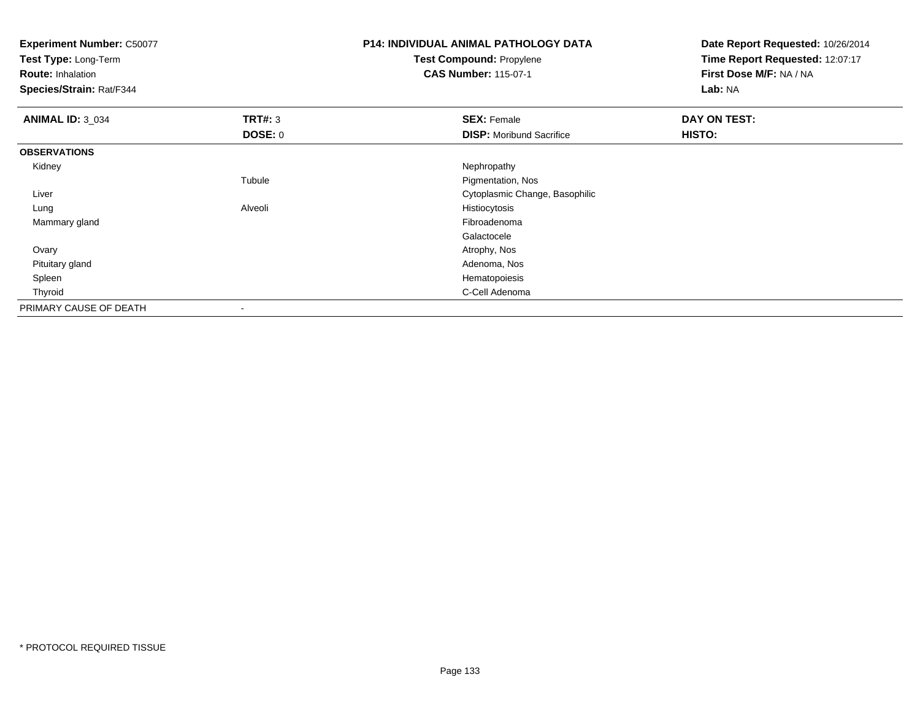| <b>Experiment Number: C50077</b><br>Test Type: Long-Term<br><b>Route: Inhalation</b> |                | <b>P14: INDIVIDUAL ANIMAL PATHOLOGY DATA</b><br>Test Compound: Propylene<br><b>CAS Number: 115-07-1</b> | Date Report Requested: 10/26/2014<br>Time Report Requested: 12:07:17<br>First Dose M/F: NA / NA |
|--------------------------------------------------------------------------------------|----------------|---------------------------------------------------------------------------------------------------------|-------------------------------------------------------------------------------------------------|
| Species/Strain: Rat/F344                                                             |                |                                                                                                         | Lab: NA                                                                                         |
| <b>ANIMAL ID: 3_034</b>                                                              | <b>TRT#: 3</b> | <b>SEX: Female</b>                                                                                      | DAY ON TEST:                                                                                    |
|                                                                                      | <b>DOSE: 0</b> | <b>DISP:</b> Moribund Sacrifice                                                                         | <b>HISTO:</b>                                                                                   |
| <b>OBSERVATIONS</b>                                                                  |                |                                                                                                         |                                                                                                 |
| Kidney                                                                               |                | Nephropathy                                                                                             |                                                                                                 |
|                                                                                      | Tubule         | Pigmentation, Nos                                                                                       |                                                                                                 |
| Liver                                                                                |                | Cytoplasmic Change, Basophilic                                                                          |                                                                                                 |
| Lung                                                                                 | Alveoli        | Histiocytosis                                                                                           |                                                                                                 |
| Mammary gland                                                                        |                | Fibroadenoma                                                                                            |                                                                                                 |
|                                                                                      |                | Galactocele                                                                                             |                                                                                                 |
| Ovary                                                                                |                | Atrophy, Nos                                                                                            |                                                                                                 |
| Pituitary gland                                                                      |                | Adenoma, Nos                                                                                            |                                                                                                 |
| Spleen                                                                               |                | Hematopoiesis                                                                                           |                                                                                                 |
| Thyroid                                                                              |                | C-Cell Adenoma                                                                                          |                                                                                                 |
| PRIMARY CAUSE OF DEATH                                                               |                |                                                                                                         |                                                                                                 |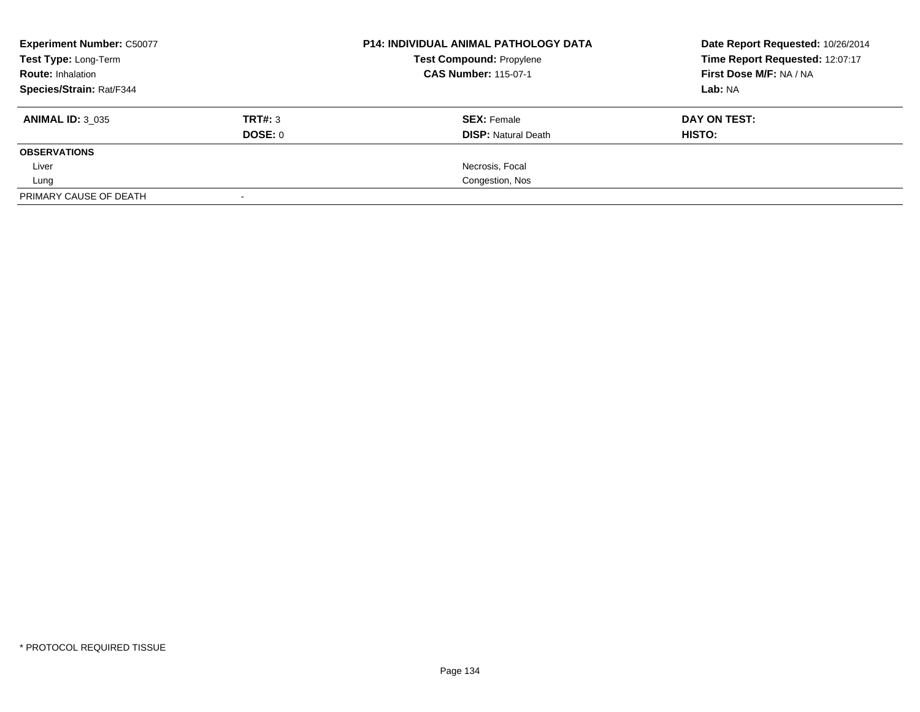| <b>Experiment Number: C50077</b><br>Test Type: Long-Term<br><b>Route: Inhalation</b><br>Species/Strain: Rat/F344 |         | <b>P14: INDIVIDUAL ANIMAL PATHOLOGY DATA</b> | Date Report Requested: 10/26/2014 |  |
|------------------------------------------------------------------------------------------------------------------|---------|----------------------------------------------|-----------------------------------|--|
|                                                                                                                  |         | <b>Test Compound: Propylene</b>              | Time Report Requested: 12:07:17   |  |
|                                                                                                                  |         | <b>CAS Number: 115-07-1</b>                  | First Dose M/F: NA / NA           |  |
|                                                                                                                  |         |                                              | Lab: NA                           |  |
| <b>ANIMAL ID: 3 035</b>                                                                                          | TRT#: 3 | <b>SEX: Female</b>                           | DAY ON TEST:                      |  |
|                                                                                                                  | DOSE: 0 | <b>DISP:</b> Natural Death                   | HISTO:                            |  |
| <b>OBSERVATIONS</b>                                                                                              |         |                                              |                                   |  |
| Liver                                                                                                            |         | Necrosis, Focal                              |                                   |  |
| Lung                                                                                                             |         | Congestion, Nos                              |                                   |  |
| PRIMARY CAUSE OF DEATH                                                                                           |         |                                              |                                   |  |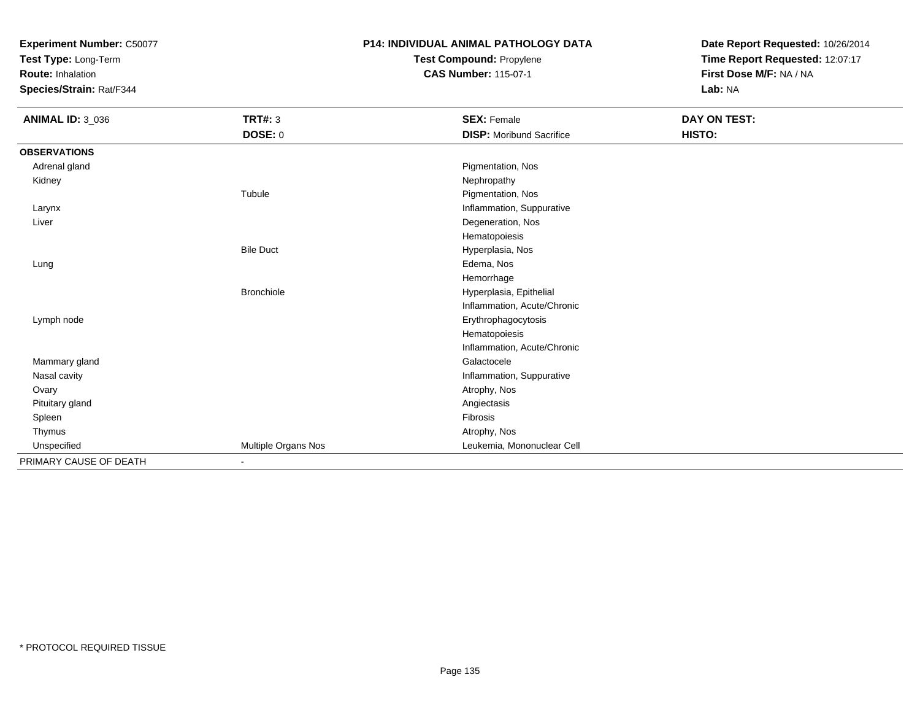**Test Type:** Long-Term

**Route:** Inhalation

**Species/Strain:** Rat/F344

# **P14: INDIVIDUAL ANIMAL PATHOLOGY DATATest Compound:** Propylene

**CAS Number:** 115-07-1

| <b>ANIMAL ID: 3_036</b> | <b>TRT#: 3</b>               | <b>SEX: Female</b>              | DAY ON TEST: |  |
|-------------------------|------------------------------|---------------------------------|--------------|--|
|                         | DOSE: 0                      | <b>DISP:</b> Moribund Sacrifice | HISTO:       |  |
| <b>OBSERVATIONS</b>     |                              |                                 |              |  |
| Adrenal gland           |                              | Pigmentation, Nos               |              |  |
| Kidney                  |                              | Nephropathy                     |              |  |
|                         | Tubule                       | Pigmentation, Nos               |              |  |
| Larynx                  |                              | Inflammation, Suppurative       |              |  |
| Liver                   |                              | Degeneration, Nos               |              |  |
|                         |                              | Hematopoiesis                   |              |  |
|                         | <b>Bile Duct</b>             | Hyperplasia, Nos                |              |  |
| Lung                    |                              | Edema, Nos                      |              |  |
|                         |                              | Hemorrhage                      |              |  |
|                         | <b>Bronchiole</b>            | Hyperplasia, Epithelial         |              |  |
|                         |                              | Inflammation, Acute/Chronic     |              |  |
| Lymph node              |                              | Erythrophagocytosis             |              |  |
|                         |                              | Hematopoiesis                   |              |  |
|                         |                              | Inflammation, Acute/Chronic     |              |  |
| Mammary gland           |                              | Galactocele                     |              |  |
| Nasal cavity            |                              | Inflammation, Suppurative       |              |  |
| Ovary                   |                              | Atrophy, Nos                    |              |  |
| Pituitary gland         |                              | Angiectasis                     |              |  |
| Spleen                  |                              | Fibrosis                        |              |  |
| Thymus                  |                              | Atrophy, Nos                    |              |  |
| Unspecified             | Multiple Organs Nos          | Leukemia, Mononuclear Cell      |              |  |
| PRIMARY CAUSE OF DEATH  | $\qquad \qquad \blacksquare$ |                                 |              |  |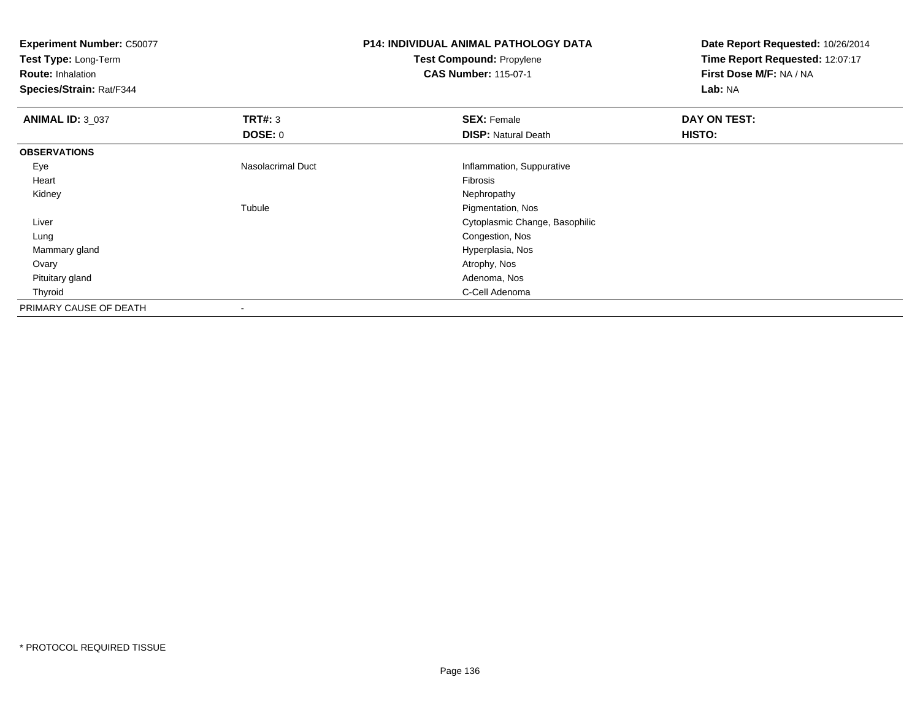**Test Type:** Long-Term

**Route:** Inhalation

**Species/Strain:** Rat/F344

# **P14: INDIVIDUAL ANIMAL PATHOLOGY DATATest Compound:** Propylene

**CAS Number:** 115-07-1

| <b>ANIMAL ID: 3_037</b> | TRT#: 3           | <b>SEX: Female</b>             | DAY ON TEST: |
|-------------------------|-------------------|--------------------------------|--------------|
|                         | <b>DOSE: 0</b>    | <b>DISP: Natural Death</b>     | HISTO:       |
| <b>OBSERVATIONS</b>     |                   |                                |              |
| Eye                     | Nasolacrimal Duct | Inflammation, Suppurative      |              |
| Heart                   |                   | Fibrosis                       |              |
| Kidney                  |                   | Nephropathy                    |              |
|                         | Tubule            | Pigmentation, Nos              |              |
| Liver                   |                   | Cytoplasmic Change, Basophilic |              |
| Lung                    |                   | Congestion, Nos                |              |
| Mammary gland           |                   | Hyperplasia, Nos               |              |
| Ovary                   |                   | Atrophy, Nos                   |              |
| Pituitary gland         |                   | Adenoma, Nos                   |              |
| Thyroid                 |                   | C-Cell Adenoma                 |              |
| PRIMARY CAUSE OF DEATH  |                   |                                |              |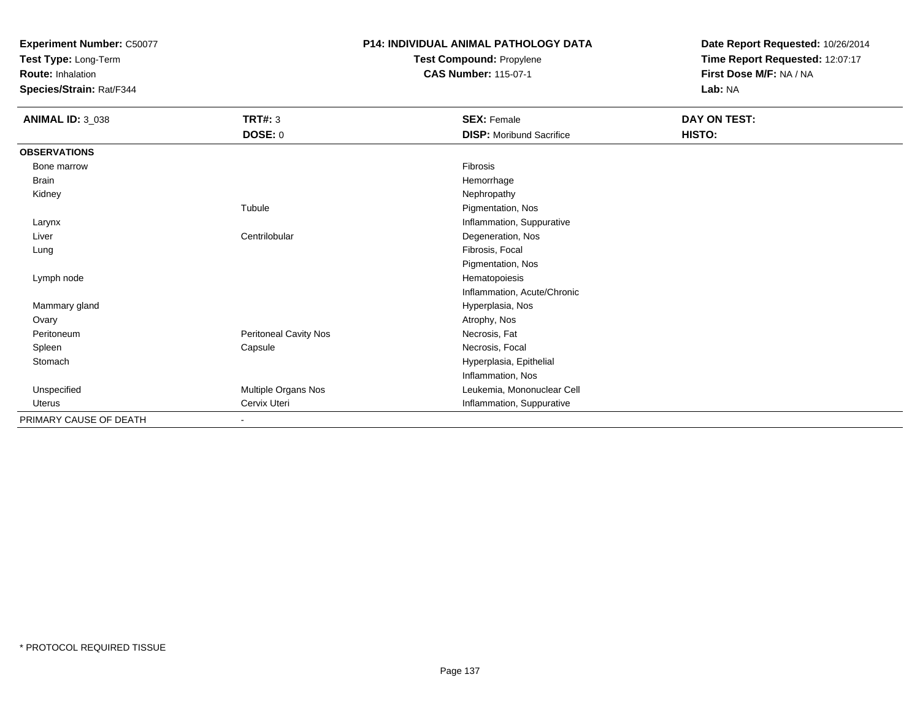**Test Type:** Long-Term

**Route:** Inhalation

**Species/Strain:** Rat/F344

### **P14: INDIVIDUAL ANIMAL PATHOLOGY DATATest Compound:** Propylene

**CAS Number:** 115-07-1

| <b>ANIMAL ID: 3_038</b> | <b>TRT#: 3</b>               | <b>SEX: Female</b>              | DAY ON TEST: |  |
|-------------------------|------------------------------|---------------------------------|--------------|--|
|                         | <b>DOSE: 0</b>               | <b>DISP:</b> Moribund Sacrifice | HISTO:       |  |
| <b>OBSERVATIONS</b>     |                              |                                 |              |  |
| Bone marrow             |                              | Fibrosis                        |              |  |
| <b>Brain</b>            |                              | Hemorrhage                      |              |  |
| Kidney                  |                              | Nephropathy                     |              |  |
|                         | Tubule                       | Pigmentation, Nos               |              |  |
| Larynx                  |                              | Inflammation, Suppurative       |              |  |
| Liver                   | Centrilobular                | Degeneration, Nos               |              |  |
| Lung                    |                              | Fibrosis, Focal                 |              |  |
|                         |                              | Pigmentation, Nos               |              |  |
| Lymph node              |                              | Hematopoiesis                   |              |  |
|                         |                              | Inflammation, Acute/Chronic     |              |  |
| Mammary gland           |                              | Hyperplasia, Nos                |              |  |
| Ovary                   |                              | Atrophy, Nos                    |              |  |
| Peritoneum              | Peritoneal Cavity Nos        | Necrosis, Fat                   |              |  |
| Spleen                  | Capsule                      | Necrosis, Focal                 |              |  |
| Stomach                 |                              | Hyperplasia, Epithelial         |              |  |
|                         |                              | Inflammation, Nos               |              |  |
| Unspecified             | Multiple Organs Nos          | Leukemia, Mononuclear Cell      |              |  |
| Uterus                  | Cervix Uteri                 | Inflammation, Suppurative       |              |  |
| PRIMARY CAUSE OF DEATH  | $\qquad \qquad \blacksquare$ |                                 |              |  |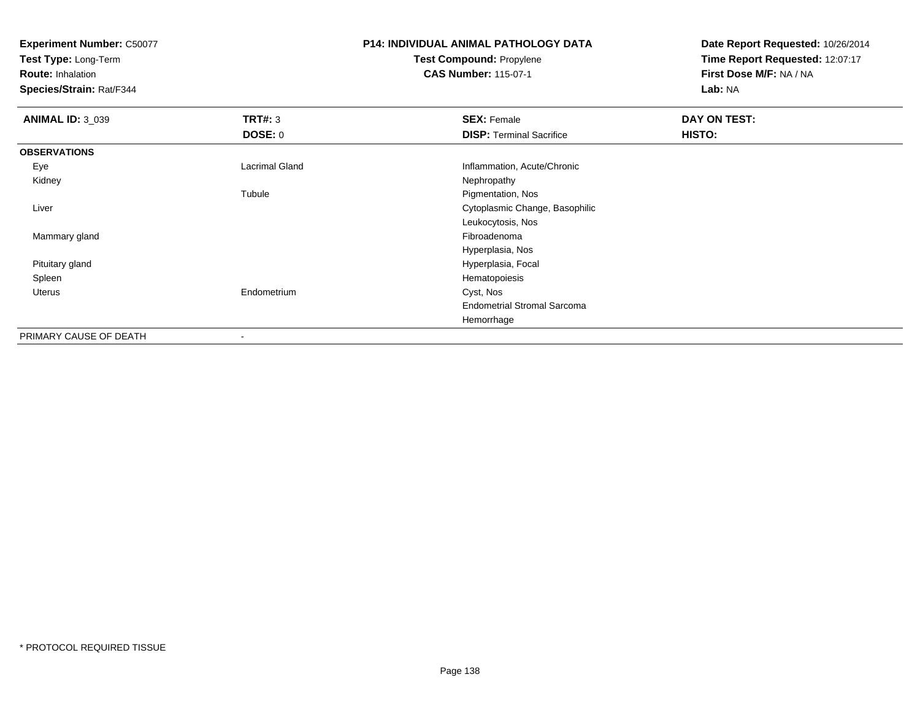**Test Type:** Long-Term

**Route:** Inhalation

**Species/Strain:** Rat/F344

### **P14: INDIVIDUAL ANIMAL PATHOLOGY DATATest Compound:** Propylene**CAS Number:** 115-07-1

| <b>ANIMAL ID: 3_039</b> | TRT#: 3                  | <b>SEX: Female</b>                 | DAY ON TEST: |  |
|-------------------------|--------------------------|------------------------------------|--------------|--|
|                         | <b>DOSE: 0</b>           | <b>DISP: Terminal Sacrifice</b>    | HISTO:       |  |
| <b>OBSERVATIONS</b>     |                          |                                    |              |  |
| Eye                     | Lacrimal Gland           | Inflammation, Acute/Chronic        |              |  |
| Kidney                  |                          | Nephropathy                        |              |  |
|                         | Tubule                   | Pigmentation, Nos                  |              |  |
| Liver                   |                          | Cytoplasmic Change, Basophilic     |              |  |
|                         |                          | Leukocytosis, Nos                  |              |  |
| Mammary gland           |                          | Fibroadenoma                       |              |  |
|                         |                          | Hyperplasia, Nos                   |              |  |
| Pituitary gland         |                          | Hyperplasia, Focal                 |              |  |
| Spleen                  |                          | Hematopoiesis                      |              |  |
| Uterus                  | Endometrium              | Cyst, Nos                          |              |  |
|                         |                          | <b>Endometrial Stromal Sarcoma</b> |              |  |
|                         |                          | Hemorrhage                         |              |  |
| PRIMARY CAUSE OF DEATH  | $\overline{\phantom{a}}$ |                                    |              |  |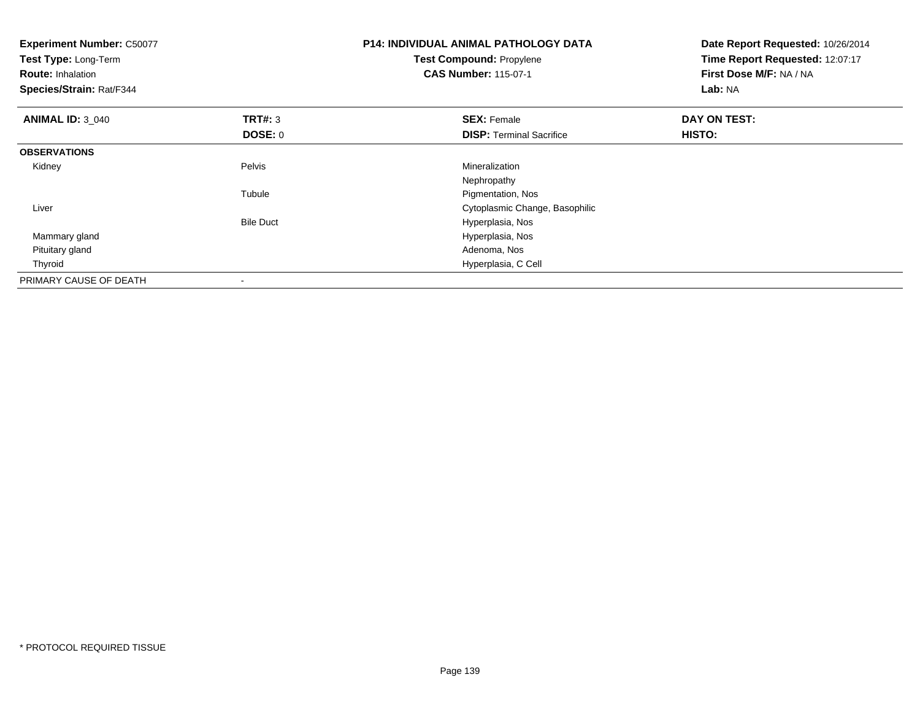| <b>Experiment Number: C50077</b><br>Test Type: Long-Term<br><b>Route: Inhalation</b><br>Species/Strain: Rat/F344 |                          | P14: INDIVIDUAL ANIMAL PATHOLOGY DATA<br><b>Test Compound: Propylene</b><br><b>CAS Number: 115-07-1</b> | Date Report Requested: 10/26/2014<br>Time Report Requested: 12:07:17<br>First Dose M/F: NA / NA<br>Lab: NA |
|------------------------------------------------------------------------------------------------------------------|--------------------------|---------------------------------------------------------------------------------------------------------|------------------------------------------------------------------------------------------------------------|
| <b>ANIMAL ID: 3 040</b>                                                                                          | <b>TRT#: 3</b>           | <b>SEX: Female</b>                                                                                      | DAY ON TEST:                                                                                               |
|                                                                                                                  | DOSE: 0                  | <b>DISP: Terminal Sacrifice</b>                                                                         | HISTO:                                                                                                     |
| <b>OBSERVATIONS</b>                                                                                              |                          |                                                                                                         |                                                                                                            |
| Kidney                                                                                                           | Pelvis                   | Mineralization                                                                                          |                                                                                                            |
|                                                                                                                  |                          | Nephropathy                                                                                             |                                                                                                            |
|                                                                                                                  | Tubule                   | Pigmentation, Nos                                                                                       |                                                                                                            |
| Liver                                                                                                            |                          | Cytoplasmic Change, Basophilic                                                                          |                                                                                                            |
|                                                                                                                  | <b>Bile Duct</b>         | Hyperplasia, Nos                                                                                        |                                                                                                            |
| Mammary gland                                                                                                    |                          | Hyperplasia, Nos                                                                                        |                                                                                                            |
| Pituitary gland                                                                                                  |                          | Adenoma, Nos                                                                                            |                                                                                                            |
| Thyroid                                                                                                          |                          | Hyperplasia, C Cell                                                                                     |                                                                                                            |
| PRIMARY CAUSE OF DEATH                                                                                           | $\overline{\phantom{a}}$ |                                                                                                         |                                                                                                            |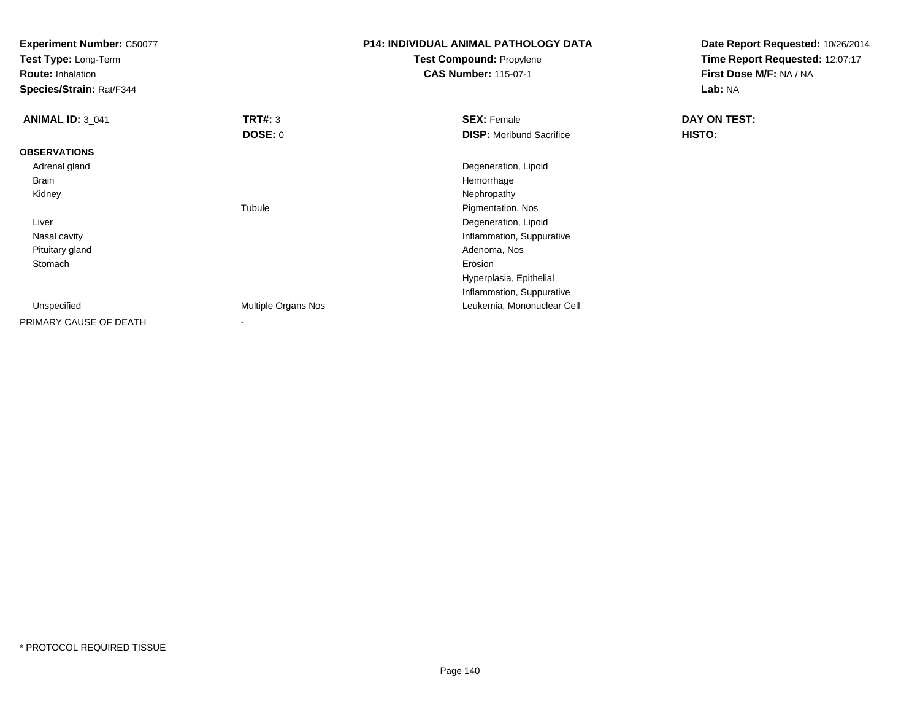**Test Type:** Long-Term

**Route:** Inhalation

**Species/Strain:** Rat/F344

# **P14: INDIVIDUAL ANIMAL PATHOLOGY DATATest Compound:** Propylene

**CAS Number:** 115-07-1

| <b>ANIMAL ID: 3_041</b> | <b>TRT#: 3</b>      | <b>SEX: Female</b>              | DAY ON TEST: |
|-------------------------|---------------------|---------------------------------|--------------|
|                         | <b>DOSE: 0</b>      | <b>DISP:</b> Moribund Sacrifice | HISTO:       |
| <b>OBSERVATIONS</b>     |                     |                                 |              |
| Adrenal gland           |                     | Degeneration, Lipoid            |              |
| Brain                   |                     | Hemorrhage                      |              |
| Kidney                  |                     | Nephropathy                     |              |
|                         | Tubule              | Pigmentation, Nos               |              |
| Liver                   |                     | Degeneration, Lipoid            |              |
| Nasal cavity            |                     | Inflammation, Suppurative       |              |
| Pituitary gland         |                     | Adenoma, Nos                    |              |
| Stomach                 |                     | Erosion                         |              |
|                         |                     | Hyperplasia, Epithelial         |              |
|                         |                     | Inflammation, Suppurative       |              |
| Unspecified             | Multiple Organs Nos | Leukemia, Mononuclear Cell      |              |
| PRIMARY CAUSE OF DEATH  | ۰                   |                                 |              |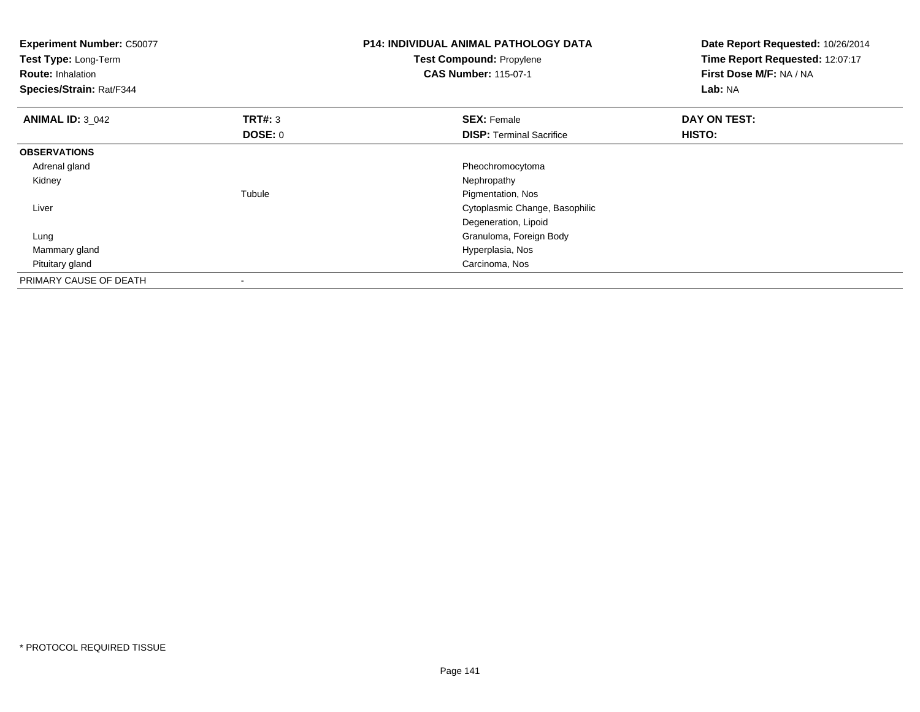| <b>Experiment Number: C50077</b><br>Test Type: Long-Term<br><b>Route: Inhalation</b><br>Species/Strain: Rat/F344 |                                  | <b>P14: INDIVIDUAL ANIMAL PATHOLOGY DATA</b><br><b>Test Compound: Propylene</b><br><b>CAS Number: 115-07-1</b> | Date Report Requested: 10/26/2014<br>Time Report Requested: 12:07:17<br>First Dose M/F: NA / NA<br>Lab: NA |
|------------------------------------------------------------------------------------------------------------------|----------------------------------|----------------------------------------------------------------------------------------------------------------|------------------------------------------------------------------------------------------------------------|
| <b>ANIMAL ID: 3_042</b>                                                                                          | <b>TRT#: 3</b><br><b>DOSE: 0</b> | <b>SEX: Female</b><br><b>DISP: Terminal Sacrifice</b>                                                          | DAY ON TEST:<br><b>HISTO:</b>                                                                              |
| <b>OBSERVATIONS</b>                                                                                              |                                  |                                                                                                                |                                                                                                            |
| Adrenal gland                                                                                                    |                                  | Pheochromocytoma                                                                                               |                                                                                                            |
| Kidney                                                                                                           |                                  | Nephropathy                                                                                                    |                                                                                                            |
|                                                                                                                  | Tubule                           | Pigmentation, Nos                                                                                              |                                                                                                            |
| Liver                                                                                                            |                                  | Cytoplasmic Change, Basophilic                                                                                 |                                                                                                            |
|                                                                                                                  |                                  | Degeneration, Lipoid                                                                                           |                                                                                                            |
| Lung                                                                                                             |                                  | Granuloma, Foreign Body                                                                                        |                                                                                                            |
| Mammary gland                                                                                                    |                                  | Hyperplasia, Nos                                                                                               |                                                                                                            |
| Pituitary gland                                                                                                  |                                  | Carcinoma, Nos                                                                                                 |                                                                                                            |
| PRIMARY CAUSE OF DEATH                                                                                           |                                  |                                                                                                                |                                                                                                            |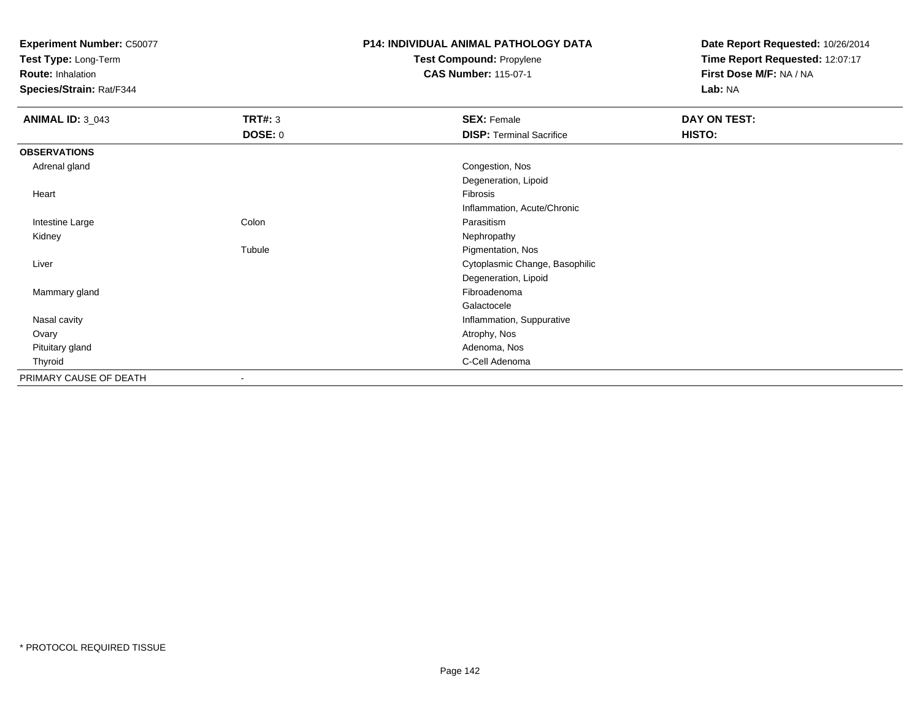**Test Type:** Long-Term

**Route:** Inhalation

**Species/Strain:** Rat/F344

# **P14: INDIVIDUAL ANIMAL PATHOLOGY DATATest Compound:** Propylene

**CAS Number:** 115-07-1

| <b>ANIMAL ID: 3_043</b> | <b>TRT#: 3</b>           | <b>SEX: Female</b>              | <b>DAY ON TEST:</b> |
|-------------------------|--------------------------|---------------------------------|---------------------|
|                         | <b>DOSE: 0</b>           | <b>DISP: Terminal Sacrifice</b> | HISTO:              |
| <b>OBSERVATIONS</b>     |                          |                                 |                     |
| Adrenal gland           |                          | Congestion, Nos                 |                     |
|                         |                          | Degeneration, Lipoid            |                     |
| Heart                   |                          | Fibrosis                        |                     |
|                         |                          | Inflammation, Acute/Chronic     |                     |
| Intestine Large         | Colon                    | Parasitism                      |                     |
| Kidney                  |                          | Nephropathy                     |                     |
|                         | Tubule                   | Pigmentation, Nos               |                     |
| Liver                   |                          | Cytoplasmic Change, Basophilic  |                     |
|                         |                          | Degeneration, Lipoid            |                     |
| Mammary gland           |                          | Fibroadenoma                    |                     |
|                         |                          | Galactocele                     |                     |
| Nasal cavity            |                          | Inflammation, Suppurative       |                     |
| Ovary                   |                          | Atrophy, Nos                    |                     |
| Pituitary gland         |                          | Adenoma, Nos                    |                     |
| Thyroid                 |                          | C-Cell Adenoma                  |                     |
| PRIMARY CAUSE OF DEATH  | $\overline{\phantom{a}}$ |                                 |                     |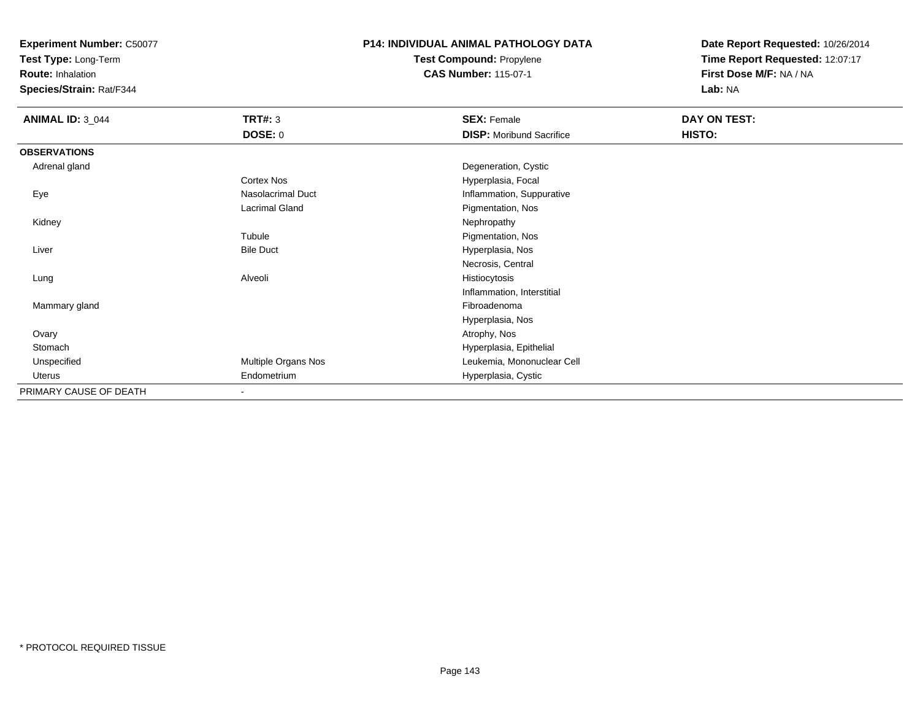**Test Type:** Long-Term

**Route:** Inhalation

**Species/Strain:** Rat/F344

# **P14: INDIVIDUAL ANIMAL PATHOLOGY DATATest Compound:** Propylene

**CAS Number:** 115-07-1

| <b>ANIMAL ID: 3_044</b> | <b>TRT#: 3</b>      | <b>SEX: Female</b>              | DAY ON TEST: |  |
|-------------------------|---------------------|---------------------------------|--------------|--|
|                         | <b>DOSE: 0</b>      | <b>DISP:</b> Moribund Sacrifice | HISTO:       |  |
| <b>OBSERVATIONS</b>     |                     |                                 |              |  |
| Adrenal gland           |                     | Degeneration, Cystic            |              |  |
|                         | Cortex Nos          | Hyperplasia, Focal              |              |  |
| Eye                     | Nasolacrimal Duct   | Inflammation, Suppurative       |              |  |
|                         | Lacrimal Gland      | Pigmentation, Nos               |              |  |
| Kidney                  |                     | Nephropathy                     |              |  |
|                         | Tubule              | Pigmentation, Nos               |              |  |
| Liver                   | <b>Bile Duct</b>    | Hyperplasia, Nos                |              |  |
|                         |                     | Necrosis, Central               |              |  |
| Lung                    | Alveoli             | Histiocytosis                   |              |  |
|                         |                     | Inflammation, Interstitial      |              |  |
| Mammary gland           |                     | Fibroadenoma                    |              |  |
|                         |                     | Hyperplasia, Nos                |              |  |
| Ovary                   |                     | Atrophy, Nos                    |              |  |
| Stomach                 |                     | Hyperplasia, Epithelial         |              |  |
| Unspecified             | Multiple Organs Nos | Leukemia, Mononuclear Cell      |              |  |
| Uterus                  | Endometrium         | Hyperplasia, Cystic             |              |  |
| PRIMARY CAUSE OF DEATH  | ٠                   |                                 |              |  |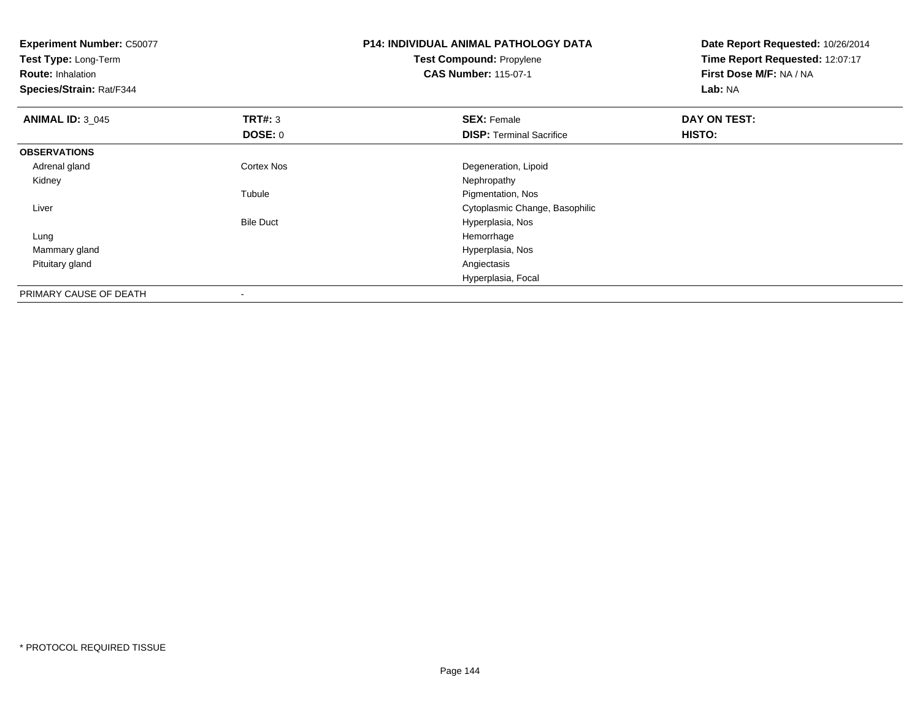| <b>Experiment Number: C50077</b><br>Test Type: Long-Term |                  | <b>P14: INDIVIDUAL ANIMAL PATHOLOGY DATA</b> | Date Report Requested: 10/26/2014 |
|----------------------------------------------------------|------------------|----------------------------------------------|-----------------------------------|
|                                                          |                  | <b>Test Compound: Propylene</b>              | Time Report Requested: 12:07:17   |
| <b>Route: Inhalation</b>                                 |                  | <b>CAS Number: 115-07-1</b>                  | First Dose M/F: NA / NA           |
| Species/Strain: Rat/F344                                 |                  |                                              | Lab: NA                           |
| <b>ANIMAL ID: 3_045</b>                                  | <b>TRT#: 3</b>   | <b>SEX: Female</b>                           | DAY ON TEST:                      |
|                                                          | <b>DOSE: 0</b>   | <b>DISP: Terminal Sacrifice</b>              | <b>HISTO:</b>                     |
| <b>OBSERVATIONS</b>                                      |                  |                                              |                                   |
| Adrenal gland                                            | Cortex Nos       | Degeneration, Lipoid                         |                                   |
| Kidney                                                   |                  | Nephropathy                                  |                                   |
|                                                          | Tubule           | Pigmentation, Nos                            |                                   |
| Liver                                                    |                  | Cytoplasmic Change, Basophilic               |                                   |
|                                                          | <b>Bile Duct</b> | Hyperplasia, Nos                             |                                   |
| Lung                                                     |                  | Hemorrhage                                   |                                   |
| Mammary gland                                            |                  | Hyperplasia, Nos                             |                                   |
| Pituitary gland                                          |                  | Angiectasis                                  |                                   |
|                                                          |                  | Hyperplasia, Focal                           |                                   |
| PRIMARY CAUSE OF DEATH                                   | -                |                                              |                                   |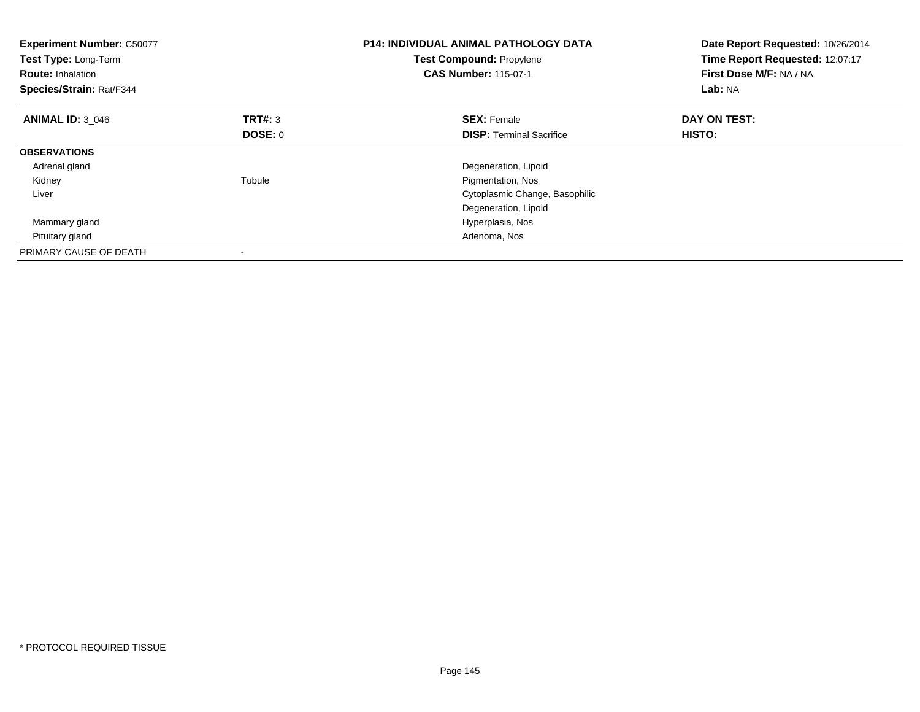| <b>Experiment Number: C50077</b><br>Test Type: Long-Term<br><b>Route: Inhalation</b><br>Species/Strain: Rat/F344 |         | <b>P14: INDIVIDUAL ANIMAL PATHOLOGY DATA</b><br>Test Compound: Propylene<br><b>CAS Number: 115-07-1</b> | Date Report Requested: 10/26/2014<br>Time Report Requested: 12:07:17<br>First Dose M/F: NA / NA<br>Lab: NA |
|------------------------------------------------------------------------------------------------------------------|---------|---------------------------------------------------------------------------------------------------------|------------------------------------------------------------------------------------------------------------|
| <b>ANIMAL ID: 3 046</b>                                                                                          | TRT#: 3 | <b>SEX: Female</b>                                                                                      | DAY ON TEST:                                                                                               |
|                                                                                                                  | DOSE: 0 | <b>DISP:</b> Terminal Sacrifice                                                                         | HISTO:                                                                                                     |
| <b>OBSERVATIONS</b>                                                                                              |         |                                                                                                         |                                                                                                            |
| Adrenal gland                                                                                                    |         | Degeneration, Lipoid                                                                                    |                                                                                                            |
| Kidney                                                                                                           | Tubule  | Pigmentation, Nos                                                                                       |                                                                                                            |
| Liver                                                                                                            |         | Cytoplasmic Change, Basophilic                                                                          |                                                                                                            |
|                                                                                                                  |         | Degeneration, Lipoid                                                                                    |                                                                                                            |
| Mammary gland                                                                                                    |         | Hyperplasia, Nos                                                                                        |                                                                                                            |
| Pituitary gland                                                                                                  |         | Adenoma, Nos                                                                                            |                                                                                                            |
| PRIMARY CAUSE OF DEATH                                                                                           |         |                                                                                                         |                                                                                                            |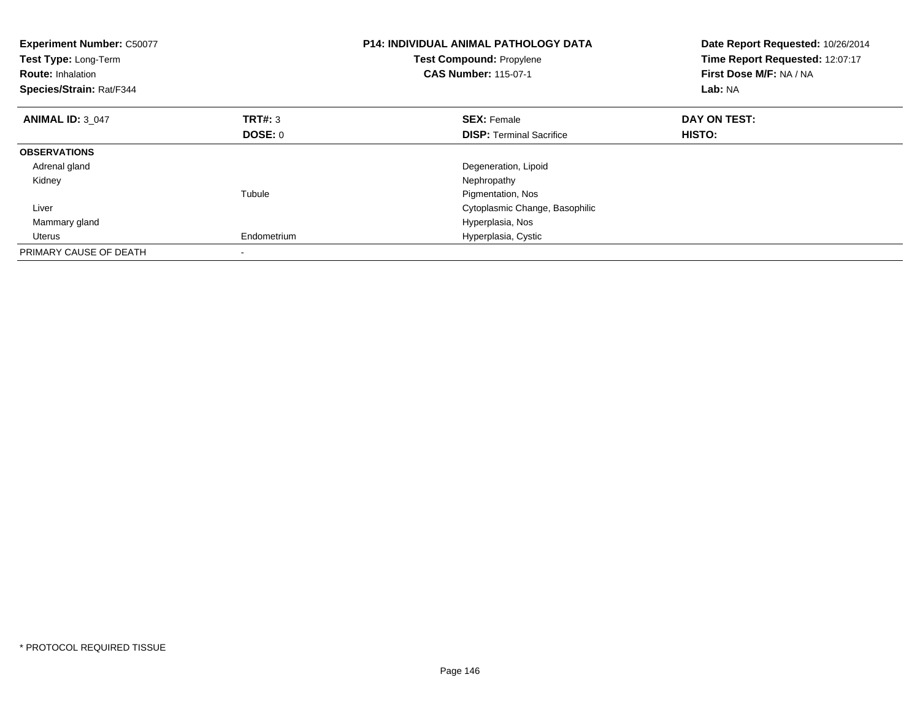| <b>Experiment Number: C50077</b><br>Test Type: Long-Term<br><b>Route: Inhalation</b><br>Species/Strain: Rat/F344 |                | <b>P14: INDIVIDUAL ANIMAL PATHOLOGY DATA</b><br>Test Compound: Propylene<br><b>CAS Number: 115-07-1</b> | Date Report Requested: 10/26/2014<br>Time Report Requested: 12:07:17<br>First Dose M/F: NA / NA<br>Lab: NA |
|------------------------------------------------------------------------------------------------------------------|----------------|---------------------------------------------------------------------------------------------------------|------------------------------------------------------------------------------------------------------------|
| <b>ANIMAL ID: 3 047</b>                                                                                          | TRT#: 3        | <b>SEX: Female</b>                                                                                      | DAY ON TEST:                                                                                               |
|                                                                                                                  | <b>DOSE: 0</b> | <b>DISP:</b> Terminal Sacrifice                                                                         | <b>HISTO:</b>                                                                                              |
| <b>OBSERVATIONS</b>                                                                                              |                |                                                                                                         |                                                                                                            |
| Adrenal gland                                                                                                    |                | Degeneration, Lipoid                                                                                    |                                                                                                            |
| Kidney                                                                                                           |                | Nephropathy                                                                                             |                                                                                                            |
|                                                                                                                  | Tubule         | Pigmentation, Nos                                                                                       |                                                                                                            |
| Liver                                                                                                            |                | Cytoplasmic Change, Basophilic                                                                          |                                                                                                            |
| Mammary gland                                                                                                    |                | Hyperplasia, Nos                                                                                        |                                                                                                            |
| Uterus                                                                                                           | Endometrium    | Hyperplasia, Cystic                                                                                     |                                                                                                            |
| PRIMARY CAUSE OF DEATH                                                                                           |                |                                                                                                         |                                                                                                            |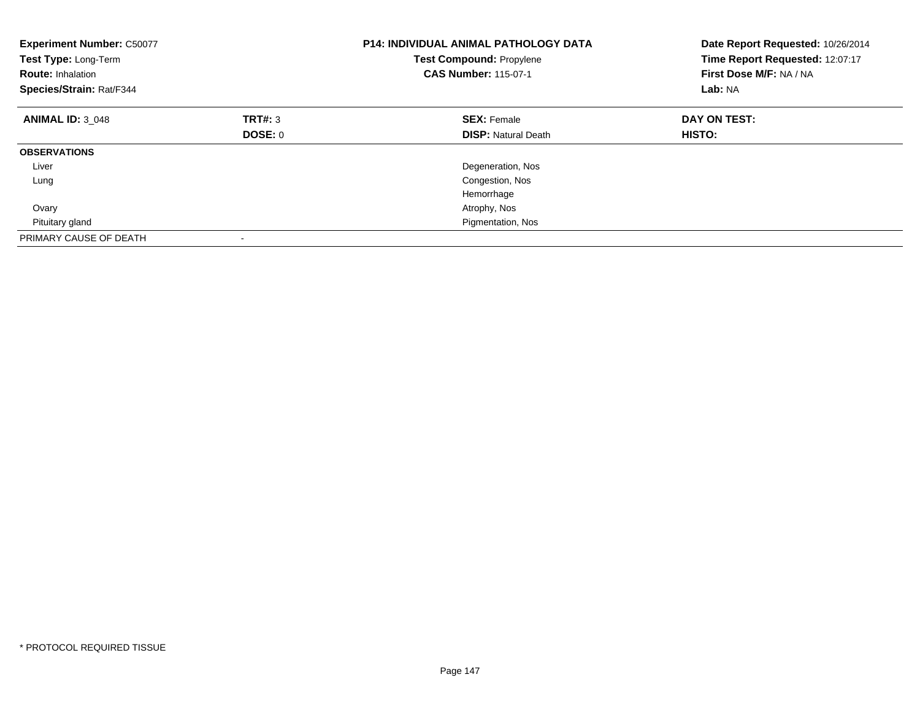| <b>Experiment Number: C50077</b><br>Test Type: Long-Term<br><b>Route: Inhalation</b><br>Species/Strain: Rat/F344 |         | <b>P14: INDIVIDUAL ANIMAL PATHOLOGY DATA</b><br><b>Test Compound: Propylene</b><br><b>CAS Number: 115-07-1</b> | Date Report Requested: 10/26/2014<br>Time Report Requested: 12:07:17<br>First Dose M/F: NA / NA<br>Lab: NA |
|------------------------------------------------------------------------------------------------------------------|---------|----------------------------------------------------------------------------------------------------------------|------------------------------------------------------------------------------------------------------------|
| <b>ANIMAL ID: 3 048</b>                                                                                          | TRT#: 3 | <b>SEX: Female</b>                                                                                             | DAY ON TEST:                                                                                               |
|                                                                                                                  | DOSE: 0 | <b>DISP: Natural Death</b>                                                                                     | <b>HISTO:</b>                                                                                              |
| <b>OBSERVATIONS</b>                                                                                              |         |                                                                                                                |                                                                                                            |
| Liver                                                                                                            |         | Degeneration, Nos                                                                                              |                                                                                                            |
| Lung                                                                                                             |         | Congestion, Nos                                                                                                |                                                                                                            |
|                                                                                                                  |         | Hemorrhage                                                                                                     |                                                                                                            |
| Ovary                                                                                                            |         | Atrophy, Nos                                                                                                   |                                                                                                            |
| Pituitary gland                                                                                                  |         | Pigmentation, Nos                                                                                              |                                                                                                            |
| PRIMARY CAUSE OF DEATH                                                                                           |         |                                                                                                                |                                                                                                            |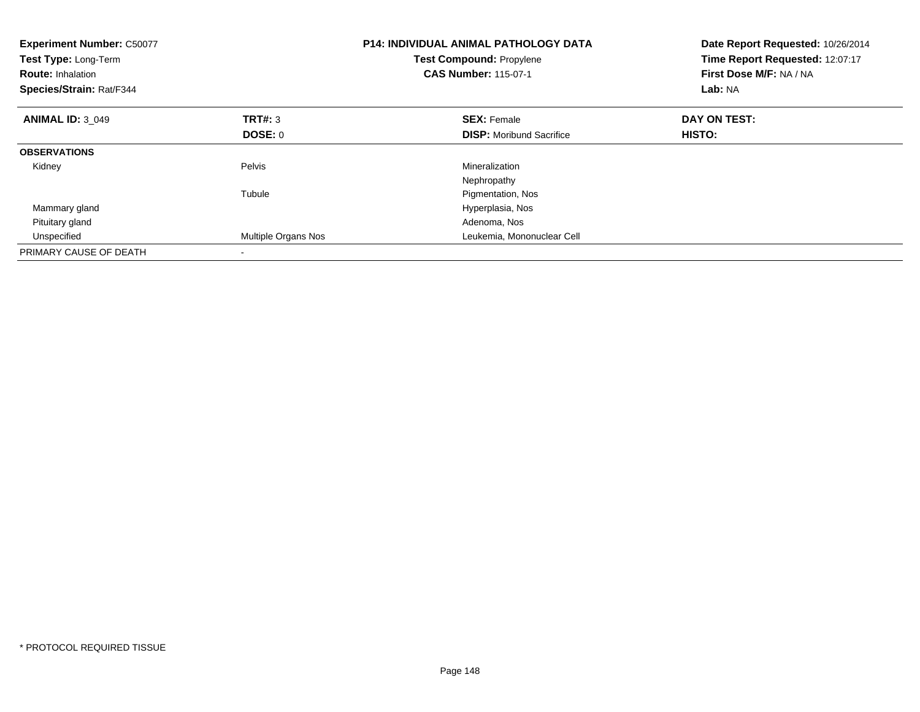| <b>Experiment Number: C50077</b><br>Test Type: Long-Term<br><b>Route: Inhalation</b><br>Species/Strain: Rat/F344 |                     | <b>P14: INDIVIDUAL ANIMAL PATHOLOGY DATA</b><br><b>Test Compound: Propylene</b><br><b>CAS Number: 115-07-1</b> | Date Report Requested: 10/26/2014<br>Time Report Requested: 12:07:17<br>First Dose M/F: NA / NA<br>Lab: NA |
|------------------------------------------------------------------------------------------------------------------|---------------------|----------------------------------------------------------------------------------------------------------------|------------------------------------------------------------------------------------------------------------|
| <b>ANIMAL ID: 3 049</b>                                                                                          | TRT#: 3             | <b>SEX: Female</b>                                                                                             | DAY ON TEST:                                                                                               |
|                                                                                                                  | DOSE: 0             | <b>DISP:</b> Moribund Sacrifice                                                                                | <b>HISTO:</b>                                                                                              |
| <b>OBSERVATIONS</b>                                                                                              |                     |                                                                                                                |                                                                                                            |
| Kidney                                                                                                           | Pelvis              | Mineralization                                                                                                 |                                                                                                            |
|                                                                                                                  |                     | Nephropathy                                                                                                    |                                                                                                            |
|                                                                                                                  | Tubule              | Pigmentation, Nos                                                                                              |                                                                                                            |
| Mammary gland                                                                                                    |                     | Hyperplasia, Nos                                                                                               |                                                                                                            |
| Pituitary gland                                                                                                  |                     | Adenoma, Nos                                                                                                   |                                                                                                            |
| Unspecified                                                                                                      | Multiple Organs Nos | Leukemia, Mononuclear Cell                                                                                     |                                                                                                            |
| PRIMARY CAUSE OF DEATH                                                                                           |                     |                                                                                                                |                                                                                                            |